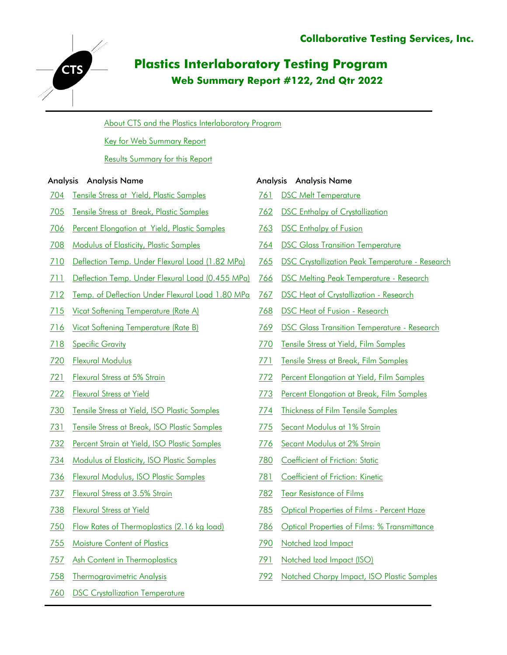

# **Plastics Interlaboratory Testing Program Web Summary Report #122, 2nd Qtr 2022**

[About CTS and the Plastics Interlaboratory Program](#page-1-0)

[Key for Web Summary Report](#page-2-0)

[Results Summary for this Report](#page-4-0)

#### Analysis Analysis Name Analysis Analysis Name

- 704 Tensile Stress at Yield, Plastic Samples
- 705 [Tensile Stress at Break , Plastic Samples](#page-12-0)
- 706 Percent Elongation at Yield, Plastic Samples
- 708 Modulus of Elasticity, Plastic Samples
- 710 Deflection Temp. Under Flexural Load (1.82 MPa)
- 711 Deflection Temp. Under Flexural Load (0.455 MPa)
- 712 Temp. of Deflection Under Flexural Load 1.80 MPa
- 715 Vicat Softening Temperature (Rate A)
- 716 Vicat Softening Temperature (Rate B)
- 718 [Specific Gravity](#page-36-0)
- 720 [Flexural Modulus](#page-40-0)
- 721 Flexural Stress at 5% Strain
- 722 [Flexural Stress at Yield](#page-46-0)
- 730 [Tensile Stress at Yield , ISO Plastic Samples](#page-49-0)
- 731 [Tensile Stress at Break , ISO Plastic Samples](#page-52-0)
- 732 [Percent Strain at Yield , ISO Plastic Samples](#page-55-0)
- 734 Modulus of Elasticity, ISO Plastic Samples
- 736 Flexural Modulus, ISO Plastic Samples
- 737 Flexural Stress at 3.5% Strain
- 738 [Flexural Stress at Yield](#page-67-0)
- 750 Flow Rates of Thermoplastics (2.16 kg load)
- 755 [Moisture Content of Plastics](#page-74-0)
- 757 [Ash Content in Thermoplastics](#page-77-0)
- 758 [Thermogravimetric Analysis](#page-80-0)
- 760 [DSC Crystallization Temperature](#page-82-0)

- 761 [DSC Melt Temperature](#page-85-0)
- 762 [DSC Enthalpy of Crystallization](#page-88-0)
- 763 [DSC Enthalpy of Fusion](#page-91-0)
- 764 [DSC Glass Transition Temperature](#page-94-0)
- 765 [DSC Crystallization Peak Temperature Research](#page-97-0)
- 766 [DSC Melting Peak Temperature Research](#page-99-0)
- 767 [DSC Heat of Crystallization Research](#page-101-0)
- 768 [DSC Heat of Fusion Research](#page-103-0)
- 769 [DSC Glass Transition Temperature Research](#page-105-0)
- 770 Tensile Stress at Yield, Film Samples
- 771 Tensile Stress at Break, Film Samples
- 772 Percent Elongation at Yield, Film Samples
- 773 [Percent Elongation at Break , Film Samples](#page-114-0)
- 774 [Thickness of Film Tensile Samples](#page-117-0)
- 775 Secant Modulus at 1% Strain
- 776 Secant Modulus at 2% Strain
- 780 Coefficient of Friction: Static
- 781 Coefficient of Friction: Kinetic
- 782 [Tear Resistance of Films](#page-127-0)
- 785 [Optical Properties of Films Percent Haze](#page-129-0)
- 786 Optical Properties of Films: % Transmittance
- 790 [Notched Izod Impact](#page-135-0)
- 791 Notched Izod Impact (ISO)
- 792 [Notched Charpy Impact , ISO Plastic Samples](#page-141-0)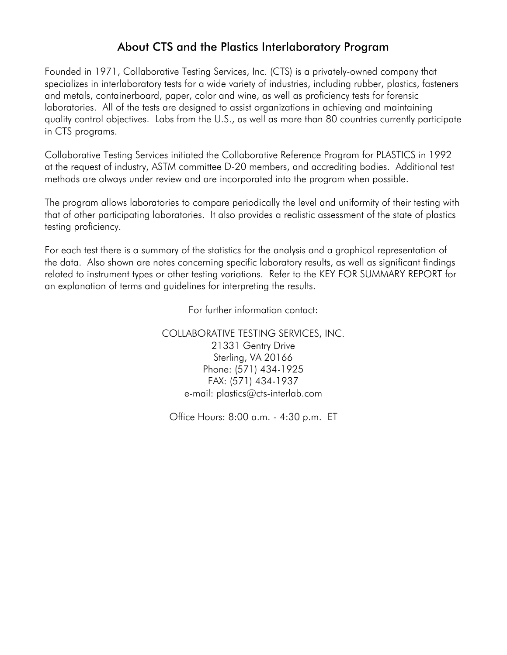# About CTS and the Plastics Interlaboratory Program

<span id="page-1-0"></span>Founded in 1971, Collaborative Testing Services, Inc. (CTS) is a privately-owned company that specializes in interlaboratory tests for a wide variety of industries, including rubber, plastics, fasteners and metals, containerboard, paper, color and wine, as well as proficiency tests for forensic laboratories. All of the tests are designed to assist organizations in achieving and maintaining quality control objectives. Labs from the U.S., as well as more than 80 countries currently participate in CTS programs.

Collaborative Testing Services initiated the Collaborative Reference Program for PLASTICS in 1992 at the request of industry, ASTM committee D-20 members, and accrediting bodies. Additional test methods are always under review and are incorporated into the program when possible.

The program allows laboratories to compare periodically the level and uniformity of their testing with that of other participating laboratories. It also provides a realistic assessment of the state of plastics testing proficiency.

For each test there is a summary of the statistics for the analysis and a graphical representation of the data. Also shown are notes concerning specific laboratory results, as well as significant findings related to instrument types or other testing variations. Refer to the KEY FOR SUMMARY REPORT for an explanation of terms and guidelines for interpreting the results.

For further information contact:

COLLABORATIVE TESTING SERVICES, INC. 21331 Gentry Drive Sterling, VA 20166 Phone: (571) 434-1925 FAX: (571) 434-1937 e-mail: plastics@cts-interlab.com

Office Hours: 8:00 a.m. - 4:30 p.m. ET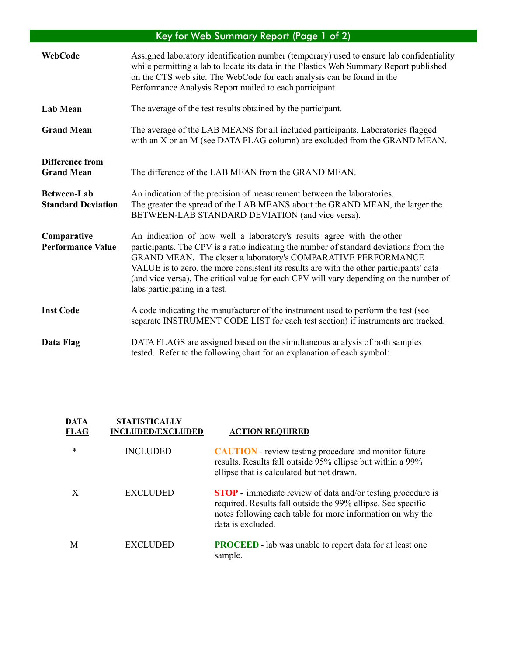#### Key for Web Summary Report (Page 1 of 2)

<span id="page-2-0"></span>

| WebCode                                         | Assigned laboratory identification number (temporary) used to ensure lab confidentiality<br>while permitting a lab to locate its data in the Plastics Web Summary Report published<br>on the CTS web site. The WebCode for each analysis can be found in the<br>Performance Analysis Report mailed to each participant.                                                                                                                                |
|-------------------------------------------------|--------------------------------------------------------------------------------------------------------------------------------------------------------------------------------------------------------------------------------------------------------------------------------------------------------------------------------------------------------------------------------------------------------------------------------------------------------|
| <b>Lab Mean</b>                                 | The average of the test results obtained by the participant.                                                                                                                                                                                                                                                                                                                                                                                           |
| <b>Grand Mean</b>                               | The average of the LAB MEANS for all included participants. Laboratories flagged<br>with an X or an M (see DATA FLAG column) are excluded from the GRAND MEAN.                                                                                                                                                                                                                                                                                         |
| <b>Difference from</b><br><b>Grand Mean</b>     | The difference of the LAB MEAN from the GRAND MEAN.                                                                                                                                                                                                                                                                                                                                                                                                    |
| <b>Between-Lab</b><br><b>Standard Deviation</b> | An indication of the precision of measurement between the laboratories.<br>The greater the spread of the LAB MEANS about the GRAND MEAN, the larger the<br>BETWEEN-LAB STANDARD DEVIATION (and vice versa).                                                                                                                                                                                                                                            |
| Comparative<br><b>Performance Value</b>         | An indication of how well a laboratory's results agree with the other<br>participants. The CPV is a ratio indicating the number of standard deviations from the<br>GRAND MEAN. The closer a laboratory's COMPARATIVE PERFORMANCE<br>VALUE is to zero, the more consistent its results are with the other participants' data<br>(and vice versa). The critical value for each CPV will vary depending on the number of<br>labs participating in a test. |
| <b>Inst Code</b>                                | A code indicating the manufacturer of the instrument used to perform the test (see<br>separate INSTRUMENT CODE LIST for each test section) if instruments are tracked.                                                                                                                                                                                                                                                                                 |
| Data Flag                                       | DATA FLAGS are assigned based on the simultaneous analysis of both samples<br>tested. Refer to the following chart for an explanation of each symbol:                                                                                                                                                                                                                                                                                                  |

### **DATA STATISTICALLY FLAG INCLUDED/EXCLUDED ACTION REQUIRED**  \* INCLUDED **CAUTION** - review testing procedure and monitor future results. Results fall outside 95% ellipse but within a 99% ellipse that is calculated but not drawn. X EXCLUDED **STOP** - immediate review of data and/or testing procedure is required. Results fall outside the 99% ellipse. See specific notes following each table for more information on why the data is excluded. M EXCLUDED **PROCEED** - lab was unable to report data for at least one sample.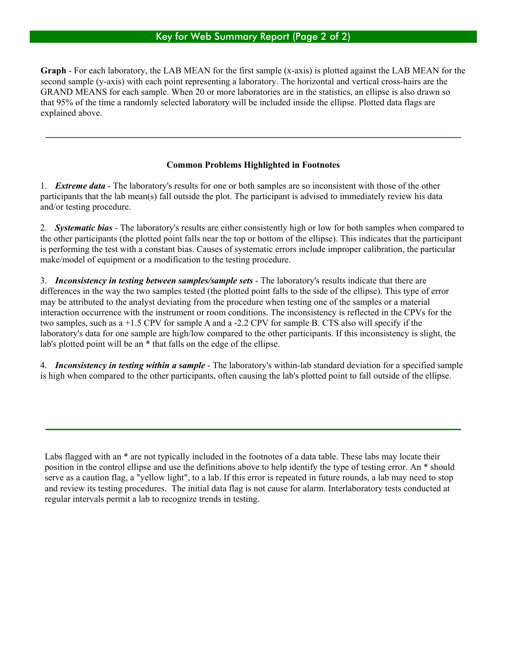**Graph** - For each laboratory, the LAB MEAN for the first sample (x-axis) is plotted against the LAB MEAN for the second sample (y-axis) with each point representing a laboratory. The horizontal and vertical cross-hairs are the GRAND MEANS for each sample. When 20 or more laboratories are in the statistics, an ellipse is also drawn so that 95% of the time a randomly selected laboratory will be included inside the ellipse. Plotted data flags are explained above.

#### **Common Problems Highlighted in Footnotes**

1. *Extreme data* - The laboratory's results for one or both samples are so inconsistent with those of the other participants that the lab mean(s) fall outside the plot. The participant is advised to immediately review his data and/or testing procedure.

2. *Systematic bias* - The laboratory's results are either consistently high or low for both samples when compared to the other participants (the plotted point falls near the top or bottom of the ellipse). This indicates that the participant is performing the test with a constant bias. Causes of systematic errors include improper calibration, the particular make/model of equipment or a modification to the testing procedure.

3. *Inconsistency in testing between samples/sample sets* - The laboratory's results indicate that there are differences in the way the two samples tested (the plotted point falls to the side of the ellipse). This type of error may be attributed to the analyst deviating from the procedure when testing one of the samples or a material interaction occurrence with the instrument or room conditions. The inconsistency is reflected in the CPVs for the two samples, such as a +1.5 CPV for sample A and a -2.2 CPV for sample B. CTS also will specify if the laboratory's data for one sample are high/low compared to the other participants. If this inconsistency is slight, the lab's plotted point will be an \* that falls on the edge of the ellipse.

4. *Inconsistency in testing within a sample* - The laboratory's within-lab standard deviation for a specified sample is high when compared to the other participants, often causing the lab's plotted point to fall outside of the ellipse.

Labs flagged with an \* are not typically included in the footnotes of a data table. These labs may locate their position in the control ellipse and use the definitions above to help identify the type of testing error. An \* should serve as a caution flag, a "yellow light", to a lab. If this error is repeated in future rounds, a lab may need to stop and review its testing procedures. The initial data flag is not cause for alarm. Interlaboratory tests conducted at regular intervals permit a lab to recognize trends in testing.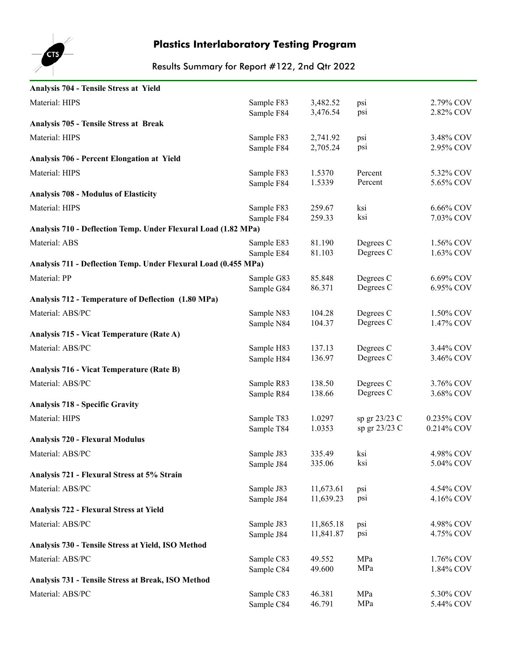<span id="page-4-0"></span>

| Analysis 704 - Tensile Stress at Yield                          |                          |                  |                        |                        |
|-----------------------------------------------------------------|--------------------------|------------------|------------------------|------------------------|
| Material: HIPS                                                  | Sample F83               | 3,482.52         | psi                    | 2.79% COV              |
|                                                                 | Sample F84               | 3,476.54         | psi                    | 2.82% COV              |
| <b>Analysis 705 - Tensile Stress at Break</b>                   |                          |                  |                        |                        |
| Material: HIPS                                                  | Sample F83               | 2,741.92         | psi                    | 3.48% COV              |
|                                                                 | Sample F84               | 2,705.24         | psi                    | 2.95% COV              |
| <b>Analysis 706 - Percent Elongation at Yield</b>               |                          |                  |                        |                        |
| Material: HIPS                                                  | Sample F83               | 1.5370           | Percent                | 5.32% COV              |
|                                                                 | Sample F84               | 1.5339           | Percent                | 5.65% COV              |
| <b>Analysis 708 - Modulus of Elasticity</b>                     |                          |                  |                        |                        |
| Material: HIPS                                                  | Sample F83               | 259.67           | ksi                    | 6.66% COV              |
|                                                                 | Sample F84               | 259.33           | ksi                    | 7.03% COV              |
| Analysis 710 - Deflection Temp. Under Flexural Load (1.82 MPa)  |                          |                  |                        |                        |
| Material: ABS                                                   | Sample E83               | 81.190           | Degrees C              | 1.56% COV              |
| Analysis 711 - Deflection Temp. Under Flexural Load (0.455 MPa) | Sample E84               | 81.103           | Degrees C              | 1.63% COV              |
|                                                                 |                          |                  |                        |                        |
| Material: PP                                                    | Sample G83               | 85.848<br>86.371 | Degrees C<br>Degrees C | 6.69% COV<br>6.95% COV |
| Analysis 712 - Temperature of Deflection (1.80 MPa)             | Sample G84               |                  |                        |                        |
|                                                                 |                          |                  |                        |                        |
| Material: ABS/PC                                                | Sample N83<br>Sample N84 | 104.28<br>104.37 | Degrees C<br>Degrees C | 1.50% COV<br>1.47% COV |
| Analysis 715 - Vicat Temperature (Rate A)                       |                          |                  |                        |                        |
| Material: ABS/PC                                                | Sample H83               | 137.13           | Degrees C              | 3.44% COV              |
|                                                                 | Sample H84               | 136.97           | Degrees C              | 3.46% COV              |
| <b>Analysis 716 - Vicat Temperature (Rate B)</b>                |                          |                  |                        |                        |
| Material: ABS/PC                                                | Sample R83               | 138.50           | Degrees C              | 3.76% COV              |
|                                                                 | Sample R84               | 138.66           | Degrees C              | 3.68% COV              |
| <b>Analysis 718 - Specific Gravity</b>                          |                          |                  |                        |                        |
| Material: HIPS                                                  | Sample T83               | 1.0297           | sp gr 23/23 C          | 0.235% COV             |
|                                                                 | Sample T84               | 1.0353           | sp gr 23/23 C          | 0.214% COV             |
| <b>Analysis 720 - Flexural Modulus</b>                          |                          |                  |                        |                        |
| Material: ABS/PC                                                | Sample J83               | 335.49           | ksi                    | 4.98% COV              |
|                                                                 | Sample J84               | 335.06           | ksi                    | 5.04% COV              |
| Analysis 721 - Flexural Stress at 5% Strain                     |                          |                  |                        |                        |
| Material: ABS/PC                                                | Sample J83               | 11,673.61        | psi                    | 4.54% COV              |
|                                                                 | Sample J84               | 11,639.23        | psi                    | 4.16% COV              |
| Analysis 722 - Flexural Stress at Yield                         |                          |                  |                        |                        |
| Material: ABS/PC                                                | Sample J83               | 11,865.18        | psi                    | 4.98% COV              |
|                                                                 | Sample J84               | 11,841.87        | psi                    | 4.75% COV              |
| Analysis 730 - Tensile Stress at Yield, ISO Method              |                          |                  |                        |                        |
| Material: ABS/PC                                                | Sample C83               | 49.552           | MPa                    | 1.76% COV              |
|                                                                 | Sample C84               | 49.600           | MPa                    | 1.84% COV              |
| Analysis 731 - Tensile Stress at Break, ISO Method              |                          |                  |                        |                        |
| Material: ABS/PC                                                | Sample C83               | 46.381           | MPa<br>MPa             | 5.30% COV              |
|                                                                 | Sample C84               | 46.791           |                        | 5.44% COV              |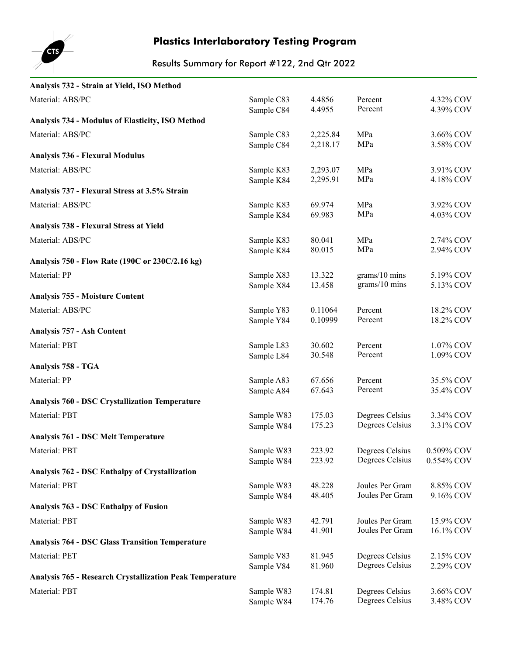

| Analysis 732 - Strain at Yield, ISO Method                      |            |          |                 |            |
|-----------------------------------------------------------------|------------|----------|-----------------|------------|
| Material: ABS/PC                                                | Sample C83 | 4.4856   | Percent         | 4.32% COV  |
|                                                                 | Sample C84 | 4.4955   | Percent         | 4.39% COV  |
| Analysis 734 - Modulus of Elasticity, ISO Method                |            |          |                 |            |
| Material: ABS/PC                                                | Sample C83 | 2,225.84 | MPa             | 3.66% COV  |
|                                                                 | Sample C84 | 2,218.17 | MPa             | 3.58% COV  |
| <b>Analysis 736 - Flexural Modulus</b>                          |            |          |                 |            |
| Material: ABS/PC                                                | Sample K83 | 2,293.07 | MPa             | 3.91% COV  |
|                                                                 | Sample K84 | 2,295.91 | MPa             | 4.18% COV  |
| Analysis 737 - Flexural Stress at 3.5% Strain                   |            |          |                 |            |
| Material: ABS/PC                                                | Sample K83 | 69.974   | MPa             | 3.92% COV  |
|                                                                 | Sample K84 | 69.983   | MPa             | 4.03% COV  |
| Analysis 738 - Flexural Stress at Yield                         |            |          |                 |            |
| Material: ABS/PC                                                | Sample K83 | 80.041   | MPa             | 2.74% COV  |
|                                                                 | Sample K84 | 80.015   | MPa             | 2.94% COV  |
| Analysis 750 - Flow Rate (190C or 230C/2.16 kg)                 |            |          |                 |            |
| Material: PP                                                    | Sample X83 | 13.322   | grams/10 mins   | 5.19% COV  |
|                                                                 | Sample X84 | 13.458   | grams/10 mins   | 5.13% COV  |
| <b>Analysis 755 - Moisture Content</b>                          |            |          |                 |            |
| Material: ABS/PC                                                | Sample Y83 | 0.11064  | Percent         | 18.2% COV  |
|                                                                 | Sample Y84 | 0.10999  | Percent         | 18.2% COV  |
| Analysis 757 - Ash Content                                      |            |          |                 |            |
| Material: PBT                                                   | Sample L83 | 30.602   | Percent         | 1.07% COV  |
|                                                                 | Sample L84 | 30.548   | Percent         | 1.09% COV  |
| Analysis 758 - TGA                                              |            |          |                 |            |
| Material: PP                                                    | Sample A83 | 67.656   | Percent         | 35.5% COV  |
|                                                                 | Sample A84 | 67.643   | Percent         | 35.4% COV  |
| <b>Analysis 760 - DSC Crystallization Temperature</b>           |            |          |                 |            |
| Material: PBT                                                   | Sample W83 | 175.03   | Degrees Celsius | 3.34% COV  |
|                                                                 | Sample W84 | 175.23   | Degrees Celsius | 3.31% COV  |
| <b>Analysis 761 - DSC Melt Temperature</b>                      |            |          |                 |            |
| Material: PBT                                                   | Sample W83 | 223.92   | Degrees Celsius | 0.509% COV |
|                                                                 | Sample W84 | 223.92   | Degrees Celsius | 0.554% COV |
| Analysis 762 - DSC Enthalpy of Crystallization                  |            |          |                 |            |
| Material: PBT                                                   | Sample W83 | 48.228   | Joules Per Gram | 8.85% COV  |
|                                                                 | Sample W84 | 48.405   | Joules Per Gram | 9.16% COV  |
| Analysis 763 - DSC Enthalpy of Fusion                           |            |          |                 |            |
| Material: PBT                                                   | Sample W83 | 42.791   | Joules Per Gram | 15.9% COV  |
|                                                                 | Sample W84 | 41.901   | Joules Per Gram | 16.1% COV  |
| <b>Analysis 764 - DSC Glass Transition Temperature</b>          |            |          |                 |            |
| Material: PET                                                   | Sample V83 | 81.945   | Degrees Celsius | 2.15% COV  |
|                                                                 | Sample V84 | 81.960   | Degrees Celsius | 2.29% COV  |
| <b>Analysis 765 - Research Crystallization Peak Temperature</b> |            |          |                 |            |
| Material: PBT                                                   | Sample W83 | 174.81   | Degrees Celsius | 3.66% COV  |
|                                                                 | Sample W84 | 174.76   | Degrees Celsius | 3.48% COV  |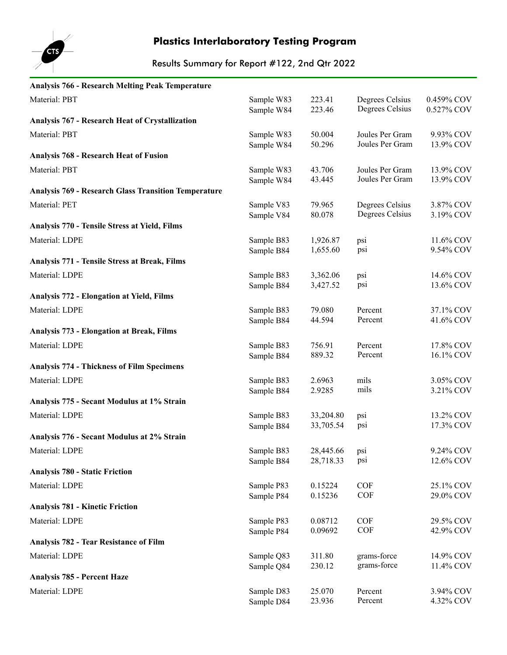

| <b>Analysis 766 - Research Melting Peak Temperature</b>     |                          |                      |                            |                        |
|-------------------------------------------------------------|--------------------------|----------------------|----------------------------|------------------------|
| Material: PBT                                               | Sample W83               | 223.41               | Degrees Celsius            | 0.459% COV             |
|                                                             | Sample W84               | 223.46               | Degrees Celsius            | 0.527% COV             |
| Analysis 767 - Research Heat of Crystallization             |                          |                      |                            |                        |
| Material: PBT                                               | Sample W83               | 50.004               | Joules Per Gram            | 9.93% COV              |
|                                                             | Sample W84               | 50.296               | Joules Per Gram            | 13.9% COV              |
| <b>Analysis 768 - Research Heat of Fusion</b>               |                          |                      |                            |                        |
| Material: PBT                                               | Sample W83               | 43.706               | Joules Per Gram            | 13.9% COV              |
|                                                             | Sample W84               | 43.445               | Joules Per Gram            | 13.9% COV              |
| <b>Analysis 769 - Research Glass Transition Temperature</b> |                          |                      |                            |                        |
| Material: PET                                               | Sample V83               | 79.965               | Degrees Celsius            | 3.87% COV              |
|                                                             | Sample V84               | 80.078               | Degrees Celsius            | 3.19% COV              |
| Analysis 770 - Tensile Stress at Yield, Films               |                          |                      |                            |                        |
| Material: LDPE                                              | Sample B83               | 1,926.87             | psi                        | 11.6% COV              |
| Analysis 771 - Tensile Stress at Break, Films               | Sample B84               | 1,655.60             | psi                        | 9.54% COV              |
|                                                             |                          |                      |                            |                        |
| Material: LDPE                                              | Sample B83<br>Sample B84 | 3,362.06<br>3,427.52 | psi<br>psi                 | 14.6% COV<br>13.6% COV |
| <b>Analysis 772 - Elongation at Yield, Films</b>            |                          |                      |                            |                        |
| Material: LDPE                                              | Sample B83               | 79.080               | Percent                    | 37.1% COV              |
|                                                             | Sample B84               | 44.594               | Percent                    | 41.6% COV              |
| <b>Analysis 773 - Elongation at Break, Films</b>            |                          |                      |                            |                        |
| Material: LDPE                                              | Sample B83               | 756.91               | Percent                    | 17.8% COV              |
|                                                             | Sample B84               | 889.32               | Percent                    | 16.1% COV              |
| <b>Analysis 774 - Thickness of Film Specimens</b>           |                          |                      |                            |                        |
| Material: LDPE                                              | Sample B83               | 2.6963               | mils                       | 3.05% COV              |
|                                                             | Sample B84               | 2.9285               | mils                       | 3.21% COV              |
| Analysis 775 - Secant Modulus at 1% Strain                  |                          |                      |                            |                        |
| Material: LDPE                                              | Sample B83               | 33,204.80            | psi                        | 13.2% COV              |
|                                                             | Sample B84               | 33,705.54            | psi                        | 17.3% COV              |
| Analysis 776 - Secant Modulus at 2% Strain                  |                          |                      |                            |                        |
| Material: LDPE                                              | Sample B83               | 28,445.66 psi        |                            | 9.24% COV              |
|                                                             | Sample B84               | 28,718.33            | psi                        | 12.6% COV              |
| <b>Analysis 780 - Static Friction</b>                       |                          |                      |                            |                        |
| Material: LDPE                                              | Sample P83               | 0.15224              | COF                        | 25.1% COV              |
|                                                             | Sample P84               | 0.15236              | <b>COF</b>                 | 29.0% COV              |
| <b>Analysis 781 - Kinetic Friction</b>                      |                          |                      |                            |                        |
| Material: LDPE                                              | Sample P83               | 0.08712              | COF                        | 29.5% COV              |
|                                                             | Sample P84               | 0.09692              | <b>COF</b>                 | 42.9% COV              |
| Analysis 782 - Tear Resistance of Film                      |                          |                      |                            |                        |
| Material: LDPE                                              | Sample Q83               | 311.80<br>230.12     | grams-force<br>grams-force | 14.9% COV              |
| Analysis 785 - Percent Haze                                 | Sample Q84               |                      |                            | 11.4% COV              |
|                                                             |                          |                      |                            |                        |
| Material: LDPE                                              | Sample D83<br>Sample D84 | 25.070<br>23.936     | Percent<br>Percent         | 3.94% COV<br>4.32% COV |
|                                                             |                          |                      |                            |                        |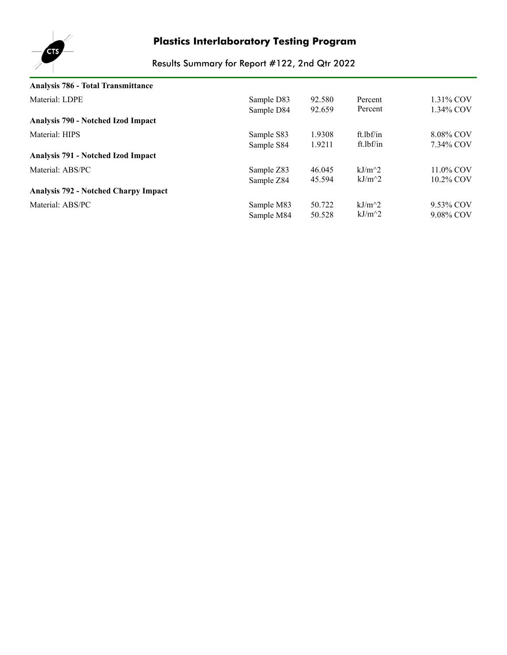

| Analysis 786 - Total Transmittance          |            |        |           |           |
|---------------------------------------------|------------|--------|-----------|-----------|
| Material: LDPE                              | Sample D83 | 92.580 | Percent   | 1.31% COV |
|                                             | Sample D84 | 92.659 | Percent   | 1.34% COV |
| Analysis 790 - Notched Izod Impact          |            |        |           |           |
| Material: HIPS                              | Sample S83 | 1.9308 | ft.lbf/in | 8.08% COV |
|                                             | Sample S84 | 1.9211 | ft.lbf/in | 7.34% COV |
| Analysis 791 - Notched Izod Impact          |            |        |           |           |
| Material: ABS/PC                            | Sample Z83 | 46.045 | kJ/m^2    | 11.0% COV |
|                                             | Sample Z84 | 45.594 | $kJ/m^2$  | 10.2% COV |
| <b>Analysis 792 - Notched Charpy Impact</b> |            |        |           |           |
| Material: ABS/PC                            | Sample M83 | 50.722 | $kJ/m^2$  | 9.53% COV |
|                                             | Sample M84 | 50.528 | $kJ/m^2$  | 9.08% COV |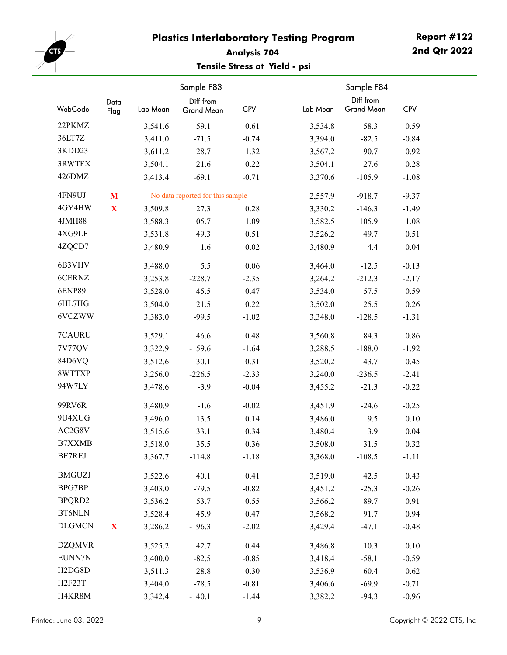<span id="page-8-0"></span>

#### **Analysis 704 Tensile Stress at Yield - psi**

|                                  | Data        |          | Sample F83<br>Diff from          |            |          | Sample F84<br>Diff from |            |
|----------------------------------|-------------|----------|----------------------------------|------------|----------|-------------------------|------------|
| WebCode                          | Flag        | Lab Mean | Grand Mean                       | <b>CPV</b> | Lab Mean | <b>Grand Mean</b>       | <b>CPV</b> |
| 22PKMZ                           |             | 3,541.6  | 59.1                             | 0.61       | 3,534.8  | 58.3                    | 0.59       |
| 36LT7Z                           |             | 3,411.0  | $-71.5$                          | $-0.74$    | 3,394.0  | $-82.5$                 | $-0.84$    |
| 3KDD23                           |             | 3,611.2  | 128.7                            | 1.32       | 3,567.2  | 90.7                    | 0.92       |
| 3RWTFX                           |             | 3,504.1  | 21.6                             | 0.22       | 3,504.1  | 27.6                    | 0.28       |
| 426DMZ                           |             | 3,413.4  | $-69.1$                          | $-0.71$    | 3,370.6  | $-105.9$                | $-1.08$    |
| 4FN9UJ                           | M           |          | No data reported for this sample |            | 2,557.9  | $-918.7$                | $-9.37$    |
| 4GY4HW                           | $\mathbf X$ | 3,509.8  | 27.3                             | 0.28       | 3,330.2  | $-146.3$                | $-1.49$    |
| 4JMH88                           |             | 3,588.3  | 105.7                            | 1.09       | 3,582.5  | 105.9                   | 1.08       |
| 4XG9LF                           |             | 3,531.8  | 49.3                             | 0.51       | 3,526.2  | 49.7                    | 0.51       |
| 4ZQCD7                           |             | 3,480.9  | $-1.6$                           | $-0.02$    | 3,480.9  | 4.4                     | 0.04       |
| 6B3VHV                           |             | 3,488.0  | 5.5                              | 0.06       | 3,464.0  | $-12.5$                 | $-0.13$    |
| 6CERNZ                           |             | 3,253.8  | $-228.7$                         | $-2.35$    | 3,264.2  | $-212.3$                | $-2.17$    |
| <b>6ENP89</b>                    |             | 3,528.0  | 45.5                             | 0.47       | 3,534.0  | 57.5                    | 0.59       |
| 6HL7HG                           |             | 3,504.0  | 21.5                             | 0.22       | 3,502.0  | 25.5                    | 0.26       |
| 6VCZWW                           |             | 3,383.0  | $-99.5$                          | $-1.02$    | 3,348.0  | $-128.5$                | $-1.31$    |
| 7CAURU                           |             | 3,529.1  | 46.6                             | 0.48       | 3,560.8  | 84.3                    | 0.86       |
| 7V77QV                           |             | 3,322.9  | $-159.6$                         | $-1.64$    | 3,288.5  | $-188.0$                | $-1.92$    |
| 84D6VQ                           |             | 3,512.6  | 30.1                             | 0.31       | 3,520.2  | 43.7                    | 0.45       |
| 8WTTXP                           |             | 3,256.0  | $-226.5$                         | $-2.33$    | 3,240.0  | $-236.5$                | $-2.41$    |
| 94W7LY                           |             | 3,478.6  | $-3.9$                           | $-0.04$    | 3,455.2  | $-21.3$                 | $-0.22$    |
| 99RV6R                           |             | 3,480.9  | $-1.6$                           | $-0.02$    | 3,451.9  | $-24.6$                 | $-0.25$    |
| 9U4XUG                           |             | 3,496.0  | 13.5                             | 0.14       | 3,486.0  | 9.5                     | 0.10       |
| AC2G8V                           |             | 3,515.6  | 33.1                             | 0.34       | 3,480.4  | 3.9                     | 0.04       |
| <b>B7XXMB</b>                    |             | 3,518.0  | 35.5                             | 0.36       | 3,508.0  | 31.5                    | 0.32       |
| BE7REJ                           |             | 3,367.7  | $-114.8$                         | $-1.18$    | 3,368.0  | $-108.5$                | $-1.11$    |
| <b>BMGUZJ</b>                    |             | 3,522.6  | 40.1                             | 0.41       | 3,519.0  | 42.5                    | 0.43       |
| BPG7BP                           |             | 3,403.0  | $-79.5$                          | $-0.82$    | 3,451.2  | $-25.3$                 | $-0.26$    |
| BPQRD2                           |             | 3,536.2  | 53.7                             | 0.55       | 3,566.2  | 89.7                    | 0.91       |
| <b>BT6NLN</b>                    |             | 3,528.4  | 45.9                             | 0.47       | 3,568.2  | 91.7                    | 0.94       |
| <b>DLGMCN</b>                    | $\mathbf X$ | 3,286.2  | $-196.3$                         | $-2.02$    | 3,429.4  | $-47.1$                 | $-0.48$    |
| <b>DZQMVR</b>                    |             | 3,525.2  | 42.7                             | 0.44       | 3,486.8  | 10.3                    | $0.10\,$   |
| EUNN7N                           |             | 3,400.0  | $-82.5$                          | $-0.85$    | 3,418.4  | $-58.1$                 | $-0.59$    |
| H <sub>2</sub> D <sub>G8</sub> D |             | 3,511.3  | 28.8                             | 0.30       | 3,536.9  | 60.4                    | 0.62       |
| H2F23T                           |             | 3,404.0  | $-78.5$                          | $-0.81$    | 3,406.6  | $-69.9$                 | $-0.71$    |
| H4KR8M                           |             | 3,342.4  | $-140.1$                         | $-1.44$    | 3,382.2  | $-94.3$                 | $-0.96$    |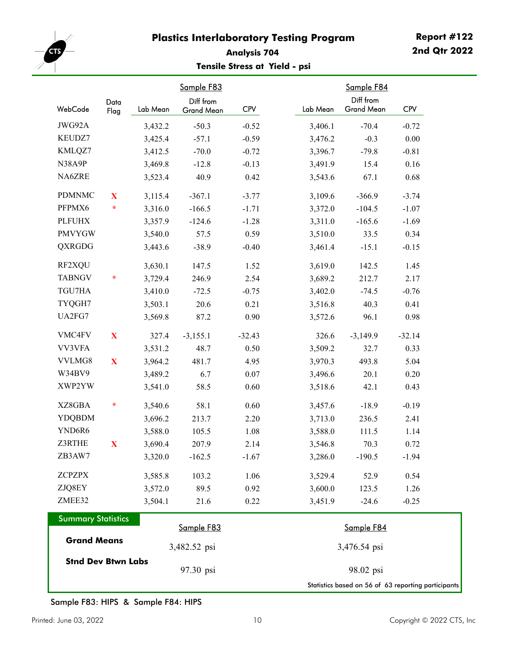

#### **Analysis 704 Tensile Stress at Yield - psi**

|                           | Data                |          | Sample F83<br>Diff from |            |          | Sample F84<br>Diff from |            |
|---------------------------|---------------------|----------|-------------------------|------------|----------|-------------------------|------------|
| WebCode                   | Flag                | Lab Mean | Grand Mean              | <b>CPV</b> | Lab Mean | <b>Grand Mean</b>       | <b>CPV</b> |
| JWG92A                    |                     | 3,432.2  | $-50.3$                 | $-0.52$    | 3,406.1  | $-70.4$                 | $-0.72$    |
| KEUDZ7                    |                     | 3,425.4  | $-57.1$                 | $-0.59$    | 3,476.2  | $-0.3$                  | $0.00\,$   |
| KMLQZ7                    |                     | 3,412.5  | $-70.0$                 | $-0.72$    | 3,396.7  | $-79.8$                 | $-0.81$    |
| N38A9P                    |                     | 3,469.8  | $-12.8$                 | $-0.13$    | 3,491.9  | 15.4                    | 0.16       |
| NA6ZRE                    |                     | 3,523.4  | 40.9                    | 0.42       | 3,543.6  | 67.1                    | 0.68       |
| <b>PDMNMC</b>             | X                   | 3,115.4  | $-367.1$                | $-3.77$    | 3,109.6  | $-366.9$                | $-3.74$    |
| PFPMX6                    | $\color{red} \star$ | 3,316.0  | $-166.5$                | $-1.71$    | 3,372.0  | $-104.5$                | $-1.07$    |
| <b>PLFUHX</b>             |                     | 3,357.9  | $-124.6$                | $-1.28$    | 3,311.0  | $-165.6$                | $-1.69$    |
| <b>PMVYGW</b>             |                     | 3,540.0  | 57.5                    | 0.59       | 3,510.0  | 33.5                    | 0.34       |
| <b>QXRGDG</b>             |                     | 3,443.6  | $-38.9$                 | $-0.40$    | 3,461.4  | $-15.1$                 | $-0.15$    |
| RF2XQU                    |                     | 3,630.1  | 147.5                   | 1.52       | 3,619.0  | 142.5                   | 1.45       |
| <b>TABNGV</b>             | $\star$             | 3,729.4  | 246.9                   | 2.54       | 3,689.2  | 212.7                   | 2.17       |
| TGU7HA                    |                     | 3,410.0  | $-72.5$                 | $-0.75$    | 3,402.0  | $-74.5$                 | $-0.76$    |
| TYQGH7                    |                     | 3,503.1  | 20.6                    | 0.21       | 3,516.8  | 40.3                    | 0.41       |
| UA2FG7                    |                     | 3,569.8  | 87.2                    | 0.90       | 3,572.6  | 96.1                    | 0.98       |
| VMC4FV                    | X                   | 327.4    | $-3,155.1$              | $-32.43$   | 326.6    | $-3,149.9$              | $-32.14$   |
| VV3VFA                    |                     | 3,531.2  | 48.7                    | 0.50       | 3,509.2  | 32.7                    | 0.33       |
| VVLMG8                    | $\mathbf X$         | 3,964.2  | 481.7                   | 4.95       | 3,970.3  | 493.8                   | 5.04       |
| W34BV9                    |                     | 3,489.2  | 6.7                     | 0.07       | 3,496.6  | 20.1                    | 0.20       |
| XWP2YW                    |                     | 3,541.0  | 58.5                    | 0.60       | 3,518.6  | 42.1                    | 0.43       |
| XZ8GBA                    | $\ast$              | 3,540.6  | 58.1                    | 0.60       | 3,457.6  | $-18.9$                 | $-0.19$    |
| <b>YDQBDM</b>             |                     | 3,696.2  | 213.7                   | 2.20       | 3,713.0  | 236.5                   | 2.41       |
| YND6R6                    |                     | 3,588.0  | 105.5                   | 1.08       | 3,588.0  | 111.5                   | 1.14       |
| Z3RTHE                    | $\mathbf X$         | 3,690.4  | 207.9                   | 2.14       | 3,546.8  | 70.3                    | 0.72       |
| ZB3AW7                    |                     | 3,320.0  | $-162.5$                | $-1.67$    | 3,286.0  | $-190.5$                | $-1.94$    |
| <b>ZCPZPX</b>             |                     | 3,585.8  | 103.2                   | 1.06       | 3,529.4  | 52.9                    | 0.54       |
| ZJQ8EY                    |                     | 3,572.0  | 89.5                    | 0.92       | 3,600.0  | 123.5                   | 1.26       |
| ZMEE32                    |                     | 3,504.1  | 21.6                    | 0.22       | 3,451.9  | $-24.6$                 | $-0.25$    |
| <b>Summary Statistics</b> |                     |          | Sample F83              |            |          | Sample F84              |            |

| <b>Summary Statistics</b> |              |                                                     |
|---------------------------|--------------|-----------------------------------------------------|
|                           | Sample F83   | Sample F84                                          |
| <b>Grand Means</b>        | 3,482.52 psi | 3,476.54 psi                                        |
| <b>Stnd Dev Btwn Labs</b> | 97.30 psi    | 98.02 psi                                           |
|                           |              | Statistics based on 56 of 63 reporting participants |

٦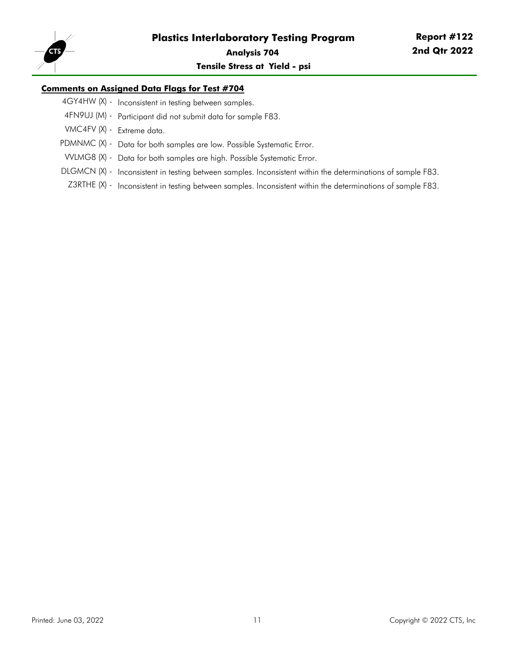

#### **Comments on Assigned Data Flags for Test #704**

- 4GY4HW (X) Inconsistent in testing between samples.
- 4FN9UJ (M) Participant did not submit data for sample F83.
- VMC4FV (X) Extreme data.
- PDMNMC (X) Data for both samples are low. Possible Systematic Error.
- VVLMG8 (X) Data for both samples are high. Possible Systematic Error.
- DLGMCN (X) Inconsistent in testing between samples. Inconsistent within the determinations of sample F83.
- Z3RTHE (X) Inconsistent in testing between samples. Inconsistent within the determinations of sample F83.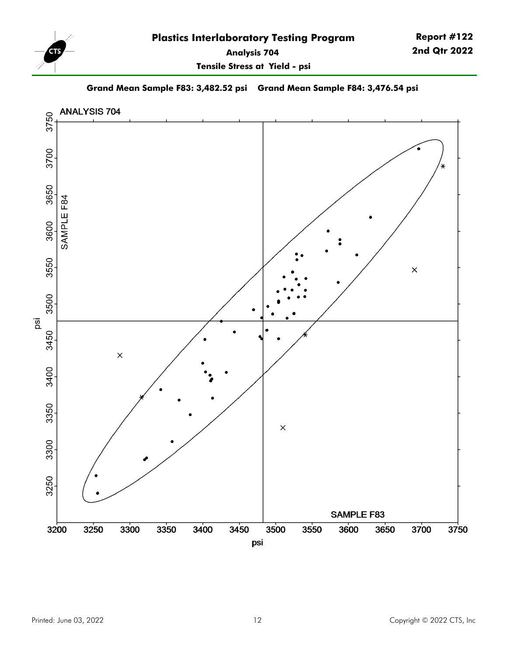

**2nd Qtr 2022**

**Report #122**

**Tensile Stress at Yield - psi**

**Grand Mean Sample F83: 3,482.52 psi Grand Mean Sample F84: 3,476.54 psi**

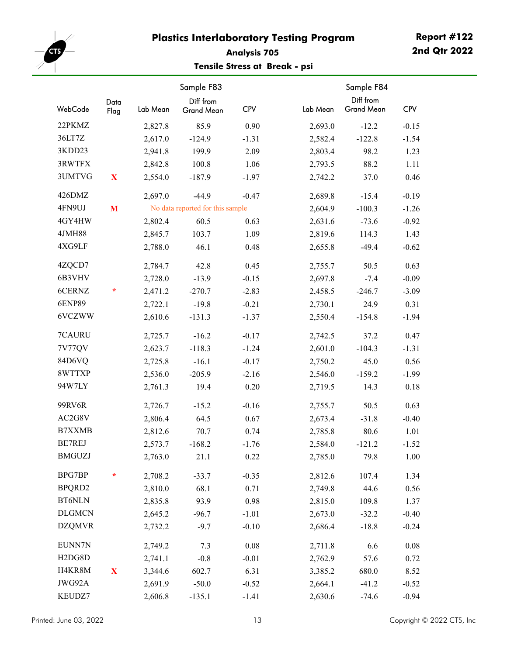<span id="page-12-0"></span>

#### **Analysis 705 Tensile Stress at Break - psi**

|                                  | Data        |          | Sample F83<br>Diff from          |            |          | Sample F84<br>Diff from |            |
|----------------------------------|-------------|----------|----------------------------------|------------|----------|-------------------------|------------|
| WebCode                          | Flag        | Lab Mean | Grand Mean                       | <b>CPV</b> | Lab Mean | <b>Grand Mean</b>       | <b>CPV</b> |
| 22PKMZ                           |             | 2,827.8  | 85.9                             | 0.90       | 2,693.0  | $-12.2$                 | $-0.15$    |
| 36LT7Z                           |             | 2,617.0  | $-124.9$                         | $-1.31$    | 2,582.4  | $-122.8$                | $-1.54$    |
| 3KDD23                           |             | 2,941.8  | 199.9                            | 2.09       | 2,803.4  | 98.2                    | 1.23       |
| 3RWTFX                           |             | 2,842.8  | 100.8                            | 1.06       | 2,793.5  | 88.2                    | 1.11       |
| 3UMTVG                           | X           | 2,554.0  | $-187.9$                         | $-1.97$    | 2,742.2  | 37.0                    | 0.46       |
| 426DMZ                           |             | 2,697.0  | $-44.9$                          | $-0.47$    | 2,689.8  | $-15.4$                 | $-0.19$    |
| 4FN9UJ                           | M           |          | No data reported for this sample |            | 2,604.9  | $-100.3$                | $-1.26$    |
| 4GY4HW                           |             | 2,802.4  | 60.5                             | 0.63       | 2,631.6  | $-73.6$                 | $-0.92$    |
| 4JMH88                           |             | 2,845.7  | 103.7                            | 1.09       | 2,819.6  | 114.3                   | 1.43       |
| 4XG9LF                           |             | 2,788.0  | 46.1                             | 0.48       | 2,655.8  | $-49.4$                 | $-0.62$    |
| 4ZQCD7                           |             | 2,784.7  | 42.8                             | 0.45       | 2,755.7  | 50.5                    | 0.63       |
| 6B3VHV                           |             | 2,728.0  | $-13.9$                          | $-0.15$    | 2,697.8  | $-7.4$                  | $-0.09$    |
| 6CERNZ                           | $\star$     | 2,471.2  | $-270.7$                         | $-2.83$    | 2,458.5  | $-246.7$                | $-3.09$    |
| <b>6ENP89</b>                    |             | 2,722.1  | $-19.8$                          | $-0.21$    | 2,730.1  | 24.9                    | 0.31       |
| 6VCZWW                           |             | 2,610.6  | $-131.3$                         | $-1.37$    | 2,550.4  | $-154.8$                | $-1.94$    |
| 7CAURU                           |             | 2,725.7  | $-16.2$                          | $-0.17$    | 2,742.5  | 37.2                    | 0.47       |
| 7V77QV                           |             | 2,623.7  | $-118.3$                         | $-1.24$    | 2,601.0  | $-104.3$                | $-1.31$    |
| 84D6VQ                           |             | 2,725.8  | $-16.1$                          | $-0.17$    | 2,750.2  | 45.0                    | 0.56       |
| 8WTTXP                           |             | 2,536.0  | $-205.9$                         | $-2.16$    | 2,546.0  | $-159.2$                | $-1.99$    |
| 94W7LY                           |             | 2,761.3  | 19.4                             | 0.20       | 2,719.5  | 14.3                    | 0.18       |
| 99RV6R                           |             | 2,726.7  | $-15.2$                          | $-0.16$    | 2,755.7  | 50.5                    | 0.63       |
| AC2G8V                           |             | 2,806.4  | 64.5                             | 0.67       | 2,673.4  | $-31.8$                 | $-0.40$    |
| <b>B7XXMB</b>                    |             | 2,812.6  | 70.7                             | 0.74       | 2,785.8  | 80.6                    | 1.01       |
| <b>BE7REJ</b>                    |             | 2,573.7  | $-168.2$                         | $-1.76$    | 2,584.0  | $-121.2$                | $-1.52$    |
| <b>BMGUZJ</b>                    |             | 2,763.0  | 21.1                             | 0.22       | 2,785.0  | 79.8                    | 1.00       |
| BPG7BP                           | $\star$     | 2,708.2  | $-33.7$                          | $-0.35$    | 2,812.6  | 107.4                   | 1.34       |
| BPQRD2                           |             | 2,810.0  | 68.1                             | 0.71       | 2,749.8  | 44.6                    | 0.56       |
| <b>BT6NLN</b>                    |             | 2,835.8  | 93.9                             | 0.98       | 2,815.0  | 109.8                   | 1.37       |
| <b>DLGMCN</b>                    |             | 2,645.2  | $-96.7$                          | $-1.01$    | 2,673.0  | $-32.2$                 | $-0.40$    |
| <b>DZQMVR</b>                    |             | 2,732.2  | $-9.7$                           | $-0.10$    | 2,686.4  | $-18.8$                 | $-0.24$    |
| EUNN7N                           |             | 2,749.2  | 7.3                              | $0.08\,$   | 2,711.8  | 6.6                     | $0.08\,$   |
| H <sub>2</sub> D <sub>G8</sub> D |             | 2,741.1  | $-0.8$                           | $-0.01$    | 2,762.9  | 57.6                    | 0.72       |
| H4KR8M                           | $\mathbf X$ | 3,344.6  | 602.7                            | 6.31       | 3,385.2  | 680.0                   | 8.52       |
| JWG92A                           |             | 2,691.9  | $-50.0$                          | $-0.52$    | 2,664.1  | $-41.2$                 | $-0.52$    |
| KEUDZ7                           |             | 2,606.8  | $-135.1$                         | $-1.41$    | 2,630.6  | $-74.6$                 | $-0.94$    |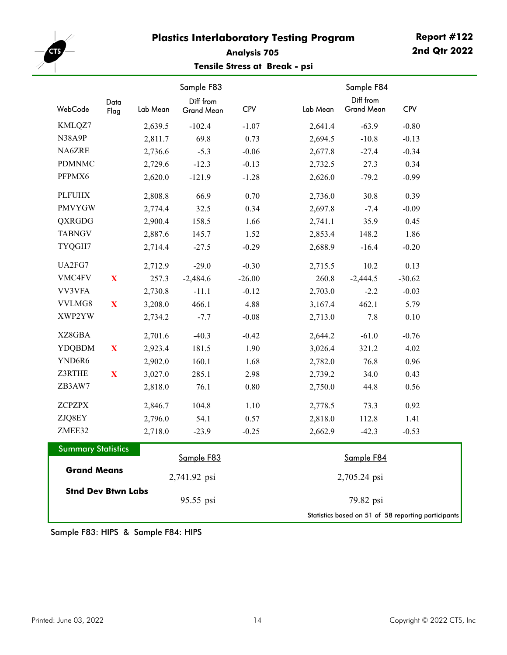

#### **Analysis 705 Tensile Stress at Break - psi**

| WebCode                   | Data         | Lab Mean | Sample F83<br>Diff from | <b>CPV</b> | Lab Mean | Sample F84<br>Diff from<br><b>Grand Mean</b>        | <b>CPV</b> |
|---------------------------|--------------|----------|-------------------------|------------|----------|-----------------------------------------------------|------------|
|                           | Flag         |          | Grand Mean              |            |          |                                                     |            |
| KMLQZ7                    |              | 2,639.5  | $-102.4$                | $-1.07$    | 2,641.4  | $-63.9$                                             | $-0.80$    |
| N38A9P                    |              | 2,811.7  | 69.8                    | 0.73       | 2,694.5  | $-10.8$                                             | $-0.13$    |
| NA6ZRE                    |              | 2,736.6  | $-5.3$                  | $-0.06$    | 2,677.8  | $-27.4$                                             | $-0.34$    |
| <b>PDMNMC</b>             |              | 2,729.6  | $-12.3$                 | $-0.13$    | 2,732.5  | 27.3                                                | 0.34       |
| PFPMX6                    |              | 2,620.0  | $-121.9$                | $-1.28$    | 2,626.0  | $-79.2$                                             | $-0.99$    |
| <b>PLFUHX</b>             |              | 2,808.8  | 66.9                    | 0.70       | 2,736.0  | 30.8                                                | 0.39       |
| <b>PMVYGW</b>             |              | 2,774.4  | 32.5                    | 0.34       | 2,697.8  | $-7.4$                                              | $-0.09$    |
| QXRGDG                    |              | 2,900.4  | 158.5                   | 1.66       | 2,741.1  | 35.9                                                | 0.45       |
| <b>TABNGV</b>             |              | 2,887.6  | 145.7                   | 1.52       | 2,853.4  | 148.2                                               | 1.86       |
| TYQGH7                    |              | 2,714.4  | $-27.5$                 | $-0.29$    | 2,688.9  | $-16.4$                                             | $-0.20$    |
| UA2FG7                    |              | 2,712.9  | $-29.0$                 | $-0.30$    | 2,715.5  | 10.2                                                | 0.13       |
| VMC4FV                    | $\mathbf X$  | 257.3    | $-2,484.6$              | $-26.00$   | 260.8    | $-2,444.5$                                          | $-30.62$   |
| VV3VFA                    |              | 2,730.8  | $-11.1$                 | $-0.12$    | 2,703.0  | $-2.2$                                              | $-0.03$    |
| VVLMG8                    | $\mathbf{X}$ | 3,208.0  | 466.1                   | 4.88       | 3,167.4  | 462.1                                               | 5.79       |
| XWP2YW                    |              | 2,734.2  | $-7.7$                  | $-0.08$    | 2,713.0  | 7.8                                                 | $0.10\,$   |
| XZ8GBA                    |              | 2,701.6  | $-40.3$                 | $-0.42$    | 2,644.2  | $-61.0$                                             | $-0.76$    |
| <b>YDQBDM</b>             | $\mathbf X$  | 2,923.4  | 181.5                   | 1.90       | 3,026.4  | 321.2                                               | 4.02       |
| YND6R6                    |              | 2,902.0  | 160.1                   | 1.68       | 2,782.0  | 76.8                                                | 0.96       |
| Z3RTHE                    | $\mathbf{X}$ | 3,027.0  | 285.1                   | 2.98       | 2,739.2  | 34.0                                                | 0.43       |
| ZB3AW7                    |              | 2,818.0  | 76.1                    | $0.80\,$   | 2,750.0  | 44.8                                                | 0.56       |
| <b>ZCPZPX</b>             |              | 2,846.7  | 104.8                   | 1.10       | 2,778.5  | 73.3                                                | 0.92       |
| ZJQ8EY                    |              | 2,796.0  | 54.1                    | 0.57       | 2,818.0  | 112.8                                               | 1.41       |
| ZMEE32                    |              | 2,718.0  | $-23.9$                 | $-0.25$    | 2,662.9  | $-42.3$                                             | $-0.53$    |
| <b>Summary Statistics</b> |              |          |                         |            |          |                                                     |            |
|                           |              |          | Sample F83              |            |          | Sample F84                                          |            |
| <b>Grand Means</b>        |              |          | 2,741.92 psi            |            |          | 2,705.24 psi                                        |            |
| <b>Stnd Dev Btwn Labs</b> |              |          | 95.55 psi               |            |          | 79.82 psi                                           |            |
|                           |              |          |                         |            |          | Statistics based on 51 of 58 reporting participants |            |

Sample F83: HIPS & Sample F84: HIPS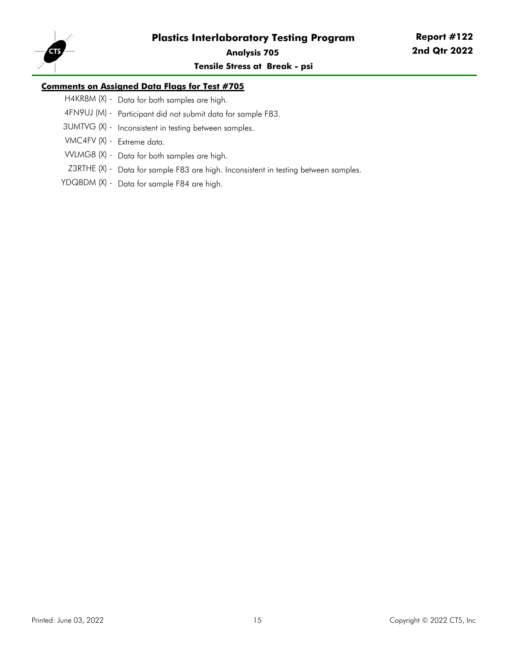

**Tensile Stress at Break - psi**

#### **Comments on Assigned Data Flags for Test #705**

- H4KR8M (X) Data for both samples are high.
- 4FN9UJ (M) Participant did not submit data for sample F83.
- 3UMTVG (X) Inconsistent in testing between samples.
- VMC4FV (X) Extreme data.
- VVLMG8 (X) Data for both samples are high.
- Z3RTHE (X) Data for sample F83 are high. Inconsistent in testing between samples.
- YDQBDM (X) Data for sample F84 are high.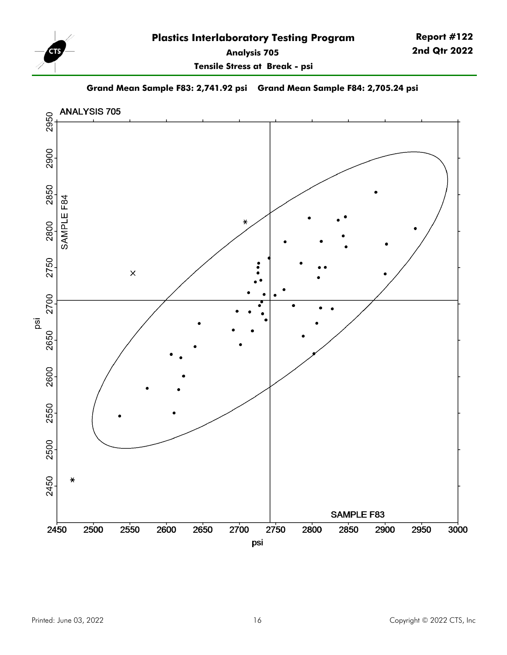

**Tensile Stress at Break - psi**

**Report #122 2nd Qtr 2022**

**Grand Mean Sample F83: 2,741.92 psi Grand Mean Sample F84: 2,705.24 psi**

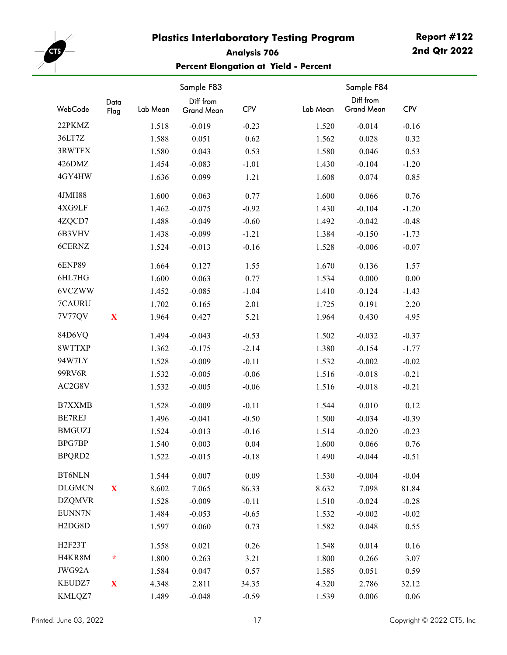<span id="page-16-0"></span>

#### **Analysis 706 Percent Elongation at Yield - Percent**

| WebCode                          | Data         | Lab Mean | Sample F83<br>Diff from | <b>CPV</b> | Lab Mean | Sample F84<br>Diff from<br><b>Grand Mean</b> | <b>CPV</b> |
|----------------------------------|--------------|----------|-------------------------|------------|----------|----------------------------------------------|------------|
|                                  | Flag         |          | Grand Mean              |            |          |                                              |            |
| 22PKMZ                           |              | 1.518    | $-0.019$                | $-0.23$    | 1.520    | $-0.014$                                     | $-0.16$    |
| 36LT7Z                           |              | 1.588    | 0.051                   | 0.62       | 1.562    | 0.028                                        | 0.32       |
| 3RWTFX                           |              | 1.580    | 0.043                   | 0.53       | 1.580    | 0.046                                        | 0.53       |
| 426DMZ                           |              | 1.454    | $-0.083$                | $-1.01$    | 1.430    | $-0.104$                                     | $-1.20$    |
| 4GY4HW                           |              | 1.636    | 0.099                   | 1.21       | 1.608    | 0.074                                        | 0.85       |
| 4JMH88                           |              | 1.600    | 0.063                   | 0.77       | 1.600    | 0.066                                        | 0.76       |
| 4XG9LF                           |              | 1.462    | $-0.075$                | $-0.92$    | 1.430    | $-0.104$                                     | $-1.20$    |
| 4ZQCD7                           |              | 1.488    | $-0.049$                | $-0.60$    | 1.492    | $-0.042$                                     | $-0.48$    |
| 6B3VHV                           |              | 1.438    | $-0.099$                | $-1.21$    | 1.384    | $-0.150$                                     | $-1.73$    |
| 6CERNZ                           |              | 1.524    | $-0.013$                | $-0.16$    | 1.528    | $-0.006$                                     | $-0.07$    |
| <b>6ENP89</b>                    |              | 1.664    | 0.127                   | 1.55       | 1.670    | 0.136                                        | 1.57       |
| 6HL7HG                           |              | 1.600    | 0.063                   | 0.77       | 1.534    | 0.000                                        | 0.00       |
| 6VCZWW                           |              | 1.452    | $-0.085$                | $-1.04$    | 1.410    | $-0.124$                                     | $-1.43$    |
| 7CAURU                           |              | 1.702    | 0.165                   | 2.01       | 1.725    | 0.191                                        | 2.20       |
| 7V77QV                           | $\mathbf X$  | 1.964    | 0.427                   | 5.21       | 1.964    | 0.430                                        | 4.95       |
| 84D6VQ                           |              | 1.494    | $-0.043$                | $-0.53$    | 1.502    | $-0.032$                                     | $-0.37$    |
| 8WTTXP                           |              | 1.362    | $-0.175$                | $-2.14$    | 1.380    | $-0.154$                                     | $-1.77$    |
| 94W7LY                           |              | 1.528    | $-0.009$                | $-0.11$    | 1.532    | $-0.002$                                     | $-0.02$    |
| 99RV6R                           |              | 1.532    | $-0.005$                | $-0.06$    | 1.516    | $-0.018$                                     | $-0.21$    |
| AC2G8V                           |              | 1.532    | $-0.005$                | $-0.06$    | 1.516    | $-0.018$                                     | $-0.21$    |
| <b>B7XXMB</b>                    |              | 1.528    | $-0.009$                | $-0.11$    | 1.544    | 0.010                                        | 0.12       |
| BE7REJ                           |              | 1.496    | $-0.041$                | $-0.50$    | 1.500    | $-0.034$                                     | $-0.39$    |
| <b>BMGUZJ</b>                    |              | 1.524    | $-0.013$                | $-0.16$    | 1.514    | $-0.020$                                     | $-0.23$    |
| <b>BPG7BP</b>                    |              | 1.540    | 0.003                   | 0.04       | 1.600    | 0.066                                        | 0.76       |
| BPQRD2                           |              | 1.522    | $-0.015$                | $-0.18$    | 1.490    | $-0.044$                                     | $-0.51$    |
| <b>BT6NLN</b>                    |              | 1.544    | 0.007                   | 0.09       | 1.530    | $-0.004$                                     | $-0.04$    |
| <b>DLGMCN</b>                    | $\mathbf{X}$ | 8.602    | 7.065                   | 86.33      | 8.632    | 7.098                                        | 81.84      |
| <b>DZQMVR</b>                    |              | 1.528    | $-0.009$                | $-0.11$    | 1.510    | $-0.024$                                     | $-0.28$    |
| EUNN7N                           |              | 1.484    | $-0.053$                | $-0.65$    | 1.532    | $-0.002$                                     | $-0.02$    |
| H <sub>2</sub> D <sub>G8</sub> D |              | 1.597    | 0.060                   | 0.73       | 1.582    | 0.048                                        | 0.55       |
| H2F23T                           |              | 1.558    | 0.021                   | 0.26       | 1.548    | 0.014                                        | 0.16       |
| H4KR8M                           | *            | 1.800    | 0.263                   | 3.21       | 1.800    | 0.266                                        | 3.07       |
| JWG92A                           |              | 1.584    | 0.047                   | 0.57       | 1.585    | 0.051                                        | 0.59       |
| KEUDZ7                           | $\mathbf X$  | 4.348    | 2.811                   | 34.35      | 4.320    | 2.786                                        | 32.12      |
| KMLQZ7                           |              | 1.489    | $-0.048$                | $-0.59$    | 1.539    | 0.006                                        | 0.06       |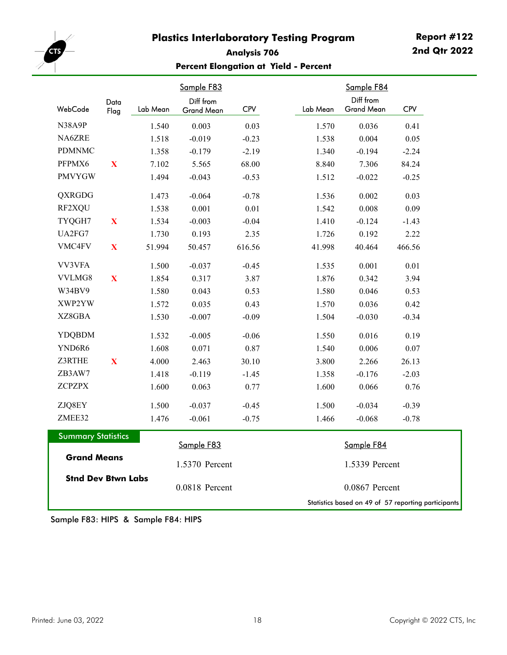

#### **Analysis 706 Percent Elongation at Yield - Percent**

|                           | Data         |          | Sample F83<br>Diff from |            |          | Sample F84<br>Diff from                             |            |
|---------------------------|--------------|----------|-------------------------|------------|----------|-----------------------------------------------------|------------|
| WebCode                   | Flag         | Lab Mean | <b>Grand Mean</b>       | <b>CPV</b> | Lab Mean | Grand Mean                                          | <b>CPV</b> |
| N38A9P                    |              | 1.540    | 0.003                   | 0.03       | 1.570    | 0.036                                               | 0.41       |
| NA6ZRE                    |              | 1.518    | $-0.019$                | $-0.23$    | 1.538    | 0.004                                               | 0.05       |
| <b>PDMNMC</b>             |              | 1.358    | $-0.179$                | $-2.19$    | 1.340    | $-0.194$                                            | $-2.24$    |
| PFPMX6                    | $\mathbf X$  | 7.102    | 5.565                   | 68.00      | 8.840    | 7.306                                               | 84.24      |
| <b>PMVYGW</b>             |              | 1.494    | $-0.043$                | $-0.53$    | 1.512    | $-0.022$                                            | $-0.25$    |
| <b>QXRGDG</b>             |              | 1.473    | $-0.064$                | $-0.78$    | 1.536    | 0.002                                               | 0.03       |
| RF2XQU                    |              | 1.538    | 0.001                   | 0.01       | 1.542    | 0.008                                               | 0.09       |
| TYQGH7                    | $\mathbf{X}$ | 1.534    | $-0.003$                | $-0.04$    | 1.410    | $-0.124$                                            | $-1.43$    |
| UA2FG7                    |              | 1.730    | 0.193                   | 2.35       | 1.726    | 0.192                                               | 2.22       |
| VMC4FV                    | $\mathbf{X}$ | 51.994   | 50.457                  | 616.56     | 41.998   | 40.464                                              | 466.56     |
| VV3VFA                    |              | 1.500    | $-0.037$                | $-0.45$    | 1.535    | 0.001                                               | 0.01       |
| VVLMG8                    | $\mathbf{X}$ | 1.854    | 0.317                   | 3.87       | 1.876    | 0.342                                               | 3.94       |
| W34BV9                    |              | 1.580    | 0.043                   | 0.53       | 1.580    | 0.046                                               | 0.53       |
| XWP2YW                    |              | 1.572    | 0.035                   | 0.43       | 1.570    | 0.036                                               | 0.42       |
| XZ8GBA                    |              | 1.530    | $-0.007$                | $-0.09$    | 1.504    | $-0.030$                                            | $-0.34$    |
| <b>YDQBDM</b>             |              | 1.532    | $-0.005$                | $-0.06$    | 1.550    | 0.016                                               | 0.19       |
| YND6R6                    |              | 1.608    | 0.071                   | 0.87       | 1.540    | 0.006                                               | $0.07\,$   |
| Z3RTHE                    | $\mathbf X$  | 4.000    | 2.463                   | 30.10      | 3.800    | 2.266                                               | 26.13      |
| ZB3AW7                    |              | 1.418    | $-0.119$                | $-1.45$    | 1.358    | $-0.176$                                            | $-2.03$    |
| <b>ZCPZPX</b>             |              | 1.600    | 0.063                   | 0.77       | 1.600    | 0.066                                               | 0.76       |
| ZJQ8EY                    |              | 1.500    | $-0.037$                | $-0.45$    | 1.500    | $-0.034$                                            | $-0.39$    |
| ZMEE32                    |              | 1.476    | $-0.061$                | $-0.75$    | 1.466    | $-0.068$                                            | $-0.78$    |
| <b>Summary Statistics</b> |              |          | Sample F83              |            |          | Sample F84                                          |            |
| <b>Grand Means</b>        |              |          | 1.5370 Percent          |            |          | 1.5339 Percent                                      |            |
| <b>Stnd Dev Btwn Labs</b> |              |          | 0.0818 Percent          |            |          | 0.0867 Percent                                      |            |
|                           |              |          |                         |            |          | Statistics based on 49 of 57 reporting participants |            |

Sample F83: HIPS & Sample F84: HIPS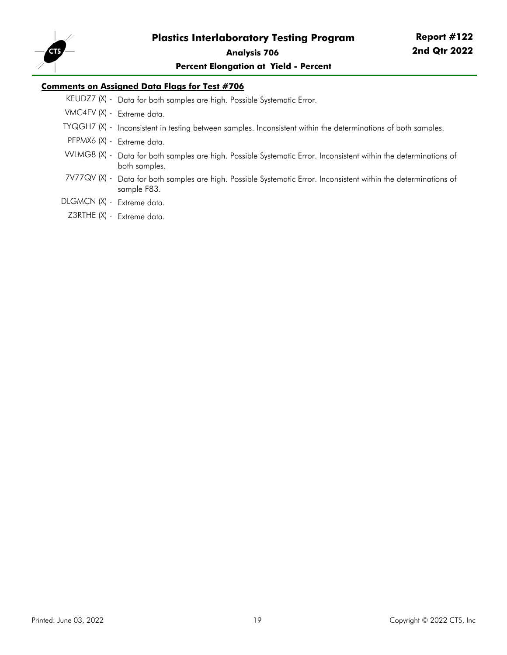

**Percent Elongation at Yield - Percent**

#### **Comments on Assigned Data Flags for Test #706**

- KEUDZ7 (X) Data for both samples are high. Possible Systematic Error.
- VMC4FV (X) Extreme data.
- TYQGH7 (X) Inconsistent in testing between samples. Inconsistent within the determinations of both samples.
- PFPMX6 (X) Extreme data.
- VVLMG8 (X) Data for both samples are high. Possible Systematic Error. Inconsistent within the determinations of both samples.
- 7V77QV (X) Data for both samples are high. Possible Systematic Error. Inconsistent within the determinations of sample F83.
- DLGMCN (X) Extreme data.
- Z3RTHE (X) Extreme data.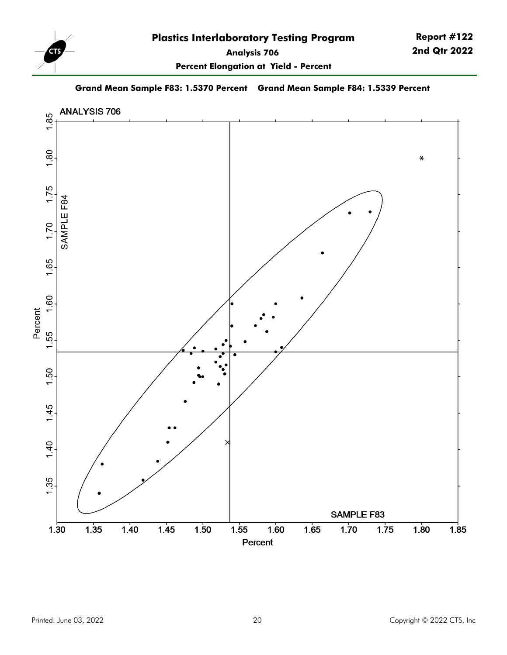

**Report #122 2nd Qtr 2022**

**Percent Elongation at Yield - Percent**

**Grand Mean Sample F83: 1.5370 Percent Grand Mean Sample F84: 1.5339 Percent**

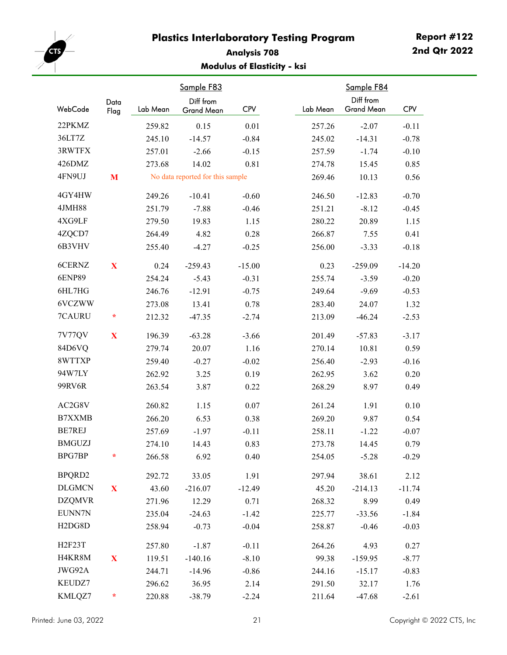<span id="page-20-0"></span>

#### **Analysis 708 Modulus of Elasticity - ksi**

|                                  | Data        |          | Sample F83<br>Diff from          |            |          | Sample F84<br>Diff from |            |
|----------------------------------|-------------|----------|----------------------------------|------------|----------|-------------------------|------------|
| WebCode                          | Flag        | Lab Mean | Grand Mean                       | <b>CPV</b> | Lab Mean | <b>Grand Mean</b>       | <b>CPV</b> |
| 22PKMZ                           |             | 259.82   | 0.15                             | 0.01       | 257.26   | $-2.07$                 | $-0.11$    |
| 36LT7Z                           |             | 245.10   | $-14.57$                         | $-0.84$    | 245.02   | $-14.31$                | $-0.78$    |
| 3RWTFX                           |             | 257.01   | $-2.66$                          | $-0.15$    | 257.59   | $-1.74$                 | $-0.10$    |
| 426DMZ                           |             | 273.68   | 14.02                            | 0.81       | 274.78   | 15.45                   | 0.85       |
| 4FN9UJ                           | M           |          | No data reported for this sample |            | 269.46   | 10.13                   | 0.56       |
| 4GY4HW                           |             | 249.26   | $-10.41$                         | $-0.60$    | 246.50   | $-12.83$                | $-0.70$    |
| 4JMH88                           |             | 251.79   | $-7.88$                          | $-0.46$    | 251.21   | $-8.12$                 | $-0.45$    |
| 4XG9LF                           |             | 279.50   | 19.83                            | 1.15       | 280.22   | 20.89                   | 1.15       |
| 4ZQCD7                           |             | 264.49   | 4.82                             | 0.28       | 266.87   | 7.55                    | 0.41       |
| 6B3VHV                           |             | 255.40   | $-4.27$                          | $-0.25$    | 256.00   | $-3.33$                 | $-0.18$    |
| 6CERNZ                           | X           | 0.24     | $-259.43$                        | $-15.00$   | 0.23     | $-259.09$               | $-14.20$   |
| <b>6ENP89</b>                    |             | 254.24   | $-5.43$                          | $-0.31$    | 255.74   | $-3.59$                 | $-0.20$    |
| 6HL7HG                           |             | 246.76   | $-12.91$                         | $-0.75$    | 249.64   | $-9.69$                 | $-0.53$    |
| 6VCZWW                           |             | 273.08   | 13.41                            | 0.78       | 283.40   | 24.07                   | 1.32       |
| 7CAURU                           | $\ast$      | 212.32   | $-47.35$                         | $-2.74$    | 213.09   | $-46.24$                | $-2.53$    |
| 7V77QV                           | X           | 196.39   | $-63.28$                         | $-3.66$    | 201.49   | $-57.83$                | $-3.17$    |
| 84D6VQ                           |             | 279.74   | 20.07                            | 1.16       | 270.14   | 10.81                   | 0.59       |
| 8WTTXP                           |             | 259.40   | $-0.27$                          | $-0.02$    | 256.40   | $-2.93$                 | $-0.16$    |
| 94W7LY                           |             | 262.92   | 3.25                             | 0.19       | 262.95   | 3.62                    | 0.20       |
| 99RV6R                           |             | 263.54   | 3.87                             | 0.22       | 268.29   | 8.97                    | 0.49       |
| AC2G8V                           |             | 260.82   | 1.15                             | 0.07       | 261.24   | 1.91                    | 0.10       |
| <b>B7XXMB</b>                    |             | 266.20   | 6.53                             | 0.38       | 269.20   | 9.87                    | 0.54       |
| BE7REJ                           |             | 257.69   | $-1.97$                          | $-0.11$    | 258.11   | $-1.22$                 | $-0.07$    |
| <b>BMGUZJ</b>                    |             | 274.10   | 14.43                            | 0.83       | 273.78   | 14.45                   | 0.79       |
| BPG7BP                           | ÷           | 266.58   | 6.92                             | 0.40       | 254.05   | $-5.28$                 | $-0.29$    |
| BPQRD2                           |             | 292.72   | 33.05                            | 1.91       | 297.94   | 38.61                   | 2.12       |
| <b>DLGMCN</b>                    | $\mathbf X$ | 43.60    | $-216.07$                        | $-12.49$   | 45.20    | $-214.13$               | $-11.74$   |
| <b>DZQMVR</b>                    |             | 271.96   | 12.29                            | 0.71       | 268.32   | 8.99                    | 0.49       |
| EUNN7N                           |             | 235.04   | $-24.63$                         | $-1.42$    | 225.77   | $-33.56$                | $-1.84$    |
| H <sub>2</sub> D <sub>G8</sub> D |             | 258.94   | $-0.73$                          | $-0.04$    | 258.87   | $-0.46$                 | $-0.03$    |
| H2F23T                           |             | 257.80   | $-1.87$                          | $-0.11$    | 264.26   | 4.93                    | 0.27       |
| H4KR8M                           | $\mathbf X$ | 119.51   | $-140.16$                        | $-8.10$    | 99.38    | $-159.95$               | $-8.77$    |
| JWG92A                           |             | 244.71   | $-14.96$                         | $-0.86$    | 244.16   | $-15.17$                | $-0.83$    |
| KEUDZ7                           |             | 296.62   | 36.95                            | 2.14       | 291.50   | 32.17                   | 1.76       |
| KMLQZ7                           | *           | 220.88   | $-38.79$                         | $-2.24$    | 211.64   | $-47.68$                | $-2.61$    |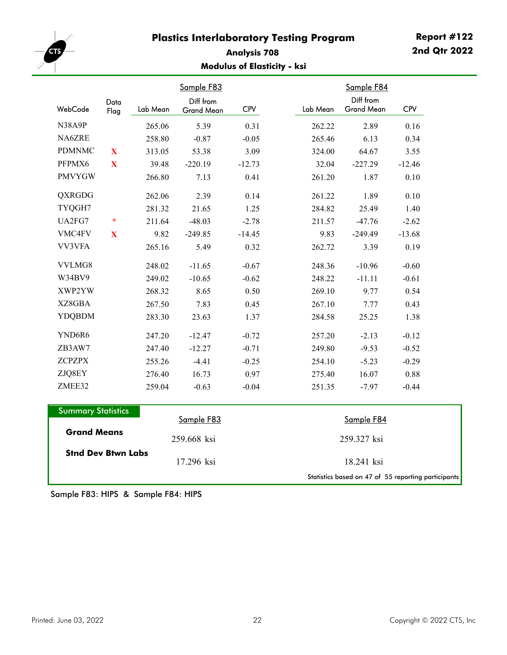

#### **Analysis 708 Modulus of Elasticity - ksi**

|               |              |          | Sample F83                     |            |          | Sample F84                     |            |
|---------------|--------------|----------|--------------------------------|------------|----------|--------------------------------|------------|
| WebCode       | Data<br>Flag | Lab Mean | Diff from<br><b>Grand Mean</b> | <b>CPV</b> | Lab Mean | Diff from<br><b>Grand Mean</b> | <b>CPV</b> |
| N38A9P        |              | 265.06   | 5.39                           | 0.31       | 262.22   | 2.89                           | 0.16       |
| NA6ZRE        |              | 258.80   | $-0.87$                        | $-0.05$    | 265.46   | 6.13                           | 0.34       |
| <b>PDMNMC</b> | X            | 313.05   | 53.38                          | 3.09       | 324.00   | 64.67                          | 3.55       |
| PFPMX6        | X            | 39.48    | $-220.19$                      | $-12.73$   | 32.04    | $-227.29$                      | $-12.46$   |
| <b>PMVYGW</b> |              | 266.80   | 7.13                           | 0.41       | 261.20   | 1.87                           | 0.10       |
| QXRGDG        |              | 262.06   | 2.39                           | 0.14       | 261.22   | 1.89                           | 0.10       |
| TYQGH7        |              | 281.32   | 21.65                          | 1.25       | 284.82   | 25.49                          | 1.40       |
| UA2FG7        | $\star$      | 211.64   | $-48.03$                       | $-2.78$    | 211.57   | $-47.76$                       | $-2.62$    |
| VMC4FV        | X            | 9.82     | $-249.85$                      | $-14.45$   | 9.83     | $-249.49$                      | $-13.68$   |
| VV3VFA        |              | 265.16   | 5.49                           | 0.32       | 262.72   | 3.39                           | 0.19       |
| VVLMG8        |              | 248.02   | $-11.65$                       | $-0.67$    | 248.36   | $-10.96$                       | $-0.60$    |
| W34BV9        |              | 249.02   | $-10.65$                       | $-0.62$    | 248.22   | $-11.11$                       | $-0.61$    |
| XWP2YW        |              | 268.32   | 8.65                           | 0.50       | 269.10   | 9.77                           | 0.54       |
| XZ8GBA        |              | 267.50   | 7.83                           | 0.45       | 267.10   | 7.77                           | 0.43       |
| <b>YDQBDM</b> |              | 283.30   | 23.63                          | 1.37       | 284.58   | 25.25                          | 1.38       |
| YND6R6        |              | 247.20   | $-12.47$                       | $-0.72$    | 257.20   | $-2.13$                        | $-0.12$    |
| ZB3AW7        |              | 247.40   | $-12.27$                       | $-0.71$    | 249.80   | $-9.53$                        | $-0.52$    |
| <b>ZCPZPX</b> |              | 255.26   | $-4.41$                        | $-0.25$    | 254.10   | $-5.23$                        | $-0.29$    |
| ZJQ8EY        |              | 276.40   | 16.73                          | 0.97       | 275.40   | 16.07                          | 0.88       |
| ZMEE32        |              | 259.04   | $-0.63$                        | $-0.04$    | 251.35   | $-7.97$                        | $-0.44$    |

| <b>Summary Statistics</b> |             |                                                     |
|---------------------------|-------------|-----------------------------------------------------|
|                           | Sample F83  | Sample F84                                          |
| <b>Grand Means</b>        | 259.668 ksi | 259.327 ksi                                         |
| <b>Stnd Dev Btwn Labs</b> | 17.296 ksi  | 18.241 ksi                                          |
|                           |             | Statistics based on 47 of 55 reporting participants |

Sample F83: HIPS & Sample F84: HIPS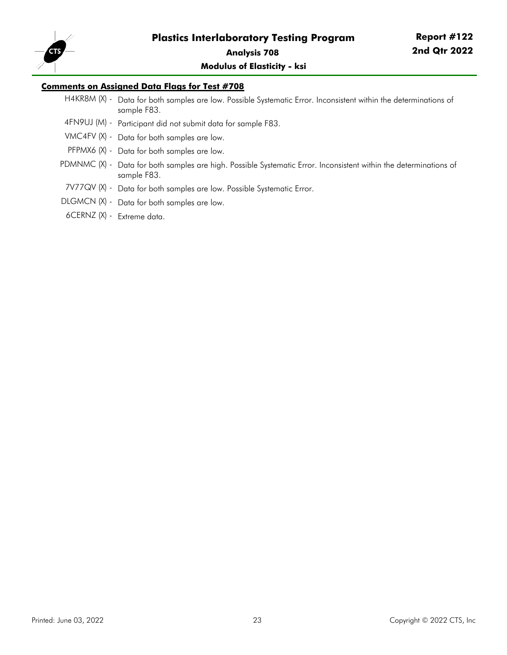

#### **Modulus of Elasticity - ksi**

#### **Comments on Assigned Data Flags for Test #708**

- H4KR8M (X) Data for both samples are low. Possible Systematic Error. Inconsistent within the determinations of sample F83.
- 4FN9UJ (M) Participant did not submit data for sample F83.
- VMC4FV (X) Data for both samples are low.
- PFPMX6 (X) Data for both samples are low.
- PDMNMC (X) Data for both samples are high. Possible Systematic Error. Inconsistent within the determinations of sample F83.
- 7V77QV (X) Data for both samples are low. Possible Systematic Error.
- DLGMCN (X) Data for both samples are low.
- 6CERNZ (X) Extreme data.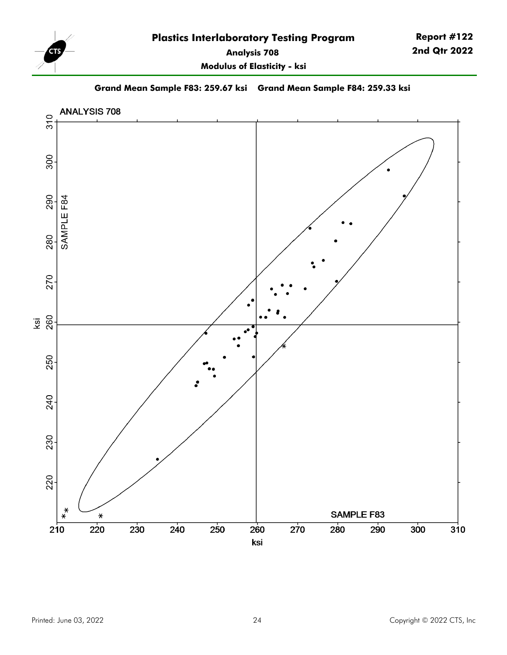

**Modulus of Elasticity - ksi**

**Grand Mean Sample F83: 259.67 ksi Grand Mean Sample F84: 259.33 ksi**

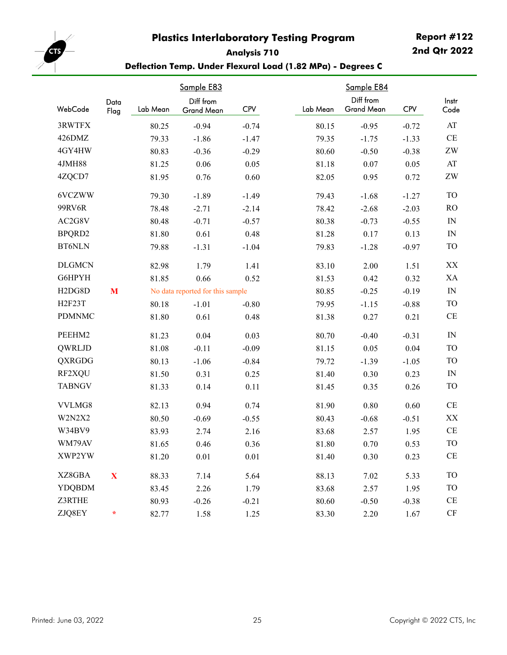<span id="page-24-0"></span>

**Report #122 2nd Qtr 2022**

#### **Analysis 710 Deflection Temp. Under Flexural Load (1.82 MPa) - Degrees C**

|                                  |              |          | Sample E83                       |            |          | Sample E84                     |            |                        |
|----------------------------------|--------------|----------|----------------------------------|------------|----------|--------------------------------|------------|------------------------|
| WebCode                          | Data<br>Flag | Lab Mean | Diff from<br>Grand Mean          | <b>CPV</b> | Lab Mean | Diff from<br><b>Grand Mean</b> | <b>CPV</b> | Instr<br>Code          |
| 3RWTFX                           |              | 80.25    | $-0.94$                          | $-0.74$    | 80.15    | $-0.95$                        | $-0.72$    | AT                     |
| 426DMZ                           |              | 79.33    | $-1.86$                          | $-1.47$    | 79.35    | $-1.75$                        | $-1.33$    | $\!$ $\!$              |
| 4GY4HW                           |              | 80.83    | $-0.36$                          | $-0.29$    | 80.60    | $-0.50$                        | $-0.38$    | $\rm ZW$               |
| 4JMH88                           |              | 81.25    | 0.06                             | 0.05       | 81.18    | 0.07                           | 0.05       | AT                     |
| 4ZQCD7                           |              | 81.95    | 0.76                             | 0.60       | 82.05    | 0.95                           | 0.72       | $\rm ZW$               |
| 6VCZWW                           |              | 79.30    | $-1.89$                          | $-1.49$    | 79.43    | $-1.68$                        | $-1.27$    | <b>TO</b>              |
| 99RV6R                           |              | 78.48    | $-2.71$                          | $-2.14$    | 78.42    | $-2.68$                        | $-2.03$    | R <sub>O</sub>         |
| AC2G8V                           |              | 80.48    | $-0.71$                          | $-0.57$    | 80.38    | $-0.73$                        | $-0.55$    | IN                     |
| BPQRD2                           |              | 81.80    | 0.61                             | 0.48       | 81.28    | 0.17                           | 0.13       | IN                     |
| <b>BT6NLN</b>                    |              | 79.88    | $-1.31$                          | $-1.04$    | 79.83    | $-1.28$                        | $-0.97$    | <b>TO</b>              |
| <b>DLGMCN</b>                    |              | 82.98    | 1.79                             | 1.41       | 83.10    | 2.00                           | 1.51       | XX                     |
| G6HPYH                           |              | 81.85    | 0.66                             | 0.52       | 81.53    | 0.42                           | 0.32       | XA                     |
| H <sub>2</sub> D <sub>G8</sub> D | M            |          | No data reported for this sample |            | 80.85    | $-0.25$                        | $-0.19$    | IN                     |
| H <sub>2F23T</sub>               |              | 80.18    | $-1.01$                          | $-0.80$    | 79.95    | $-1.15$                        | $-0.88$    | <b>TO</b>              |
| <b>PDMNMC</b>                    |              | 81.80    | 0.61                             | 0.48       | 81.38    | 0.27                           | 0.21       | CE                     |
| PEEHM2                           |              | 81.23    | 0.04                             | 0.03       | 80.70    | $-0.40$                        | $-0.31$    | IN                     |
| QWRLJD                           |              | 81.08    | $-0.11$                          | $-0.09$    | 81.15    | 0.05                           | 0.04       | <b>TO</b>              |
| QXRGDG                           |              | 80.13    | $-1.06$                          | $-0.84$    | 79.72    | $-1.39$                        | $-1.05$    | <b>TO</b>              |
| RF2XQU                           |              | 81.50    | 0.31                             | 0.25       | 81.40    | 0.30                           | 0.23       | IN                     |
| <b>TABNGV</b>                    |              | 81.33    | 0.14                             | 0.11       | 81.45    | 0.35                           | 0.26       | <b>TO</b>              |
| VVLMG8                           |              | 82.13    | 0.94                             | 0.74       | 81.90    | 0.80                           | 0.60       | $\rm CE$               |
| W2N2X2                           |              | 80.50    | $-0.69$                          | $-0.55$    | 80.43    | $-0.68$                        | $-0.51$    | XX                     |
| W34BV9                           |              | 83.93    | 2.74                             | 2.16       | 83.68    | 2.57                           | 1.95       | CE                     |
| WM79AV                           |              | 81.65    | 0.46                             | 0.36       | 81.80    | 0.70                           | 0.53       | <b>TO</b>              |
| XWP2YW                           |              | 81.20    | 0.01                             | 0.01       | 81.40    | 0.30                           | 0.23       | <b>CE</b>              |
| XZ8GBA                           | $\mathbf X$  | 88.33    | 7.14                             | 5.64       | 88.13    | 7.02                           | 5.33       | <b>TO</b>              |
| <b>YDQBDM</b>                    |              | 83.45    | 2.26                             | 1.79       | 83.68    | 2.57                           | 1.95       | <b>TO</b>              |
| Z3RTHE                           |              | 80.93    | $-0.26$                          | $-0.21$    | 80.60    | $-0.50$                        | $-0.38$    | <b>CE</b>              |
| ZJQ8EY                           | $\ast$       | 82.77    | 1.58                             | 1.25       | 83.30    | 2.20                           | 1.67       | $\mathrm{C}\mathrm{F}$ |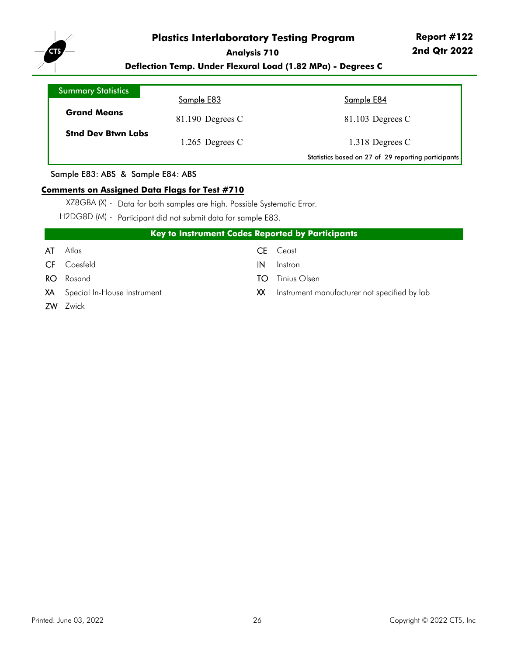

**Deflection Temp. Under Flexural Load (1.82 MPa) - Degrees C**

| <b>Summary Statistics</b> | Sample E83         | Sample E84                                          |
|---------------------------|--------------------|-----------------------------------------------------|
| <b>Grand Means</b>        | $81.190$ Degrees C | $81.103$ Degrees C                                  |
| <b>Stnd Dev Btwn Labs</b> | 1.265 Degrees $C$  | 1.318 Degrees C                                     |
|                           |                    | Statistics based on 27 of 29 reporting participants |

Sample E83: ABS & Sample E84: ABS

#### **Comments on Assigned Data Flags for Test #710**

XZ8GBA (X) - Data for both samples are high. Possible Systematic Error.

H2DG8D (M) - Participant did not submit data for sample E83.

|     | <b>Key to Instrument Codes Reported by Participants</b> |    |                                                 |  |  |  |  |  |  |  |  |
|-----|---------------------------------------------------------|----|-------------------------------------------------|--|--|--|--|--|--|--|--|
| AT  | Atlas                                                   | CE | Ceast                                           |  |  |  |  |  |  |  |  |
| CF. | Coesfeld                                                | IN | Instron                                         |  |  |  |  |  |  |  |  |
|     | <b>RO</b> Rosand                                        | TO | Tinius Olsen                                    |  |  |  |  |  |  |  |  |
|     | XA Special In-House Instrument                          |    | XX Instrument manufacturer not specified by lab |  |  |  |  |  |  |  |  |
|     | <b>ZW</b> Zwick                                         |    |                                                 |  |  |  |  |  |  |  |  |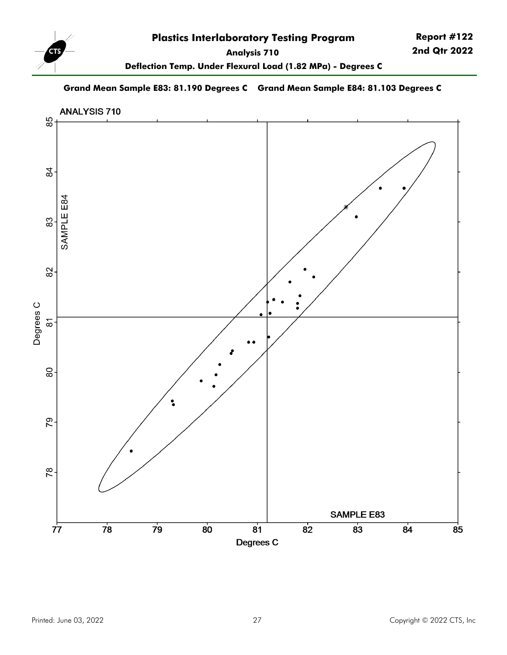

**Deflection Temp. Under Flexural Load (1.82 MPa) - Degrees C**

#### **Grand Mean Sample E83: 81.190 Degrees C Grand Mean Sample E84: 81.103 Degrees C**

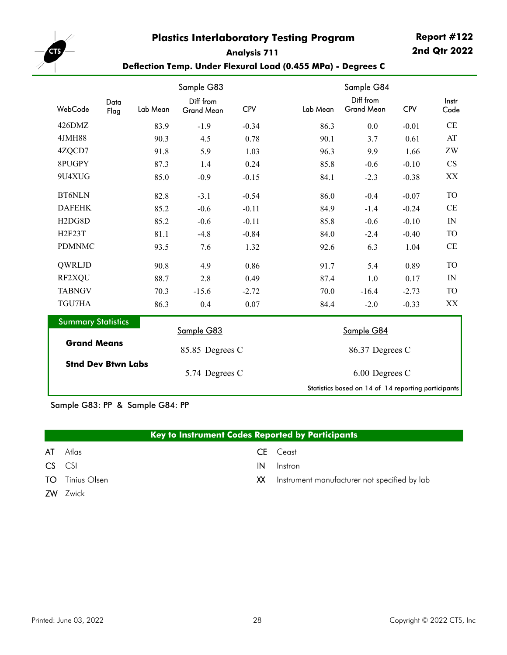#### **Report #122 2nd Qtr 2022**

<span id="page-27-0"></span>

#### **Analysis 711 Deflection Temp. Under Flexural Load (0.455 MPa) - Degrees C**

|                                  |          | Sample G83                     |            |  |          | Sample G84                                          |            |                        |
|----------------------------------|----------|--------------------------------|------------|--|----------|-----------------------------------------------------|------------|------------------------|
| Data<br>WebCode<br>Flag          | Lab Mean | Diff from<br><b>Grand Mean</b> | <b>CPV</b> |  | Lab Mean | Diff from<br><b>Grand Mean</b>                      | <b>CPV</b> | Instr<br>Code          |
| 426DMZ                           | 83.9     | $-1.9$                         | $-0.34$    |  | 86.3     | 0.0                                                 | $-0.01$    | CE                     |
| 4JMH88                           | 90.3     | 4.5                            | 0.78       |  | 90.1     | 3.7                                                 | 0.61       | AT                     |
| 4ZQCD7                           | 91.8     | 5.9                            | 1.03       |  | 96.3     | 9.9                                                 | 1.66       | ZW                     |
| 8PUGPY                           | 87.3     | 1.4                            | 0.24       |  | 85.8     | $-0.6$                                              | $-0.10$    | $\mathbf{C}\mathbf{S}$ |
| 9U4XUG                           | 85.0     | $-0.9$                         | $-0.15$    |  | 84.1     | $-2.3$                                              | $-0.38$    | XX                     |
| <b>BT6NLN</b>                    | 82.8     | $-3.1$                         | $-0.54$    |  | 86.0     | $-0.4$                                              | $-0.07$    | <b>TO</b>              |
| <b>DAFEHK</b>                    | 85.2     | $-0.6$                         | $-0.11$    |  | 84.9     | $-1.4$                                              | $-0.24$    | CE                     |
| H <sub>2</sub> D <sub>G8</sub> D | 85.2     | $-0.6$                         | $-0.11$    |  | 85.8     | $-0.6$                                              | $-0.10$    | IN                     |
| <b>H2F23T</b>                    | 81.1     | $-4.8$                         | $-0.84$    |  | 84.0     | $-2.4$                                              | $-0.40$    | <b>TO</b>              |
| <b>PDMNMC</b>                    | 93.5     | 7.6                            | 1.32       |  | 92.6     | 6.3                                                 | 1.04       | CE                     |
| QWRLJD                           | 90.8     | 4.9                            | 0.86       |  | 91.7     | 5.4                                                 | 0.89       | <b>TO</b>              |
| RF2XQU                           | 88.7     | 2.8                            | 0.49       |  | 87.4     | 1.0                                                 | 0.17       | IN                     |
| <b>TABNGV</b>                    | 70.3     | $-15.6$                        | $-2.72$    |  | 70.0     | $-16.4$                                             | $-2.73$    | <b>TO</b>              |
| TGU7HA                           | 86.3     | 0.4                            | 0.07       |  | 84.4     | $-2.0$                                              | $-0.33$    | XX                     |
| <b>Summary Statistics</b>        |          | Sample G83                     |            |  |          | Sample G84                                          |            |                        |
| <b>Grand Means</b>               |          |                                |            |  |          |                                                     |            |                        |
|                                  |          | 85.85 Degrees C                |            |  |          | 86.37 Degrees C                                     |            |                        |
| <b>Stnd Dev Btwn Labs</b>        |          | 5.74 Degrees C                 |            |  |          | 6.00 Degrees C                                      |            |                        |
|                                  |          |                                |            |  |          | Statistics based on 14 of 14 reporting participants |            |                        |

#### Sample G83: PP & Sample G84: PP

| Key to Instrument Codes Reported by Participants |
|--------------------------------------------------|
|                                                  |

- 
- 
- 
- ZW Zwick
- AT Atlas **CE Ceast**
- CS CSI IN Instron
- TO Tinius Olsen **XX** Instrument manufacturer not specified by lab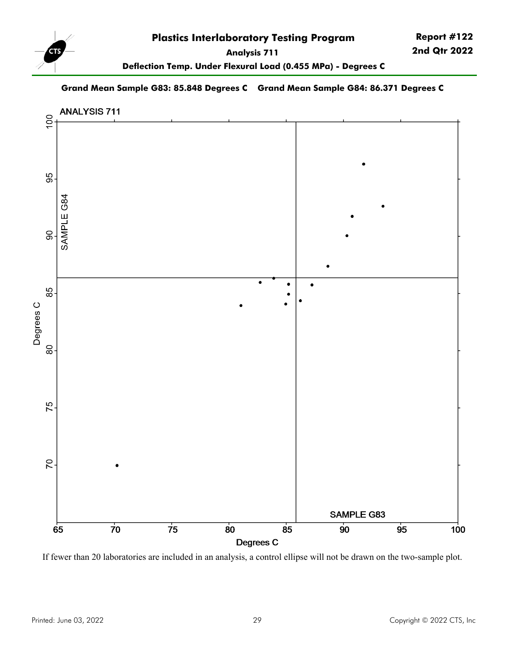

**Deflection Temp. Under Flexural Load (0.455 MPa) - Degrees C**

#### **Grand Mean Sample G83: 85.848 Degrees C Grand Mean Sample G84: 86.371 Degrees C**



If fewer than 20 laboratories are included in an analysis, a control ellipse will not be drawn on the two-sample plot.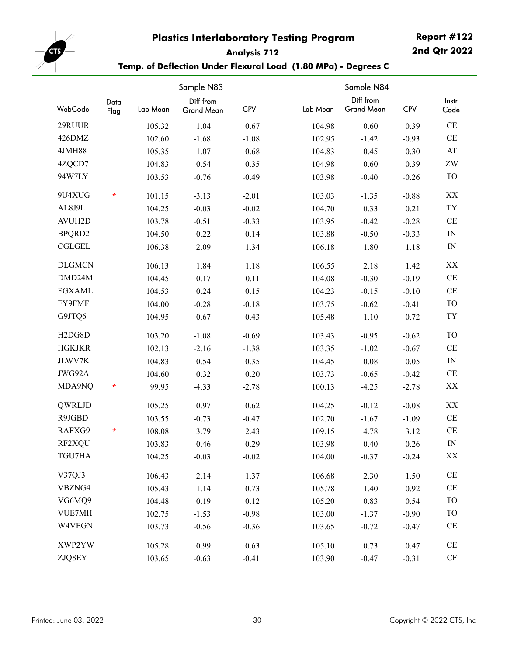# **Report #122**

<span id="page-29-0"></span>

# **Analysis 712**

**2nd Qtr 2022**

|                                  |              |          | Temp. of Deflection Under Flexural Load (1.80 MPa) - Degrees C |            |          |                         |            |                          |  |
|----------------------------------|--------------|----------|----------------------------------------------------------------|------------|----------|-------------------------|------------|--------------------------|--|
|                                  |              |          | Sample N83                                                     |            |          | Sample N84              |            |                          |  |
| WebCode                          | Data<br>Flag | Lab Mean | Diff from<br>Grand Mean                                        | <b>CPV</b> | Lab Mean | Diff from<br>Grand Mean | <b>CPV</b> | Instr<br>Code            |  |
| 29RUUR                           |              | 105.32   | 1.04                                                           | 0.67       | 104.98   | 0.60                    | 0.39       | $\!$ $\!$                |  |
| 426DMZ                           |              | 102.60   | $-1.68$                                                        | $-1.08$    | 102.95   | $-1.42$                 | $-0.93$    | $\!$ $\!$                |  |
| <b>4JMH88</b>                    |              | 105.35   | 1.07                                                           | 0.68       | 104.83   | 0.45                    | 0.30       | $\mathbf{A}\mathbf{T}$   |  |
| 4ZQCD7                           |              | 104.83   | 0.54                                                           | 0.35       | 104.98   | 0.60                    | 0.39       | $\rm ZW$                 |  |
| 94W7LY                           |              | 103.53   | $-0.76$                                                        | $-0.49$    | 103.98   | $-0.40$                 | $-0.26$    | <b>TO</b>                |  |
| 9U4XUG                           | $\star$      | 101.15   | $-3.13$                                                        | $-2.01$    | 103.03   | $-1.35$                 | $-0.88$    | XX                       |  |
| AL8J9L                           |              | 104.25   | $-0.03$                                                        | $-0.02$    | 104.70   | 0.33                    | 0.21       | ${\rm TY}$               |  |
| <b>AVUH2D</b>                    |              | 103.78   | $-0.51$                                                        | $-0.33$    | 103.95   | $-0.42$                 | $-0.28$    | $\!$ $\!$ $\!$           |  |
| BPQRD2                           |              | 104.50   | 0.22                                                           | 0.14       | 103.88   | $-0.50$                 | $-0.33$    | $\hbox{IN}$              |  |
| <b>CGLGEL</b>                    |              | 106.38   | 2.09                                                           | 1.34       | 106.18   | 1.80                    | 1.18       | $\ensuremath{\text{IN}}$ |  |
| <b>DLGMCN</b>                    |              | 106.13   | 1.84                                                           | 1.18       | 106.55   | 2.18                    | 1.42       | XX                       |  |
| DMD24M                           |              | 104.45   | 0.17                                                           | 0.11       | 104.08   | $-0.30$                 | $-0.19$    | $\rm CE$                 |  |
| <b>FGXAML</b>                    |              | 104.53   | 0.24                                                           | 0.15       | 104.23   | $-0.15$                 | $-0.10$    | $\!$ $\!$ $\!$           |  |
| FY9FMF                           |              | 104.00   | $-0.28$                                                        | $-0.18$    | 103.75   | $-0.62$                 | $-0.41$    | <b>TO</b>                |  |
| G9JTQ6                           |              | 104.95   | 0.67                                                           | 0.43       | 105.48   | 1.10                    | 0.72       | TY                       |  |
| H <sub>2</sub> D <sub>G8</sub> D |              | 103.20   | $-1.08$                                                        | $-0.69$    | 103.43   | $-0.95$                 | $-0.62$    | <b>TO</b>                |  |
| <b>HGKJKR</b>                    |              | 102.13   | $-2.16$                                                        | $-1.38$    | 103.35   | $-1.02$                 | $-0.67$    | $\rm CE$                 |  |
| JLWV7K                           |              | 104.83   | 0.54                                                           | 0.35       | 104.45   | 0.08                    | 0.05       | $\ensuremath{\text{IN}}$ |  |
| JWG92A                           |              | 104.60   | 0.32                                                           | 0.20       | 103.73   | $-0.65$                 | $-0.42$    | $\rm CE$                 |  |
| MDA9NQ                           | ÷            | 99.95    | $-4.33$                                                        | $-2.78$    | 100.13   | $-4.25$                 | $-2.78$    | XX                       |  |
| QWRLJD                           |              | 105.25   | 0.97                                                           | 0.62       | 104.25   | $-0.12$                 | $-0.08$    | XX                       |  |
| R9JGBD                           |              | 103.55   | $-0.73$                                                        | $-0.47$    | 102.70   | $-1.67$                 | $-1.09$    | $\rm CE$                 |  |
| RAFXG9                           | ÷            | 108.08   | 3.79                                                           | 2.43       | 109.15   | 4.78                    | 3.12       | CE                       |  |
| RF2XQU                           |              | 103.83   | $-0.46$                                                        | $-0.29$    | 103.98   | $-0.40$                 | $-0.26$    | IN                       |  |
| TGU7HA                           |              | 104.25   | $-0.03$                                                        | $-0.02$    | 104.00   | $-0.37$                 | $-0.24$    | XX                       |  |
| V37QJ3                           |              | 106.43   | 2.14                                                           | 1.37       | 106.68   | 2.30                    | 1.50       | CE                       |  |
| VBZNG4                           |              | 105.43   | 1.14                                                           | 0.73       | 105.78   | 1.40                    | 0.92       | CE                       |  |
| VG6MQ9                           |              | 104.48   | 0.19                                                           | 0.12       | 105.20   | 0.83                    | 0.54       | <b>TO</b>                |  |
| VUE7MH                           |              | 102.75   | $-1.53$                                                        | $-0.98$    | 103.00   | $-1.37$                 | $-0.90$    | <b>TO</b>                |  |
| W4VEGN                           |              | 103.73   | $-0.56$                                                        | $-0.36$    | 103.65   | $-0.72$                 | $-0.47$    | CE                       |  |
| XWP2YW                           |              | 105.28   | 0.99                                                           | 0.63       | 105.10   | 0.73                    | 0.47       | CE                       |  |

ZJQ8EY 103.65 -0.63 -0.41 103.90 -0.47 -0.31 CF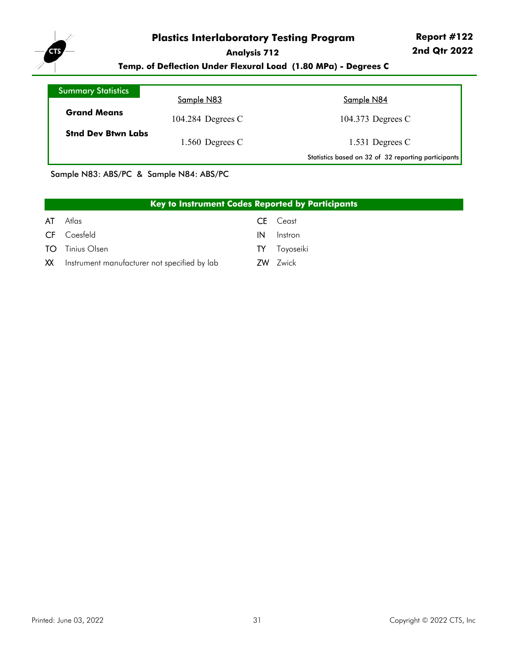

**Temp. of Deflection Under Flexural Load (1.80 MPa) - Degrees C**

| <b>Summary Statistics</b> |                     |                                                     |
|---------------------------|---------------------|-----------------------------------------------------|
|                           | Sample N83          | Sample N84                                          |
| <b>Grand Means</b>        | 104.284 Degrees $C$ | 104.373 Degrees C                                   |
| <b>Stnd Dev Btwn Labs</b> | 1.560 Degrees $C$   | 1.531 Degrees $C$                                   |
|                           |                     | Statistics based on 32 of 32 reporting participants |

Sample N83: ABS/PC & Sample N84: ABS/PC

|     | <b>Key to Instrument Codes Reported by Participants</b> |    |                 |  |  |  |  |  |  |  |  |
|-----|---------------------------------------------------------|----|-----------------|--|--|--|--|--|--|--|--|
| AT  | Atlas                                                   | CE | Ceast           |  |  |  |  |  |  |  |  |
| CF. | Coesfeld                                                | IN | Instron         |  |  |  |  |  |  |  |  |
| TO. | Tinius Olsen                                            | TY | Toyoseiki       |  |  |  |  |  |  |  |  |
| XX  | Instrument manufacturer not specified by lab            |    | <b>ZW</b> Zwick |  |  |  |  |  |  |  |  |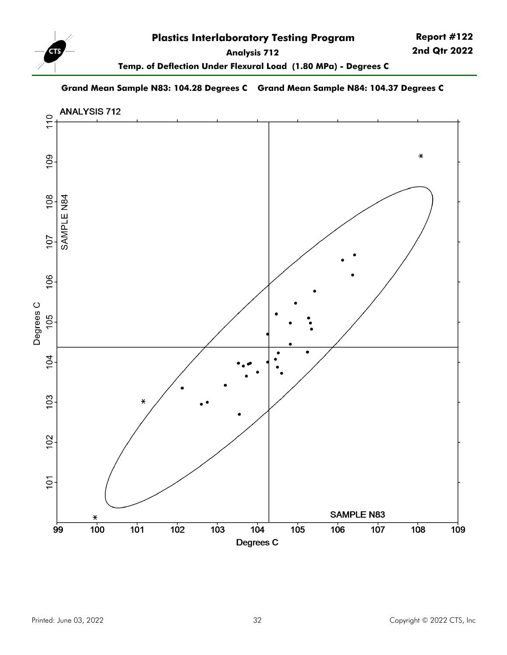

**Temp. of Deflection Under Flexural Load (1.80 MPa) - Degrees C**

#### **Grand Mean Sample N83: 104.28 Degrees C Grand Mean Sample N84: 104.37 Degrees C**

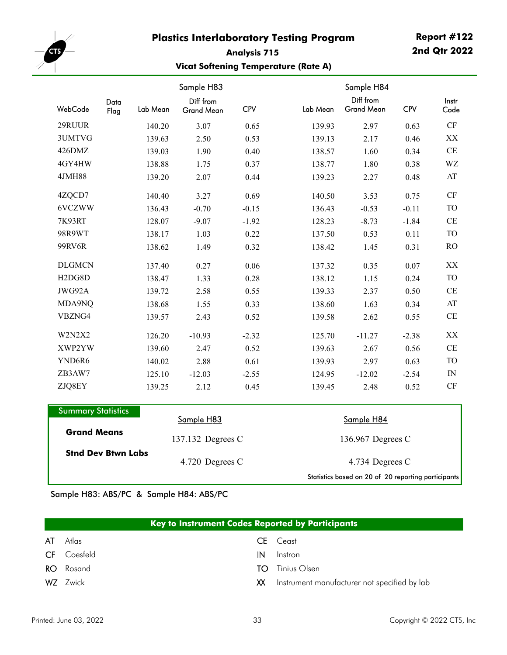<span id="page-32-0"></span>

#### **Report #122 2nd Qtr 2022**

#### **Vicat Softening Temperature (Rate A)**

|                                  |              |          | Sample H83                     |            |          | Sample H84                     |            |                |
|----------------------------------|--------------|----------|--------------------------------|------------|----------|--------------------------------|------------|----------------|
| WebCode                          | Data<br>Flag | Lab Mean | Diff from<br><b>Grand Mean</b> | <b>CPV</b> | Lab Mean | Diff from<br><b>Grand Mean</b> | <b>CPV</b> | Instr<br>Code  |
| 29RUUR                           |              | 140.20   | 3.07                           | 0.65       | 139.93   | 2.97                           | 0.63       | <b>CF</b>      |
| 3UMTVG                           |              | 139.63   | 2.50                           | 0.53       | 139.13   | 2.17                           | 0.46       | XX             |
| 426DMZ                           |              | 139.03   | 1.90                           | 0.40       | 138.57   | 1.60                           | 0.34       | $\!$ $\!$      |
| 4GY4HW                           |              | 138.88   | 1.75                           | 0.37       | 138.77   | 1.80                           | 0.38       | WZ             |
| <b>4JMH88</b>                    |              | 139.20   | 2.07                           | 0.44       | 139.23   | 2.27                           | 0.48       | AT             |
| 4ZQCD7                           |              | 140.40   | 3.27                           | 0.69       | 140.50   | 3.53                           | 0.75       | CF             |
| 6VCZWW                           |              | 136.43   | $-0.70$                        | $-0.15$    | 136.43   | $-0.53$                        | $-0.11$    | <b>TO</b>      |
| 7K93RT                           |              | 128.07   | $-9.07$                        | $-1.92$    | 128.23   | $-8.73$                        | $-1.84$    | CE             |
| 98R9WT                           |              | 138.17   | 1.03                           | 0.22       | 137.50   | 0.53                           | 0.11       | <b>TO</b>      |
| 99RV6R                           |              | 138.62   | 1.49                           | 0.32       | 138.42   | 1.45                           | 0.31       | R <sub>O</sub> |
| <b>DLGMCN</b>                    |              | 137.40   | 0.27                           | 0.06       | 137.32   | 0.35                           | 0.07       | XX             |
| H <sub>2</sub> D <sub>G8</sub> D |              | 138.47   | 1.33                           | 0.28       | 138.12   | 1.15                           | 0.24       | <b>TO</b>      |
| JWG92A                           |              | 139.72   | 2.58                           | 0.55       | 139.33   | 2.37                           | 0.50       | CE             |
| MDA9NQ                           |              | 138.68   | 1.55                           | 0.33       | 138.60   | 1.63                           | 0.34       | AT             |
| VBZNG4                           |              | 139.57   | 2.43                           | 0.52       | 139.58   | 2.62                           | 0.55       | CE             |
| W2N2X2                           |              | 126.20   | $-10.93$                       | $-2.32$    | 125.70   | $-11.27$                       | $-2.38$    | XX             |
| XWP2YW                           |              | 139.60   | 2.47                           | 0.52       | 139.63   | 2.67                           | 0.56       | CE             |
| YND6R6                           |              | 140.02   | 2.88                           | 0.61       | 139.93   | 2.97                           | 0.63       | <b>TO</b>      |
| ZB3AW7                           |              | 125.10   | $-12.03$                       | $-2.55$    | 124.95   | $-12.02$                       | $-2.54$    | IN             |
| ZJQ8EY                           |              | 139.25   | 2.12                           | 0.45       | 139.45   | 2.48                           | 0.52       | <b>CF</b>      |

| <b>Summary Statistics</b> |                   |                                                     |  |  |
|---------------------------|-------------------|-----------------------------------------------------|--|--|
| <b>Grand Means</b>        | Sample H83        | Sample H84                                          |  |  |
|                           | 137.132 Degrees C | 136.967 Degrees C                                   |  |  |
| <b>Stnd Dev Btwn Labs</b> | 4.720 Degrees C   | 4.734 Degrees C                                     |  |  |
|                           |                   | Statistics based on 20 of 20 reporting participants |  |  |

Sample H83: ABS/PC & Sample H84: ABS/PC

| Key to Instrument Codes Reported by Participants |                    |                                                                                                                                                                                                                                |                                              |  |  |  |
|--------------------------------------------------|--------------------|--------------------------------------------------------------------------------------------------------------------------------------------------------------------------------------------------------------------------------|----------------------------------------------|--|--|--|
| AT                                               | Atlas              |                                                                                                                                                                                                                                | <b>CE</b> Ceast                              |  |  |  |
|                                                  | <b>CF</b> Coesfeld | IN                                                                                                                                                                                                                             | Instron                                      |  |  |  |
|                                                  | <b>RO</b> Rosand   | TΟ                                                                                                                                                                                                                             | Tinius Olsen                                 |  |  |  |
|                                                  | WZ Zwick           | XX and the second the second term in the second term in the second term in the second term in the second term in the second term in the second term in the second term in the second term in the second term in the second ter | Instrument manufacturer not specified by lab |  |  |  |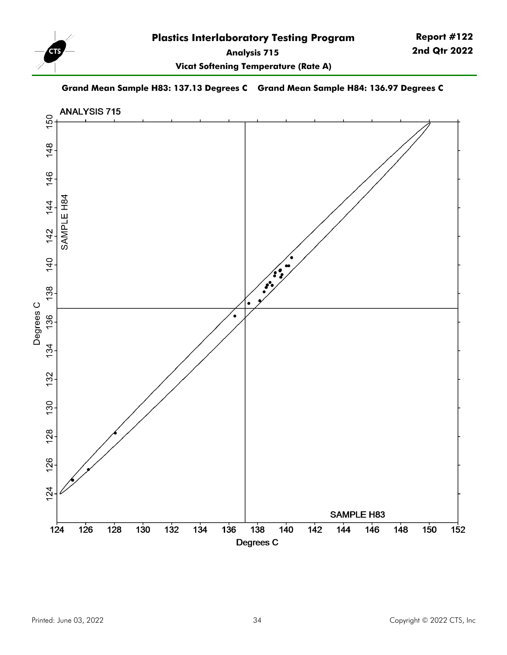

**Vicat Softening Temperature (Rate A)**

#### **Grand Mean Sample H83: 137.13 Degrees C Grand Mean Sample H84: 136.97 Degrees C**

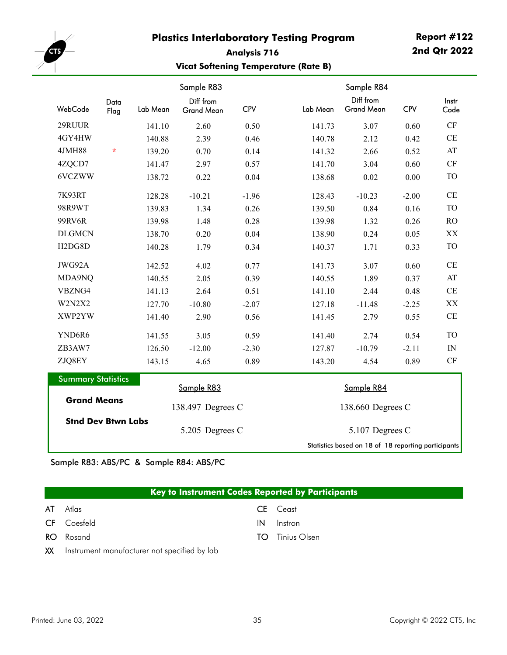<span id="page-34-0"></span>

#### **Analysis 716 Vicat Softening Temperature (Rate B)**

|                                                                              |              |          | Sample R83              |            |  |                                                     | Sample R84                     |            |               |
|------------------------------------------------------------------------------|--------------|----------|-------------------------|------------|--|-----------------------------------------------------|--------------------------------|------------|---------------|
| WebCode                                                                      | Data<br>Flag | Lab Mean | Diff from<br>Grand Mean | <b>CPV</b> |  | Lab Mean                                            | Diff from<br><b>Grand Mean</b> | <b>CPV</b> | Instr<br>Code |
| 29RUUR                                                                       |              | 141.10   | 2.60                    | 0.50       |  | 141.73                                              | 3.07                           | 0.60       | CF            |
| 4GY4HW                                                                       |              | 140.88   | 2.39                    | 0.46       |  | 140.78                                              | 2.12                           | 0.42       | CE            |
| <b>4JMH88</b>                                                                | $\star$      | 139.20   | 0.70                    | 0.14       |  | 141.32                                              | 2.66                           | 0.52       | AT            |
| 4ZQCD7                                                                       |              | 141.47   | 2.97                    | 0.57       |  | 141.70                                              | 3.04                           | 0.60       | CF            |
| 6VCZWW                                                                       |              | 138.72   | 0.22                    | 0.04       |  | 138.68                                              | 0.02                           | 0.00       | <b>TO</b>     |
| 7K93RT                                                                       |              | 128.28   | $-10.21$                | $-1.96$    |  | 128.43                                              | $-10.23$                       | $-2.00$    | CE            |
| 98R9WT                                                                       |              | 139.83   | 1.34                    | 0.26       |  | 139.50                                              | 0.84                           | 0.16       | <b>TO</b>     |
| 99RV6R                                                                       |              | 139.98   | 1.48                    | 0.28       |  | 139.98                                              | 1.32                           | 0.26       | <b>RO</b>     |
| <b>DLGMCN</b>                                                                |              | 138.70   | 0.20                    | 0.04       |  | 138.90                                              | 0.24                           | 0.05       | XX            |
| H <sub>2</sub> D <sub>G8</sub> D                                             |              | 140.28   | 1.79                    | 0.34       |  | 140.37                                              | 1.71                           | 0.33       | <b>TO</b>     |
| JWG92A                                                                       |              | 142.52   | 4.02                    | 0.77       |  | 141.73                                              | 3.07                           | 0.60       | CE            |
| MDA9NQ                                                                       |              | 140.55   | 2.05                    | 0.39       |  | 140.55                                              | 1.89                           | 0.37       | AT            |
| VBZNG4                                                                       |              | 141.13   | 2.64                    | 0.51       |  | 141.10                                              | 2.44                           | 0.48       | CE            |
| W2N2X2                                                                       |              | 127.70   | $-10.80$                | $-2.07$    |  | 127.18                                              | $-11.48$                       | $-2.25$    | XX            |
| XWP2YW                                                                       |              | 141.40   | 2.90                    | 0.56       |  | 141.45                                              | 2.79                           | 0.55       | CE            |
| YND6R6                                                                       |              | 141.55   | 3.05                    | 0.59       |  | 141.40                                              | 2.74                           | 0.54       | <b>TO</b>     |
| ZB3AW7                                                                       |              | 126.50   | $-12.00$                | $-2.30$    |  | 127.87                                              | $-10.79$                       | $-2.11$    | ${\rm IN}$    |
| ZJQ8EY                                                                       |              | 143.15   | 4.65                    | 0.89       |  | 143.20                                              | 4.54                           | 0.89       | <b>CF</b>     |
| <b>Summary Statistics</b><br><b>Grand Means</b><br><b>Stnd Dev Btwn Labs</b> |              |          | Sample R83              |            |  | Sample R84                                          |                                |            |               |
|                                                                              |              |          | 138.497 Degrees C       |            |  | 138.660 Degrees C                                   |                                |            |               |
|                                                                              |              |          | 5.205 Degrees C         |            |  | 5.107 Degrees C                                     |                                |            |               |
|                                                                              |              |          |                         |            |  | Statistics based on 18 of 18 reporting participants |                                |            |               |

Sample R83: ABS/PC & Sample R84: ABS/PC

|    | <b>Key to Instrument Codes Reported by Participants</b> |                        |  |  |  |  |
|----|---------------------------------------------------------|------------------------|--|--|--|--|
| AT | Atlas                                                   | <b>CE</b> Ceast        |  |  |  |  |
|    | <b>CF</b> Coesfeld                                      | Instron<br>IN          |  |  |  |  |
|    | <b>RO</b> Rosand                                        | <b>TO</b> Tinius Olsen |  |  |  |  |
|    | $\mathbf{M}$                                            |                        |  |  |  |  |

XX Instrument manufacturer not specified by lab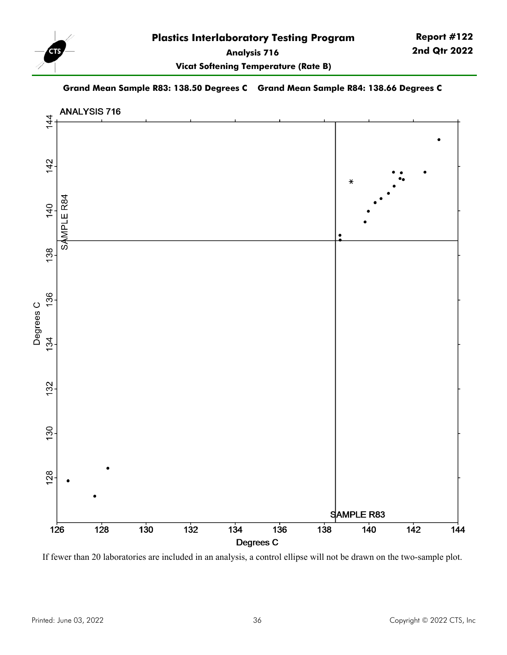

**Vicat Softening Temperature (Rate B)**

#### **Grand Mean Sample R83: 138.50 Degrees C Grand Mean Sample R84: 138.66 Degrees C**



If fewer than 20 laboratories are included in an analysis, a control ellipse will not be drawn on the two-sample plot.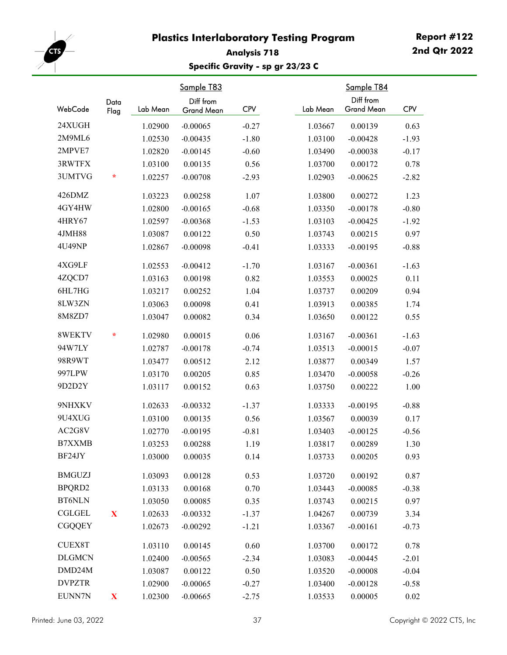

## **Analysis 718 Specific Gravity - sp gr 23/23 C**

| WebCode       | Data<br>Flag | Lab Mean | Sample T83<br>Diff from<br>Grand Mean | <b>CPV</b> | Lab Mean | Sample T84<br>Diff from<br><b>Grand Mean</b> | <b>CPV</b> |
|---------------|--------------|----------|---------------------------------------|------------|----------|----------------------------------------------|------------|
| 24XUGH        |              | 1.02900  | $-0.00065$                            | $-0.27$    | 1.03667  | 0.00139                                      | 0.63       |
| 2M9ML6        |              | 1.02530  | $-0.00435$                            | $-1.80$    | 1.03100  | $-0.00428$                                   | $-1.93$    |
| 2MPVE7        |              | 1.02820  | $-0.00145$                            | $-0.60$    | 1.03490  | $-0.00038$                                   | $-0.17$    |
| 3RWTFX        |              | 1.03100  | 0.00135                               | 0.56       | 1.03700  | 0.00172                                      | 0.78       |
| 3UMTVG        | ÷            | 1.02257  | $-0.00708$                            | $-2.93$    | 1.02903  | $-0.00625$                                   | $-2.82$    |
| 426DMZ        |              | 1.03223  | 0.00258                               | 1.07       | 1.03800  | 0.00272                                      | 1.23       |
| 4GY4HW        |              | 1.02800  | $-0.00165$                            | $-0.68$    | 1.03350  | $-0.00178$                                   | $-0.80$    |
| 4HRY67        |              | 1.02597  | $-0.00368$                            | $-1.53$    | 1.03103  | $-0.00425$                                   | $-1.92$    |
| 4JMH88        |              | 1.03087  | 0.00122                               | 0.50       | 1.03743  | 0.00215                                      | 0.97       |
| 4U49NP        |              | 1.02867  | $-0.00098$                            | $-0.41$    | 1.03333  | $-0.00195$                                   | $-0.88$    |
| 4XG9LF        |              | 1.02553  | $-0.00412$                            | $-1.70$    | 1.03167  | $-0.00361$                                   | $-1.63$    |
| 4ZQCD7        |              | 1.03163  | 0.00198                               | 0.82       | 1.03553  | 0.00025                                      | 0.11       |
| 6HL7HG        |              | 1.03217  | 0.00252                               | 1.04       | 1.03737  | 0.00209                                      | 0.94       |
| 8LW3ZN        |              | 1.03063  | 0.00098                               | 0.41       | 1.03913  | 0.00385                                      | 1.74       |
| 8M8ZD7        |              | 1.03047  | 0.00082                               | 0.34       | 1.03650  | 0.00122                                      | 0.55       |
| 8WEKTV        | $\ast$       | 1.02980  | 0.00015                               | 0.06       | 1.03167  | $-0.00361$                                   | $-1.63$    |
| 94W7LY        |              | 1.02787  | $-0.00178$                            | $-0.74$    | 1.03513  | $-0.00015$                                   | $-0.07$    |
| 98R9WT        |              | 1.03477  | 0.00512                               | 2.12       | 1.03877  | 0.00349                                      | 1.57       |
| 997LPW        |              | 1.03170  | 0.00205                               | 0.85       | 1.03470  | $-0.00058$                                   | $-0.26$    |
| 9D2D2Y        |              | 1.03117  | 0.00152                               | 0.63       | 1.03750  | 0.00222                                      | 1.00       |
| 9NHXKV        |              | 1.02633  | $-0.00332$                            | $-1.37$    | 1.03333  | $-0.00195$                                   | $-0.88$    |
| 9U4XUG        |              | 1.03100  | 0.00135                               | 0.56       | 1.03567  | 0.00039                                      | 0.17       |
| AC2G8V        |              | 1.02770  | $-0.00195$                            | $-0.81$    | 1.03403  | $-0.00125$                                   | $-0.56$    |
| <b>B7XXMB</b> |              | 1.03253  | 0.00288                               | 1.19       | 1.03817  | 0.00289                                      | 1.30       |
| BF24JY        |              | 1.03000  | 0.00035                               | 0.14       | 1.03733  | 0.00205                                      | 0.93       |
| <b>BMGUZJ</b> |              | 1.03093  | 0.00128                               | 0.53       | 1.03720  | 0.00192                                      | 0.87       |
| BPQRD2        |              | 1.03133  | 0.00168                               | 0.70       | 1.03443  | $-0.00085$                                   | $-0.38$    |
| <b>BT6NLN</b> |              | 1.03050  | 0.00085                               | 0.35       | 1.03743  | 0.00215                                      | 0.97       |
| CGLGEL        | $\mathbf X$  | 1.02633  | $-0.00332$                            | $-1.37$    | 1.04267  | 0.00739                                      | 3.34       |
| <b>CGQQEY</b> |              | 1.02673  | $-0.00292$                            | $-1.21$    | 1.03367  | $-0.00161$                                   | $-0.73$    |
| <b>CUEX8T</b> |              | 1.03110  | 0.00145                               | 0.60       | 1.03700  | 0.00172                                      | 0.78       |
| <b>DLGMCN</b> |              | 1.02400  | $-0.00565$                            | $-2.34$    | 1.03083  | $-0.00445$                                   | $-2.01$    |
| DMD24M        |              | 1.03087  | 0.00122                               | 0.50       | 1.03520  | $-0.00008$                                   | $-0.04$    |
| <b>DVPZTR</b> |              | 1.02900  | $-0.00065$                            | $-0.27$    | 1.03400  | $-0.00128$                                   | $-0.58$    |
| EUNN7N        | $\mathbf{X}$ | 1.02300  | $-0.00665$                            | $-2.75$    | 1.03533  | 0.00005                                      | $0.02\,$   |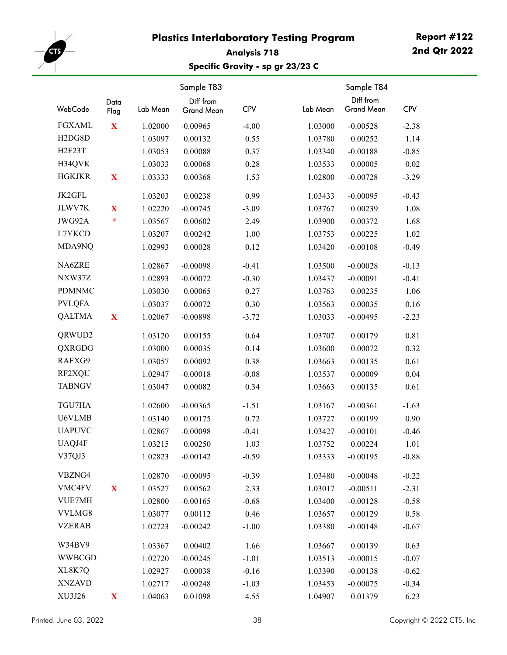

## **Analysis 718 Specific Gravity - sp gr 23/23 C**

| WebCode                          | Data<br>Flag | Lab Mean | Sample T83<br>Diff from<br>Grand Mean | <b>CPV</b> | Lab Mean | Sample T84<br>Diff from<br>Grand Mean | <b>CPV</b> |
|----------------------------------|--------------|----------|---------------------------------------|------------|----------|---------------------------------------|------------|
| <b>FGXAML</b>                    | $\mathbf X$  | 1.02000  | $-0.00965$                            | $-4.00$    | 1.03000  | $-0.00528$                            | $-2.38$    |
| H <sub>2</sub> D <sub>G8</sub> D |              | 1.03097  | 0.00132                               | 0.55       | 1.03780  | 0.00252                               | 1.14       |
| <b>H2F23T</b>                    |              | 1.03053  | 0.00088                               | 0.37       | 1.03340  | $-0.00188$                            | $-0.85$    |
| H34QVK                           |              | 1.03033  | 0.00068                               | 0.28       | 1.03533  | 0.00005                               | 0.02       |
| <b>HGKJKR</b>                    | $\mathbf X$  | 1.03333  | 0.00368                               | 1.53       | 1.02800  | $-0.00728$                            | $-3.29$    |
| JK2GFL                           |              | 1.03203  | 0.00238                               | 0.99       | 1.03433  | $-0.00095$                            | $-0.43$    |
| JLWV7K                           | X            | 1.02220  | $-0.00745$                            | $-3.09$    | 1.03767  | 0.00239                               | 1.08       |
| JWG92A                           | ÷            | 1.03567  | 0.00602                               | 2.49       | 1.03900  | 0.00372                               | 1.68       |
| L7YKCD                           |              | 1.03207  | 0.00242                               | 1.00       | 1.03753  | 0.00225                               | 1.02       |
| MDA9NQ                           |              | 1.02993  | 0.00028                               | 0.12       | 1.03420  | $-0.00108$                            | $-0.49$    |
| NA6ZRE                           |              | 1.02867  | $-0.00098$                            | $-0.41$    | 1.03500  | $-0.00028$                            | $-0.13$    |
| NXW37Z                           |              | 1.02893  | $-0.00072$                            | $-0.30$    | 1.03437  | $-0.00091$                            | $-0.41$    |
| <b>PDMNMC</b>                    |              | 1.03030  | 0.00065                               | 0.27       | 1.03763  | 0.00235                               | 1.06       |
| <b>PVLQFA</b>                    |              | 1.03037  | 0.00072                               | 0.30       | 1.03563  | 0.00035                               | 0.16       |
| <b>QALTMA</b>                    | $\mathbf X$  | 1.02067  | $-0.00898$                            | $-3.72$    | 1.03033  | $-0.00495$                            | $-2.23$    |
| QRWUD2                           |              | 1.03120  | 0.00155                               | 0.64       | 1.03707  | 0.00179                               | 0.81       |
| <b>QXRGDG</b>                    |              | 1.03000  | 0.00035                               | 0.14       | 1.03600  | 0.00072                               | 0.32       |
| RAFXG9                           |              | 1.03057  | 0.00092                               | 0.38       | 1.03663  | 0.00135                               | 0.61       |
| RF2XQU                           |              | 1.02947  | $-0.00018$                            | $-0.08$    | 1.03537  | 0.00009                               | 0.04       |
| <b>TABNGV</b>                    |              | 1.03047  | 0.00082                               | 0.34       | 1.03663  | 0.00135                               | 0.61       |
| TGU7HA                           |              | 1.02600  | $-0.00365$                            | $-1.51$    | 1.03167  | $-0.00361$                            | $-1.63$    |
| U6VLMB                           |              | 1.03140  | 0.00175                               | 0.72       | 1.03727  | 0.00199                               | 0.90       |
| <b>UAPUVC</b>                    |              | 1.02867  | $-0.00098$                            | $-0.41$    | 1.03427  | $-0.00101$                            | $-0.46$    |
| UAQJ4F                           |              | 1.03215  | 0.00250                               | 1.03       | 1.03752  | 0.00224                               | 1.01       |
| V37QJ3                           |              | 1.02823  | $-0.00142$                            | $-0.59$    | 1.03333  | $-0.00195$                            | $-0.88$    |
| VBZNG4                           |              | 1.02870  | $-0.00095$                            | $-0.39$    | 1.03480  | $-0.00048$                            | $-0.22$    |
| VMC4FV                           | $\mathbf X$  | 1.03527  | 0.00562                               | 2.33       | 1.03017  | $-0.00511$                            | $-2.31$    |
| VUE7MH                           |              | 1.02800  | $-0.00165$                            | $-0.68$    | 1.03400  | $-0.00128$                            | $-0.58$    |
| VVLMG8                           |              | 1.03077  | 0.00112                               | 0.46       | 1.03657  | 0.00129                               | 0.58       |
| <b>VZERAB</b>                    |              | 1.02723  | $-0.00242$                            | $-1.00$    | 1.03380  | $-0.00148$                            | $-0.67$    |
| W34BV9                           |              | 1.03367  | 0.00402                               | 1.66       | 1.03667  | 0.00139                               | 0.63       |
| <b>WWBCGD</b>                    |              | 1.02720  | $-0.00245$                            | $-1.01$    | 1.03513  | $-0.00015$                            | $-0.07$    |
| XL8K7Q                           |              | 1.02927  | $-0.00038$                            | $-0.16$    | 1.03390  | $-0.00138$                            | $-0.62$    |
| <b>XNZAVD</b>                    |              | 1.02717  | $-0.00248$                            | $-1.03$    | 1.03453  | $-0.00075$                            | $-0.34$    |
| XU3J26                           | $\mathbf X$  | 1.04063  | 0.01098                               | 4.55       | 1.04907  | 0.01379                               | 6.23       |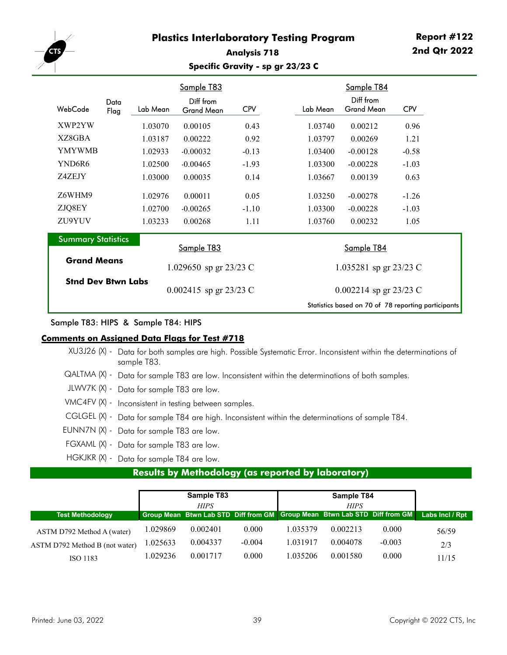

## **Analysis 718 Specific Gravity - sp gr 23/23 C**

|                           |              |          | Sample T83               |            |          | Sample T84               |                                                     |
|---------------------------|--------------|----------|--------------------------|------------|----------|--------------------------|-----------------------------------------------------|
| WebCode                   | Data<br>Flag | Lab Mean | Diff from<br>Grand Mean  | <b>CPV</b> | Lab Mean | Diff from<br>Grand Mean  | <b>CPV</b>                                          |
| XWP2YW                    |              | 1.03070  | 0.00105                  | 0.43       | 1.03740  | 0.00212                  | 0.96                                                |
| XZ8GBA                    |              | 1.03187  | 0.00222                  | 0.92       | 1.03797  | 0.00269                  | 1.21                                                |
| <b>YMYWMB</b>             |              | 1.02933  | $-0.00032$               | $-0.13$    | 1.03400  | $-0.00128$               | $-0.58$                                             |
| YND6R6                    |              | 1.02500  | $-0.00465$               | $-1.93$    | 1.03300  | $-0.00228$               | $-1.03$                                             |
| Z4ZEJY                    |              | 1.03000  | 0.00035                  | 0.14       | 1.03667  | 0.00139                  | 0.63                                                |
| Z6WHM9                    |              | 1.02976  | 0.00011                  | 0.05       | 1.03250  | $-0.00278$               | $-1.26$                                             |
| ZJQ8EY                    |              | 1.02700  | $-0.00265$               | $-1.10$    | 1.03300  | $-0.00228$               | $-1.03$                                             |
| ZU9YUV                    |              | 1.03233  | 0.00268                  | 1.11       | 1.03760  | 0.00232                  | 1.05                                                |
| <b>Summary Statistics</b> |              |          | Sample T83               |            |          | Sample T84               |                                                     |
| <b>Grand Means</b>        |              |          | 1.029650 sp gr 23/23 C   |            |          | 1.035281 sp gr $23/23$ C |                                                     |
| <b>Stnd Dev Btwn Labs</b> |              |          | 0.002415 sp gr $23/23$ C |            |          | 0.002214 sp gr $23/23$ C |                                                     |
|                           |              |          |                          |            |          |                          | Statistics based on 70 of 78 reporting participants |

### Sample T83: HIPS & Sample T84: HIPS

### **Comments on Assigned Data Flags for Test #718**

| XU3J26 (X) - Data for both samples are high. Possible Systematic Error. Inconsistent within the determinations of<br>sample T83. |
|----------------------------------------------------------------------------------------------------------------------------------|
| $QALTMA (X)$ - Data for sample T83 are low. Inconsistent within the determinations of both samples.                              |
| JLWV7K (X) - Data for sample T83 are low.                                                                                        |
| VMC4FV (X) - Inconsistent in testing between samples.                                                                            |
| CGLGEL (X) - Data for sample T84 are high. Inconsistent within the determinations of sample T84.                                 |
| EUNN7N (X) - Data for sample T83 are low.                                                                                        |
| FGXAML (X) - Data for sample T83 are low.                                                                                        |
| HGKJKR (X) - Data for sample T84 are low.                                                                                        |

# **Results by Methodology (as reported by laboratory)**

|                                |          | Sample T83  |          |          | Sample T84                                                                  |          |                 |
|--------------------------------|----------|-------------|----------|----------|-----------------------------------------------------------------------------|----------|-----------------|
|                                |          | <b>HIPS</b> |          |          | <b>HIPS</b>                                                                 |          |                 |
| <b>Test Methodology</b>        |          |             |          |          | Group Mean Btwn Lab STD Diff from GM   Group Mean Btwn Lab STD Diff from GM |          | Labs Incl / Rpt |
| ASTM D792 Method A (water)     | 1.029869 | 0.002401    | 0.000    | 1.035379 | 0.002213                                                                    | 0.000    | 56/59           |
| ASTM D792 Method B (not water) | 1.025633 | 0.004337    | $-0.004$ | 1.031917 | 0.004078                                                                    | $-0.003$ | 2/3             |
| ISO 1183                       | 1.029236 | 0.001717    | 0.000    | 1.035206 | 0.001580                                                                    | 0.000    | 11/15           |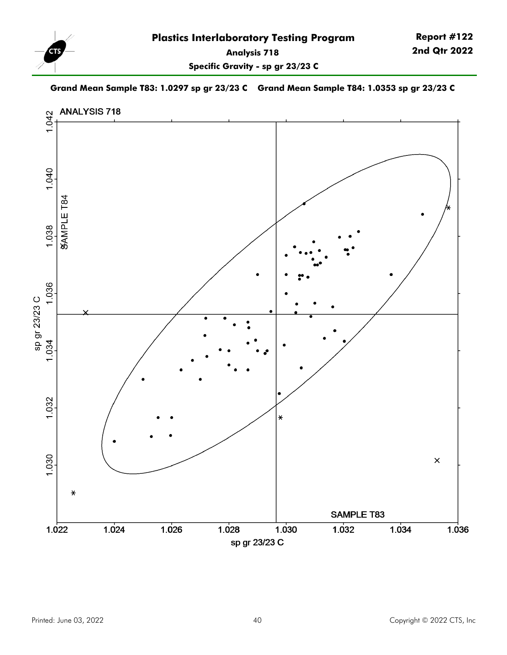

**Specific Gravity - sp gr 23/23 C**

**Grand Mean Sample T83: 1.0297 sp gr 23/23 C Grand Mean Sample T84: 1.0353 sp gr 23/23 C**

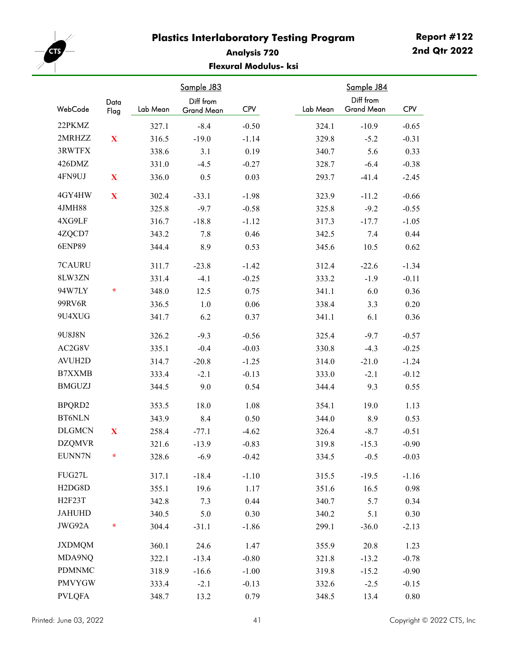

## **Analysis 720 Flexural Modulus- ksi**

| WebCode                          | Data         | Lab Mean | Sample J83<br>Diff from | <b>CPV</b> | Lab Mean | Sample J84<br>Diff from<br><b>Grand Mean</b> | <b>CPV</b> |
|----------------------------------|--------------|----------|-------------------------|------------|----------|----------------------------------------------|------------|
|                                  | Flag         |          | Grand Mean              |            |          |                                              |            |
| 22PKMZ                           |              | 327.1    | $-8.4$                  | $-0.50$    | 324.1    | $-10.9$                                      | $-0.65$    |
| 2MRHZZ                           | $\mathbf X$  | 316.5    | $-19.0$                 | $-1.14$    | 329.8    | $-5.2$                                       | $-0.31$    |
| 3RWTFX                           |              | 338.6    | 3.1                     | 0.19       | 340.7    | 5.6                                          | 0.33       |
| 426DMZ                           |              | 331.0    | $-4.5$                  | $-0.27$    | 328.7    | $-6.4$                                       | $-0.38$    |
| 4FN9UJ                           | $\mathbf X$  | 336.0    | 0.5                     | 0.03       | 293.7    | $-41.4$                                      | $-2.45$    |
| 4GY4HW                           | $\mathbf{X}$ | 302.4    | $-33.1$                 | $-1.98$    | 323.9    | $-11.2$                                      | $-0.66$    |
| 4JMH88                           |              | 325.8    | $-9.7$                  | $-0.58$    | 325.8    | $-9.2$                                       | $-0.55$    |
| 4XG9LF                           |              | 316.7    | $-18.8$                 | $-1.12$    | 317.3    | $-17.7$                                      | $-1.05$    |
| 4ZQCD7                           |              | 343.2    | 7.8                     | 0.46       | 342.5    | 7.4                                          | 0.44       |
| <b>6ENP89</b>                    |              | 344.4    | 8.9                     | 0.53       | 345.6    | 10.5                                         | 0.62       |
| 7CAURU                           |              | 311.7    | $-23.8$                 | $-1.42$    | 312.4    | $-22.6$                                      | $-1.34$    |
| 8LW3ZN                           |              | 331.4    | $-4.1$                  | $-0.25$    | 333.2    | $-1.9$                                       | $-0.11$    |
| 94W7LY                           | $\star$      | 348.0    | 12.5                    | 0.75       | 341.1    | 6.0                                          | 0.36       |
| 99RV6R                           |              | 336.5    | 1.0                     | 0.06       | 338.4    | 3.3                                          | 0.20       |
| 9U4XUG                           |              | 341.7    | 6.2                     | 0.37       | 341.1    | 6.1                                          | 0.36       |
| 9U8J8N                           |              | 326.2    | $-9.3$                  | $-0.56$    | 325.4    | $-9.7$                                       | $-0.57$    |
| AC2G8V                           |              | 335.1    | $-0.4$                  | $-0.03$    | 330.8    | $-4.3$                                       | $-0.25$    |
| <b>AVUH2D</b>                    |              | 314.7    | $-20.8$                 | $-1.25$    | 314.0    | $-21.0$                                      | $-1.24$    |
| B7XXMB                           |              | 333.4    | $-2.1$                  | $-0.13$    | 333.0    | $-2.1$                                       | $-0.12$    |
| <b>BMGUZJ</b>                    |              | 344.5    | 9.0                     | 0.54       | 344.4    | 9.3                                          | 0.55       |
| BPQRD2                           |              | 353.5    | 18.0                    | 1.08       | 354.1    | 19.0                                         | 1.13       |
| <b>BT6NLN</b>                    |              | 343.9    | 8.4                     | 0.50       | 344.0    | 8.9                                          | 0.53       |
| <b>DLGMCN</b>                    | $\mathbf X$  | 258.4    | $-77.1$                 | $-4.62$    | 326.4    | $-8.7$                                       | $-0.51$    |
| <b>DZQMVR</b>                    |              | 321.6    | $-13.9$                 | $-0.83$    | 319.8    | $-15.3$                                      | $-0.90$    |
| EUNN7N                           | ÷            | 328.6    | $-6.9$                  | $-0.42$    | 334.5    | $-0.5$                                       | $-0.03$    |
| FUG27L                           |              | 317.1    | $-18.4$                 | $-1.10$    | 315.5    | $-19.5$                                      | $-1.16$    |
| H <sub>2</sub> D <sub>G8</sub> D |              | 355.1    | 19.6                    | 1.17       | 351.6    | 16.5                                         | 0.98       |
| <b>H2F23T</b>                    |              | 342.8    | 7.3                     | 0.44       | 340.7    | 5.7                                          | 0.34       |
| <b>JAHUHD</b>                    |              | 340.5    | 5.0                     | 0.30       | 340.2    | 5.1                                          | 0.30       |
| JWG92A                           | *            | 304.4    | $-31.1$                 | $-1.86$    | 299.1    | $-36.0$                                      | $-2.13$    |
| <b>JXDMQM</b>                    |              | 360.1    | 24.6                    | 1.47       | 355.9    | 20.8                                         | 1.23       |
| MDA9NQ                           |              | 322.1    | $-13.4$                 | $-0.80$    | 321.8    | $-13.2$                                      | $-0.78$    |
| <b>PDMNMC</b>                    |              | 318.9    | $-16.6$                 | $-1.00$    | 319.8    | $-15.2$                                      | $-0.90$    |
| <b>PMVYGW</b>                    |              | 333.4    | $-2.1$                  | $-0.13$    | 332.6    | $-2.5$                                       | $-0.15$    |
| <b>PVLQFA</b>                    |              | 348.7    | 13.2                    | 0.79       | 348.5    | 13.4                                         | 0.80       |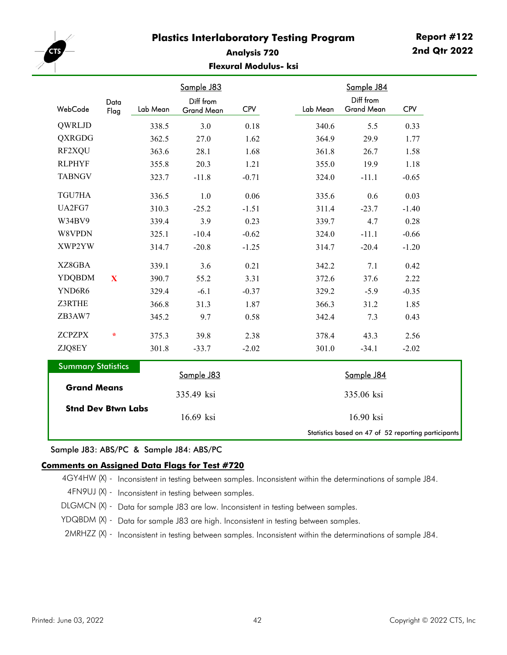

## **Analysis 720 Flexural Modulus- ksi**

|                           |              |          | Sample J83                     |            |          | Sample J84                     |            |
|---------------------------|--------------|----------|--------------------------------|------------|----------|--------------------------------|------------|
| WebCode                   | Data<br>Flag | Lab Mean | Diff from<br><b>Grand Mean</b> | <b>CPV</b> | Lab Mean | Diff from<br><b>Grand Mean</b> | <b>CPV</b> |
| QWRLJD                    |              | 338.5    | 3.0                            | 0.18       | 340.6    | 5.5                            | 0.33       |
| QXRGDG                    |              | 362.5    | 27.0                           | 1.62       | 364.9    | 29.9                           | 1.77       |
| RF2XQU                    |              | 363.6    | 28.1                           | 1.68       | 361.8    | 26.7                           | 1.58       |
| <b>RLPHYF</b>             |              | 355.8    | 20.3                           | 1.21       | 355.0    | 19.9                           | 1.18       |
| <b>TABNGV</b>             |              | 323.7    | $-11.8$                        | $-0.71$    | 324.0    | $-11.1$                        | $-0.65$    |
| TGU7HA                    |              | 336.5    | 1.0                            | 0.06       | 335.6    | 0.6                            | 0.03       |
| UA2FG7                    |              | 310.3    | $-25.2$                        | $-1.51$    | 311.4    | $-23.7$                        | $-1.40$    |
| W34BV9                    |              | 339.4    | 3.9                            | 0.23       | 339.7    | 4.7                            | 0.28       |
| W8VPDN                    |              | 325.1    | $-10.4$                        | $-0.62$    | 324.0    | $-11.1$                        | $-0.66$    |
| XWP2YW                    |              | 314.7    | $-20.8$                        | $-1.25$    | 314.7    | $-20.4$                        | $-1.20$    |
| XZ8GBA                    |              | 339.1    | 3.6                            | 0.21       | 342.2    | 7.1                            | 0.42       |
| <b>YDQBDM</b>             | X            | 390.7    | 55.2                           | 3.31       | 372.6    | 37.6                           | 2.22       |
| YND6R6                    |              | 329.4    | $-6.1$                         | $-0.37$    | 329.2    | $-5.9$                         | $-0.35$    |
| Z3RTHE                    |              | 366.8    | 31.3                           | 1.87       | 366.3    | 31.2                           | 1.85       |
| ZB3AW7                    |              | 345.2    | 9.7                            | 0.58       | 342.4    | 7.3                            | 0.43       |
| <b>ZCPZPX</b>             | $\ast$       | 375.3    | 39.8                           | 2.38       | 378.4    | 43.3                           | 2.56       |
| ZJQ8EY                    |              | 301.8    | $-33.7$                        | $-2.02$    | 301.0    | $-34.1$                        | $-2.02$    |
| <b>Summary Statistics</b> |              |          | Sample J83                     |            |          | Sample J84                     |            |
| <b>Grand Means</b>        |              |          | 335.49 ksi                     |            |          | 335.06 ksi                     |            |

Sample J83: ABS/PC & Sample J84: ABS/PC

**Stnd Dev Btwn Labs**

#### **Comments on Assigned Data Flags for Test #720**

4GY4HW (X) - Inconsistent in testing between samples. Inconsistent within the determinations of sample J84. 4FN9UJ (X) - Inconsistent in testing between samples. DLGMCN (X) - Data for sample J83 are low. Inconsistent in testing between samples. YDQBDM (X) - Data for sample J83 are high. Inconsistent in testing between samples. 2MRHZZ (X) - Inconsistent in testing between samples. Inconsistent within the determinations of sample J84.

16.69 ksi 16.90

Statistics based on 47 of 52 reporting participants

 $16.90$  ksi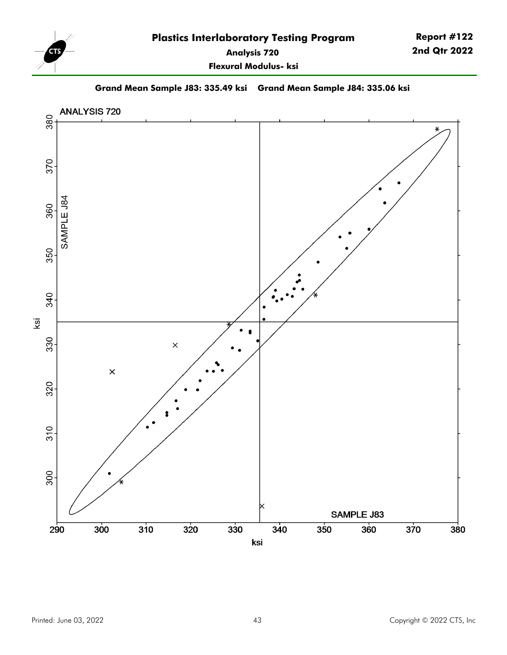

**Flexural Modulus- ksi**

**Grand Mean Sample J83: 335.49 ksi Grand Mean Sample J84: 335.06 ksi**

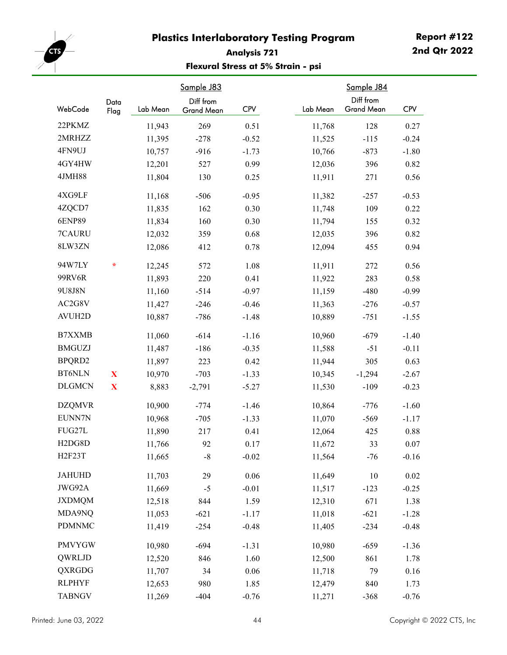

# **Report #122 2nd Qtr 2022**

## **Analysis 721 Flexural Stress at 5% Strain - psi**

| WebCode                          | Data<br>Flag | Lab Mean | Sample J83<br>Diff from<br>Grand Mean | <b>CPV</b> | Lab Mean | Sample J84<br>Diff from<br><b>Grand Mean</b> | <b>CPV</b> |
|----------------------------------|--------------|----------|---------------------------------------|------------|----------|----------------------------------------------|------------|
| 22PKMZ                           |              | 11,943   | 269                                   | 0.51       | 11,768   | 128                                          | 0.27       |
| 2MRHZZ                           |              | 11,395   | $-278$                                | $-0.52$    | 11,525   | $-115$                                       | $-0.24$    |
| 4FN9UJ                           |              | 10,757   | $-916$                                | $-1.73$    | 10,766   | $-873$                                       | $-1.80$    |
| 4GY4HW                           |              | 12,201   | 527                                   | 0.99       | 12,036   | 396                                          | 0.82       |
| 4JMH88                           |              | 11,804   | 130                                   | 0.25       | 11,911   | 271                                          | 0.56       |
| 4XG9LF                           |              | 11,168   | $-506$                                | $-0.95$    | 11,382   | $-257$                                       | $-0.53$    |
| 4ZQCD7                           |              | 11,835   | 162                                   | 0.30       | 11,748   | 109                                          | 0.22       |
| <b>6ENP89</b>                    |              | 11,834   | 160                                   | 0.30       | 11,794   | 155                                          | 0.32       |
| 7CAURU                           |              | 12,032   | 359                                   | $0.68\,$   | 12,035   | 396                                          | 0.82       |
| 8LW3ZN                           |              | 12,086   | 412                                   | 0.78       | 12,094   | 455                                          | 0.94       |
| 94W7LY                           | $\ast$       | 12,245   | 572                                   | 1.08       | 11,911   | 272                                          | 0.56       |
| 99RV6R                           |              | 11,893   | 220                                   | 0.41       | 11,922   | 283                                          | 0.58       |
| 9U8J8N                           |              | 11,160   | $-514$                                | $-0.97$    | 11,159   | $-480$                                       | $-0.99$    |
| AC2G8V                           |              | 11,427   | $-246$                                | $-0.46$    | 11,363   | $-276$                                       | $-0.57$    |
| <b>AVUH2D</b>                    |              | 10,887   | $-786$                                | $-1.48$    | 10,889   | $-751$                                       | $-1.55$    |
| <b>B7XXMB</b>                    |              | 11,060   | $-614$                                | $-1.16$    | 10,960   | $-679$                                       | $-1.40$    |
| <b>BMGUZJ</b>                    |              | 11,487   | $-186$                                | $-0.35$    | 11,588   | $-51$                                        | $-0.11$    |
| BPQRD2                           |              | 11,897   | 223                                   | 0.42       | 11,944   | 305                                          | 0.63       |
| <b>BT6NLN</b>                    | $\mathbf X$  | 10,970   | $-703$                                | $-1.33$    | 10,345   | $-1,294$                                     | $-2.67$    |
| <b>DLGMCN</b>                    | $\mathbf X$  | 8,883    | $-2,791$                              | $-5.27$    | 11,530   | $-109$                                       | $-0.23$    |
| <b>DZQMVR</b>                    |              | 10,900   | $-774$                                | $-1.46$    | 10,864   | $-776$                                       | $-1.60$    |
| EUNN7N                           |              | 10,968   | $-705$                                | $-1.33$    | 11,070   | $-569$                                       | $-1.17$    |
| FUG27L                           |              | 11,890   | 217                                   | 0.41       | 12,064   | 425                                          | 0.88       |
| H <sub>2</sub> D <sub>G8</sub> D |              | 11,766   | 92                                    | 0.17       | 11,672   | 33                                           | 0.07       |
| H2F23T                           |              | 11,665   | $\mbox{-}8$                           | $-0.02$    | 11,564   | $-76$                                        | $-0.16$    |
| <b>JAHUHD</b>                    |              | 11,703   | 29                                    | 0.06       | 11,649   | $10\,$                                       | 0.02       |
| JWG92A                           |              | 11,669   | $-5$                                  | $-0.01$    | 11,517   | $-123$                                       | $-0.25$    |
| <b>JXDMQM</b>                    |              | 12,518   | 844                                   | 1.59       | 12,310   | 671                                          | 1.38       |
| MDA9NQ                           |              | 11,053   | $-621$                                | $-1.17$    | 11,018   | $-621$                                       | $-1.28$    |
| <b>PDMNMC</b>                    |              | 11,419   | $-254$                                | $-0.48$    | 11,405   | $-234$                                       | $-0.48$    |
| <b>PMVYGW</b>                    |              | 10,980   | $-694$                                | $-1.31$    | 10,980   | $-659$                                       | $-1.36$    |
| QWRLJD                           |              | 12,520   | 846                                   | 1.60       | 12,500   | 861                                          | 1.78       |
| QXRGDG                           |              | 11,707   | 34                                    | 0.06       | 11,718   | 79                                           | $0.16\,$   |
| <b>RLPHYF</b>                    |              | 12,653   | 980                                   | 1.85       | 12,479   | 840                                          | 1.73       |
| <b>TABNGV</b>                    |              | 11,269   | $-404$                                | $-0.76$    | 11,271   | $-368$                                       | $-0.76$    |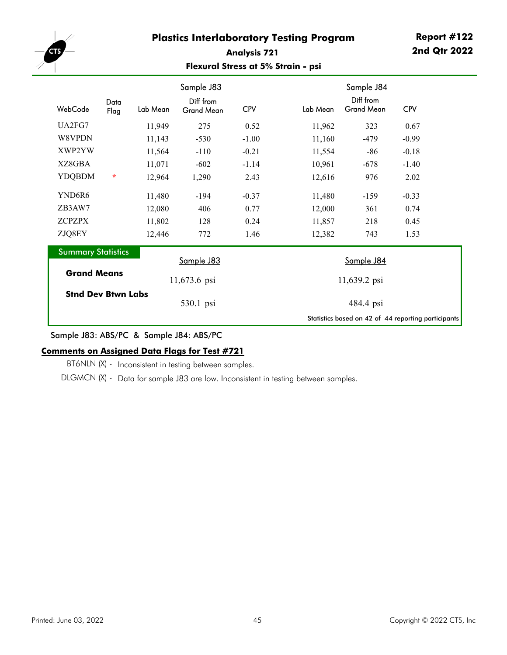

### **Analysis 721 Flexural Stress at 5% Strain - psi**

|                           |              |          | Sample J83                     |            |          | Sample J84                     |                                                     |
|---------------------------|--------------|----------|--------------------------------|------------|----------|--------------------------------|-----------------------------------------------------|
| WebCode                   | Data<br>Flag | Lab Mean | Diff from<br><b>Grand Mean</b> | <b>CPV</b> | Lab Mean | Diff from<br><b>Grand Mean</b> | <b>CPV</b>                                          |
| UA2FG7                    |              | 11,949   | 275                            | 0.52       | 11,962   | 323                            | 0.67                                                |
| W8VPDN                    |              | 11,143   | $-530$                         | $-1.00$    | 11,160   | $-479$                         | $-0.99$                                             |
| XWP2YW                    |              | 11,564   | $-110$                         | $-0.21$    | 11,554   | -86                            | $-0.18$                                             |
| XZ8GBA                    |              | 11,071   | $-602$                         | $-1.14$    | 10,961   | $-678$                         | $-1.40$                                             |
| <b>YDQBDM</b>             | $\star$      | 12,964   | 1,290                          | 2.43       | 12,616   | 976                            | 2.02                                                |
| YND6R6                    |              | 11,480   | $-194$                         | $-0.37$    | 11,480   | $-159$                         | $-0.33$                                             |
| ZB3AW7                    |              | 12,080   | 406                            | 0.77       | 12,000   | 361                            | 0.74                                                |
| <b>ZCPZPX</b>             |              | 11,802   | 128                            | 0.24       | 11,857   | 218                            | 0.45                                                |
| ZJQ8EY                    |              | 12,446   | 772                            | 1.46       | 12,382   | 743                            | 1.53                                                |
| <b>Summary Statistics</b> |              |          | Sample J83                     |            |          | Sample J84                     |                                                     |
| <b>Grand Means</b>        |              |          | 11,673.6 psi                   |            |          | 11,639.2 psi                   |                                                     |
| <b>Stnd Dev Btwn Labs</b> |              |          | 530.1 psi                      |            |          | 484.4 psi                      |                                                     |
|                           |              |          |                                |            |          |                                | Statistics based on 42 of 44 reporting participants |

Sample J83: ABS/PC & Sample J84: ABS/PC

### **Comments on Assigned Data Flags for Test #721**

BT6NLN (X) - Inconsistent in testing between samples.

DLGMCN (X) - Data for sample J83 are low. Inconsistent in testing between samples.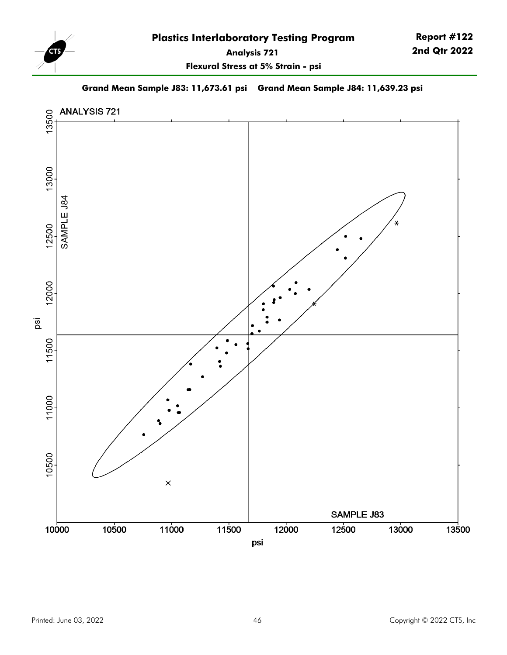

**Report #122 2nd Qtr 2022**

**Flexural Stress at 5% Strain - psi**

**Grand Mean Sample J83: 11,673.61 psi Grand Mean Sample J84: 11,639.23 psi**

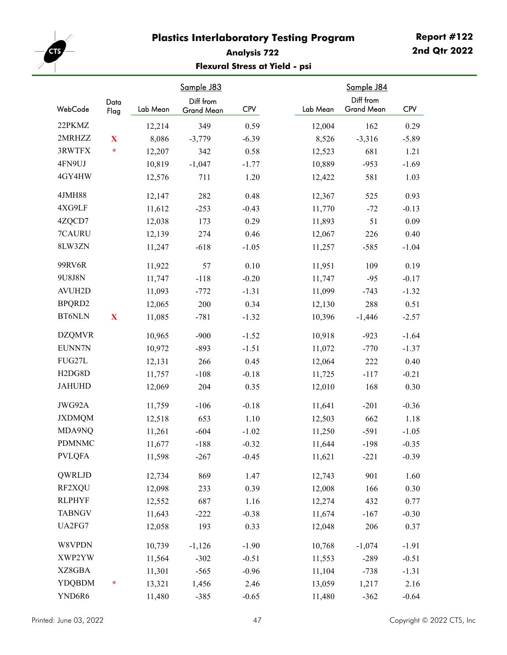

# **Analysis 722 Flexural Stress at Yield - psi**

| WebCode                          | Data<br>Flag | Lab Mean | Sample J83<br>Diff from<br>Grand Mean | <b>CPV</b> | Lab Mean | Sample J84<br>Diff from<br><b>Grand Mean</b> | <b>CPV</b> |
|----------------------------------|--------------|----------|---------------------------------------|------------|----------|----------------------------------------------|------------|
| 22PKMZ                           |              | 12,214   | 349                                   | 0.59       | 12,004   | 162                                          | 0.29       |
| 2MRHZZ                           | $\mathbf{X}$ | 8,086    | $-3,779$                              | $-6.39$    | 8,526    | $-3,316$                                     | $-5.89$    |
| 3RWTFX                           | $\star$      | 12,207   | 342                                   | 0.58       | 12,523   | 681                                          | 1.21       |
| 4FN9UJ                           |              | 10,819   | $-1,047$                              | $-1.77$    | 10,889   | $-953$                                       | $-1.69$    |
| 4GY4HW                           |              | 12,576   | 711                                   | 1.20       | 12,422   | 581                                          | 1.03       |
| 4JMH88                           |              | 12,147   | 282                                   | 0.48       | 12,367   | 525                                          | 0.93       |
| 4XG9LF                           |              | 11,612   | $-253$                                | $-0.43$    | 11,770   | $-72$                                        | $-0.13$    |
| 4ZQCD7                           |              | 12,038   | 173                                   | 0.29       | 11,893   | 51                                           | 0.09       |
| 7CAURU                           |              | 12,139   | 274                                   | 0.46       | 12,067   | 226                                          | 0.40       |
| 8LW3ZN                           |              | 11,247   | $-618$                                | $-1.05$    | 11,257   | $-585$                                       | $-1.04$    |
| 99RV6R                           |              | 11,922   | 57                                    | 0.10       | 11,951   | 109                                          | 0.19       |
| 9U8J8N                           |              | 11,747   | $-118$                                | $-0.20$    | 11,747   | $-95$                                        | $-0.17$    |
| <b>AVUH2D</b>                    |              | 11,093   | $-772$                                | $-1.31$    | 11,099   | $-743$                                       | $-1.32$    |
| BPQRD2                           |              | 12,065   | 200                                   | 0.34       | 12,130   | 288                                          | 0.51       |
| <b>BT6NLN</b>                    | $\mathbf X$  | 11,085   | $-781$                                | $-1.32$    | 10,396   | $-1,446$                                     | $-2.57$    |
| <b>DZQMVR</b>                    |              | 10,965   | $-900$                                | $-1.52$    | 10,918   | $-923$                                       | $-1.64$    |
| EUNN7N                           |              | 10,972   | $-893$                                | $-1.51$    | 11,072   | $-770$                                       | $-1.37$    |
| FUG27L                           |              | 12,131   | 266                                   | 0.45       | 12,064   | 222                                          | 0.40       |
| H <sub>2</sub> D <sub>G8</sub> D |              | 11,757   | $-108$                                | $-0.18$    | 11,725   | $-117$                                       | $-0.21$    |
| <b>JAHUHD</b>                    |              | 12,069   | 204                                   | 0.35       | 12,010   | 168                                          | 0.30       |
| JWG92A                           |              | 11,759   | $-106$                                | $-0.18$    | 11,641   | $-201$                                       | $-0.36$    |
| <b>JXDMQM</b>                    |              | 12,518   | 653                                   | 1.10       | 12,503   | 662                                          | 1.18       |
| MDA9NQ                           |              | 11,261   | $-604$                                | $-1.02$    | 11,250   | $-591$                                       | $-1.05$    |
| <b>PDMNMC</b>                    |              | 11,677   | $-188$                                | $-0.32$    | 11,644   | $-198$                                       | $-0.35$    |
| <b>PVLQFA</b>                    |              | 11,598   | $-267$                                | $-0.45$    | 11,621   | $-221$                                       | $-0.39$    |
| QWRLJD                           |              | 12,734   | 869                                   | 1.47       | 12,743   | 901                                          | 1.60       |
| RF2XQU                           |              | 12,098   | 233                                   | 0.39       | 12,008   | 166                                          | 0.30       |
| <b>RLPHYF</b>                    |              | 12,552   | 687                                   | 1.16       | 12,274   | 432                                          | 0.77       |
| <b>TABNGV</b>                    |              | 11,643   | $-222$                                | $-0.38$    | 11,674   | $-167$                                       | $-0.30$    |
| UA2FG7                           |              | 12,058   | 193                                   | 0.33       | 12,048   | 206                                          | 0.37       |
| W8VPDN                           |              | 10,739   | $-1,126$                              | $-1.90$    | 10,768   | $-1,074$                                     | $-1.91$    |
| XWP2YW                           |              | 11,564   | $-302$                                | $-0.51$    | 11,553   | $-289$                                       | $-0.51$    |
| XZ8GBA                           |              | 11,301   | $-565$                                | $-0.96$    | 11,104   | $-738$                                       | $-1.31$    |
| <b>YDQBDM</b>                    | ÷            | 13,321   | 1,456                                 | 2.46       | 13,059   | 1,217                                        | 2.16       |
| YND6R6                           |              | 11,480   | $-385$                                | $-0.65$    | 11,480   | $-362$                                       | $-0.64$    |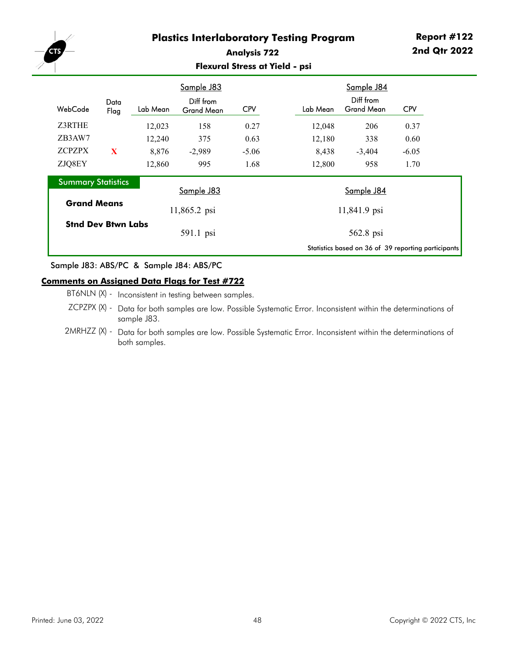

### **Analysis 722 Flexural Stress at Yield - psi**

|                           |                           |          | Sample J83                     |            |          | Sample J84                                          |            |  |
|---------------------------|---------------------------|----------|--------------------------------|------------|----------|-----------------------------------------------------|------------|--|
| WebCode                   | Data<br>Flag              | Lab Mean | Diff from<br><b>Grand Mean</b> | <b>CPV</b> | Lab Mean | Diff from<br><b>Grand Mean</b>                      | <b>CPV</b> |  |
| Z3RTHE                    |                           | 12,023   | 158                            | 0.27       | 12,048   | 206                                                 | 0.37       |  |
| ZB3AW7                    |                           | 12,240   | 375                            | 0.63       | 12,180   | 338                                                 | 0.60       |  |
| <b>ZCPZPX</b>             | X                         | 8,876    | $-2,989$                       | $-5.06$    | 8,438    | $-3,404$                                            | $-6.05$    |  |
| ZJQ8EY                    |                           | 12,860   | 995                            | 1.68       | 12,800   | 958                                                 | 1.70       |  |
| <b>Summary Statistics</b> |                           |          |                                |            |          |                                                     |            |  |
|                           |                           |          | Sample J83                     |            |          | Sample J84                                          |            |  |
| <b>Grand Means</b>        |                           |          | 11,865.2 psi                   |            |          | 11,841.9 psi                                        |            |  |
|                           | <b>Stnd Dev Btwn Labs</b> |          |                                |            |          |                                                     |            |  |
|                           |                           |          | 591.1 psi                      |            |          | 562.8 psi                                           |            |  |
|                           |                           |          |                                |            |          | Statistics based on 36 of 39 reporting participants |            |  |

#### Sample J83: ABS/PC & Sample J84: ABS/PC

#### **Comments on Assigned Data Flags for Test #722**

- BT6NLN (X) Inconsistent in testing between samples.
- ZCPZPX (X) Data for both samples are low. Possible Systematic Error. Inconsistent within the determinations of sample J83.
- 2MRHZZ (X) Data for both samples are low. Possible Systematic Error. Inconsistent within the determinations of both samples.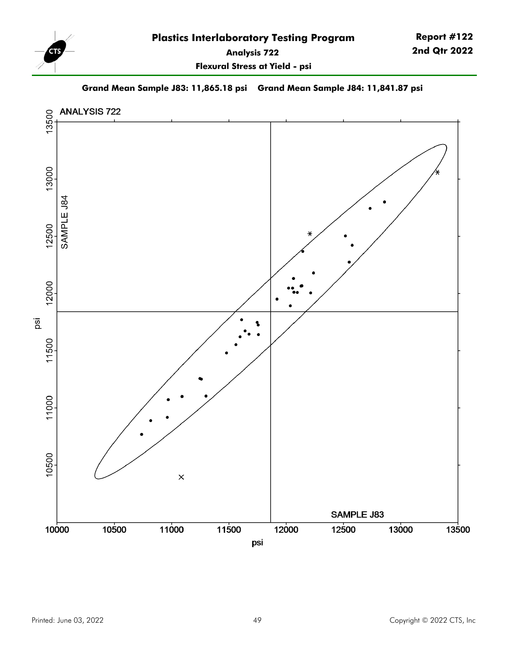

**Report #122 2nd Qtr 2022**

**Flexural Stress at Yield - psi**

**Grand Mean Sample J83: 11,865.18 psi Grand Mean Sample J84: 11,841.87 psi**

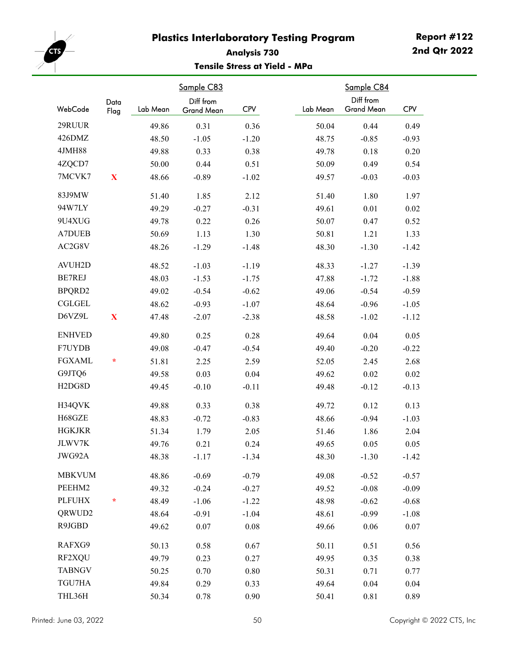

## **Analysis 730 Tensile Stress at Yield - MPa**

| WebCode                          | Data<br>Flag | Lab Mean | Sample C83<br>Diff from<br>Grand Mean | <b>CPV</b> | Lab Mean | <b>Sample C84</b><br>Diff from<br><b>Grand Mean</b> | <b>CPV</b> |
|----------------------------------|--------------|----------|---------------------------------------|------------|----------|-----------------------------------------------------|------------|
| 29RUUR                           |              | 49.86    | 0.31                                  | 0.36       | 50.04    | 0.44                                                | 0.49       |
| 426DMZ                           |              | 48.50    | $-1.05$                               | $-1.20$    | 48.75    | $-0.85$                                             | $-0.93$    |
| 4JMH88                           |              | 49.88    | 0.33                                  | 0.38       | 49.78    | 0.18                                                | 0.20       |
| 4ZQCD7                           |              | 50.00    | 0.44                                  | 0.51       | 50.09    | 0.49                                                | 0.54       |
| 7MCVK7                           | X            | 48.66    | $-0.89$                               | $-1.02$    | 49.57    | $-0.03$                                             | $-0.03$    |
| 83J9MW                           |              | 51.40    | 1.85                                  | 2.12       | 51.40    | 1.80                                                | 1.97       |
| 94W7LY                           |              | 49.29    | $-0.27$                               | $-0.31$    | 49.61    | 0.01                                                | 0.02       |
| 9U4XUG                           |              | 49.78    | 0.22                                  | 0.26       | 50.07    | 0.47                                                | 0.52       |
| <b>A7DUEB</b>                    |              | 50.69    | 1.13                                  | 1.30       | 50.81    | 1.21                                                | 1.33       |
| AC2G8V                           |              | 48.26    | $-1.29$                               | $-1.48$    | 48.30    | $-1.30$                                             | $-1.42$    |
| <b>AVUH2D</b>                    |              | 48.52    | $-1.03$                               | $-1.19$    | 48.33    | $-1.27$                                             | $-1.39$    |
| <b>BE7REJ</b>                    |              | 48.03    | $-1.53$                               | $-1.75$    | 47.88    | $-1.72$                                             | $-1.88$    |
| BPQRD2                           |              | 49.02    | $-0.54$                               | $-0.62$    | 49.06    | $-0.54$                                             | $-0.59$    |
| <b>CGLGEL</b>                    |              | 48.62    | $-0.93$                               | $-1.07$    | 48.64    | $-0.96$                                             | $-1.05$    |
| D6VZ9L                           | $\mathbf X$  | 47.48    | $-2.07$                               | $-2.38$    | 48.58    | $-1.02$                                             | $-1.12$    |
| <b>ENHVED</b>                    |              | 49.80    | 0.25                                  | 0.28       | 49.64    | 0.04                                                | 0.05       |
| F7UYDB                           |              | 49.08    | $-0.47$                               | $-0.54$    | 49.40    | $-0.20$                                             | $-0.22$    |
| <b>FGXAML</b>                    | ÷            | 51.81    | 2.25                                  | 2.59       | 52.05    | 2.45                                                | 2.68       |
| G9JTQ6                           |              | 49.58    | 0.03                                  | 0.04       | 49.62    | 0.02                                                | 0.02       |
| H <sub>2</sub> D <sub>G8</sub> D |              | 49.45    | $-0.10$                               | $-0.11$    | 49.48    | $-0.12$                                             | $-0.13$    |
| H34QVK                           |              | 49.88    | 0.33                                  | 0.38       | 49.72    | 0.12                                                | 0.13       |
| H68GZE                           |              | 48.83    | $-0.72$                               | $-0.83$    | 48.66    | $-0.94$                                             | $-1.03$    |
| <b>HGKJKR</b>                    |              | 51.34    | 1.79                                  | 2.05       | 51.46    | 1.86                                                | 2.04       |
| JLWV7K                           |              | 49.76    | 0.21                                  | 0.24       | 49.65    | 0.05                                                | 0.05       |
| JWG92A                           |              | 48.38    | $-1.17$                               | $-1.34$    | 48.30    | $-1.30$                                             | $-1.42$    |
| <b>MBKVUM</b>                    |              | 48.86    | $-0.69$                               | $-0.79$    | 49.08    | $-0.52$                                             | $-0.57$    |
| PEEHM2                           |              | 49.32    | $-0.24$                               | $-0.27$    | 49.52    | $-0.08$                                             | $-0.09$    |
| <b>PLFUHX</b>                    | ÷            | 48.49    | $-1.06$                               | $-1.22$    | 48.98    | $-0.62$                                             | $-0.68$    |
| QRWUD2                           |              | 48.64    | $-0.91$                               | $-1.04$    | 48.61    | $-0.99$                                             | $-1.08$    |
| R9JGBD                           |              | 49.62    | 0.07                                  | $0.08\,$   | 49.66    | 0.06                                                | $0.07\,$   |
| RAFXG9                           |              | 50.13    | 0.58                                  | 0.67       | 50.11    | 0.51                                                | 0.56       |
| RF2XQU                           |              | 49.79    | 0.23                                  | 0.27       | 49.95    | 0.35                                                | 0.38       |
| <b>TABNGV</b>                    |              | 50.25    | 0.70                                  | $0.80\,$   | 50.31    | 0.71                                                | 0.77       |
| TGU7HA                           |              | 49.84    | 0.29                                  | 0.33       | 49.64    | 0.04                                                | 0.04       |
| THL36H                           |              | 50.34    | 0.78                                  | 0.90       | 50.41    | 0.81                                                | 0.89       |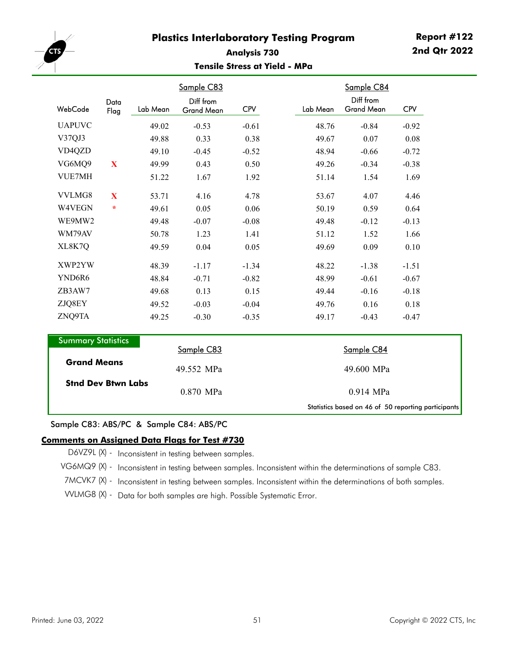

### **Analysis 730 Tensile Stress at Yield - MPa**

|                           |                           |          | Sample C83                     |            |          | Sample C84                                          |            |
|---------------------------|---------------------------|----------|--------------------------------|------------|----------|-----------------------------------------------------|------------|
| WebCode                   | Data<br>Flag              | Lab Mean | Diff from<br><b>Grand Mean</b> | <b>CPV</b> | Lab Mean | Diff from<br><b>Grand Mean</b>                      | <b>CPV</b> |
| <b>UAPUVC</b>             |                           | 49.02    | $-0.53$                        | $-0.61$    | 48.76    | $-0.84$                                             | $-0.92$    |
| V37QJ3                    |                           | 49.88    | 0.33                           | 0.38       | 49.67    | 0.07                                                | 0.08       |
| VD4QZD                    |                           | 49.10    | $-0.45$                        | $-0.52$    | 48.94    | $-0.66$                                             | $-0.72$    |
| VG6MQ9                    | $\mathbf X$               | 49.99    | 0.43                           | 0.50       | 49.26    | $-0.34$                                             | $-0.38$    |
| <b>VUE7MH</b>             |                           | 51.22    | 1.67                           | 1.92       | 51.14    | 1.54                                                | 1.69       |
| VVLMG8                    | $\mathbf X$               | 53.71    | 4.16                           | 4.78       | 53.67    | 4.07                                                | 4.46       |
| W4VEGN                    | $\star$                   | 49.61    | 0.05                           | 0.06       | 50.19    | 0.59                                                | 0.64       |
| WE9MW2                    |                           | 49.48    | $-0.07$                        | $-0.08$    | 49.48    | $-0.12$                                             | $-0.13$    |
| WM79AV                    |                           | 50.78    | 1.23                           | 1.41       | 51.12    | 1.52                                                | 1.66       |
| XL8K7Q                    |                           | 49.59    | 0.04                           | 0.05       | 49.69    | 0.09                                                | 0.10       |
| XWP2YW                    |                           | 48.39    | $-1.17$                        | $-1.34$    | 48.22    | $-1.38$                                             | $-1.51$    |
| YND6R6                    |                           | 48.84    | $-0.71$                        | $-0.82$    | 48.99    | $-0.61$                                             | $-0.67$    |
| ZB3AW7                    |                           | 49.68    | 0.13                           | 0.15       | 49.44    | $-0.16$                                             | $-0.18$    |
| ZJQ8EY                    |                           | 49.52    | $-0.03$                        | $-0.04$    | 49.76    | 0.16                                                | 0.18       |
| ZNQ9TA                    |                           | 49.25    | $-0.30$                        | $-0.35$    | 49.17    | $-0.43$                                             | $-0.47$    |
| <b>Summary Statistics</b> |                           |          |                                |            |          |                                                     |            |
|                           |                           |          | Sample C83                     |            |          | Sample C84                                          |            |
| <b>Grand Means</b>        |                           |          | 49.552 MPa                     |            |          | 49.600 MPa                                          |            |
|                           | <b>Stnd Dev Btwn Labs</b> |          | 0.870 MPa                      |            |          | 0.914 MPa                                           |            |
|                           |                           |          |                                |            |          | Statistics based on 46 of 50 reporting participants |            |

Sample C83: ABS/PC & Sample C84: ABS/PC

#### **Comments on Assigned Data Flags for Test #730**

D6VZ9L (X) - Inconsistent in testing between samples.

VG6MQ9 (X) - Inconsistent in testing between samples. Inconsistent within the determinations of sample C83.

7MCVK7 (X) - Inconsistent in testing between samples. Inconsistent within the determinations of both samples.

VVLMG8 (X) - Data for both samples are high. Possible Systematic Error.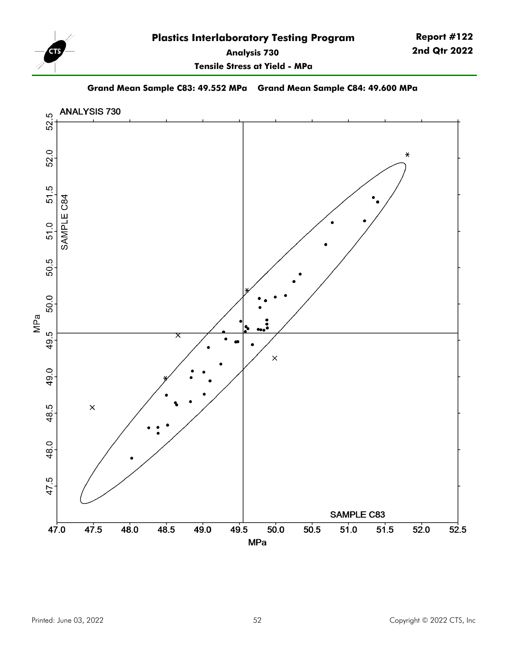

**Tensile Stress at Yield - MPa**

**Grand Mean Sample C83: 49.552 MPa Grand Mean Sample C84: 49.600 MPa**

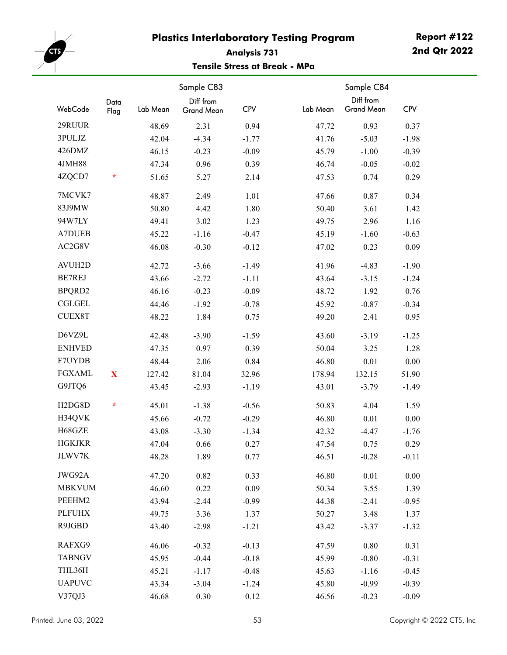

## **Analysis 731 Tensile Stress at Break - MPa**

| WebCode                          | Data<br>Flag | Lab Mean | Sample C83<br>Diff from<br>Grand Mean | <b>CPV</b> | Lab Mean | Sample C84<br>Diff from<br><b>Grand Mean</b> | <b>CPV</b> |
|----------------------------------|--------------|----------|---------------------------------------|------------|----------|----------------------------------------------|------------|
| 29RUUR                           |              | 48.69    | 2.31                                  | 0.94       | 47.72    | 0.93                                         | 0.37       |
| 3PULJZ                           |              | 42.04    | $-4.34$                               | $-1.77$    | 41.76    | $-5.03$                                      | $-1.98$    |
| 426DMZ                           |              | 46.15    | $-0.23$                               | $-0.09$    | 45.79    | $-1.00$                                      | $-0.39$    |
| 4JMH88                           |              | 47.34    | 0.96                                  | 0.39       | 46.74    | $-0.05$                                      | $-0.02$    |
| 4ZQCD7                           | ÷            | 51.65    | 5.27                                  | 2.14       | 47.53    | 0.74                                         | 0.29       |
| 7MCVK7                           |              | 48.87    | 2.49                                  | 1.01       | 47.66    | 0.87                                         | 0.34       |
| 83J9MW                           |              | 50.80    | 4.42                                  | 1.80       | 50.40    | 3.61                                         | 1.42       |
| 94W7LY                           |              | 49.41    | 3.02                                  | 1.23       | 49.75    | 2.96                                         | 1.16       |
| <b>A7DUEB</b>                    |              | 45.22    | $-1.16$                               | $-0.47$    | 45.19    | $-1.60$                                      | $-0.63$    |
| AC2G8V                           |              | 46.08    | $-0.30$                               | $-0.12$    | 47.02    | 0.23                                         | 0.09       |
| <b>AVUH2D</b>                    |              | 42.72    | $-3.66$                               | $-1.49$    | 41.96    | $-4.83$                                      | $-1.90$    |
| <b>BE7REJ</b>                    |              | 43.66    | $-2.72$                               | $-1.11$    | 43.64    | $-3.15$                                      | $-1.24$    |
| BPQRD2                           |              | 46.16    | $-0.23$                               | $-0.09$    | 48.72    | 1.92                                         | 0.76       |
| <b>CGLGEL</b>                    |              | 44.46    | $-1.92$                               | $-0.78$    | 45.92    | $-0.87$                                      | $-0.34$    |
| <b>CUEX8T</b>                    |              | 48.22    | 1.84                                  | 0.75       | 49.20    | 2.41                                         | 0.95       |
| D6VZ9L                           |              | 42.48    | $-3.90$                               | $-1.59$    | 43.60    | $-3.19$                                      | $-1.25$    |
| <b>ENHVED</b>                    |              | 47.35    | 0.97                                  | 0.39       | 50.04    | 3.25                                         | 1.28       |
| F7UYDB                           |              | 48.44    | 2.06                                  | 0.84       | 46.80    | 0.01                                         | 0.00       |
| <b>FGXAML</b>                    | $\mathbf X$  | 127.42   | 81.04                                 | 32.96      | 178.94   | 132.15                                       | 51.90      |
| G9JTQ6                           |              | 43.45    | $-2.93$                               | $-1.19$    | 43.01    | $-3.79$                                      | $-1.49$    |
| H <sub>2</sub> D <sub>G8</sub> D | $\ast$       | 45.01    | $-1.38$                               | $-0.56$    | 50.83    | 4.04                                         | 1.59       |
| H34QVK                           |              | 45.66    | $-0.72$                               | $-0.29$    | 46.80    | 0.01                                         | 0.00       |
| H68GZE                           |              | 43.08    | $-3.30$                               | $-1.34$    | 42.32    | $-4.47$                                      | $-1.76$    |
| <b>HGKJKR</b>                    |              | 47.04    | 0.66                                  | 0.27       | 47.54    | 0.75                                         | 0.29       |
| <b>JLWV7K</b>                    |              | 48.28    | 1.89                                  | 0.77       | 46.51    | $-0.28$                                      | $-0.11$    |
| JWG92A                           |              | 47.20    | 0.82                                  | 0.33       | 46.80    | 0.01                                         | $0.00\,$   |
| <b>MBKVUM</b>                    |              | 46.60    | 0.22                                  | 0.09       | 50.34    | 3.55                                         | 1.39       |
| PEEHM2                           |              | 43.94    | $-2.44$                               | $-0.99$    | 44.38    | $-2.41$                                      | $-0.95$    |
| <b>PLFUHX</b>                    |              | 49.75    | 3.36                                  | 1.37       | 50.27    | 3.48                                         | 1.37       |
| R9JGBD                           |              | 43.40    | $-2.98$                               | $-1.21$    | 43.42    | $-3.37$                                      | $-1.32$    |
| RAFXG9                           |              | 46.06    | $-0.32$                               | $-0.13$    | 47.59    | 0.80                                         | 0.31       |
| <b>TABNGV</b>                    |              | 45.95    | $-0.44$                               | $-0.18$    | 45.99    | $-0.80$                                      | $-0.31$    |
| THL36H                           |              | 45.21    | $-1.17$                               | $-0.48$    | 45.63    | $-1.16$                                      | $-0.45$    |
| <b>UAPUVC</b>                    |              | 43.34    | $-3.04$                               | $-1.24$    | 45.80    | $-0.99$                                      | $-0.39$    |
| V37QJ3                           |              | 46.68    | 0.30                                  | 0.12       | 46.56    | $-0.23$                                      | $-0.09$    |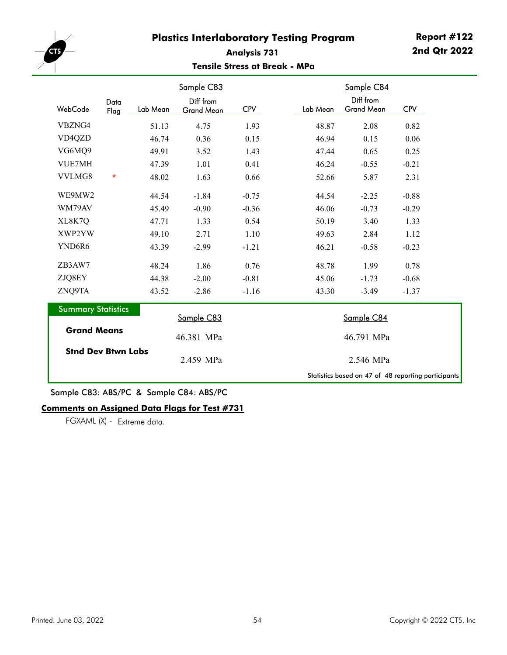

### **Analysis 731 Tensile Stress at Break - MPa**

|                           |              |          | Sample C83                     |            |          | Sample C84                                          |            |
|---------------------------|--------------|----------|--------------------------------|------------|----------|-----------------------------------------------------|------------|
| WebCode                   | Data<br>Flag | Lab Mean | Diff from<br><b>Grand Mean</b> | <b>CPV</b> | Lab Mean | Diff from<br><b>Grand Mean</b>                      | <b>CPV</b> |
| VBZNG4                    |              | 51.13    | 4.75                           | 1.93       | 48.87    | 2.08                                                | 0.82       |
| VD4QZD                    |              | 46.74    | 0.36                           | 0.15       | 46.94    | 0.15                                                | 0.06       |
| VG6MQ9                    |              | 49.91    | 3.52                           | 1.43       | 47.44    | 0.65                                                | 0.25       |
| <b>VUE7MH</b>             |              | 47.39    | 1.01                           | 0.41       | 46.24    | $-0.55$                                             | $-0.21$    |
| VVLMG8                    | $\star$      | 48.02    | 1.63                           | 0.66       | 52.66    | 5.87                                                | 2.31       |
| WE9MW2                    |              | 44.54    | $-1.84$                        | $-0.75$    | 44.54    | $-2.25$                                             | $-0.88$    |
| WM79AV                    |              | 45.49    | $-0.90$                        | $-0.36$    | 46.06    | $-0.73$                                             | $-0.29$    |
| XL8K7Q                    |              | 47.71    | 1.33                           | 0.54       | 50.19    | 3.40                                                | 1.33       |
| XWP2YW                    |              | 49.10    | 2.71                           | 1.10       | 49.63    | 2.84                                                | 1.12       |
| YND6R6                    |              | 43.39    | $-2.99$                        | $-1.21$    | 46.21    | $-0.58$                                             | $-0.23$    |
| ZB3AW7                    |              | 48.24    | 1.86                           | 0.76       | 48.78    | 1.99                                                | 0.78       |
| ZJQ8EY                    |              | 44.38    | $-2.00$                        | $-0.81$    | 45.06    | $-1.73$                                             | $-0.68$    |
| ZNQ9TA                    |              | 43.52    | $-2.86$                        | $-1.16$    | 43.30    | $-3.49$                                             | $-1.37$    |
| <b>Summary Statistics</b> |              |          | Sample C83                     |            |          | Sample C84                                          |            |
| <b>Grand Means</b>        |              |          | 46.381 MPa                     |            |          | 46.791 MPa                                          |            |
| <b>Stnd Dev Btwn Labs</b> |              |          | 2.459 MPa                      |            |          | 2.546 MPa                                           |            |
|                           |              |          |                                |            |          | Statistics based on 47 of 48 reporting participants |            |

Sample C83: ABS/PC & Sample C84: ABS/PC

### **Comments on Assigned Data Flags for Test #731**

FGXAML (X) - Extreme data.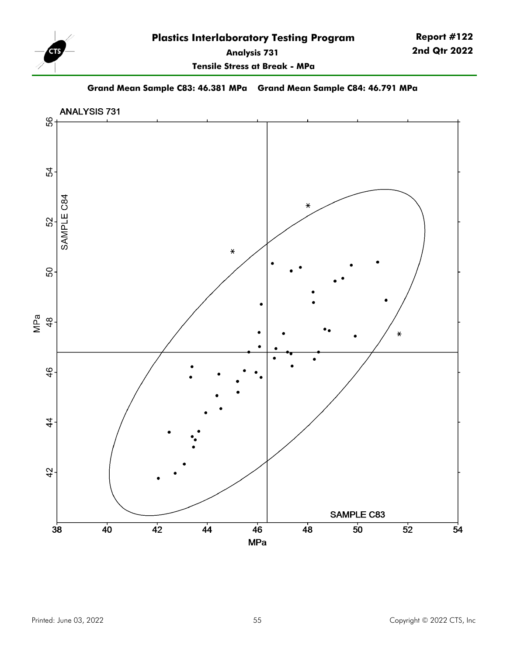

**Report #122 2nd Qtr 2022**

**Tensile Stress at Break - MPa**

**Grand Mean Sample C83: 46.381 MPa Grand Mean Sample C84: 46.791 MPa**

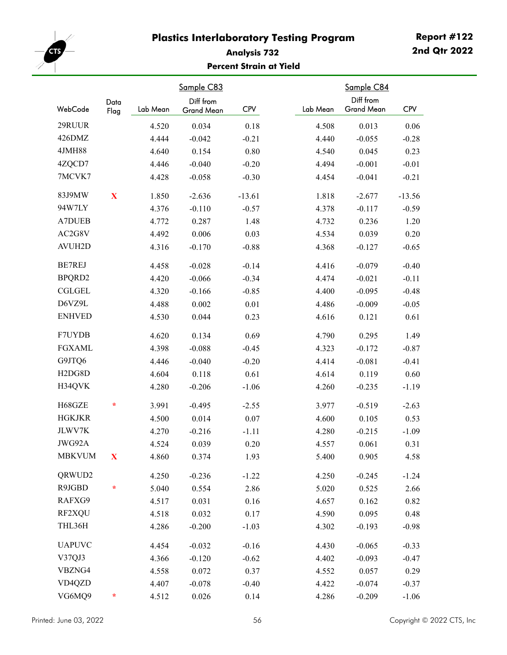

# **Analysis 732 Percent Strain at Yield**

| WebCode                          | Data<br>Flag | Lab Mean | Sample C83<br>Diff from<br>Grand Mean | <b>CPV</b> | Lab Mean | Sample C84<br>Diff from<br><b>Grand Mean</b> | <b>CPV</b> |
|----------------------------------|--------------|----------|---------------------------------------|------------|----------|----------------------------------------------|------------|
| 29RUUR                           |              | 4.520    | 0.034                                 | 0.18       | 4.508    | 0.013                                        | 0.06       |
| 426DMZ                           |              | 4.444    | $-0.042$                              | $-0.21$    | 4.440    | $-0.055$                                     | $-0.28$    |
| 4JMH88                           |              | 4.640    | 0.154                                 | 0.80       | 4.540    | 0.045                                        | 0.23       |
| 4ZQCD7                           |              | 4.446    | $-0.040$                              | $-0.20$    | 4.494    | $-0.001$                                     | $-0.01$    |
| 7MCVK7                           |              | 4.428    | $-0.058$                              | $-0.30$    | 4.454    | $-0.041$                                     | $-0.21$    |
| 83J9MW                           | $\mathbf X$  | 1.850    | $-2.636$                              | $-13.61$   | 1.818    | $-2.677$                                     | $-13.56$   |
| 94W7LY                           |              | 4.376    | $-0.110$                              | $-0.57$    | 4.378    | $-0.117$                                     | $-0.59$    |
| <b>A7DUEB</b>                    |              | 4.772    | 0.287                                 | 1.48       | 4.732    | 0.236                                        | 1.20       |
| AC2G8V                           |              | 4.492    | 0.006                                 | 0.03       | 4.534    | 0.039                                        | 0.20       |
| AVUH2D                           |              | 4.316    | $-0.170$                              | $-0.88$    | 4.368    | $-0.127$                                     | $-0.65$    |
| BE7REJ                           |              | 4.458    | $-0.028$                              | $-0.14$    | 4.416    | $-0.079$                                     | $-0.40$    |
| BPQRD2                           |              | 4.420    | $-0.066$                              | $-0.34$    | 4.474    | $-0.021$                                     | $-0.11$    |
| <b>CGLGEL</b>                    |              | 4.320    | $-0.166$                              | $-0.85$    | 4.400    | $-0.095$                                     | $-0.48$    |
| D6VZ9L                           |              | 4.488    | 0.002                                 | 0.01       | 4.486    | $-0.009$                                     | $-0.05$    |
| <b>ENHVED</b>                    |              | 4.530    | 0.044                                 | 0.23       | 4.616    | 0.121                                        | 0.61       |
| F7UYDB                           |              | 4.620    | 0.134                                 | 0.69       | 4.790    | 0.295                                        | 1.49       |
| <b>FGXAML</b>                    |              | 4.398    | $-0.088$                              | $-0.45$    | 4.323    | $-0.172$                                     | $-0.87$    |
| G9JTQ6                           |              | 4.446    | $-0.040$                              | $-0.20$    | 4.414    | $-0.081$                                     | $-0.41$    |
| H <sub>2</sub> D <sub>G8</sub> D |              | 4.604    | 0.118                                 | 0.61       | 4.614    | 0.119                                        | 0.60       |
| H34QVK                           |              | 4.280    | $-0.206$                              | $-1.06$    | 4.260    | $-0.235$                                     | $-1.19$    |
| H68GZE                           | ÷            | 3.991    | $-0.495$                              | $-2.55$    | 3.977    | $-0.519$                                     | $-2.63$    |
| <b>HGKJKR</b>                    |              | 4.500    | 0.014                                 | 0.07       | 4.600    | 0.105                                        | 0.53       |
| JLWV7K                           |              | 4.270    | $-0.216$                              | $-1.11$    | 4.280    | $-0.215$                                     | $-1.09$    |
| JWG92A                           |              | 4.524    | 0.039                                 | 0.20       | 4.557    | 0.061                                        | 0.31       |
| <b>MBKVUM</b>                    | $\mathbf{X}$ | 4.860    | 0.374                                 | 1.93       | 5.400    | 0.905                                        | 4.58       |
| QRWUD2                           |              | 4.250    | $-0.236$                              | $-1.22$    | 4.250    | $-0.245$                                     | $-1.24$    |
| R9JGBD                           | ÷            | 5.040    | 0.554                                 | 2.86       | 5.020    | 0.525                                        | 2.66       |
| RAFXG9                           |              | 4.517    | 0.031                                 | 0.16       | 4.657    | 0.162                                        | 0.82       |
| RF2XQU                           |              | 4.518    | 0.032                                 | 0.17       | 4.590    | 0.095                                        | 0.48       |
| THL36H                           |              | 4.286    | $-0.200$                              | $-1.03$    | 4.302    | $-0.193$                                     | $-0.98$    |
| <b>UAPUVC</b>                    |              | 4.454    | $-0.032$                              | $-0.16$    | 4.430    | $-0.065$                                     | $-0.33$    |
| V37QJ3                           |              | 4.366    | $-0.120$                              | $-0.62$    | 4.402    | $-0.093$                                     | $-0.47$    |
| VBZNG4                           |              | 4.558    | 0.072                                 | 0.37       | 4.552    | 0.057                                        | 0.29       |
| VD4QZD                           |              | 4.407    | $-0.078$                              | $-0.40$    | 4.422    | $-0.074$                                     | $-0.37$    |
| VG6MQ9                           | $\ast$       | 4.512    | 0.026                                 | 0.14       | 4.286    | $-0.209$                                     | $-1.06$    |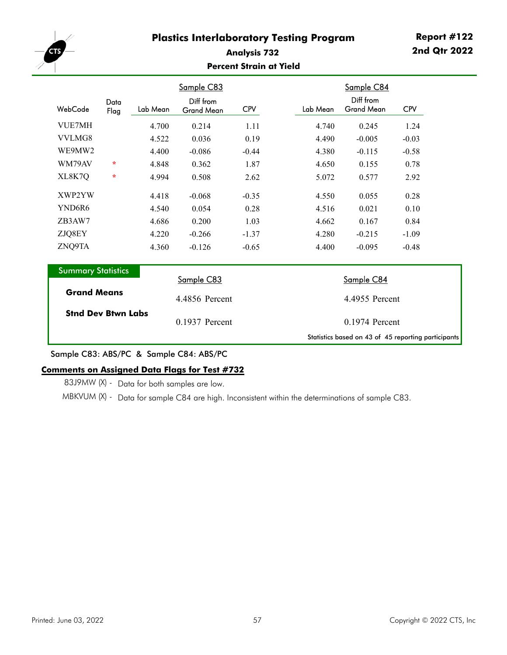

### **Analysis 732 Percent Strain at Yield**

|                           |              |          | <b>Sample C83</b>              |            |          | Sample C84                                          |            |
|---------------------------|--------------|----------|--------------------------------|------------|----------|-----------------------------------------------------|------------|
| WebCode                   | Data<br>Flag | Lab Mean | Diff from<br><b>Grand Mean</b> | <b>CPV</b> | Lab Mean | Diff from<br><b>Grand Mean</b>                      | <b>CPV</b> |
| <b>VUE7MH</b>             |              | 4.700    | 0.214                          | 1.11       | 4.740    | 0.245                                               | 1.24       |
| VVLMG8                    |              | 4.522    | 0.036                          | 0.19       | 4.490    | $-0.005$                                            | $-0.03$    |
| WE9MW2                    |              | 4.400    | $-0.086$                       | $-0.44$    | 4.380    | $-0.115$                                            | $-0.58$    |
| WM79AV                    | $\star$      | 4.848    | 0.362                          | 1.87       | 4.650    | 0.155                                               | 0.78       |
| XL8K7Q                    | $\star$      | 4.994    | 0.508                          | 2.62       | 5.072    | 0.577                                               | 2.92       |
| XWP2YW                    |              | 4.418    | $-0.068$                       | $-0.35$    | 4.550    | 0.055                                               | 0.28       |
| YND6R6                    |              | 4.540    | 0.054                          | 0.28       | 4.516    | 0.021                                               | 0.10       |
| ZB3AW7                    |              | 4.686    | 0.200                          | 1.03       | 4.662    | 0.167                                               | 0.84       |
| ZJQ8EY                    |              | 4.220    | $-0.266$                       | $-1.37$    | 4.280    | $-0.215$                                            | $-1.09$    |
| ZNQ9TA                    |              | 4.360    | $-0.126$                       | $-0.65$    | 4.400    | $-0.095$                                            | $-0.48$    |
| <b>Summary Statistics</b> |              |          | Sample C83                     |            |          | Sample C84                                          |            |
| <b>Grand Means</b>        |              |          | 4.4856 Percent                 |            |          | 4.4955 Percent                                      |            |
| <b>Stnd Dev Btwn Labs</b> |              |          | 0.1937 Percent                 |            |          | 0.1974 Percent                                      |            |
|                           |              |          |                                |            |          | Statistics based on 43 of 45 reporting participants |            |

Sample C83: ABS/PC & Sample C84: ABS/PC

### **Comments on Assigned Data Flags for Test #732**

83J9MW (X) - Data for both samples are low.

MBKVUM (X) - Data for sample C84 are high. Inconsistent within the determinations of sample C83.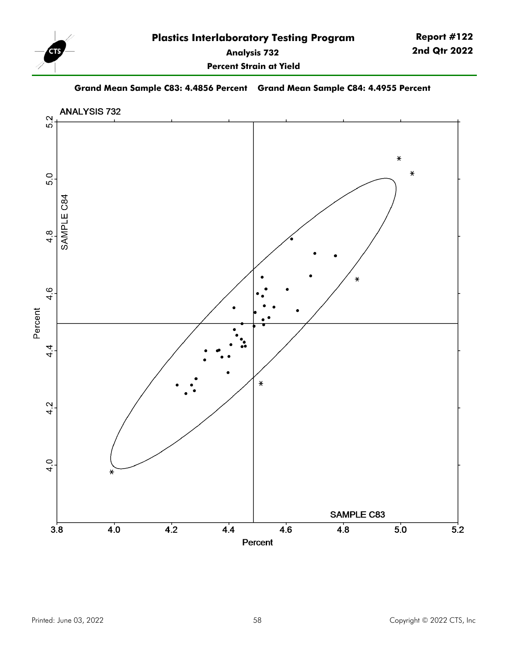

**Percent Strain at Yield**

**Grand Mean Sample C83: 4.4856 Percent Grand Mean Sample C84: 4.4955 Percent**

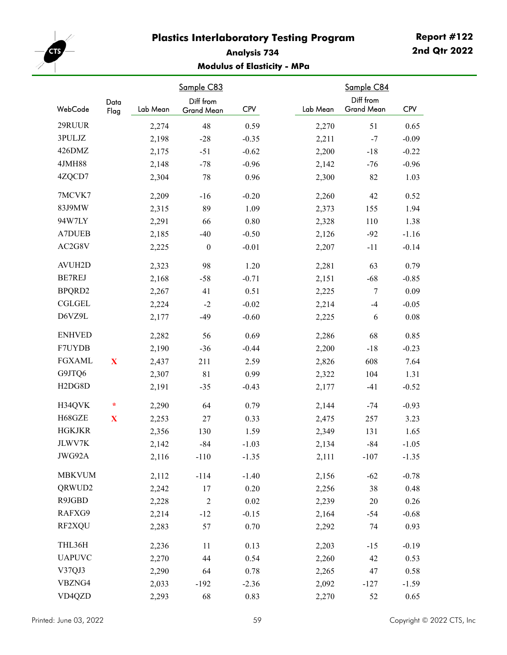

# **Analysis 734 Modulus of Elasticity - MPa**

|                                  | Data    |          | Sample C83<br>Diff from |            |          | Sample C84<br>Diff from |            |
|----------------------------------|---------|----------|-------------------------|------------|----------|-------------------------|------------|
| WebCode                          | Flag    | Lab Mean | Grand Mean              | <b>CPV</b> | Lab Mean | <b>Grand Mean</b>       | <b>CPV</b> |
| 29RUUR                           |         | 2,274    | 48                      | 0.59       | 2,270    | 51                      | 0.65       |
| 3PULJZ                           |         | 2,198    | $-28$                   | $-0.35$    | 2,211    | $-7$                    | $-0.09$    |
| 426DMZ                           |         | 2,175    | $-51$                   | $-0.62$    | 2,200    | $-18$                   | $-0.22$    |
| 4JMH88                           |         | 2,148    | $-78$                   | $-0.96$    | 2,142    | $-76$                   | $-0.96$    |
| 4ZQCD7                           |         | 2,304    | 78                      | 0.96       | 2,300    | 82                      | 1.03       |
| 7MCVK7                           |         | 2,209    | $-16$                   | $-0.20$    | 2,260    | 42                      | 0.52       |
| 83J9MW                           |         | 2,315    | 89                      | 1.09       | 2,373    | 155                     | 1.94       |
| 94W7LY                           |         | 2,291    | 66                      | 0.80       | 2,328    | 110                     | 1.38       |
| <b>A7DUEB</b>                    |         | 2,185    | $-40$                   | $-0.50$    | 2,126    | $-92$                   | $-1.16$    |
| AC2G8V                           |         | 2,225    | $\boldsymbol{0}$        | $-0.01$    | 2,207    | $-11$                   | $-0.14$    |
| <b>AVUH2D</b>                    |         | 2,323    | 98                      | 1.20       | 2,281    | 63                      | 0.79       |
| <b>BE7REJ</b>                    |         | 2,168    | $-58$                   | $-0.71$    | 2,151    | $-68$                   | $-0.85$    |
| BPQRD2                           |         | 2,267    | 41                      | 0.51       | 2,225    | $\tau$                  | 0.09       |
| <b>CGLGEL</b>                    |         | 2,224    | $-2$                    | $-0.02$    | 2,214    | $-4$                    | $-0.05$    |
| D6VZ9L                           |         | 2,177    | $-49$                   | $-0.60$    | 2,225    | 6                       | 0.08       |
| <b>ENHVED</b>                    |         | 2,282    | 56                      | 0.69       | 2,286    | 68                      | 0.85       |
| F7UYDB                           |         | 2,190    | $-36$                   | $-0.44$    | 2,200    | $-18$                   | $-0.23$    |
| <b>FGXAML</b>                    | X       | 2,437    | 211                     | 2.59       | 2,826    | 608                     | 7.64       |
| G9JTQ6                           |         | 2,307    | $8\sqrt{1}$             | 0.99       | 2,322    | 104                     | 1.31       |
| H <sub>2</sub> D <sub>G8</sub> D |         | 2,191    | $-35$                   | $-0.43$    | 2,177    | $-41$                   | $-0.52$    |
| H34QVK                           | $\star$ | 2,290    | 64                      | 0.79       | 2,144    | $-74$                   | $-0.93$    |
| H68GZE                           | X       | 2,253    | 27                      | 0.33       | 2,475    | 257                     | 3.23       |
| <b>HGKJKR</b>                    |         | 2,356    | 130                     | 1.59       | 2,349    | 131                     | 1.65       |
| JLWV7K                           |         | 2,142    | $-84$                   | $-1.03$    | 2,134    | $-84$                   | $-1.05$    |
| JWG92A                           |         | 2,116    | $-110$                  | $-1.35$    | 2,111    | $-107$                  | $-1.35$    |
| <b>MBKVUM</b>                    |         | 2,112    | $-114$                  | $-1.40$    | 2,156    | $-62$                   | $-0.78$    |
| QRWUD2                           |         | 2,242    | 17                      | $0.20\,$   | 2,256    | 38                      | 0.48       |
| R9JGBD                           |         | 2,228    | $\overline{2}$          | 0.02       | 2,239    | $20\,$                  | 0.26       |
| RAFXG9                           |         | 2,214    | $-12$                   | $-0.15$    | 2,164    | $-54$                   | $-0.68$    |
| RF2XQU                           |         | 2,283    | 57                      | 0.70       | 2,292    | 74                      | 0.93       |
| THL36H                           |         | 2,236    | 11                      | 0.13       | 2,203    | $-15$                   | $-0.19$    |
| <b>UAPUVC</b>                    |         | 2,270    | 44                      | 0.54       | 2,260    | 42                      | 0.53       |
| V37QJ3                           |         | 2,290    | 64                      | 0.78       | 2,265    | 47                      | 0.58       |
| VBZNG4                           |         | 2,033    | $-192$                  | $-2.36$    | 2,092    | $-127$                  | $-1.59$    |
| VD4QZD                           |         | 2,293    | 68                      | 0.83       | 2,270    | 52                      | 0.65       |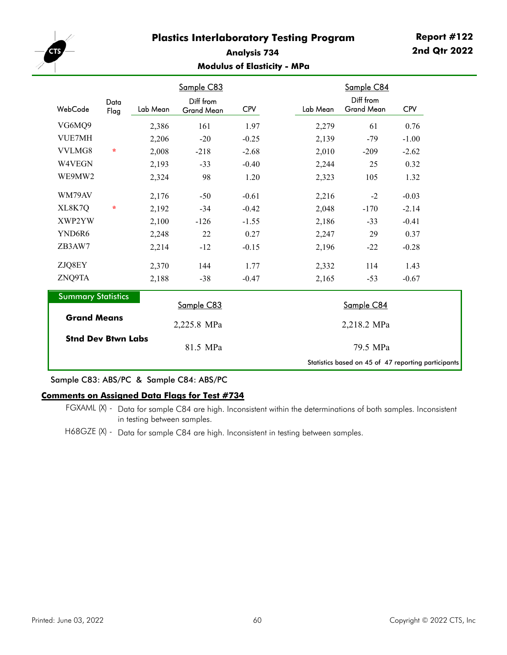

### **Analysis 734 Modulus of Elasticity - MPa**

|                                                 |              |          | Sample C83                     |            |          |          | Sample C84                                          |            |
|-------------------------------------------------|--------------|----------|--------------------------------|------------|----------|----------|-----------------------------------------------------|------------|
| WebCode                                         | Data<br>Flag | Lab Mean | Diff from<br><b>Grand Mean</b> | <b>CPV</b> |          | Lab Mean | Diff from<br><b>Grand Mean</b>                      | <b>CPV</b> |
| VG6MQ9                                          |              | 2,386    | 161                            | 1.97       |          | 2,279    | 61                                                  | 0.76       |
| <b>VUE7MH</b>                                   |              | 2,206    | $-20$                          | $-0.25$    |          | 2,139    | $-79$                                               | $-1.00$    |
| VVLMG8                                          | $\star$      | 2,008    | $-218$                         | $-2.68$    |          | 2,010    | $-209$                                              | $-2.62$    |
| W4VEGN                                          |              | 2,193    | $-33$                          | $-0.40$    |          | 2,244    | 25                                                  | 0.32       |
| WE9MW2                                          |              | 2,324    | 98                             | 1.20       |          | 2,323    | 105                                                 | 1.32       |
| WM79AV                                          |              | 2,176    | $-50$                          | $-0.61$    |          | 2,216    | $-2$                                                | $-0.03$    |
| XL8K7Q                                          | $\star$      | 2,192    | $-34$                          | $-0.42$    |          | 2,048    | $-170$                                              | $-2.14$    |
| XWP2YW                                          |              | 2,100    | $-126$                         | $-1.55$    |          | 2,186    | $-33$                                               | $-0.41$    |
| YND6R6                                          |              | 2,248    | 22                             | 0.27       |          | 2,247    | 29                                                  | 0.37       |
| ZB3AW7                                          |              | 2,214    | $-12$                          | $-0.15$    |          | 2,196    | $-22$                                               | $-0.28$    |
| ZJQ8EY                                          |              | 2,370    | 144                            | 1.77       |          | 2,332    | 114                                                 | 1.43       |
| ZNQ9TA                                          |              | 2,188    | $-38$                          | $-0.47$    |          | 2,165    | $-53$                                               | $-0.67$    |
| <b>Summary Statistics</b>                       |              |          | Sample C83                     |            |          |          | Sample C84                                          |            |
| <b>Grand Means</b><br><b>Stnd Dev Btwn Labs</b> |              |          | 2,225.8 MPa                    |            |          |          | 2,218.2 MPa                                         |            |
|                                                 |              |          | 81.5 MPa                       |            | 79.5 MPa |          |                                                     |            |
|                                                 |              |          |                                |            |          |          | Statistics based on 45 of 47 reporting participants |            |

#### Sample C83: ABS/PC & Sample C84: ABS/PC

#### **Comments on Assigned Data Flags for Test #734**

FGXAML (X) - Data for sample C84 are high. Inconsistent within the determinations of both samples. Inconsistent in testing between samples.

H68GZE (X) - Data for sample C84 are high. Inconsistent in testing between samples.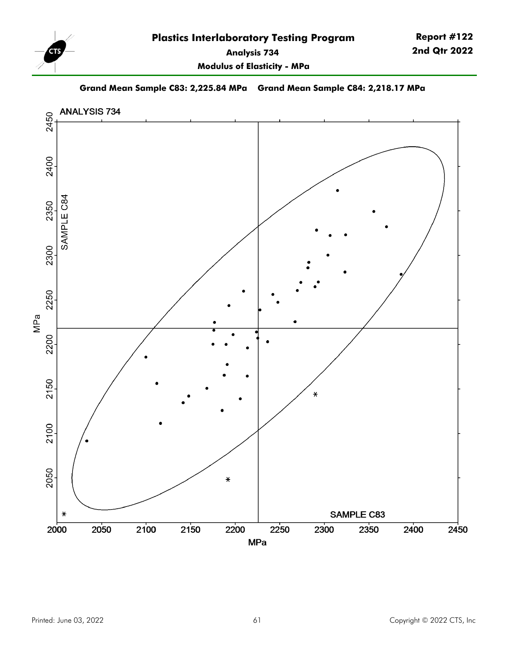

**Report #122 2nd Qtr 2022**

**Modulus of Elasticity - MPa**

**Grand Mean Sample C83: 2,225.84 MPa Grand Mean Sample C84: 2,218.17 MPa**

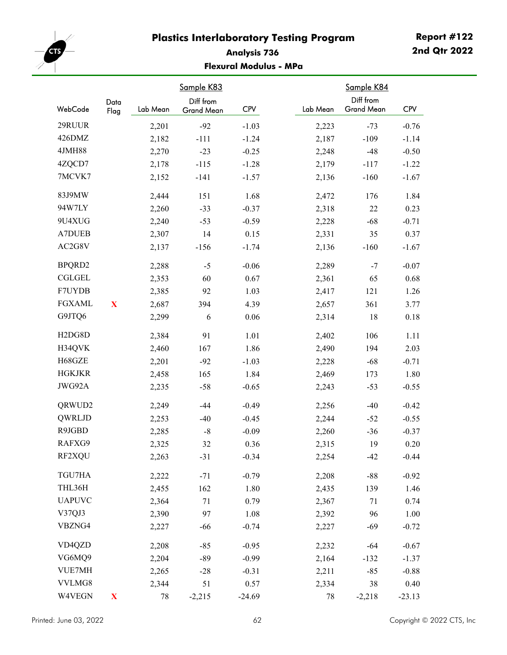

## **Analysis 736 Flexural Modulus - MPa**

|                                  | Data        |          | Sample K83<br>Diff from |            |          | Sample K84<br>Diff from |            |
|----------------------------------|-------------|----------|-------------------------|------------|----------|-------------------------|------------|
| WebCode                          | Flag        | Lab Mean | Grand Mean              | <b>CPV</b> | Lab Mean | <b>Grand Mean</b>       | <b>CPV</b> |
| 29RUUR                           |             | 2,201    | $-92$                   | $-1.03$    | 2,223    | $-73$                   | $-0.76$    |
| 426DMZ                           |             | 2,182    | $-111$                  | $-1.24$    | 2,187    | $-109$                  | $-1.14$    |
| 4JMH88                           |             | 2,270    | $-23$                   | $-0.25$    | 2,248    | $-48$                   | $-0.50$    |
| 4ZQCD7                           |             | 2,178    | $-115$                  | $-1.28$    | 2,179    | $-117$                  | $-1.22$    |
| 7MCVK7                           |             | 2,152    | $-141$                  | $-1.57$    | 2,136    | $-160$                  | $-1.67$    |
| 83J9MW                           |             | 2,444    | 151                     | 1.68       | 2,472    | 176                     | 1.84       |
| 94W7LY                           |             | 2,260    | $-33$                   | $-0.37$    | 2,318    | 22                      | 0.23       |
| 9U4XUG                           |             | 2,240    | $-53$                   | $-0.59$    | 2,228    | $-68$                   | $-0.71$    |
| <b>A7DUEB</b>                    |             | 2,307    | 14                      | 0.15       | 2,331    | 35                      | 0.37       |
| AC2G8V                           |             | 2,137    | $-156$                  | $-1.74$    | 2,136    | $-160$                  | $-1.67$    |
| BPQRD2                           |             | 2,288    | $-5$                    | $-0.06$    | 2,289    | $-7$                    | $-0.07$    |
| <b>CGLGEL</b>                    |             | 2,353    | 60                      | 0.67       | 2,361    | 65                      | 0.68       |
| F7UYDB                           |             | 2,385    | 92                      | 1.03       | 2,417    | 121                     | 1.26       |
| <b>FGXAML</b>                    | X           | 2,687    | 394                     | 4.39       | 2,657    | 361                     | 3.77       |
| G9JTQ6                           |             | 2,299    | 6                       | 0.06       | 2,314    | 18                      | 0.18       |
| H <sub>2</sub> D <sub>G8</sub> D |             | 2,384    | 91                      | 1.01       | 2,402    | 106                     | 1.11       |
| H34QVK                           |             | 2,460    | 167                     | 1.86       | 2,490    | 194                     | 2.03       |
| H68GZE                           |             | 2,201    | $-92$                   | $-1.03$    | 2,228    | $-68$                   | $-0.71$    |
| <b>HGKJKR</b>                    |             | 2,458    | 165                     | 1.84       | 2,469    | 173                     | 1.80       |
| JWG92A                           |             | 2,235    | $-58$                   | $-0.65$    | 2,243    | $-53$                   | $-0.55$    |
| QRWUD2                           |             | 2,249    | $-44$                   | $-0.49$    | 2,256    | $-40$                   | $-0.42$    |
| QWRLJD                           |             | 2,253    | $-40$                   | $-0.45$    | 2,244    | $-52$                   | $-0.55$    |
| R9JGBD                           |             | 2,285    | $\mbox{-}8$             | $-0.09$    | 2,260    | $-36$                   | $-0.37$    |
| RAFXG9                           |             | 2,325    | 32                      | 0.36       | 2,315    | 19                      | 0.20       |
| RF2XQU                           |             | 2,263    | $-31$                   | $-0.34$    | 2,254    | $-42$                   | $-0.44$    |
| TGU7HA                           |             | 2,222    | $-71$                   | $-0.79$    | 2,208    | $-88$                   | $-0.92$    |
| THL36H                           |             | 2,455    | 162                     | 1.80       | 2,435    | 139                     | 1.46       |
| <b>UAPUVC</b>                    |             | 2,364    | 71                      | 0.79       | 2,367    | 71                      | 0.74       |
| V37QJ3                           |             | 2,390    | 97                      | 1.08       | 2,392    | 96                      | 1.00       |
| VBZNG4                           |             | 2,227    | $-66$                   | $-0.74$    | 2,227    | $-69$                   | $-0.72$    |
| VD4QZD                           |             | 2,208    | $-85$                   | $-0.95$    | 2,232    | $-64$                   | $-0.67$    |
| VG6MQ9                           |             | 2,204    | $-89$                   | $-0.99$    | 2,164    | $-132$                  | $-1.37$    |
| VUE7MH                           |             | 2,265    | $-28$                   | $-0.31$    | 2,211    | $-85$                   | $-0.88$    |
| VVLMG8                           |             | 2,344    | 51                      | 0.57       | 2,334    | 38                      | 0.40       |
| W4VEGN                           | $\mathbf X$ | 78       | $-2,215$                | $-24.69$   | 78       | $-2,218$                | $-23.13$   |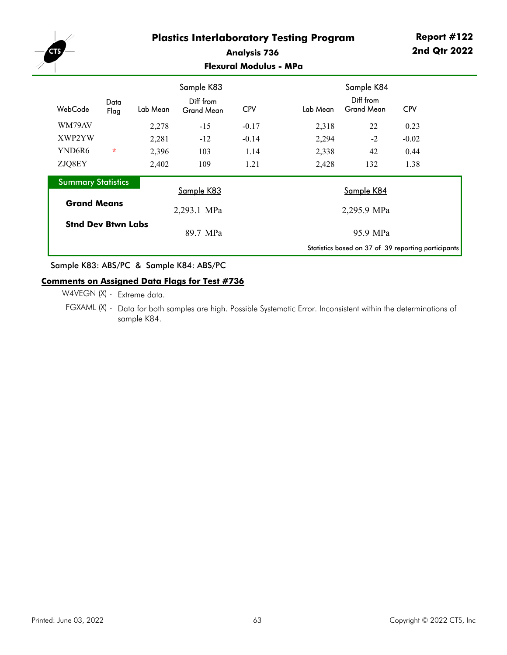

### **Analysis 736 Flexural Modulus - MPa**

|                           |              |          | Sample K83                     |            |          | Sample K84                                          |            |  |
|---------------------------|--------------|----------|--------------------------------|------------|----------|-----------------------------------------------------|------------|--|
| WebCode                   | Data<br>Flag | Lab Mean | Diff from<br><b>Grand Mean</b> | <b>CPV</b> | Lab Mean | Diff from<br><b>Grand Mean</b>                      | <b>CPV</b> |  |
| WM79AV                    |              | 2,278    | $-15$                          | $-0.17$    | 2,318    | 22                                                  | 0.23       |  |
| XWP2YW                    |              | 2,281    | $-12$                          | $-0.14$    | 2,294    | $-2$                                                | $-0.02$    |  |
| YND6R6                    | $\star$      | 2,396    | 103                            | 1.14       | 2,338    | 42                                                  | 0.44       |  |
| ZJQ8EY                    |              | 2,402    | 109                            | 1.21       | 2,428    | 132                                                 | 1.38       |  |
| <b>Summary Statistics</b> |              |          |                                |            |          |                                                     |            |  |
|                           |              |          | Sample K83                     |            |          | Sample K84                                          |            |  |
| <b>Grand Means</b>        |              |          | 2,293.1 MPa                    |            |          | 2,295.9 MPa                                         |            |  |
| <b>Stnd Dev Btwn Labs</b> |              |          |                                |            |          |                                                     |            |  |
|                           |              |          | 89.7 MPa                       |            |          | 95.9 MPa                                            |            |  |
|                           |              |          |                                |            |          | Statistics based on 37 of 39 reporting participants |            |  |

Sample K83: ABS/PC & Sample K84: ABS/PC

### **Comments on Assigned Data Flags for Test #736**

W4VEGN (X) - Extreme data.

FGXAML (X) - Data for both samples are high. Possible Systematic Error. Inconsistent within the determinations of sample K84.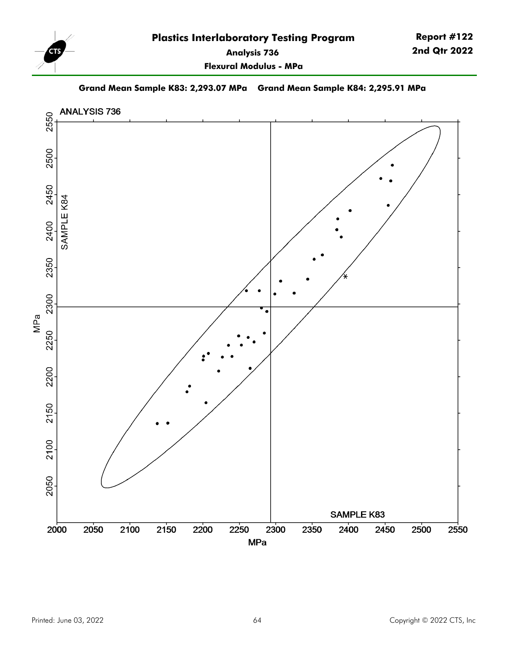

**Flexural Modulus - MPa**

**Grand Mean Sample K83: 2,293.07 MPa Grand Mean Sample K84: 2,295.91 MPa**

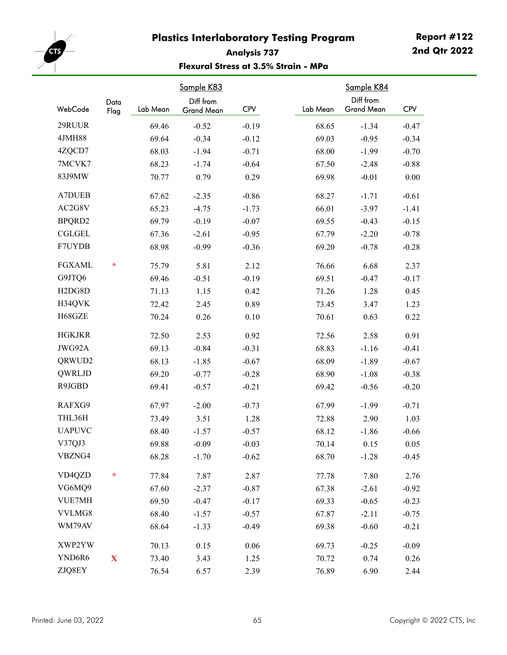

# **Report #122 2nd Qtr 2022**

## **Analysis 737 Flexural Stress at 3.5% Strain - MPa**

| WebCode                          | Data        | Lab Mean | Sample K83<br>Diff from<br><b>Grand Mean</b> | <b>CPV</b> | Lab Mean | Sample K84<br>Diff from<br><b>Grand Mean</b> | <b>CPV</b> |
|----------------------------------|-------------|----------|----------------------------------------------|------------|----------|----------------------------------------------|------------|
|                                  | Flag        |          |                                              |            |          |                                              |            |
| 29RUUR                           |             | 69.46    | $-0.52$                                      | $-0.19$    | 68.65    | $-1.34$                                      | $-0.47$    |
| <b>4JMH88</b>                    |             | 69.64    | $-0.34$                                      | $-0.12$    | 69.03    | $-0.95$                                      | $-0.34$    |
| 4ZQCD7                           |             | 68.03    | $-1.94$                                      | $-0.71$    | 68.00    | $-1.99$                                      | $-0.70$    |
| 7MCVK7                           |             | 68.23    | $-1.74$                                      | $-0.64$    | 67.50    | $-2.48$                                      | $-0.88$    |
| 83J9MW                           |             | 70.77    | 0.79                                         | 0.29       | 69.98    | $-0.01$                                      | 0.00       |
| <b>A7DUEB</b>                    |             | 67.62    | $-2.35$                                      | $-0.86$    | 68.27    | $-1.71$                                      | $-0.61$    |
| AC2G8V                           |             | 65.23    | $-4.75$                                      | $-1.73$    | 66.01    | $-3.97$                                      | $-1.41$    |
| BPQRD2                           |             | 69.79    | $-0.19$                                      | $-0.07$    | 69.55    | $-0.43$                                      | $-0.15$    |
| <b>CGLGEL</b>                    |             | 67.36    | $-2.61$                                      | $-0.95$    | 67.79    | $-2.20$                                      | $-0.78$    |
| F7UYDB                           |             | 68.98    | $-0.99$                                      | $-0.36$    | 69.20    | $-0.78$                                      | $-0.28$    |
| <b>FGXAML</b>                    | $\ast$      | 75.79    | 5.81                                         | 2.12       | 76.66    | 6.68                                         | 2.37       |
| G9JTQ6                           |             | 69.46    | $-0.51$                                      | $-0.19$    | 69.51    | $-0.47$                                      | $-0.17$    |
| H <sub>2</sub> D <sub>G8</sub> D |             | 71.13    | 1.15                                         | 0.42       | 71.26    | 1.28                                         | 0.45       |
| H34QVK                           |             | 72.42    | 2.45                                         | 0.89       | 73.45    | 3.47                                         | 1.23       |
| H68GZE                           |             | 70.24    | 0.26                                         | 0.10       | 70.61    | 0.63                                         | 0.22       |
| <b>HGKJKR</b>                    |             | 72.50    | 2.53                                         | 0.92       | 72.56    | 2.58                                         | 0.91       |
| JWG92A                           |             | 69.13    | $-0.84$                                      | $-0.31$    | 68.83    | $-1.16$                                      | $-0.41$    |
| QRWUD2                           |             | 68.13    | $-1.85$                                      | $-0.67$    | 68.09    | $-1.89$                                      | $-0.67$    |
| QWRLJD                           |             | 69.20    | $-0.77$                                      | $-0.28$    | 68.90    | $-1.08$                                      | $-0.38$    |
| R9JGBD                           |             | 69.41    | $-0.57$                                      | $-0.21$    | 69.42    | $-0.56$                                      | $-0.20$    |
| RAFXG9                           |             | 67.97    | $-2.00$                                      | $-0.73$    | 67.99    | $-1.99$                                      | $-0.71$    |
| THL36H                           |             | 73.49    | 3.51                                         | 1.28       | 72.88    | 2.90                                         | 1.03       |
| <b>UAPUVC</b>                    |             | 68.40    | $-1.57$                                      | $-0.57$    | 68.12    | $-1.86$                                      | $-0.66$    |
| V37QJ3                           |             | 69.88    | $-0.09$                                      | $-0.03$    | 70.14    | 0.15                                         | 0.05       |
| VBZNG4                           |             | 68.28    | $-1.70$                                      | $-0.62$    | 68.70    | $-1.28$                                      | $-0.45$    |
| VD4QZD                           | ÷           | 77.84    | 7.87                                         | 2.87       | 77.78    | 7.80                                         | 2.76       |
| VG6MQ9                           |             | 67.60    | $-2.37$                                      | $-0.87$    | 67.38    | $-2.61$                                      | $-0.92$    |
| <b>VUE7MH</b>                    |             | 69.50    | $-0.47$                                      | $-0.17$    | 69.33    | $-0.65$                                      | $-0.23$    |
| VVLMG8                           |             | 68.40    | $-1.57$                                      | $-0.57$    | 67.87    | $-2.11$                                      | $-0.75$    |
| WM79AV                           |             | 68.64    | $-1.33$                                      | $-0.49$    | 69.38    | $-0.60$                                      | $-0.21$    |
| XWP2YW                           |             | 70.13    | 0.15                                         | 0.06       | 69.73    | $-0.25$                                      | $-0.09$    |
| YND6R6                           | $\mathbf X$ | 73.40    | 3.43                                         | 1.25       | 70.72    | 0.74                                         | 0.26       |
| ZJQ8EY                           |             | 76.54    | 6.57                                         | 2.39       | 76.89    | 6.90                                         | 2.44       |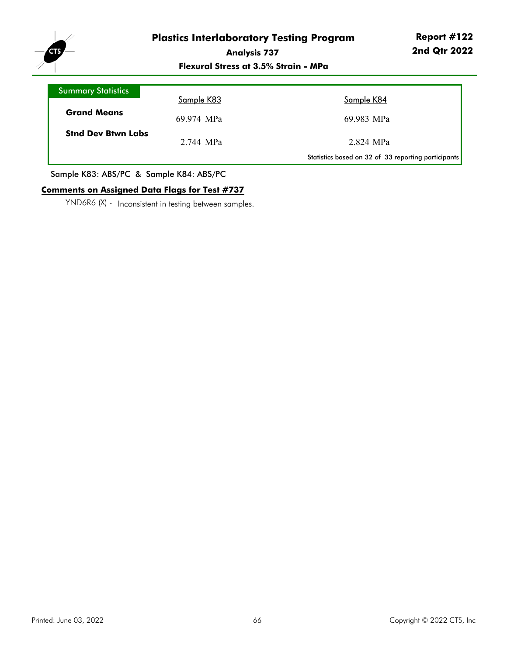

**Flexural Stress at 3.5% Strain - MPa**

| <b>Summary Statistics</b> |            |                                                     |
|---------------------------|------------|-----------------------------------------------------|
|                           | Sample K83 | Sample K84                                          |
| <b>Grand Means</b>        | 69.974 MPa | 69.983 MPa                                          |
| <b>Stnd Dev Btwn Labs</b> | 2.744 MPa  | 2.824 MPa                                           |
|                           |            | Statistics based on 32 of 33 reporting participants |

Sample K83: ABS/PC & Sample K84: ABS/PC

### **Comments on Assigned Data Flags for Test #737**

YND6R6 (X) - Inconsistent in testing between samples.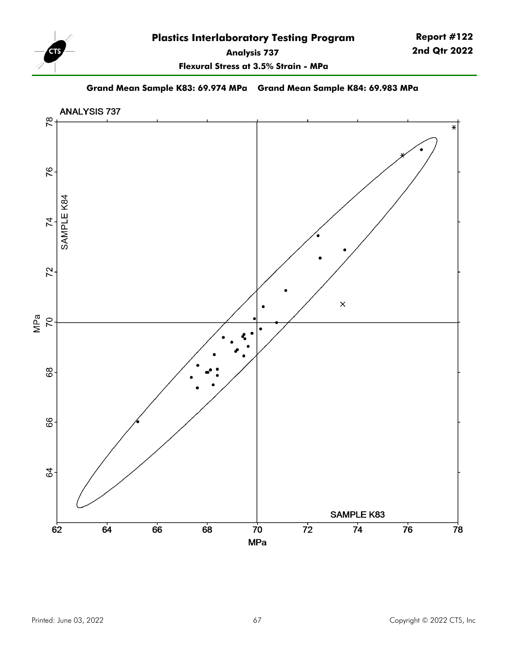

**Flexural Stress at 3.5% Strain - MPa**

**Grand Mean Sample K83: 69.974 MPa Grand Mean Sample K84: 69.983 MPa**

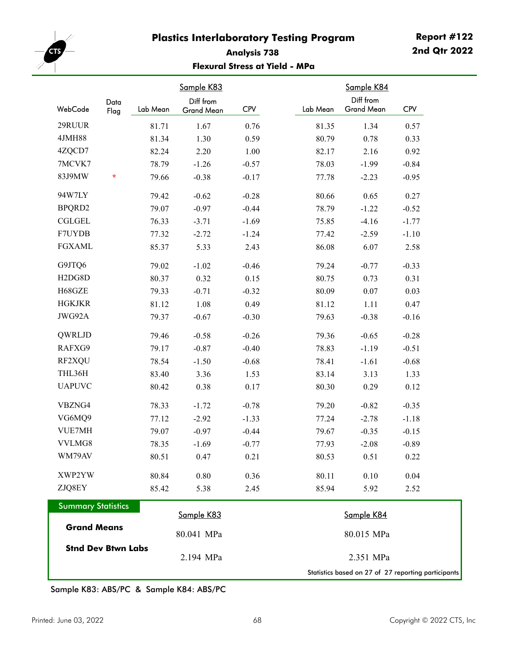

## **Analysis 738 Flexural Stress at Yield - MPa**

| Data<br>WebCode                  | Lab Mean | Sample K83<br>Diff from<br>Grand Mean | <b>CPV</b> | Lab Mean | Sample K84<br>Diff from<br>Grand Mean               | <b>CPV</b> |
|----------------------------------|----------|---------------------------------------|------------|----------|-----------------------------------------------------|------------|
| Flag                             |          |                                       |            |          |                                                     |            |
| 29RUUR                           | 81.71    | 1.67                                  | 0.76       | 81.35    | 1.34                                                | 0.57       |
| <b>4JMH88</b>                    | 81.34    | 1.30                                  | 0.59       | 80.79    | 0.78                                                | 0.33       |
| 4ZQCD7                           | 82.24    | 2.20                                  | 1.00       | 82.17    | 2.16                                                | 0.92       |
| 7MCVK7                           | 78.79    | $-1.26$                               | $-0.57$    | 78.03    | $-1.99$                                             | $-0.84$    |
| 83J9MW<br>÷                      | 79.66    | $-0.38$                               | $-0.17$    | 77.78    | $-2.23$                                             | $-0.95$    |
| 94W7LY                           | 79.42    | $-0.62$                               | $-0.28$    | 80.66    | 0.65                                                | 0.27       |
| BPQRD2                           | 79.07    | $-0.97$                               | $-0.44$    | 78.79    | $-1.22$                                             | $-0.52$    |
| <b>CGLGEL</b>                    | 76.33    | $-3.71$                               | $-1.69$    | 75.85    | $-4.16$                                             | $-1.77$    |
| F7UYDB                           | 77.32    | $-2.72$                               | $-1.24$    | 77.42    | $-2.59$                                             | $-1.10$    |
| <b>FGXAML</b>                    | 85.37    | 5.33                                  | 2.43       | 86.08    | 6.07                                                | 2.58       |
| G9JTQ6                           | 79.02    | $-1.02$                               | $-0.46$    | 79.24    | $-0.77$                                             | $-0.33$    |
| H <sub>2</sub> D <sub>G8</sub> D | 80.37    | 0.32                                  | 0.15       | 80.75    | 0.73                                                | 0.31       |
| H68GZE                           | 79.33    | $-0.71$                               | $-0.32$    | 80.09    | 0.07                                                | 0.03       |
| <b>HGKJKR</b>                    | 81.12    | 1.08                                  | 0.49       | 81.12    | 1.11                                                | 0.47       |
| JWG92A                           | 79.37    | $-0.67$                               | $-0.30$    | 79.63    | $-0.38$                                             | $-0.16$    |
| QWRLJD                           | 79.46    | $-0.58$                               | $-0.26$    | 79.36    | $-0.65$                                             | $-0.28$    |
| RAFXG9                           | 79.17    | $-0.87$                               | $-0.40$    | 78.83    | $-1.19$                                             | $-0.51$    |
| RF2XQU                           | 78.54    | $-1.50$                               | $-0.68$    | 78.41    | $-1.61$                                             | $-0.68$    |
| THL36H                           | 83.40    | 3.36                                  | 1.53       | 83.14    | 3.13                                                | 1.33       |
| <b>UAPUVC</b>                    | 80.42    | 0.38                                  | 0.17       | 80.30    | 0.29                                                | 0.12       |
| VBZNG4                           | 78.33    | $-1.72$                               | $-0.78$    | 79.20    | $-0.82$                                             | $-0.35$    |
| VG6MQ9                           | 77.12    | $-2.92$                               | $-1.33$    | 77.24    | $-2.78$                                             | $-1.18$    |
| VUE7MH                           | 79.07    | $-0.97$                               | $-0.44$    | 79.67    | $-0.35$                                             | $-0.15$    |
| VVLMG8                           | 78.35    | $-1.69$                               | $-0.77$    | 77.93    | $-2.08$                                             | $-0.89$    |
| WM79AV                           | 80.51    | 0.47                                  | 0.21       | 80.53    | 0.51                                                | 0.22       |
| XWP2YW                           | 80.84    | 0.80                                  | 0.36       | 80.11    | 0.10                                                | 0.04       |
| ZJQ8EY                           | 85.42    | 5.38                                  | 2.45       | 85.94    | 5.92                                                | 2.52       |
| <b>Summary Statistics</b>        |          |                                       |            |          |                                                     |            |
| <b>Grand Means</b>               |          | Sample K83                            |            |          | Sample K84                                          |            |
|                                  |          | 80.041 MPa                            |            |          | 80.015 MPa                                          |            |
| <b>Stnd Dev Btwn Labs</b>        |          | 2.194 MPa                             |            |          | 2.351 MPa                                           |            |
|                                  |          |                                       |            |          | Statistics based on 27 of 27 reporting participants |            |

Sample K83: ABS/PC & Sample K84: ABS/PC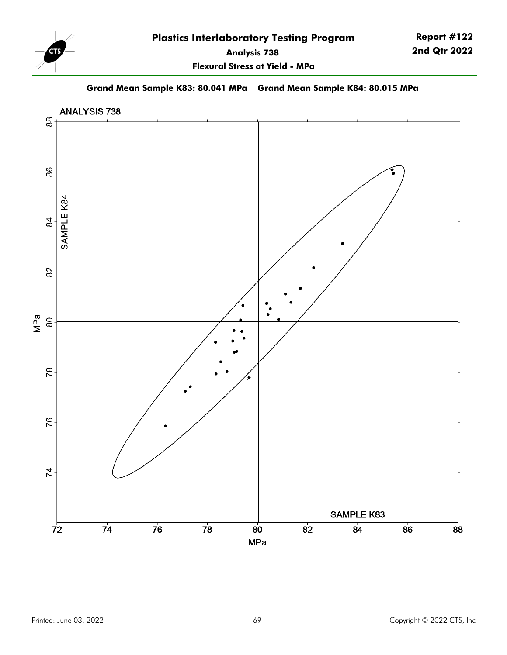

**Report #122 2nd Qtr 2022**

**Flexural Stress at Yield - MPa**

**Grand Mean Sample K83: 80.041 MPa Grand Mean Sample K84: 80.015 MPa**

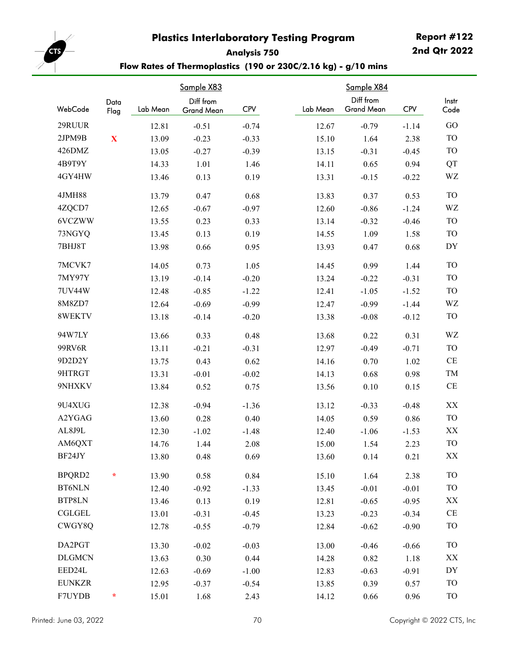**Analysis 750**

**Report #122 2nd Qtr 2022**



## **Flow Rates of Thermoplastics (190 or 230C/2.16 kg) - g/10 mins**

|               |             | Sample X83 |            |            |          |                                |            |                        |
|---------------|-------------|------------|------------|------------|----------|--------------------------------|------------|------------------------|
| WebCode       | Data        |            | Diff from  | <b>CPV</b> | Lab Mean | Diff from<br><b>Grand Mean</b> | <b>CPV</b> | Instr                  |
|               | Flag        | Lab Mean   | Grand Mean |            |          |                                |            | Code                   |
| 29RUUR        |             | 12.81      | $-0.51$    | $-0.74$    | 12.67    | $-0.79$                        | $-1.14$    | GO                     |
| 2JPM9B        | $\mathbf X$ | 13.09      | $-0.23$    | $-0.33$    | 15.10    | 1.64                           | 2.38       | <b>TO</b>              |
| 426DMZ        |             | 13.05      | $-0.27$    | $-0.39$    | 13.15    | $-0.31$                        | $-0.45$    | TO                     |
| 4B9T9Y        |             | 14.33      | 1.01       | 1.46       | 14.11    | 0.65                           | 0.94       | QT                     |
| 4GY4HW        |             | 13.46      | 0.13       | 0.19       | 13.31    | $-0.15$                        | $-0.22$    | WZ                     |
| 4JMH88        |             | 13.79      | 0.47       | 0.68       | 13.83    | 0.37                           | 0.53       | TO                     |
| 4ZQCD7        |             | 12.65      | $-0.67$    | $-0.97$    | 12.60    | $-0.86$                        | $-1.24$    | WZ                     |
| 6VCZWW        |             | 13.55      | 0.23       | 0.33       | 13.14    | $-0.32$                        | $-0.46$    | TO                     |
| 73NGYQ        |             | 13.45      | 0.13       | 0.19       | 14.55    | 1.09                           | 1.58       | TO                     |
| 7BHJ8T        |             | 13.98      | 0.66       | 0.95       | 13.93    | 0.47                           | 0.68       | DY                     |
| 7MCVK7        |             | 14.05      | 0.73       | 1.05       | 14.45    | 0.99                           | 1.44       | <b>TO</b>              |
| 7MY97Y        |             | 13.19      | $-0.14$    | $-0.20$    | 13.24    | $-0.22$                        | $-0.31$    | <b>TO</b>              |
| 7UV44W        |             | 12.48      | $-0.85$    | $-1.22$    | 12.41    | $-1.05$                        | $-1.52$    | <b>TO</b>              |
| 8M8ZD7        |             | 12.64      | $-0.69$    | $-0.99$    | 12.47    | $-0.99$                        | $-1.44$    | WZ                     |
| 8WEKTV        |             | 13.18      | $-0.14$    | $-0.20$    | 13.38    | $-0.08$                        | $-0.12$    | <b>TO</b>              |
| 94W7LY        |             | 13.66      | 0.33       | 0.48       | 13.68    | 0.22                           | 0.31       | WZ                     |
| 99RV6R        |             | 13.11      | $-0.21$    | $-0.31$    | 12.97    | $-0.49$                        | $-0.71$    | TO                     |
| 9D2D2Y        |             | 13.75      | 0.43       | 0.62       | 14.16    | 0.70                           | 1.02       | $\rm CE$               |
| 9HTRGT        |             | 13.31      | $-0.01$    | $-0.02$    | 14.13    | 0.68                           | 0.98       | TM                     |
| 9NHXKV        |             | 13.84      | 0.52       | 0.75       | 13.56    | 0.10                           | 0.15       | $\rm CE$               |
| 9U4XUG        |             | 12.38      | $-0.94$    | $-1.36$    | 13.12    | $-0.33$                        | $-0.48$    | XX                     |
| A2YGAG        |             | 13.60      | 0.28       | 0.40       | 14.05    | 0.59                           | 0.86       | TO                     |
| AL8J9L        |             | 12.30      | $-1.02$    | $-1.48$    | 12.40    | $-1.06$                        | $-1.53$    | XX                     |
| AM6QXT        |             | 14.76      | 1.44       | 2.08       | 15.00    | 1.54                           | 2.23       | <b>TO</b>              |
| BF24JY        |             | 13.80      | 0.48       | 0.69       | 13.60    | 0.14                           | 0.21       | XX                     |
| BPQRD2        | $\star$     | 13.90      | 0.58       | 0.84       | 15.10    | 1.64                           | 2.38       | <b>TO</b>              |
| <b>BT6NLN</b> |             | 12.40      | $-0.92$    | $-1.33$    | 13.45    | $-0.01$                        | $-0.01$    | <b>TO</b>              |
| BTP8LN        |             | 13.46      | 0.13       | 0.19       | 12.81    | $-0.65$                        | $-0.95$    | XX                     |
| <b>CGLGEL</b> |             | 13.01      | $-0.31$    | $-0.45$    | 13.23    | $-0.23$                        | $-0.34$    | CE                     |
| CWGY8Q        |             | 12.78      | $-0.55$    | $-0.79$    | 12.84    | $-0.62$                        | $-0.90$    | <b>TO</b>              |
| DA2PGT        |             | 13.30      | $-0.02$    | $-0.03$    | 13.00    | $-0.46$                        | $-0.66$    | <b>TO</b>              |
| <b>DLGMCN</b> |             | 13.63      | 0.30       | 0.44       | 14.28    | 0.82                           | 1.18       | $\mathbf{X}\mathbf{X}$ |
| EED24L        |             | 12.63      | $-0.69$    | $-1.00$    | 12.83    | $-0.63$                        | $-0.91$    | DY                     |
| <b>EUNKZR</b> |             | 12.95      | $-0.37$    | $-0.54$    | 13.85    | 0.39                           | 0.57       | TO                     |
| F7UYDB        | $\ast$      | 15.01      | 1.68       | 2.43       | 14.12    | 0.66                           | 0.96       | <b>TO</b>              |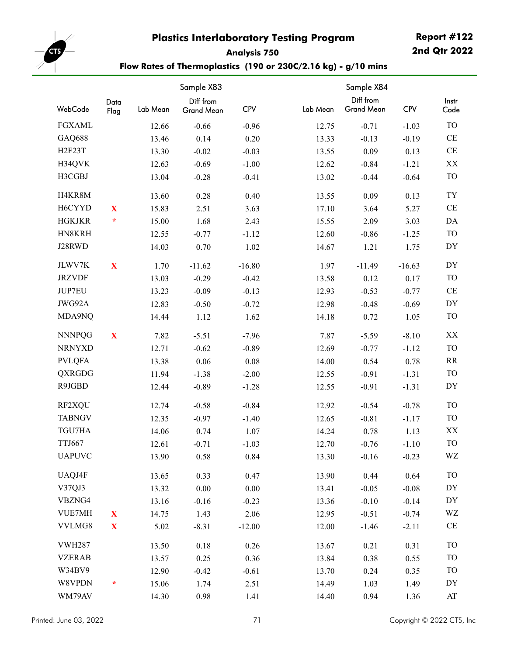**Analysis 750**

**Report #122 2nd Qtr 2022**



**Flow Rates of Thermoplastics (190 or 230C/2.16 kg) - g/10 mins**

|                    |              | Sample X83 |                                |            |          |                                |          |                                     |
|--------------------|--------------|------------|--------------------------------|------------|----------|--------------------------------|----------|-------------------------------------|
| WebCode            | Data<br>Flag | Lab Mean   | Diff from<br><b>Grand Mean</b> | <b>CPV</b> | Lab Mean | Diff from<br><b>Grand Mean</b> | CPV      | Instr<br>Code                       |
| <b>FGXAML</b>      |              | 12.66      | $-0.66$                        | $-0.96$    | 12.75    | $-0.71$                        | $-1.03$  | <b>TO</b>                           |
| GAQ688             |              | 13.46      | 0.14                           | 0.20       | 13.33    | $-0.13$                        | $-0.19$  | CE                                  |
| H <sub>2F23T</sub> |              | 13.30      | $-0.02$                        | $-0.03$    | 13.55    | 0.09                           | 0.13     | CE                                  |
| H34QVK             |              | 12.63      | $-0.69$                        | $-1.00$    | 12.62    | $-0.84$                        | $-1.21$  | XX                                  |
| H3CGBJ             |              | 13.04      | $-0.28$                        | $-0.41$    | 13.02    | $-0.44$                        | $-0.64$  | <b>TO</b>                           |
| H4KR8M             |              | 13.60      | 0.28                           | 0.40       | 13.55    | 0.09                           | 0.13     | TY                                  |
| H6CYYD             | $\mathbf{X}$ | 15.83      | 2.51                           | 3.63       | 17.10    | 3.64                           | 5.27     | CE                                  |
| <b>HGKJKR</b>      | $\star$      | 15.00      | 1.68                           | 2.43       | 15.55    | 2.09                           | 3.03     | DA                                  |
| HN8KRH             |              | 12.55      | $-0.77$                        | $-1.12$    | 12.60    | $-0.86$                        | $-1.25$  | <b>TO</b>                           |
| J28RWD             |              | 14.03      | 0.70                           | 1.02       | 14.67    | 1.21                           | 1.75     | DY                                  |
| JLWV7K             | $\mathbf X$  | 1.70       | $-11.62$                       | $-16.80$   | 1.97     | $-11.49$                       | $-16.63$ | DY                                  |
| <b>JRZVDF</b>      |              | 13.03      | $-0.29$                        | $-0.42$    | 13.58    | 0.12                           | 0.17     | <b>TO</b>                           |
| JUP7EU             |              | 13.23      | $-0.09$                        | $-0.13$    | 12.93    | $-0.53$                        | $-0.77$  | CE                                  |
| JWG92A             |              | 12.83      | $-0.50$                        | $-0.72$    | 12.98    | $-0.48$                        | $-0.69$  | DY                                  |
| MDA9NQ             |              | 14.44      | 1.12                           | 1.62       | 14.18    | 0.72                           | 1.05     | <b>TO</b>                           |
| <b>NNNPQG</b>      | $\mathbf{X}$ | 7.82       | $-5.51$                        | $-7.96$    | 7.87     | $-5.59$                        | $-8.10$  | XX                                  |
| <b>NRNYXD</b>      |              | 12.71      | $-0.62$                        | $-0.89$    | 12.69    | $-0.77$                        | $-1.12$  | <b>TO</b>                           |
| <b>PVLQFA</b>      |              | 13.38      | 0.06                           | 0.08       | 14.00    | 0.54                           | 0.78     | RR                                  |
| QXRGDG             |              | 11.94      | $-1.38$                        | $-2.00$    | 12.55    | $-0.91$                        | $-1.31$  | <b>TO</b>                           |
| R9JGBD             |              | 12.44      | $-0.89$                        | $-1.28$    | 12.55    | $-0.91$                        | $-1.31$  | DY                                  |
| RF2XQU             |              | 12.74      | $-0.58$                        | $-0.84$    | 12.92    | $-0.54$                        | $-0.78$  | <b>TO</b>                           |
| <b>TABNGV</b>      |              | 12.35      | $-0.97$                        | $-1.40$    | 12.65    | $-0.81$                        | $-1.17$  | <b>TO</b>                           |
| TGU7HA             |              | 14.06      | 0.74                           | 1.07       | 14.24    | 0.78                           | 1.13     | XX                                  |
| TTJ667             |              | 12.61      | $-0.71$                        | $-1.03$    | 12.70    | $-0.76$                        | $-1.10$  | <b>TO</b>                           |
| <b>UAPUVC</b>      |              | 13.90      | 0.58                           | 0.84       | 13.30    | $-0.16$                        | $-0.23$  | WZ                                  |
| UAQJ4F             |              | 13.65      | 0.33                           | 0.47       | 13.90    | 0.44                           | 0.64     | <b>TO</b>                           |
| V37QJ3             |              | 13.32      | $0.00\,$                       | $0.00\,$   | 13.41    | $-0.05$                        | $-0.08$  | DY                                  |
| VBZNG4             |              | 13.16      | $-0.16$                        | $-0.23$    | 13.36    | $-0.10$                        | $-0.14$  | DY                                  |
| VUE7MH             | $\mathbf{X}$ | 14.75      | 1.43                           | 2.06       | 12.95    | $-0.51$                        | $-0.74$  | WZ                                  |
| VVLMG8             | $\mathbf{X}$ | 5.02       | $-8.31$                        | $-12.00$   | 12.00    | $-1.46$                        | $-2.11$  | $\rm CE$                            |
| <b>VWH287</b>      |              | 13.50      | 0.18                           | 0.26       | 13.67    | 0.21                           | 0.31     | <b>TO</b>                           |
| <b>VZERAB</b>      |              | 13.57      | 0.25                           | 0.36       | 13.84    | 0.38                           | 0.55     | <b>TO</b>                           |
| W34BV9             |              | 12.90      | $-0.42$                        | $-0.61$    | 13.70    | 0.24                           | 0.35     | <b>TO</b>                           |
| W8VPDN             | $\star$      | 15.06      | 1.74                           | 2.51       | 14.49    | 1.03                           | 1.49     | DY                                  |
| WM79AV             |              | 14.30      | 0.98                           | 1.41       | 14.40    | 0.94                           | 1.36     | $\boldsymbol{\mathsf{A}\mathsf{T}}$ |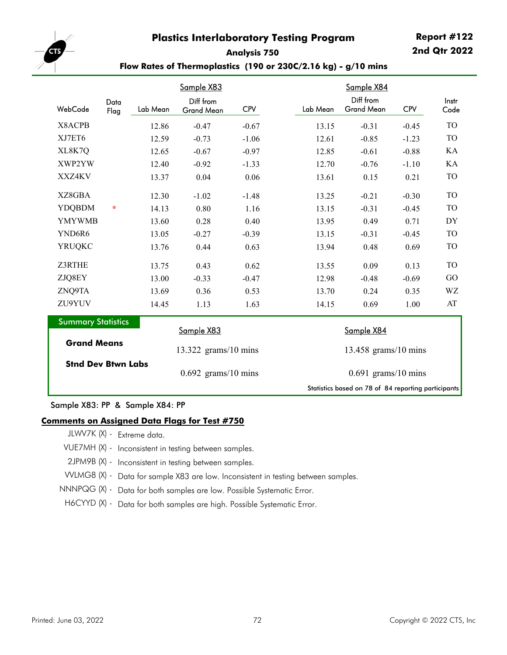**Report #122 2nd Qtr 2022**



### **Analysis 750 Flow Rates of Thermoplastics (190 or 230C/2.16 kg) - g/10 mins**

|                                                     |              |          | <u>Sample X83</u>              |            |  |                        | <u>Sample X84</u>              |            |               |  |
|-----------------------------------------------------|--------------|----------|--------------------------------|------------|--|------------------------|--------------------------------|------------|---------------|--|
| WebCode                                             | Data<br>Flag | Lab Mean | Diff from<br><b>Grand Mean</b> | <b>CPV</b> |  | Lab Mean               | Diff from<br><b>Grand Mean</b> | <b>CPV</b> | Instr<br>Code |  |
| X8ACPB                                              |              | 12.86    | $-0.47$                        | $-0.67$    |  | 13.15                  | $-0.31$                        | $-0.45$    | <b>TO</b>     |  |
| XJ7ET6                                              |              | 12.59    | $-0.73$                        | $-1.06$    |  | 12.61                  | $-0.85$                        | $-1.23$    | <b>TO</b>     |  |
| XL8K7Q                                              |              | 12.65    | $-0.67$                        | $-0.97$    |  | 12.85                  | $-0.61$                        | $-0.88$    | KA            |  |
| XWP2YW                                              |              | 12.40    | $-0.92$                        | $-1.33$    |  | 12.70                  | $-0.76$                        | $-1.10$    | KA            |  |
| XXZ4KV                                              |              | 13.37    | 0.04                           | 0.06       |  | 13.61                  | 0.15                           | 0.21       | <b>TO</b>     |  |
| XZ8GBA                                              |              | 12.30    | $-1.02$                        | $-1.48$    |  | 13.25                  | $-0.21$                        | $-0.30$    | <b>TO</b>     |  |
| <b>YDQBDM</b>                                       | $\star$      | 14.13    | 0.80                           | 1.16       |  | 13.15                  | $-0.31$                        | $-0.45$    | <b>TO</b>     |  |
| <b>YMYWMB</b>                                       |              | 13.60    | 0.28                           | 0.40       |  | 13.95                  | 0.49                           | 0.71       | DY            |  |
| YND6R6                                              |              | 13.05    | $-0.27$                        | $-0.39$    |  | 13.15                  | $-0.31$                        | $-0.45$    | TO            |  |
| <b>YRUQKC</b>                                       |              | 13.76    | 0.44                           | 0.63       |  | 13.94                  | 0.48                           | 0.69       | TO            |  |
| Z3RTHE                                              |              | 13.75    | 0.43                           | 0.62       |  | 13.55                  | 0.09                           | 0.13       | <b>TO</b>     |  |
| ZJQ8EY                                              |              | 13.00    | $-0.33$                        | $-0.47$    |  | 12.98                  | $-0.48$                        | $-0.69$    | GO            |  |
| ZNQ9TA                                              |              | 13.69    | 0.36                           | 0.53       |  | 13.70                  | 0.24                           | 0.35       | WZ            |  |
| ZU9YUV                                              |              | 14.45    | 1.13                           | 1.63       |  | 14.15                  | 0.69                           | 1.00       | AT            |  |
| <b>Summary Statistics</b>                           |              |          | Sample X83                     |            |  | Sample X84             |                                |            |               |  |
| <b>Grand Means</b>                                  |              |          | $13.322$ grams/10 mins         |            |  | $13.458$ grams/10 mins |                                |            |               |  |
| <b>Stnd Dev Btwn Labs</b>                           |              |          | $0.692$ grams/10 mins          |            |  | $0.691$ grams/10 mins  |                                |            |               |  |
| Statistics based on 78 of 84 reporting participants |              |          |                                |            |  |                        |                                |            |               |  |

#### Sample X83: PP & Sample X84: PP

#### **Comments on Assigned Data Flags for Test #750**

JLWV7K (X) - Extreme data.

- VUE7MH (X) Inconsistent in testing between samples.
- 2JPM9B (X) Inconsistent in testing between samples.
- VVLMG8 (X) Data for sample X83 are low. Inconsistent in testing between samples.
- NNNPQG (X) Data for both samples are low. Possible Systematic Error.
- H6CYYD (X) Data for both samples are high. Possible Systematic Error.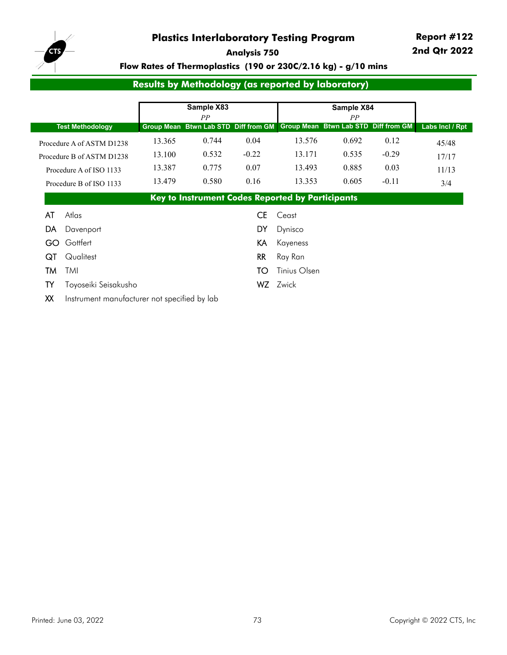

**Report #122 2nd Qtr 2022**

**Analysis 750**

# **Flow Rates of Thermoplastics (190 or 230C/2.16 kg) - g/10 mins**

# **Results by Methodology (as reported by laboratory)**

|     |                                              |        | Sample X83                                              |           |              | Sample X84                                              |         |                 |
|-----|----------------------------------------------|--------|---------------------------------------------------------|-----------|--------------|---------------------------------------------------------|---------|-----------------|
|     | <b>Test Methodology</b>                      |        | PP<br><b>Group Mean Btwn Lab STD</b>                    |           |              | PP<br>Diff from GM Group Mean Btwn Lab STD Diff from GM |         | Labs Incl / Rpt |
|     | Procedure A of ASTM D1238                    | 13.365 | 0.744                                                   | 0.04      | 13.576       | 0.692                                                   | 0.12    | 45/48           |
|     | Procedure B of ASTM D1238                    | 13.100 | 0.532                                                   | $-0.22$   | 13.171       | 0.535                                                   | $-0.29$ | 17/17           |
|     | Procedure A of ISO 1133                      | 13.387 | 0.775                                                   | 0.07      | 13.493       | 0.885                                                   | 0.03    | 11/13           |
|     | Procedure B of ISO 1133                      | 13.479 | 0.580                                                   | 0.16      | 13.353       | 0.605                                                   | $-0.11$ | 3/4             |
|     |                                              |        | <b>Key to Instrument Codes Reported by Participants</b> |           |              |                                                         |         |                 |
| AT  | Atlas                                        |        |                                                         | <b>CE</b> | Ceast        |                                                         |         |                 |
| DA  | Davenport                                    |        |                                                         | DY        | Dynisco      |                                                         |         |                 |
| GO. | Gottfert                                     |        |                                                         | KA        | Kayeness     |                                                         |         |                 |
| QT  | Qualitest                                    |        |                                                         | <b>RR</b> | Ray Ran      |                                                         |         |                 |
| TM  | TMI                                          |        |                                                         | TO        | Tinius Olsen |                                                         |         |                 |
| TY  | Toyoseiki Seisakusho                         |        |                                                         | WZ.       | Zwick        |                                                         |         |                 |
| XX  | Instrument manufacturer not specified by lab |        |                                                         |           |              |                                                         |         |                 |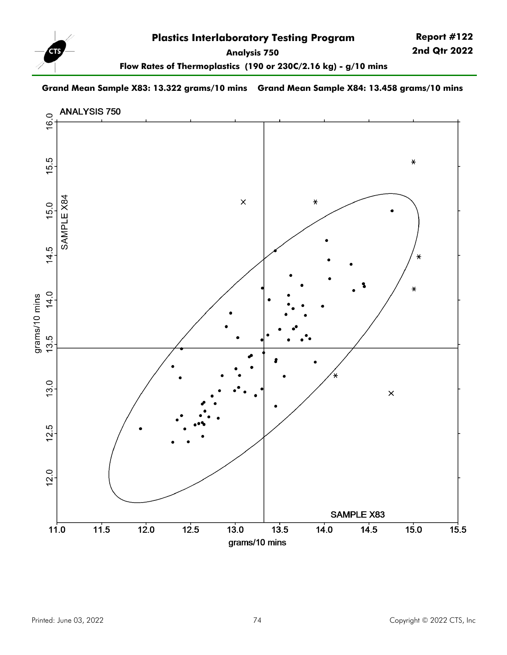

**Flow Rates of Thermoplastics (190 or 230C/2.16 kg) - g/10 mins**

### **Grand Mean Sample X83: 13.322 grams/10 mins Grand Mean Sample X84: 13.458 grams/10 mins**

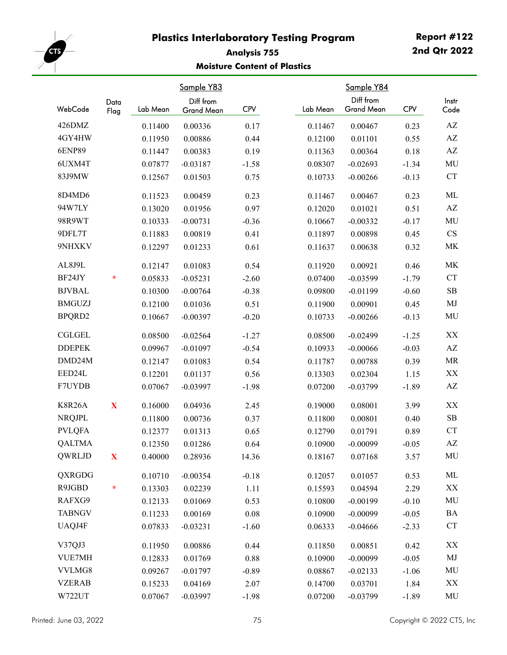

# **Analysis 755 Moisture Content of Plastics**

|               |              |          | Sample Y83              |            |          | Sample Y84                     |            |                                   |
|---------------|--------------|----------|-------------------------|------------|----------|--------------------------------|------------|-----------------------------------|
| WebCode       | Data<br>Flag | Lab Mean | Diff from<br>Grand Mean | <b>CPV</b> | Lab Mean | Diff from<br><b>Grand Mean</b> | <b>CPV</b> | Instr<br>Code                     |
| 426DMZ        |              | 0.11400  | 0.00336                 | 0.17       | 0.11467  | 0.00467                        | 0.23       | $\mathbf{A}\mathbf{Z}$            |
| 4GY4HW        |              | 0.11950  | 0.00886                 | 0.44       | 0.12100  | 0.01101                        | 0.55       | $\mathbf{A}\mathbf{Z}$            |
| <b>6ENP89</b> |              | 0.11447  | 0.00383                 | 0.19       | 0.11363  | 0.00364                        | 0.18       | $\mathbf{A}\mathbf{Z}$            |
| 6UXM4T        |              | 0.07877  | $-0.03187$              | $-1.58$    | 0.08307  | $-0.02693$                     | $-1.34$    | MU                                |
| 83J9MW        |              | 0.12567  | 0.01503                 | 0.75       | 0.10733  | $-0.00266$                     | $-0.13$    | ${\cal C}{\cal T}$                |
| 8D4MD6        |              | 0.11523  | 0.00459                 | 0.23       | 0.11467  | 0.00467                        | 0.23       | ML                                |
| 94W7LY        |              | 0.13020  | 0.01956                 | 0.97       | 0.12020  | 0.01021                        | 0.51       | $\mathbf{A}\mathbf{Z}$            |
| 98R9WT        |              | 0.10333  | $-0.00731$              | $-0.36$    | 0.10667  | $-0.00332$                     | $-0.17$    | MU                                |
| 9DFL7T        |              | 0.11883  | 0.00819                 | 0.41       | 0.11897  | 0.00898                        | 0.45       | CS                                |
| 9NHXKV        |              | 0.12297  | 0.01233                 | 0.61       | 0.11637  | 0.00638                        | 0.32       | MK                                |
| AL8J9L        |              | 0.12147  | 0.01083                 | 0.54       | 0.11920  | 0.00921                        | 0.46       | MK                                |
| BF24JY        | $\star$      | 0.05833  | $-0.05231$              | $-2.60$    | 0.07400  | $-0.03599$                     | $-1.79$    | CT                                |
| <b>BJVBAL</b> |              | 0.10300  | $-0.00764$              | $-0.38$    | 0.09800  | $-0.01199$                     | $-0.60$    | ${\bf SB}$                        |
| <b>BMGUZJ</b> |              | 0.12100  | 0.01036                 | 0.51       | 0.11900  | 0.00901                        | 0.45       | MJ                                |
| BPQRD2        |              | 0.10667  | $-0.00397$              | $-0.20$    | 0.10733  | $-0.00266$                     | $-0.13$    | MU                                |
| <b>CGLGEL</b> |              | 0.08500  | $-0.02564$              | $-1.27$    | 0.08500  | $-0.02499$                     | $-1.25$    | $\mathbf{X} \mathbf{X}$           |
| <b>DDEPEK</b> |              | 0.09967  | $-0.01097$              | $-0.54$    | 0.10933  | $-0.00066$                     | $-0.03$    | $\mathbf{A}\mathbf{Z}$            |
| DMD24M        |              | 0.12147  | 0.01083                 | 0.54       | 0.11787  | 0.00788                        | 0.39       | $\ensuremath{\mathsf{MR}}\xspace$ |
| EED24L        |              | 0.12201  | 0.01137                 | 0.56       | 0.13303  | 0.02304                        | 1.15       | $\mathbf{XX}$                     |
| F7UYDB        |              | 0.07067  | $-0.03997$              | $-1.98$    | 0.07200  | $-0.03799$                     | $-1.89$    | $\mathbf{A}\mathbf{Z}$            |
| <b>K8R26A</b> | $\mathbf X$  | 0.16000  | 0.04936                 | 2.45       | 0.19000  | 0.08001                        | 3.99       | XX                                |
| <b>NRQJPL</b> |              | 0.11800  | 0.00736                 | 0.37       | 0.11800  | 0.00801                        | 0.40       | ${\bf SB}$                        |
| <b>PVLQFA</b> |              | 0.12377  | 0.01313                 | 0.65       | 0.12790  | 0.01791                        | 0.89       | CT                                |
| <b>QALTMA</b> |              | 0.12350  | 0.01286                 | 0.64       | 0.10900  | $-0.00099$                     | $-0.05$    | $\mathbf{A}\mathbf{Z}$            |
| QWRLJD        | $\mathbf X$  | 0.40000  | 0.28936                 | 14.36      | 0.18167  | 0.07168                        | 3.57       | MU                                |
| QXRGDG        |              | 0.10710  | $-0.00354$              | $-0.18$    | 0.12057  | 0.01057                        | 0.53       | ML                                |
| R9JGBD        | $\ast$       | 0.13303  | 0.02239                 | 1.11       | 0.15593  | 0.04594                        | 2.29       | XX                                |
| RAFXG9        |              | 0.12133  | 0.01069                 | 0.53       | 0.10800  | $-0.00199$                     | $-0.10$    | MU                                |
| <b>TABNGV</b> |              | 0.11233  | 0.00169                 | 0.08       | 0.10900  | $-0.00099$                     | $-0.05$    | <b>BA</b>                         |
| UAQJ4F        |              | 0.07833  | $-0.03231$              | $-1.60$    | 0.06333  | $-0.04666$                     | $-2.33$    | CT                                |
| V37QJ3        |              | 0.11950  | 0.00886                 | 0.44       | 0.11850  | 0.00851                        | 0.42       | $\mathbf{X} \mathbf{X}$           |
| VUE7MH        |              | 0.12833  | 0.01769                 | 0.88       | 0.10900  | $-0.00099$                     | $-0.05$    | MJ                                |
| VVLMG8        |              | 0.09267  | $-0.01797$              | $-0.89$    | 0.08867  | $-0.02133$                     | $-1.06$    | MU                                |
| <b>VZERAB</b> |              | 0.15233  | 0.04169                 | 2.07       | 0.14700  | 0.03701                        | 1.84       | $\mathbf{XX}$                     |
| W722UT        |              | 0.07067  | $-0.03997$              | $-1.98$    | 0.07200  | $-0.03799$                     | $-1.89$    | MU                                |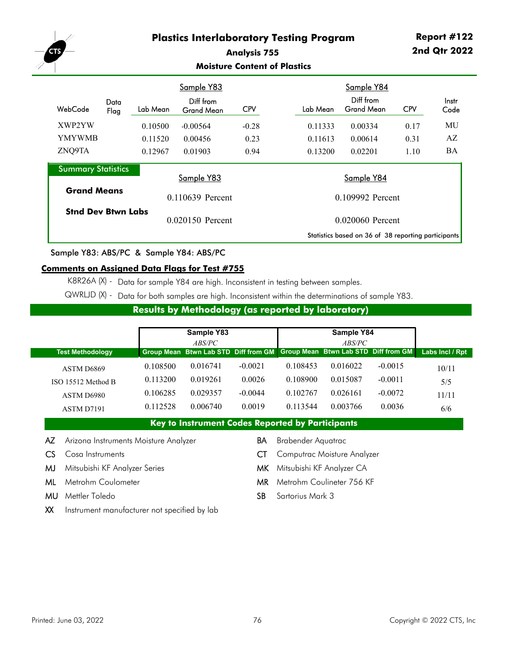

### **Analysis 755 Moisture Content of Plastics**

|                           |              |          | Sample Y83                     |            |  | Sample Y84       |                                                     |            |               |
|---------------------------|--------------|----------|--------------------------------|------------|--|------------------|-----------------------------------------------------|------------|---------------|
| WebCode                   | Data<br>Flag | Lab Mean | Diff from<br><b>Grand Mean</b> | <b>CPV</b> |  | Lab Mean         | Diff from<br>Grand Mean                             | <b>CPV</b> | Instr<br>Code |
| XWP2YW                    |              | 0.10500  | $-0.00564$                     | $-0.28$    |  | 0.11333          | 0.00334                                             | 0.17       | MU            |
| <b>YMYWMB</b>             |              | 0.11520  | 0.00456                        | 0.23       |  | 0.11613          | 0.00614                                             | 0.31       | AZ            |
| ZNQ9TA                    |              | 0.12967  | 0.01903                        | 0.94       |  | 0.13200          | 0.02201                                             | 1.10       | BA            |
| <b>Summary Statistics</b> |              |          |                                |            |  |                  |                                                     |            |               |
|                           |              |          | Sample Y83                     |            |  |                  | Sample Y84                                          |            |               |
| <b>Grand Means</b>        |              |          | 0.110639 Percent               |            |  | 0.109992 Percent |                                                     |            |               |
| <b>Stnd Dev Btwn Labs</b> |              |          | 0.020150 Percent               |            |  |                  |                                                     |            |               |
|                           |              |          |                                |            |  |                  | 0.020060 Percent                                    |            |               |
|                           |              |          |                                |            |  |                  | Statistics based on 36 of 38 reporting participants |            |               |

Sample Y83: ABS/PC & Sample Y84: ABS/PC

### **Comments on Assigned Data Flags for Test #755**

K8R26A (X) - Data for sample Y84 are high. Inconsistent in testing between samples.

QWRLJD (X) - Data for both samples are high. Inconsistent within the determinations of sample Y83.

## **Results by Methodology (as reported by laboratory)**

|                         |          | Sample Y83                                                                  |           |          | Sample Y84 |           |                 |
|-------------------------|----------|-----------------------------------------------------------------------------|-----------|----------|------------|-----------|-----------------|
|                         |          | ABS/PC                                                                      |           |          | ABS/PC     |           |                 |
| <b>Test Methodology</b> |          | Group Mean Btwn Lab STD Diff from GM   Group Mean Btwn Lab STD Diff from GM |           |          |            |           | Labs Incl / Rpt |
| ASTM D6869              | 0.108500 | 0.016741                                                                    | $-0.0021$ | 0.108453 | 0.016022   | $-0.0015$ | 10/11           |
| ISO 15512 Method B      | 0.113200 | 0.019261                                                                    | 0.0026    | 0.108900 | 0.015087   | $-0.0011$ | 5/5             |
| ASTM D6980              | 0.106285 | 0.029357                                                                    | $-0.0044$ | 0.102767 | 0.026161   | $-0.0072$ | 11/11           |
| ASTM D7191              | 0.112528 | 0.006740                                                                    | 0.0019    | 0.113544 | 0.003766   | 0.0036    | 6/6             |

- AZ Arizona Instruments Moisture Analyzer **BA** Brabender Aquatrac
- 
- MJ Mitsubishi KF Analyzer Series MK Mitsubishi KF Analyzer CA
- 
- 
- XX Instrument manufacturer not specified by lab
- 
- CS Cosa Instruments **CS Cosa Instruments** CT Computrac Moisture Analyzer
	-
- ML Metrohm Coulometer MR Metrohm Coulineter 756 KF
- **MU** Mettler Toledo SB Sartorius Mark 3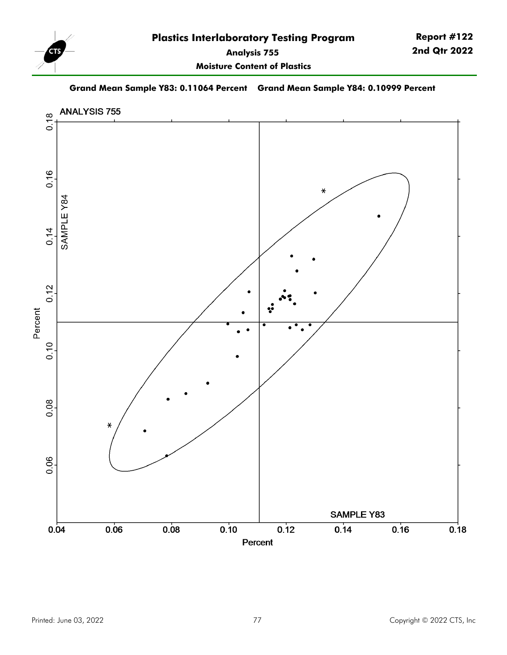

**Moisture Content of Plastics**

**Grand Mean Sample Y83: 0.11064 Percent Grand Mean Sample Y84: 0.10999 Percent**

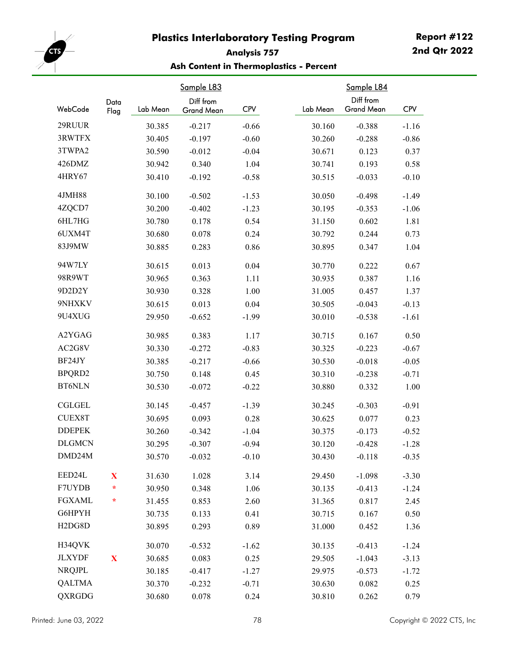

# **Analysis 757 Ash Content in Thermoplastics - Percent**

| WebCode                          | Data<br>Flag | Lab Mean | <u>Sample L83</u><br>Diff from<br>Grand Mean | <b>CPV</b> | Lab Mean | Sample L84<br>Diff from<br><b>Grand Mean</b> | <b>CPV</b> |
|----------------------------------|--------------|----------|----------------------------------------------|------------|----------|----------------------------------------------|------------|
| 29RUUR                           |              | 30.385   | $-0.217$                                     | $-0.66$    | 30.160   | $-0.388$                                     | $-1.16$    |
| 3RWTFX                           |              | 30.405   | $-0.197$                                     | $-0.60$    | 30.260   | $-0.288$                                     | $-0.86$    |
| 3TWPA2                           |              | 30.590   | $-0.012$                                     | $-0.04$    | 30.671   | 0.123                                        | 0.37       |
| 426DMZ                           |              | 30.942   | 0.340                                        | 1.04       | 30.741   | 0.193                                        | 0.58       |
| 4HRY67                           |              | 30.410   | $-0.192$                                     | $-0.58$    | 30.515   | $-0.033$                                     | $-0.10$    |
|                                  |              |          |                                              |            |          |                                              |            |
| 4JMH88                           |              | 30.100   | $-0.502$                                     | $-1.53$    | 30.050   | $-0.498$                                     | $-1.49$    |
| 4ZQCD7                           |              | 30.200   | $-0.402$                                     | $-1.23$    | 30.195   | $-0.353$                                     | $-1.06$    |
| 6HL7HG                           |              | 30.780   | 0.178                                        | 0.54       | 31.150   | 0.602                                        | 1.81       |
| 6UXM4T                           |              | 30.680   | 0.078                                        | 0.24       | 30.792   | 0.244                                        | 0.73       |
| 83J9MW                           |              | 30.885   | 0.283                                        | 0.86       | 30.895   | 0.347                                        | 1.04       |
| 94W7LY                           |              | 30.615   | 0.013                                        | 0.04       | 30.770   | 0.222                                        | 0.67       |
| 98R9WT                           |              | 30.965   | 0.363                                        | 1.11       | 30.935   | 0.387                                        | 1.16       |
| 9D2D2Y                           |              | 30.930   | 0.328                                        | 1.00       | 31.005   | 0.457                                        | 1.37       |
| 9NHXKV                           |              | 30.615   | 0.013                                        | 0.04       | 30.505   | $-0.043$                                     | $-0.13$    |
| 9U4XUG                           |              | 29.950   | $-0.652$                                     | $-1.99$    | 30.010   | $-0.538$                                     | $-1.61$    |
| A2YGAG                           |              | 30.985   | 0.383                                        | 1.17       | 30.715   | 0.167                                        | 0.50       |
| AC2G8V                           |              | 30.330   | $-0.272$                                     | $-0.83$    | 30.325   | $-0.223$                                     | $-0.67$    |
| BF24JY                           |              | 30.385   | $-0.217$                                     | $-0.66$    | 30.530   | $-0.018$                                     | $-0.05$    |
| BPQRD2                           |              | 30.750   | 0.148                                        | 0.45       | 30.310   | $-0.238$                                     | $-0.71$    |
| <b>BT6NLN</b>                    |              | 30.530   | $-0.072$                                     | $-0.22$    | 30.880   | 0.332                                        | 1.00       |
| <b>CGLGEL</b>                    |              | 30.145   | $-0.457$                                     | $-1.39$    | 30.245   | $-0.303$                                     | $-0.91$    |
| <b>CUEX8T</b>                    |              | 30.695   | 0.093                                        | 0.28       | 30.625   | 0.077                                        | 0.23       |
| <b>DDEPEK</b>                    |              | 30.260   | $-0.342$                                     | $-1.04$    | 30.375   | $-0.173$                                     | $-0.52$    |
| <b>DLGMCN</b>                    |              | 30.295   | $-0.307$                                     | $-0.94$    | 30.120   | $-0.428$                                     | $-1.28$    |
| DMD24M                           |              | 30.570   | $-0.032$                                     | $-0.10$    | 30.430   | $-0.118$                                     | $-0.35$    |
| EED24L                           | $\mathbf{X}$ | 31.630   | 1.028                                        | 3.14       | 29.450   | $-1.098$                                     | $-3.30$    |
| F7UYDB                           | ÷            | 30.950   | 0.348                                        | 1.06       | 30.135   | $-0.413$                                     | $-1.24$    |
| <b>FGXAML</b>                    | ÷            | 31.455   | 0.853                                        | 2.60       | 31.365   | 0.817                                        | 2.45       |
| G6HPYH                           |              | 30.735   | 0.133                                        | 0.41       | 30.715   | 0.167                                        | 0.50       |
| H <sub>2</sub> D <sub>G</sub> 8D |              | 30.895   | 0.293                                        | 0.89       | 31.000   | 0.452                                        | 1.36       |
| H34QVK                           |              | 30.070   | $-0.532$                                     | $-1.62$    | 30.135   | $-0.413$                                     | $-1.24$    |
| <b>JLXYDF</b>                    | $\mathbf X$  | 30.685   | 0.083                                        | 0.25       | 29.505   | $-1.043$                                     | $-3.13$    |
| <b>NRQJPL</b>                    |              | 30.185   | $-0.417$                                     | $-1.27$    | 29.975   | $-0.573$                                     | $-1.72$    |
| <b>QALTMA</b>                    |              | 30.370   | $-0.232$                                     | $-0.71$    | 30.630   | 0.082                                        | 0.25       |
| <b>QXRGDG</b>                    |              | 30.680   | 0.078                                        | 0.24       | 30.810   | 0.262                                        | 0.79       |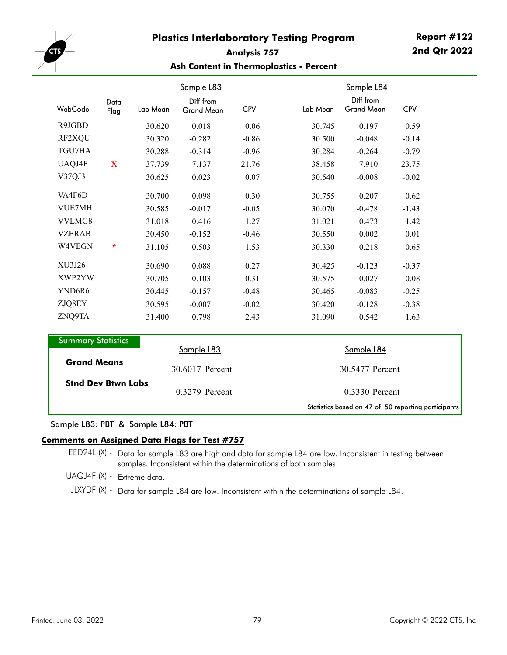

## **Analysis 757 Ash Content in Thermoplastics - Percent**

| WebCode                   | Data<br>Flag | Lab Mean | Sample L83<br>Diff from<br><b>Grand Mean</b> | <b>CPV</b> |  | Lab Mean        | Sample L84<br>Diff from<br><b>Grand Mean</b> | <b>CPV</b> |  |
|---------------------------|--------------|----------|----------------------------------------------|------------|--|-----------------|----------------------------------------------|------------|--|
| R9JGBD                    |              | 30.620   | 0.018                                        | 0.06       |  | 30.745          | 0.197                                        | 0.59       |  |
| RF2XQU                    |              | 30.320   | $-0.282$                                     | $-0.86$    |  | 30.500          | $-0.048$                                     | $-0.14$    |  |
| TGU7HA                    |              | 30.288   | $-0.314$                                     | $-0.96$    |  | 30.284          | $-0.264$                                     | $-0.79$    |  |
| UAQJ4F                    | X            | 37.739   | 7.137                                        | 21.76      |  | 38.458          | 7.910                                        | 23.75      |  |
| V37QJ3                    |              | 30.625   | 0.023                                        | 0.07       |  | 30.540          | $-0.008$                                     | $-0.02$    |  |
| VA4F6D                    |              | 30.700   | 0.098                                        | 0.30       |  | 30.755          | 0.207                                        | 0.62       |  |
| <b>VUE7MH</b>             |              | 30.585   | $-0.017$                                     | $-0.05$    |  | 30.070          | $-0.478$                                     | $-1.43$    |  |
| VVLMG8                    |              | 31.018   | 0.416                                        | 1.27       |  | 31.021          | 0.473                                        | 1.42       |  |
| <b>VZERAB</b>             |              | 30.450   | $-0.152$                                     | $-0.46$    |  | 30.550          | 0.002                                        | 0.01       |  |
| W4VEGN                    | $\star$      | 31.105   | 0.503                                        | 1.53       |  | 30.330          | $-0.218$                                     | $-0.65$    |  |
| XU3J26                    |              | 30.690   | 0.088                                        | 0.27       |  | 30.425          | $-0.123$                                     | $-0.37$    |  |
| XWP2YW                    |              | 30.705   | 0.103                                        | 0.31       |  | 30.575          | 0.027                                        | 0.08       |  |
| YND6R6                    |              | 30.445   | $-0.157$                                     | $-0.48$    |  | 30.465          | $-0.083$                                     | $-0.25$    |  |
| ZJQ8EY                    |              | 30.595   | $-0.007$                                     | $-0.02$    |  | 30.420          | $-0.128$                                     | $-0.38$    |  |
| ZNQ9TA                    |              | 31.400   | 0.798                                        | 2.43       |  | 31.090          | 0.542                                        | 1.63       |  |
| <b>Summary Statistics</b> |              |          | Sample L83                                   |            |  |                 | Sample L84                                   |            |  |
| <b>Grand Means</b>        |              |          | 30.6017 Percent                              |            |  | 30.5477 Percent |                                              |            |  |
| <b>Stnd Dev Btwn Labs</b> |              |          | 0.3279 Percent                               |            |  |                 | $0.3330$ Percent                             |            |  |

#### Sample L83: PBT & Sample L84: PBT

#### **Comments on Assigned Data Flags for Test #757**

EED24L (X) - Data for sample L83 are high and data for sample L84 are low. Inconsistent in testing between samples. Inconsistent within the determinations of both samples.

UAQJ4F (X) - Extreme data.

JLXYDF (X) - Data for sample L84 are low. Inconsistent within the determinations of sample L84.

Statistics based on 47 of 50 reporting participants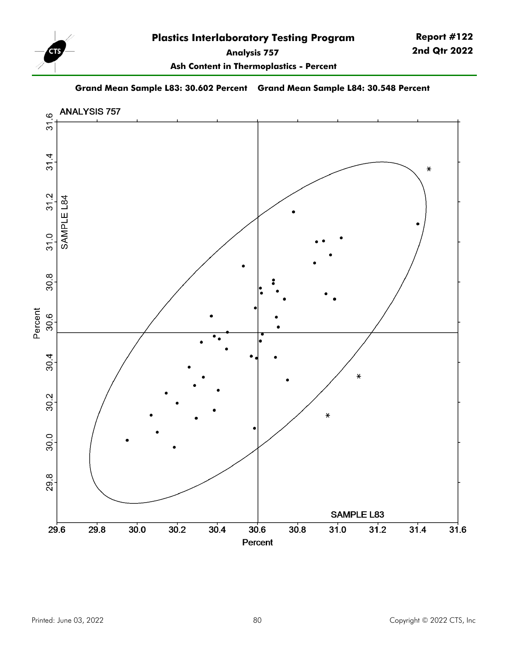

**Report #122 2nd Qtr 2022**

**Ash Content in Thermoplastics - Percent**

**Grand Mean Sample L83: 30.602 Percent Grand Mean Sample L84: 30.548 Percent**

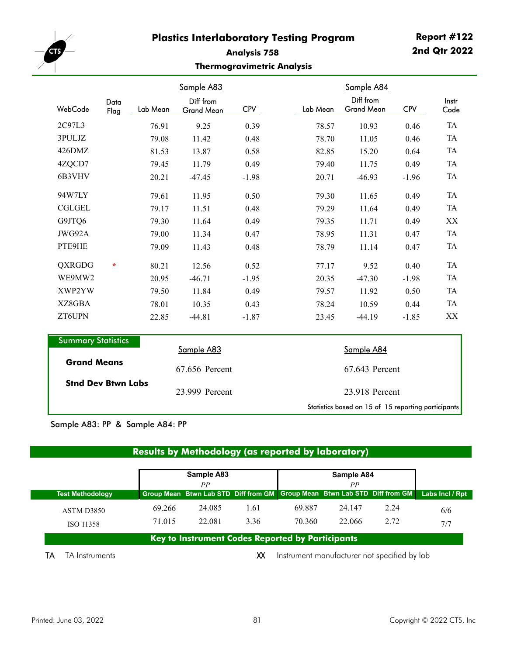

# **Analysis 758 Thermogravimetric Analysis**

| WebCode                   | Data<br>Flag | Lab Mean | Sample A83<br>Diff from<br><b>Grand Mean</b> | <b>CPV</b> | Lab Mean | Sample A84<br>Diff from<br><b>Grand Mean</b> | <b>CPV</b> | Instr<br>Code |
|---------------------------|--------------|----------|----------------------------------------------|------------|----------|----------------------------------------------|------------|---------------|
| 2C97L3                    |              | 76.91    | 9.25                                         | 0.39       | 78.57    | 10.93                                        | 0.46       | <b>TA</b>     |
| 3PULJZ                    |              | 79.08    | 11.42                                        | 0.48       | 78.70    | 11.05                                        | 0.46       | TA            |
| 426DMZ                    |              | 81.53    | 13.87                                        | 0.58       | 82.85    | 15.20                                        | 0.64       | TA            |
| 4ZQCD7                    |              | 79.45    | 11.79                                        | 0.49       | 79.40    | 11.75                                        | 0.49       | TA            |
| 6B3VHV                    |              | 20.21    | $-47.45$                                     | $-1.98$    | 20.71    | $-46.93$                                     | $-1.96$    | TA            |
| 94W7LY                    |              | 79.61    | 11.95                                        | 0.50       | 79.30    | 11.65                                        | 0.49       | TA            |
| <b>CGLGEL</b>             |              | 79.17    | 11.51                                        | 0.48       | 79.29    | 11.64                                        | 0.49       | TA            |
| G9JTQ6                    |              | 79.30    | 11.64                                        | 0.49       | 79.35    | 11.71                                        | 0.49       | XX            |
| JWG92A                    |              | 79.00    | 11.34                                        | 0.47       | 78.95    | 11.31                                        | 0.47       | TA            |
| PTE9HE                    |              | 79.09    | 11.43                                        | 0.48       | 78.79    | 11.14                                        | 0.47       | TA            |
| <b>QXRGDG</b>             | $\star$      | 80.21    | 12.56                                        | 0.52       | 77.17    | 9.52                                         | 0.40       | TA            |
| WE9MW2                    |              | 20.95    | $-46.71$                                     | $-1.95$    | 20.35    | $-47.30$                                     | $-1.98$    | <b>TA</b>     |
| XWP2YW                    |              | 79.50    | 11.84                                        | 0.49       | 79.57    | 11.92                                        | 0.50       | TA            |
| XZ8GBA                    |              | 78.01    | 10.35                                        | 0.43       | 78.24    | 10.59                                        | 0.44       | TA            |
| ZT6UPN                    |              | 22.85    | $-44.81$                                     | $-1.87$    | 23.45    | $-44.19$                                     | $-1.85$    | XX            |
|                           |              |          |                                              |            |          |                                              |            |               |
| <b>Summary Statistics</b> |              |          | Sample A83                                   |            |          | <b>Sample A84</b>                            |            |               |
| <b>Grand Means</b>        |              |          | 67.656 Percent                               |            |          | 67.643 Percent                               |            |               |

Statistics based on 15 of 15 reporting participants

Sample A83: PP & Sample A84: PP

**Stnd Dev Btwn Labs**

# **Results by Methodology (as reported by laboratory)**

23.999 23.918 Percent

23.918 Percent

|                         |        | Sample A83                                              |      |        | Sample A84                                                                  |      |                 |
|-------------------------|--------|---------------------------------------------------------|------|--------|-----------------------------------------------------------------------------|------|-----------------|
|                         |        | PР                                                      |      |        | РP                                                                          |      |                 |
| <b>Test Methodology</b> |        |                                                         |      |        | Group Mean Btwn Lab STD Diff from GM   Group Mean Btwn Lab STD Diff from GM |      | Labs Incl / Rpt |
| ASTM D3850              | 69.266 | 24.085                                                  | 1.61 | 69.887 | 24.147                                                                      | 2.24 | 6/6             |
| ISO 11358               | 71.015 | 22.081                                                  | 3.36 | 70.360 | 22.066                                                                      | 2.72 | 7/7             |
|                         |        | <b>Key to Instrument Codes Reported by Participants</b> |      |        |                                                                             |      |                 |
| TA Instruments<br>IΑ    |        |                                                         | хх   |        | Instrument manufacturer not specified by lab                                |      |                 |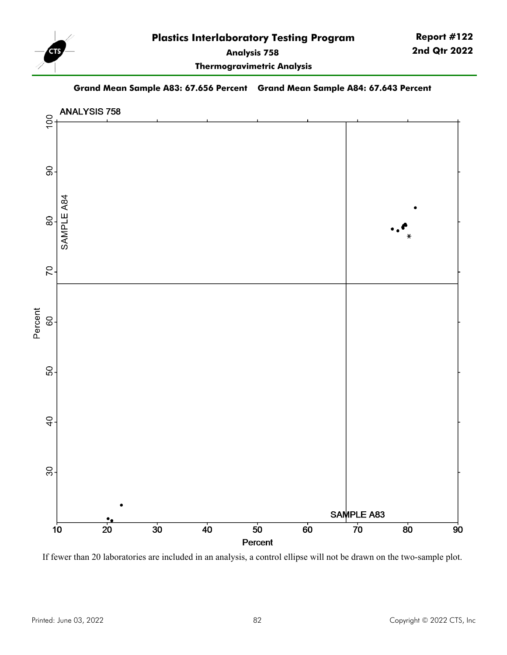

**Thermogravimetric Analysis**

**Grand Mean Sample A83: 67.656 Percent Grand Mean Sample A84: 67.643 Percent**



If fewer than 20 laboratories are included in an analysis, a control ellipse will not be drawn on the two-sample plot.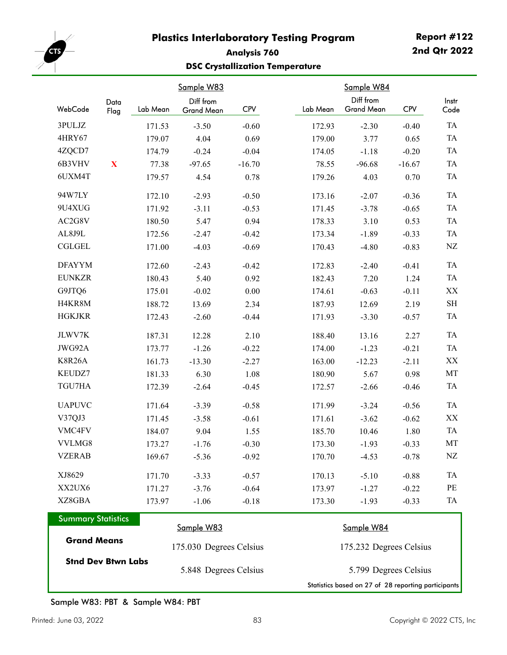

# **Report #122 2nd Qtr 2022**

# **Analysis 760 DSC Crystallization Temperature**

|               |              |          | Sample W83              |            |          | Sample W84              |            |                     |
|---------------|--------------|----------|-------------------------|------------|----------|-------------------------|------------|---------------------|
| WebCode       | Data<br>Flag | Lab Mean | Diff from<br>Grand Mean | <b>CPV</b> | Lab Mean | Diff from<br>Grand Mean | <b>CPV</b> | Instr<br>Code       |
| 3PULJZ        |              | 171.53   | $-3.50$                 | $-0.60$    | 172.93   | $-2.30$                 | $-0.40$    | <b>TA</b>           |
| 4HRY67        |              | 179.07   | 4.04                    | 0.69       | 179.00   | 3.77                    | 0.65       | <b>TA</b>           |
| 4ZQCD7        |              | 174.79   | $-0.24$                 | $-0.04$    | 174.05   | $-1.18$                 | $-0.20$    | TA                  |
| 6B3VHV        | $\mathbf X$  | 77.38    | $-97.65$                | $-16.70$   | 78.55    | $-96.68$                | $-16.67$   | <b>TA</b>           |
| 6UXM4T        |              | 179.57   | 4.54                    | 0.78       | 179.26   | 4.03                    | 0.70       | <b>TA</b>           |
| 94W7LY        |              | 172.10   | $-2.93$                 | $-0.50$    | 173.16   | $-2.07$                 | $-0.36$    | <b>TA</b>           |
| 9U4XUG        |              | 171.92   | $-3.11$                 | $-0.53$    | 171.45   | $-3.78$                 | $-0.65$    | <b>TA</b>           |
| AC2G8V        |              | 180.50   | 5.47                    | 0.94       | 178.33   | 3.10                    | 0.53       | <b>TA</b>           |
| AL8J9L        |              | 172.56   | $-2.47$                 | $-0.42$    | 173.34   | $-1.89$                 | $-0.33$    | <b>TA</b>           |
| <b>CGLGEL</b> |              | 171.00   | $-4.03$                 | $-0.69$    | 170.43   | $-4.80$                 | $-0.83$    | ${\rm NZ}$          |
| <b>DFAYYM</b> |              | 172.60   | $-2.43$                 | $-0.42$    | 172.83   | $-2.40$                 | $-0.41$    | <b>TA</b>           |
| <b>EUNKZR</b> |              | 180.43   | 5.40                    | 0.92       | 182.43   | 7.20                    | 1.24       | <b>TA</b>           |
| G9JTQ6        |              | 175.01   | $-0.02$                 | $0.00\,$   | 174.61   | $-0.63$                 | $-0.11$    | XX                  |
| H4KR8M        |              | 188.72   | 13.69                   | 2.34       | 187.93   | 12.69                   | 2.19       | $\operatorname{SH}$ |
| <b>HGKJKR</b> |              | 172.43   | $-2.60$                 | $-0.44$    | 171.93   | $-3.30$                 | $-0.57$    | TA                  |
| JLWV7K        |              | 187.31   | 12.28                   | 2.10       | 188.40   | 13.16                   | 2.27       | <b>TA</b>           |
| JWG92A        |              | 173.77   | $-1.26$                 | $-0.22$    | 174.00   | $-1.23$                 | $-0.21$    | <b>TA</b>           |
| <b>K8R26A</b> |              | 161.73   | $-13.30$                | $-2.27$    | 163.00   | $-12.23$                | $-2.11$    | $\mathbf{XX}$       |
| KEUDZ7        |              | 181.33   | 6.30                    | 1.08       | 180.90   | 5.67                    | 0.98       | MT                  |
| TGU7HA        |              | 172.39   | $-2.64$                 | $-0.45$    | 172.57   | $-2.66$                 | $-0.46$    | TA                  |
| <b>UAPUVC</b> |              | 171.64   | $-3.39$                 | $-0.58$    | 171.99   | $-3.24$                 | $-0.56$    | <b>TA</b>           |
| V37QJ3        |              | 171.45   | $-3.58$                 | $-0.61$    | 171.61   | $-3.62$                 | $-0.62$    | XX                  |
| VMC4FV        |              | 184.07   | 9.04                    | 1.55       | 185.70   | 10.46                   | 1.80       | TA                  |
| VVLMG8        |              | 173.27   | $-1.76$                 | $-0.30$    | 173.30   | $-1.93$                 | $-0.33$    | MT                  |
| <b>VZERAB</b> |              | 169.67   | $-5.36$                 | $-0.92$    | 170.70   | $-4.53$                 | $-0.78$    | NZ                  |
| XJ8629        |              | 171.70   | $-3.33$                 | $-0.57$    | 170.13   | $-5.10$                 | $-0.88$    | <b>TA</b>           |
| XX2UX6        |              | 171.27   | $-3.76$                 | $-0.64$    | 173.97   | $-1.27$                 | $-0.22$    | $\rm PE$            |
| XZ8GBA        |              | 173.97   | $-1.06$                 | $-0.18$    | 173.30   | $-1.93$                 | $-0.33$    | TA                  |

| <b>Summary Statistics</b> |                         |                                                     |
|---------------------------|-------------------------|-----------------------------------------------------|
|                           | Sample W83              | Sample W84                                          |
| <b>Grand Means</b>        | 175.030 Degrees Celsius | 175.232 Degrees Celsius                             |
| <b>Stnd Dev Btwn Labs</b> | 5.848 Degrees Celsius   | 5.799 Degrees Celsius                               |
|                           |                         | Statistics based on 27 of 28 reporting participants |

Sample W83: PBT & Sample W84: PBT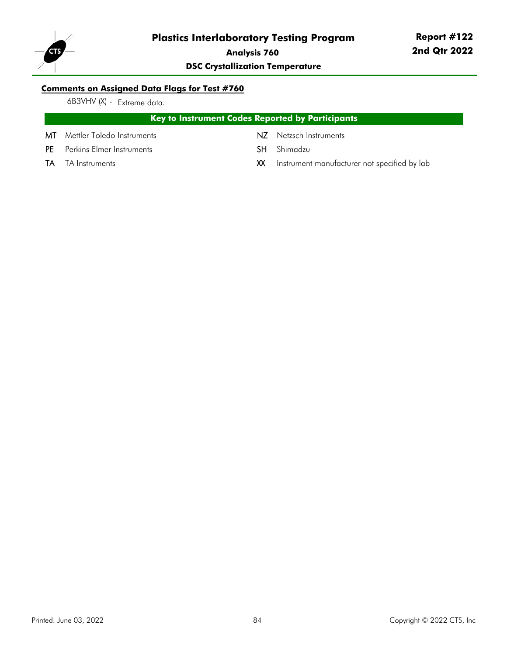

**Report #122 2nd Qtr 2022**

**DSC Crystallization Temperature**

## **Comments on Assigned Data Flags for Test #760**

6B3VHV (X) - Extreme data.

## **Key to Instrument Codes Reported by Participants**

- MT Mettler Toledo Instruments NZ Netzsch Instruments
- PE Perkins Elmer Instruments SH Shimadzu
- 
- 
- 
- TA TA Instruments **TA Instrument manufacturer not specified by lab** XX Instrument manufacturer not specified by lab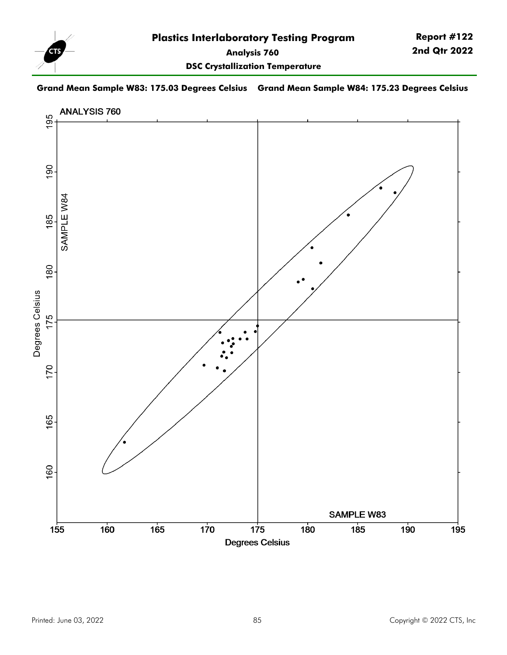

**Grand Mean Sample W83: 175.03 Degrees Celsius Grand Mean Sample W84: 175.23 Degrees Celsius**

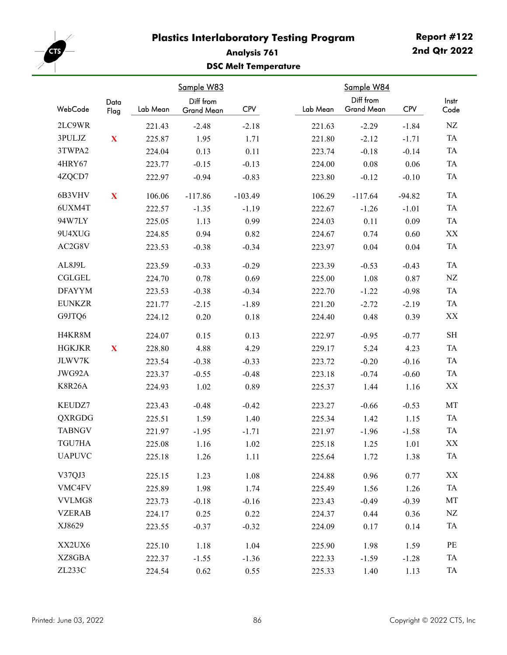

# **Analysis 761 DSC Melt Temperature**

|               |              |          | Sample W83              |            |          | Sample W84                     |            |               |
|---------------|--------------|----------|-------------------------|------------|----------|--------------------------------|------------|---------------|
| WebCode       | Data<br>Flag | Lab Mean | Diff from<br>Grand Mean | <b>CPV</b> | Lab Mean | Diff from<br><b>Grand Mean</b> | <b>CPV</b> | Instr<br>Code |
| 2LC9WR        |              | 221.43   | $-2.48$                 | $-2.18$    | 221.63   | $-2.29$                        | $-1.84$    | NZ            |
| 3PULJZ        | $\mathbf{X}$ | 225.87   | 1.95                    | 1.71       | 221.80   | $-2.12$                        | $-1.71$    | TA            |
| 3TWPA2        |              | 224.04   | 0.13                    | 0.11       | 223.74   | $-0.18$                        | $-0.14$    | TA            |
| 4HRY67        |              | 223.77   | $-0.15$                 | $-0.13$    | 224.00   | $0.08\,$                       | 0.06       | TA            |
| 4ZQCD7        |              | 222.97   | $-0.94$                 | $-0.83$    | 223.80   | $-0.12$                        | $-0.10$    | TA            |
| 6B3VHV        | $\mathbf X$  | 106.06   | $-117.86$               | $-103.49$  | 106.29   | $-117.64$                      | $-94.82$   | <b>TA</b>     |
| 6UXM4T        |              | 222.57   | $-1.35$                 | $-1.19$    | 222.67   | $-1.26$                        | $-1.01$    | TA            |
| 94W7LY        |              | 225.05   | 1.13                    | 0.99       | 224.03   | 0.11                           | 0.09       | TA            |
| 9U4XUG        |              | 224.85   | 0.94                    | 0.82       | 224.67   | 0.74                           | 0.60       | XX            |
| AC2G8V        |              | 223.53   | $-0.38$                 | $-0.34$    | 223.97   | 0.04                           | 0.04       | TA            |
| AL8J9L        |              | 223.59   | $-0.33$                 | $-0.29$    | 223.39   | $-0.53$                        | $-0.43$    | <b>TA</b>     |
| <b>CGLGEL</b> |              | 224.70   | 0.78                    | 0.69       | 225.00   | 1.08                           | 0.87       | NZ            |
| <b>DFAYYM</b> |              | 223.53   | $-0.38$                 | $-0.34$    | 222.70   | $-1.22$                        | $-0.98$    | <b>TA</b>     |
| <b>EUNKZR</b> |              | 221.77   | $-2.15$                 | $-1.89$    | 221.20   | $-2.72$                        | $-2.19$    | TA            |
| G9JTQ6        |              | 224.12   | 0.20                    | $0.18\,$   | 224.40   | 0.48                           | 0.39       | XX            |
| H4KR8M        |              | 224.07   | 0.15                    | 0.13       | 222.97   | $-0.95$                        | $-0.77$    | $\rm SH$      |
| <b>HGKJKR</b> | X            | 228.80   | 4.88                    | 4.29       | 229.17   | 5.24                           | 4.23       | TA            |
| JLWV7K        |              | 223.54   | $-0.38$                 | $-0.33$    | 223.72   | $-0.20$                        | $-0.16$    | TA            |
| JWG92A        |              | 223.37   | $-0.55$                 | $-0.48$    | 223.18   | $-0.74$                        | $-0.60$    | TA            |
| <b>K8R26A</b> |              | 224.93   | 1.02                    | 0.89       | 225.37   | 1.44                           | 1.16       | XX            |
| KEUDZ7        |              | 223.43   | $-0.48$                 | $-0.42$    | 223.27   | $-0.66$                        | $-0.53$    | MT            |
| <b>QXRGDG</b> |              | 225.51   | 1.59                    | 1.40       | 225.34   | 1.42                           | 1.15       | TA            |
| <b>TABNGV</b> |              | 221.97   | $-1.95$                 | $-1.71$    | 221.97   | $-1.96$                        | $-1.58$    | TA            |
| TGU7HA        |              | 225.08   | 1.16                    | 1.02       | 225.18   | 1.25                           | 1.01       | XX            |
| <b>UAPUVC</b> |              | 225.18   | 1.26                    | 1.11       | 225.64   | 1.72                           | 1.38       | TA            |
| V37QJ3        |              | 225.15   | 1.23                    | 1.08       | 224.88   | 0.96                           | 0.77       | XX            |
| VMC4FV        |              | 225.89   | 1.98                    | 1.74       | 225.49   | 1.56                           | 1.26       | TA            |
| VVLMG8        |              | 223.73   | $-0.18$                 | $-0.16$    | 223.43   | $-0.49$                        | $-0.39$    | MT            |
| <b>VZERAB</b> |              | 224.17   | 0.25                    | 0.22       | 224.37   | 0.44                           | 0.36       | NZ            |
| XJ8629        |              | 223.55   | $-0.37$                 | $-0.32$    | 224.09   | 0.17                           | 0.14       | TA            |
| XX2UX6        |              | 225.10   | 1.18                    | 1.04       | 225.90   | 1.98                           | 1.59       | PE            |
| XZ8GBA        |              | 222.37   | $-1.55$                 | $-1.36$    | 222.33   | $-1.59$                        | $-1.28$    | TA            |
| ZL233C        |              | 224.54   | 0.62                    | 0.55       | 225.33   | 1.40                           | 1.13       | TA            |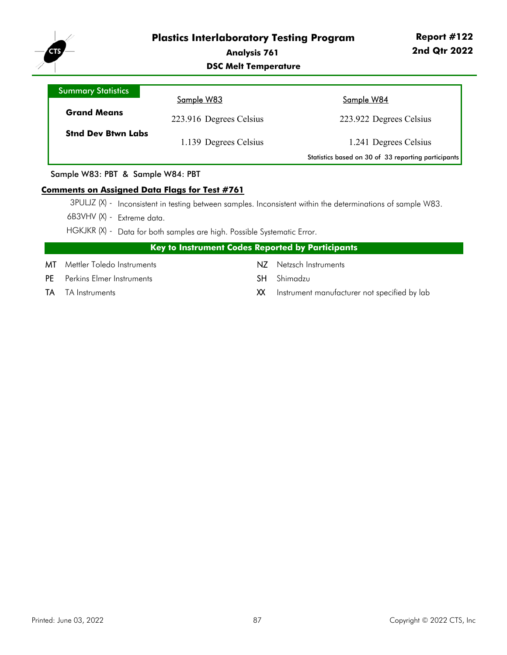

#### **DSC Melt Temperature**

| <b>Summary Statistics</b> |                         |                                                     |
|---------------------------|-------------------------|-----------------------------------------------------|
|                           | Sample W83              | Sample W84                                          |
| <b>Grand Means</b>        | 223.916 Degrees Celsius | 223.922 Degrees Celsius                             |
| <b>Stnd Dev Btwn Labs</b> | 1.139 Degrees Celsius   | 1.241 Degrees Celsius                               |
|                           |                         | Statistics based on 30 of 33 reporting participants |

#### Sample W83: PBT & Sample W84: PBT

#### **Comments on Assigned Data Flags for Test #761**

- 3PULJZ (X) Inconsistent in testing between samples. Inconsistent within the determinations of sample W83.
- 6B3VHV (X) Extreme data.
- HGKJKR (X) Data for both samples are high. Possible Systematic Error.

| Key to Instrument Codes Reported by Participants |
|--------------------------------------------------|
|--------------------------------------------------|

- MT Mettler Toledo Instruments NZ Netzsch Instruments
- PE Perkins Elmer Instruments **SH** Shimadzu
- 
- 
- 
- TA TA Instruments **TA** TA Instruments **XX** Instrument manufacturer not specified by lab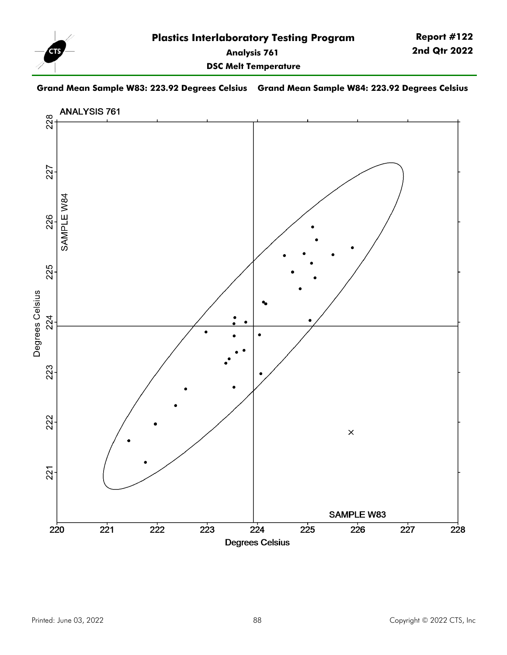

**DSC Melt Temperature**

#### **Grand Mean Sample W83: 223.92 Degrees Celsius Grand Mean Sample W84: 223.92 Degrees Celsius**

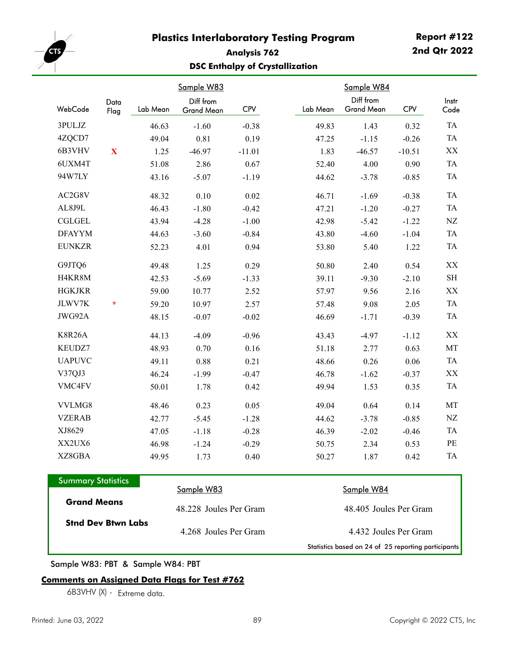

# **Analysis 762 DSC Enthalpy of Crystallization**

|               |              |          | Sample W83                     |          |          | Sample W84                     |            |               |
|---------------|--------------|----------|--------------------------------|----------|----------|--------------------------------|------------|---------------|
| WebCode       | Data<br>Flag | Lab Mean | Diff from<br><b>Grand Mean</b> | CPV      | Lab Mean | Diff from<br><b>Grand Mean</b> | <b>CPV</b> | Instr<br>Code |
| 3PULJZ        |              | 46.63    | $-1.60$                        | $-0.38$  | 49.83    | 1.43                           | 0.32       |               |
| 4ZQCD7        |              | 49.04    | 0.81                           | 0.19     | 47.25    | $-1.15$                        | $-0.26$    |               |
| 6B3VHV        | $\mathbf{X}$ | 1.25     | $-46.97$                       | $-11.01$ | 1.83     | $-46.57$                       | $-10.51$   |               |
| 6UXM4T        |              | 51.08    | 2.86                           | 0.67     | 52.40    | 4.00                           | 0.90       |               |
| 94W7LY        |              | 43.16    | $-5.07$                        | $-1.19$  | 44.62    | $-3.78$                        | $-0.85$    |               |
| AC2G8V        |              | 48.32    | 0.10                           | 0.02     | 46.71    | $-1.69$                        | $-0.38$    |               |
| AL8J9L        |              | 46.43    | $-1.80$                        | $-0.42$  | 47.21    | $-1.20$                        | $-0.27$    |               |
| <b>CGLGEL</b> |              | 43.94    | $-4.28$                        | $-1.00$  | 42.98    | $-5.42$                        | $-1.22$    |               |
| <b>DFAYYM</b> |              | 44.63    | $-3.60$                        | $-0.84$  | 43.80    | $-4.60$                        | $-1.04$    |               |
| <b>EUNKZR</b> |              | 52.23    | 4.01                           | 0.94     | 53.80    | 5.40                           | 1.22       |               |
| G9JTQ6        |              | 49.48    | 1.25                           | 0.29     | 50.80    | 2.40                           | 0.54       |               |
| H4KR8M        |              | 42.53    | $-5.69$                        | $-1.33$  | 39.11    | $-9.30$                        | $-2.10$    |               |
| <b>HGKJKR</b> |              | 59.00    | 10.77                          | 2.52     | 57.97    | 9.56                           | 2.16       |               |
| JLWV7K        | $\star$      | 59.20    | 10.97                          | 2.57     | 57.48    | 9.08                           | 2.05       |               |
| JWG92A        |              | 48.15    | $-0.07$                        | $-0.02$  | 46.69    | $-1.71$                        | $-0.39$    |               |
| <b>K8R26A</b> |              | 44.13    | $-4.09$                        | $-0.96$  | 43.43    | $-4.97$                        | $-1.12$    |               |
| KEUDZ7        |              | 48.93    | 0.70                           | 0.16     | 51.18    | 2.77                           | 0.63       |               |
| <b>UAPUVC</b> |              | 49.11    | 0.88                           | 0.21     | 48.66    | 0.26                           | 0.06       |               |
| V37QJ3        |              | 46.24    | $-1.99$                        | $-0.47$  | 46.78    | $-1.62$                        | $-0.37$    |               |
| VMC4FV        |              | 50.01    | 1.78                           | 0.42     | 49.94    | 1.53                           | 0.35       |               |
| VVLMG8        |              | 48.46    | 0.23                           | 0.05     | 49.04    | 0.64                           | 0.14       |               |
| <b>VZERAB</b> |              | 42.77    | $-5.45$                        | $-1.28$  | 44.62    | $-3.78$                        | $-0.85$    |               |
| XJ8629        |              | 47.05    | $-1.18$                        | $-0.28$  | 46.39    | $-2.02$                        | $-0.46$    |               |
| XX2UX6        |              | 46.98    | $-1.24$                        | $-0.29$  | 50.75    | 2.34                           | 0.53       |               |
| XZ8GBA        |              | 49.95    | 1.73                           | 0.40     | 50.27    | 1.87                           | 0.42       |               |

| <b>Summary Statistics</b> |                        |                                                     |
|---------------------------|------------------------|-----------------------------------------------------|
|                           | Sample W83             | <u>Sample W84</u>                                   |
| <b>Grand Means</b>        | 48.228 Joules Per Gram | 48.405 Joules Per Gram                              |
| <b>Stnd Dev Btwn Labs</b> | 4.268 Joules Per Gram  | 4.432 Joules Per Gram                               |
|                           |                        | Statistics based on 24 of 25 reporting participants |

Sample W83: PBT & Sample W84: PBT

## **Comments on Assigned Data Flags for Test #762**

6B3VHV (X) - Extreme data.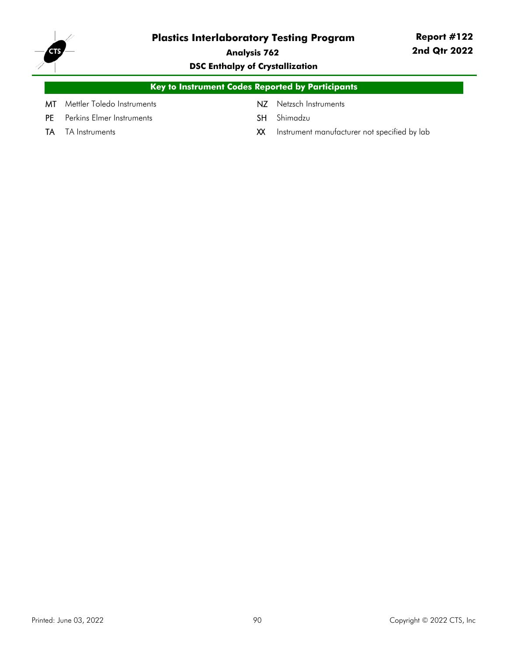

**Analysis 762**

# **DSC Enthalpy of Crystallization**

| <b>Key to Instrument Codes Reported by Participants</b> |  |                        |  |  |  |  |  |
|---------------------------------------------------------|--|------------------------|--|--|--|--|--|
| <b>MT</b> Mettler Toledo Instruments                    |  | NZ Netzsch Instruments |  |  |  |  |  |
| <b>PE</b> Perkins Elmer Instruments                     |  | <b>SH</b> Shimadzu     |  |  |  |  |  |

- 
- TA TA Instruments **TA Instruments** and the **XX** Instrument manufacturer not specified by lab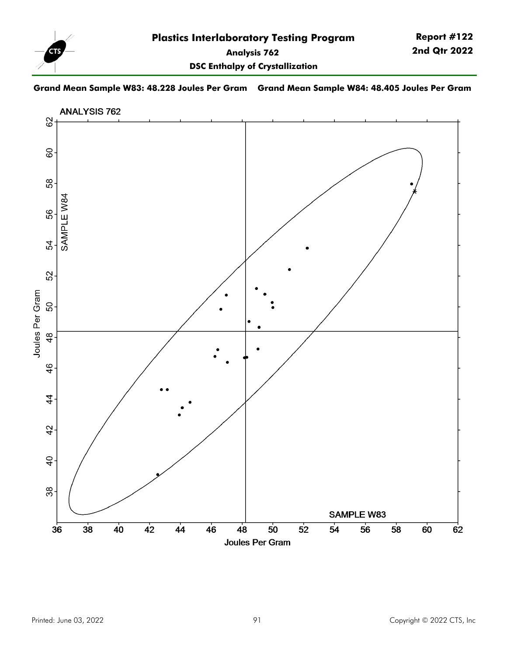

**DSC Enthalpy of Crystallization**

### **Grand Mean Sample W83: 48.228 Joules Per Gram Grand Mean Sample W84: 48.405 Joules Per Gram**

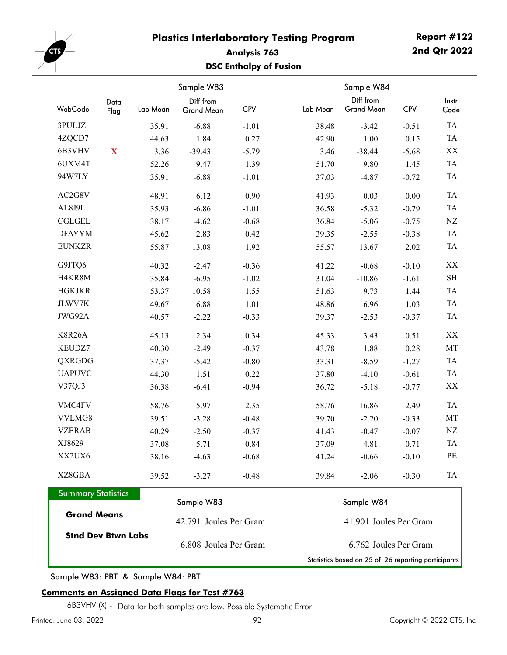

# **Analysis 763 DSC Enthalpy of Fusion**

|                           |                       |          | Sample W83              |                       |  |          | Sample W84                                          |            |                     |
|---------------------------|-----------------------|----------|-------------------------|-----------------------|--|----------|-----------------------------------------------------|------------|---------------------|
| WebCode                   | Data<br>Flag          | Lab Mean | Diff from<br>Grand Mean | <b>CPV</b>            |  | Lab Mean | Diff from<br><b>Grand Mean</b>                      | <b>CPV</b> | Instr<br>Code       |
| 3PULJZ                    |                       | 35.91    | $-6.88$                 | $-1.01$               |  | 38.48    | $-3.42$                                             | $-0.51$    | TA                  |
| 4ZQCD7                    |                       | 44.63    | 1.84                    | 0.27                  |  | 42.90    | 1.00                                                | 0.15       | TA                  |
| 6B3VHV                    | $\mathbf X$           | 3.36     | $-39.43$                | $-5.79$               |  | 3.46     | $-38.44$                                            | $-5.68$    | $\mathbf{XX}$       |
| 6UXM4T                    |                       | 52.26    | 9.47                    | 1.39                  |  | 51.70    | 9.80                                                | 1.45       | TA                  |
| 94W7LY                    |                       | 35.91    | $-6.88$                 | $-1.01$               |  | 37.03    | $-4.87$                                             | $-0.72$    | TA                  |
| AC2G8V                    |                       | 48.91    | 6.12                    | 0.90                  |  | 41.93    | 0.03                                                | $0.00\,$   | TA                  |
| AL8J9L                    |                       | 35.93    | $-6.86$                 | $-1.01$               |  | 36.58    | $-5.32$                                             | $-0.79$    | TA                  |
| <b>CGLGEL</b>             |                       | 38.17    | $-4.62$                 | $-0.68$               |  | 36.84    | $-5.06$                                             | $-0.75$    | NZ                  |
| <b>DFAYYM</b>             |                       | 45.62    | 2.83                    | 0.42                  |  | 39.35    | $-2.55$                                             | $-0.38$    | TA                  |
| <b>EUNKZR</b>             |                       | 55.87    | 13.08                   | 1.92                  |  | 55.57    | 13.67                                               | 2.02       | TA                  |
| G9JTQ6                    |                       | 40.32    | $-2.47$                 | $-0.36$               |  | 41.22    | $-0.68$                                             | $-0.10$    | XX                  |
| H4KR8M                    |                       | 35.84    | $-6.95$                 | $-1.02$               |  | 31.04    | $-10.86$                                            | $-1.61$    | $\operatorname{SH}$ |
| <b>HGKJKR</b>             |                       | 53.37    | 10.58                   | 1.55                  |  | 51.63    | 9.73                                                | 1.44       | TA                  |
| JLWV7K                    |                       | 49.67    | 6.88                    | 1.01                  |  | 48.86    | 6.96                                                | 1.03       | TA                  |
| JWG92A                    |                       | 40.57    | $-2.22$                 | $-0.33$               |  | 39.37    | $-2.53$                                             | $-0.37$    | TA                  |
| K8R26A                    |                       | 45.13    | 2.34                    | 0.34                  |  | 45.33    | 3.43                                                | 0.51       | XX                  |
| KEUDZ7                    |                       | 40.30    | $-2.49$                 | $-0.37$               |  | 43.78    | 1.88                                                | 0.28       | MT                  |
| QXRGDG                    |                       | 37.37    | $-5.42$                 | $-0.80$               |  | 33.31    | $-8.59$                                             | $-1.27$    | TA                  |
| <b>UAPUVC</b>             |                       | 44.30    | 1.51                    | 0.22                  |  | 37.80    | $-4.10$                                             | $-0.61$    | TA                  |
| V37QJ3                    |                       | 36.38    | $-6.41$                 | $-0.94$               |  | 36.72    | $-5.18$                                             | $-0.77$    | XX                  |
| VMC4FV                    |                       | 58.76    | 15.97                   | 2.35                  |  | 58.76    | 16.86                                               | 2.49       | TA                  |
| VVLMG8                    |                       | 39.51    | $-3.28$                 | $-0.48$               |  | 39.70    | $-2.20$                                             | $-0.33$    | MT                  |
| <b>VZERAB</b>             |                       | 40.29    | $-2.50$                 | $-0.37$               |  | 41.43    | $-0.47$                                             | $-0.07$    | NZ                  |
| XJ8629                    |                       | 37.08    | $-5.71$                 | $-0.84$               |  | 37.09    | $-4.81$                                             | $-0.71$    | TA                  |
| XX2UX6                    |                       | 38.16    | $-4.63$                 | $-0.68$               |  | 41.24    | $-0.66$                                             | $-0.10$    | PE                  |
| XZ8GBA                    |                       | 39.52    | $-3.27$                 | $-0.48$               |  | 39.84    | $-2.06$                                             | $-0.30$    | TA                  |
| <b>Summary Statistics</b> |                       |          | Sample W83              |                       |  |          | Sample W84                                          |            |                     |
| <b>Grand Means</b>        |                       |          | 42.791 Joules Per Gram  |                       |  |          | 41.901 Joules Per Gram                              |            |                     |
| <b>Stnd Dev Btwn Labs</b> |                       |          |                         |                       |  |          |                                                     |            |                     |
|                           | 6.808 Joules Per Gram |          |                         | 6.762 Joules Per Gram |  |          |                                                     |            |                     |
|                           |                       |          |                         |                       |  |          | Statistics based on 25 of 26 reporting participants |            |                     |

Sample W83: PBT & Sample W84: PBT

## **Comments on Assigned Data Flags for Test #763**

6B3VHV (X) - Data for both samples are low. Possible Systematic Error.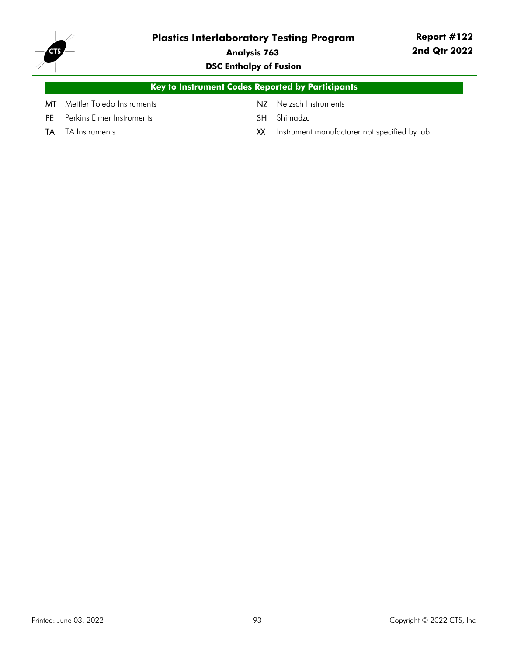

**Analysis 763**

**DSC Enthalpy of Fusion**

|     | Key to Instrument Codes Reported by Participants |                        |  |  |  |  |  |  |
|-----|--------------------------------------------------|------------------------|--|--|--|--|--|--|
|     | <b>MT</b> Mettler Toledo Instruments             | NZ Netzsch Instruments |  |  |  |  |  |  |
| PF. | Perkins Elmer Instruments                        | <b>SH</b> Shimadzu     |  |  |  |  |  |  |

- 
- TA TA Instruments **TA Instruments** and the **XX** Instrument manufacturer not specified by lab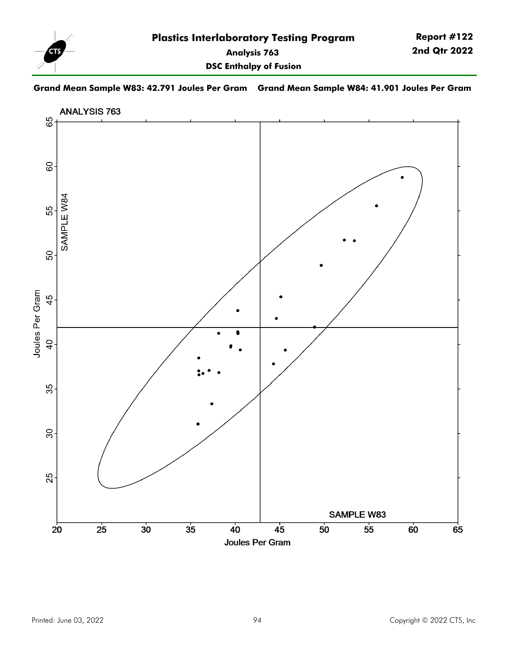

## **Grand Mean Sample W83: 42.791 Joules Per Gram Grand Mean Sample W84: 41.901 Joules Per Gram**

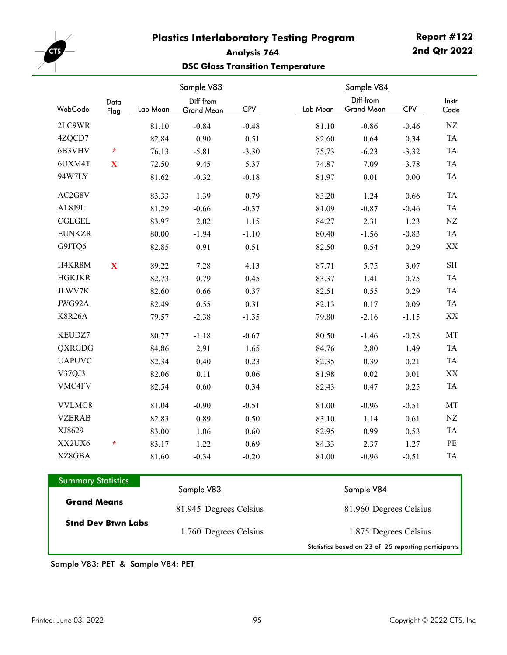

# **Analysis 764 DSC Glass Transition Temperature**

|               |              |          | Sample V83                     |            |          | Sample V84                     |            |
|---------------|--------------|----------|--------------------------------|------------|----------|--------------------------------|------------|
| WebCode       | Data<br>Flag | Lab Mean | Diff from<br><b>Grand Mean</b> | <b>CPV</b> | Lab Mean | Diff from<br><b>Grand Mean</b> | <b>CPV</b> |
| 2LC9WR        |              | 81.10    | $-0.84$                        | $-0.48$    | 81.10    | $-0.86$                        | $-0.46$    |
| 4ZQCD7        |              | 82.84    | 0.90                           | 0.51       | 82.60    | 0.64                           | 0.34       |
| 6B3VHV        | $\star$      | 76.13    | $-5.81$                        | $-3.30$    | 75.73    | $-6.23$                        | $-3.32$    |
| 6UXM4T        | X            | 72.50    | $-9.45$                        | $-5.37$    | 74.87    | $-7.09$                        | $-3.78$    |
| 94W7LY        |              | 81.62    | $-0.32$                        | $-0.18$    | 81.97    | 0.01                           | 0.00       |
| AC2G8V        |              | 83.33    | 1.39                           | 0.79       | 83.20    | 1.24                           | 0.66       |
| AL8J9L        |              | 81.29    | $-0.66$                        | $-0.37$    | 81.09    | $-0.87$                        | $-0.46$    |
| <b>CGLGEL</b> |              | 83.97    | 2.02                           | 1.15       | 84.27    | 2.31                           | 1.23       |
| <b>EUNKZR</b> |              | 80.00    | $-1.94$                        | $-1.10$    | 80.40    | $-1.56$                        | $-0.83$    |
| G9JTQ6        |              | 82.85    | 0.91                           | 0.51       | 82.50    | 0.54                           | 0.29       |
| H4KR8M        | $\mathbf X$  | 89.22    | 7.28                           | 4.13       | 87.71    | 5.75                           | 3.07       |
| <b>HGKJKR</b> |              | 82.73    | 0.79                           | 0.45       | 83.37    | 1.41                           | 0.75       |
| JLWV7K        |              | 82.60    | 0.66                           | 0.37       | 82.51    | 0.55                           | 0.29       |
| JWG92A        |              | 82.49    | 0.55                           | 0.31       | 82.13    | 0.17                           | 0.09       |
| <b>K8R26A</b> |              | 79.57    | $-2.38$                        | $-1.35$    | 79.80    | $-2.16$                        | $-1.15$    |
| KEUDZ7        |              | 80.77    | $-1.18$                        | $-0.67$    | 80.50    | $-1.46$                        | $-0.78$    |
| QXRGDG        |              | 84.86    | 2.91                           | 1.65       | 84.76    | 2.80                           | 1.49       |
| <b>UAPUVC</b> |              | 82.34    | 0.40                           | 0.23       | 82.35    | 0.39                           | 0.21       |
| V37QJ3        |              | 82.06    | 0.11                           | 0.06       | 81.98    | 0.02                           | $0.01\,$   |
| VMC4FV        |              | 82.54    | 0.60                           | 0.34       | 82.43    | 0.47                           | 0.25       |
| VVLMG8        |              | 81.04    | $-0.90$                        | $-0.51$    | 81.00    | $-0.96$                        | $-0.51$    |
| <b>VZERAB</b> |              | 82.83    | 0.89                           | 0.50       | 83.10    | 1.14                           | 0.61       |
| XJ8629        |              | 83.00    | 1.06                           | 0.60       | 82.95    | 0.99                           | 0.53       |
| XX2UX6        | $\ast$       | 83.17    | 1.22                           | 0.69       | 84.33    | 2.37                           | 1.27       |
| XZ8GBA        |              | 81.60    | $-0.34$                        | $-0.20$    | 81.00    | $-0.96$                        | $-0.51$    |
|               |              |          |                                |            |          |                                |            |

| <b>Summary Statistics</b> |                        |                                                     |
|---------------------------|------------------------|-----------------------------------------------------|
|                           | Sample V83             | <u>Sample V84</u>                                   |
| <b>Grand Means</b>        | 81.945 Degrees Celsius | 81.960 Degrees Celsius                              |
| <b>Stnd Dev Btwn Labs</b> | 1.760 Degrees Celsius  | 1.875 Degrees Celsius                               |
|                           |                        | Statistics based on 23 of 25 reporting participants |

Sample V83: PET & Sample V84: PET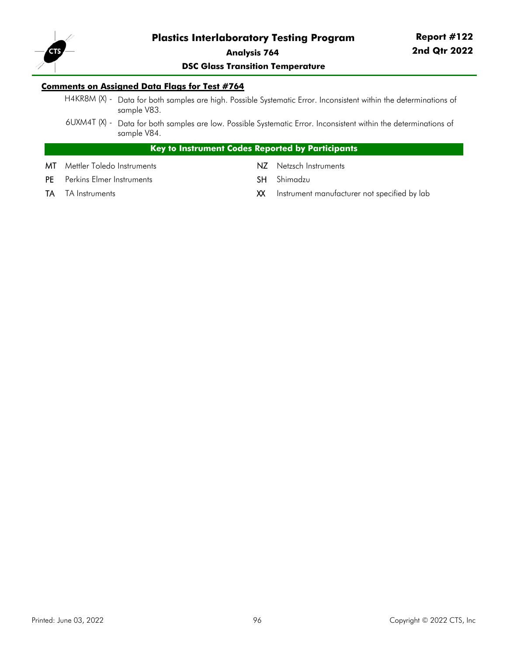

# **Report #122 2nd Qtr 2022**

#### **DSC Glass Transition Temperature**

#### **Comments on Assigned Data Flags for Test #764**

- H4KR8M (X) Data for both samples are high. Possible Systematic Error. Inconsistent within the determinations of sample V83.
- 6UXM4T (X) Data for both samples are low. Possible Systematic Error. Inconsistent within the determinations of sample V84.

## **Key to Instrument Codes Reported by Participants**

- MT Mettler Toledo Instruments NZ Netzsch Instruments
- PE Perkins Elmer Instruments SH Shimadzu
- 
- 
- 
- TA TA Instruments **TA Instruments** and the SX Instrument manufacturer not specified by lab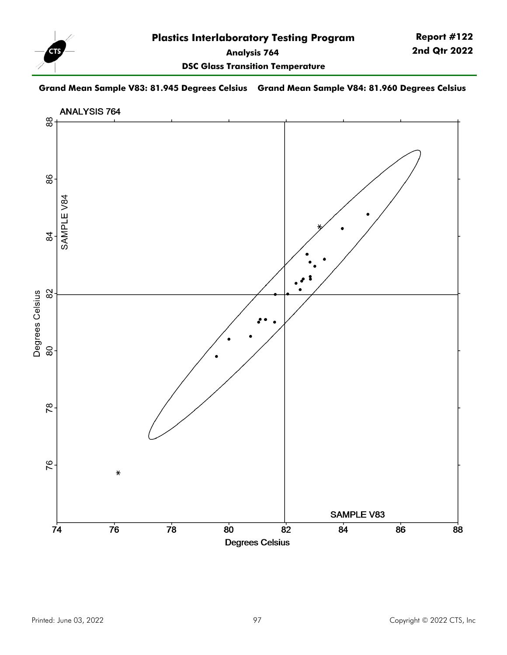

**DSC Glass Transition Temperature**

## **Grand Mean Sample V83: 81.945 Degrees Celsius Grand Mean Sample V84: 81.960 Degrees Celsius**

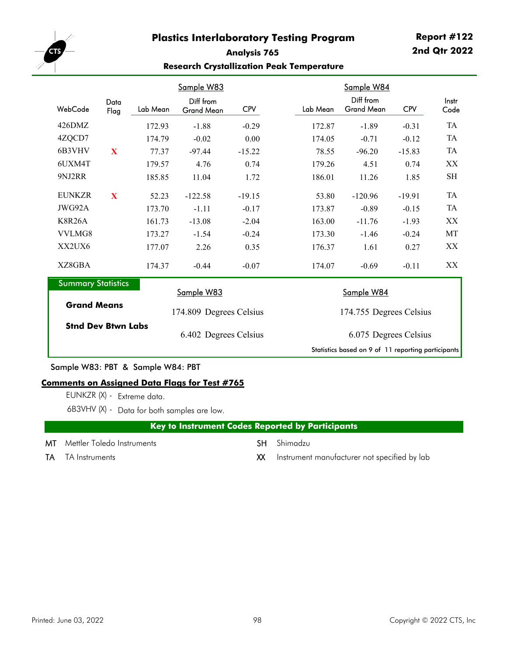

## **Analysis 765 Research Crystallization Peak Temperature**

|                                                 |              |          | Sample W83                     |            |          | Sample W84                                         |            |               |  |
|-------------------------------------------------|--------------|----------|--------------------------------|------------|----------|----------------------------------------------------|------------|---------------|--|
| WebCode                                         | Data<br>Flag | Lab Mean | Diff from<br><b>Grand Mean</b> | <b>CPV</b> | Lab Mean | Diff from<br><b>Grand Mean</b>                     | <b>CPV</b> | Instr<br>Code |  |
| 426DMZ                                          |              | 172.93   | $-1.88$                        | $-0.29$    | 172.87   | $-1.89$                                            | $-0.31$    | <b>TA</b>     |  |
| 4ZQCD7                                          |              | 174.79   | $-0.02$                        | 0.00       | 174.05   | $-0.71$                                            | $-0.12$    | TA            |  |
| 6B3VHV                                          | X            | 77.37    | $-97.44$                       | $-15.22$   | 78.55    | $-96.20$                                           | $-15.83$   | TA            |  |
| 6UXM4T                                          |              | 179.57   | 4.76                           | 0.74       | 179.26   | 4.51                                               | 0.74       | XX            |  |
| 9NJ2RR                                          |              | 185.85   | 11.04                          | 1.72       | 186.01   | 11.26                                              | 1.85       | <b>SH</b>     |  |
| <b>EUNKZR</b>                                   | X            | 52.23    | $-122.58$                      | $-19.15$   | 53.80    | $-120.96$                                          | $-19.91$   | TA            |  |
| JWG92A                                          |              | 173.70   | $-1.11$                        | $-0.17$    | 173.87   | $-0.89$                                            | $-0.15$    | <b>TA</b>     |  |
| <b>K8R26A</b>                                   |              | 161.73   | $-13.08$                       | $-2.04$    | 163.00   | $-11.76$                                           | $-1.93$    | XX            |  |
| VVLMG8                                          |              | 173.27   | $-1.54$                        | $-0.24$    | 173.30   | $-1.46$                                            | $-0.24$    | MT            |  |
| XX2UX6                                          |              | 177.07   | 2.26                           | 0.35       | 176.37   | 1.61                                               | 0.27       | XX            |  |
| XZ8GBA                                          |              | 174.37   | $-0.44$                        | $-0.07$    | 174.07   | $-0.69$                                            | $-0.11$    | XX            |  |
| <b>Summary Statistics</b>                       |              |          | Sample W83                     |            |          | Sample W84                                         |            |               |  |
| <b>Grand Means</b><br><b>Stnd Dev Btwn Labs</b> |              |          | 174.809 Degrees Celsius        |            |          | 174.755 Degrees Celsius                            |            |               |  |
|                                                 |              |          | 6.402 Degrees Celsius          |            |          | 6.075 Degrees Celsius                              |            |               |  |
|                                                 |              |          |                                |            |          | Statistics based on 9 of 11 reporting participants |            |               |  |

Sample W83: PBT & Sample W84: PBT

#### **Comments on Assigned Data Flags for Test #765**

EUNKZR (X) - Extreme data.

6B3VHV (X) - Data for both samples are low.

# **Key to Instrument Codes Reported by Participants**

- MT Mettler Toledo Instruments SH Shimadzu
	-

- 
- TA TA Instruments **TA** TA Instruments **XX** Instrument manufacturer not specified by lab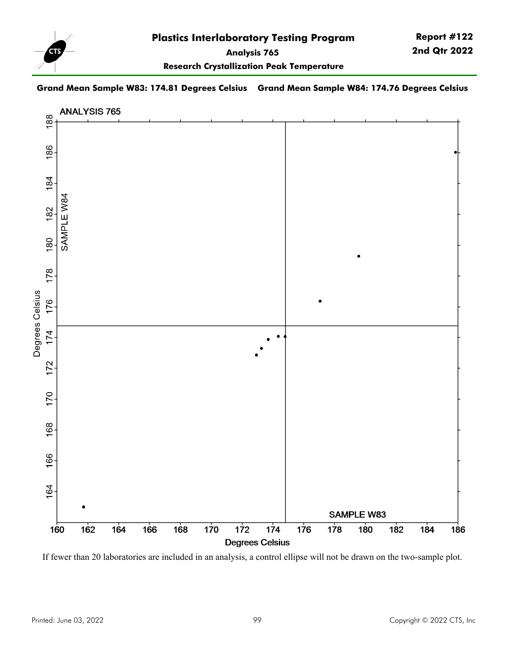

**Report #122 2nd Qtr 2022**

**Research Crystallization Peak Temperature**

### **Grand Mean Sample W83: 174.81 Degrees Celsius Grand Mean Sample W84: 174.76 Degrees Celsius**



If fewer than 20 laboratories are included in an analysis, a control ellipse will not be drawn on the two-sample plot.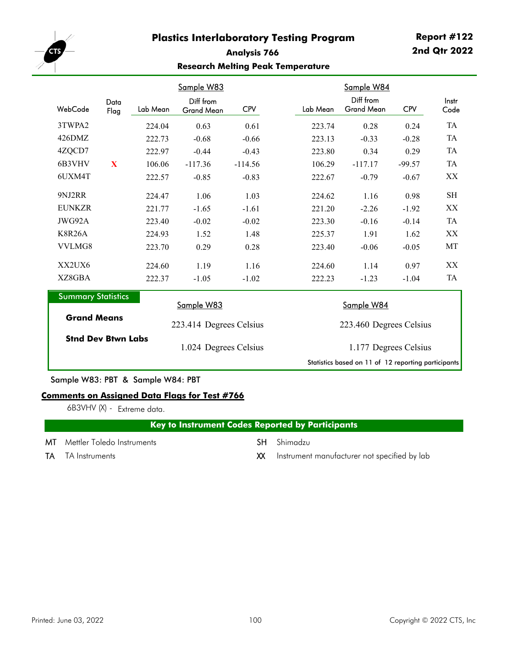

# **Analysis 766 Research Melting Peak Temperature**

|                           |                                         |          | <u>Sample W83</u>              |            |  | Sample W84              |                                |            |               |
|---------------------------|-----------------------------------------|----------|--------------------------------|------------|--|-------------------------|--------------------------------|------------|---------------|
| WebCode                   | Data<br>Flag                            | Lab Mean | Diff from<br><b>Grand Mean</b> | <b>CPV</b> |  | Lab Mean                | Diff from<br><b>Grand Mean</b> | <b>CPV</b> | Instr<br>Code |
| 3TWPA2                    |                                         | 224.04   | 0.63                           | 0.61       |  | 223.74                  | 0.28                           | 0.24       | TA            |
| 426DMZ                    |                                         | 222.73   | $-0.68$                        | $-0.66$    |  | 223.13                  | $-0.33$                        | $-0.28$    | TA            |
| 4ZQCD7                    |                                         | 222.97   | $-0.44$                        | $-0.43$    |  | 223.80                  | 0.34                           | 0.29       | TA            |
| 6B3VHV                    | $\mathbf{X}$                            | 106.06   | $-117.36$                      | $-114.56$  |  | 106.29                  | $-117.17$                      | $-99.57$   | <b>TA</b>     |
| 6UXM4T                    |                                         | 222.57   | $-0.85$                        | $-0.83$    |  | 222.67                  | $-0.79$                        | $-0.67$    | XX            |
| 9NJ2RR                    |                                         | 224.47   | 1.06                           | 1.03       |  | 224.62                  | 1.16                           | 0.98       | <b>SH</b>     |
| <b>EUNKZR</b>             |                                         | 221.77   | $-1.65$                        | $-1.61$    |  | 221.20                  | $-2.26$                        | $-1.92$    | XX            |
| JWG92A                    |                                         | 223.40   | $-0.02$                        | $-0.02$    |  | 223.30                  | $-0.16$                        | $-0.14$    | <b>TA</b>     |
| <b>K8R26A</b>             |                                         | 224.93   | 1.52                           | 1.48       |  | 225.37                  | 1.91                           | 1.62       | XX            |
| VVLMG8                    |                                         | 223.70   | 0.29                           | 0.28       |  | 223.40                  | $-0.06$                        | $-0.05$    | MT            |
| XX2UX6                    |                                         | 224.60   | 1.19                           | 1.16       |  | 224.60                  | 1.14                           | 0.97       | XX            |
| XZ8GBA                    |                                         | 222.37   | $-1.05$                        | $-1.02$    |  | 222.23                  | $-1.23$                        | $-1.04$    | TA            |
|                           | <b>Summary Statistics</b><br>Sample W83 |          |                                |            |  | Sample W84              |                                |            |               |
| <b>Grand Means</b>        |                                         |          | 223.414 Degrees Celsius        |            |  | 223.460 Degrees Celsius |                                |            |               |
| <b>Stnd Dev Btwn Labs</b> |                                         |          | 1.024 Degrees Celsius          |            |  | 1.177 Degrees Celsius   |                                |            |               |

Sample W83: PBT & Sample W84: PBT

#### **Comments on Assigned Data Flags for Test #766**

6B3VHV (X) - Extreme data.

# **Key to Instrument Codes Reported by Participants**

MT Mettler Toledo Instruments SH Shimadzu

- 
- TA TA Instruments **TA** TA Instruments **XX** Instrument manufacturer not specified by lab

Statistics based on 11 of 12 reporting participants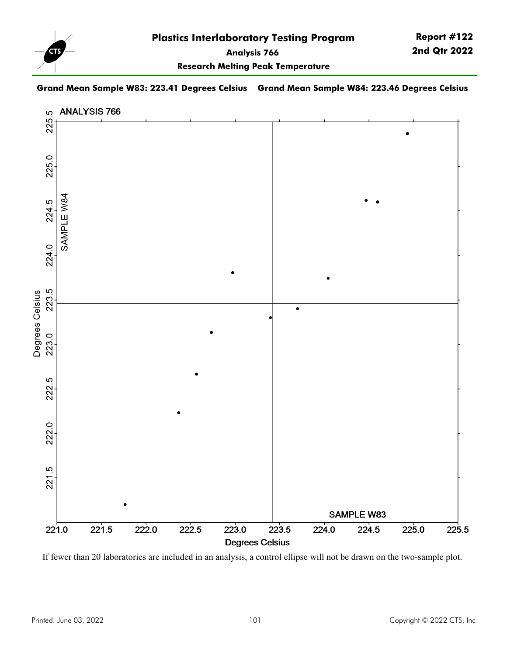

**Research Melting Peak Temperature**

#### **Grand Mean Sample W83: 223.41 Degrees Celsius Grand Mean Sample W84: 223.46 Degrees Celsius**



If fewer than 20 laboratories are included in an analysis, a control ellipse will not be drawn on the two-sample plot.

**Report #122 2nd Qtr 2022**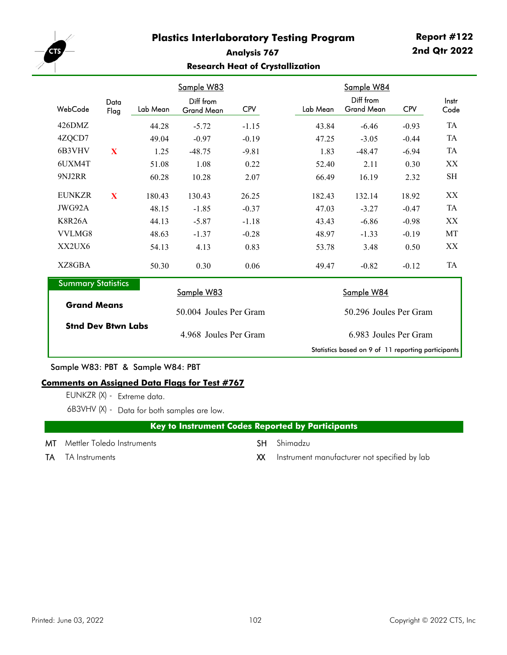

## **Analysis 767 Research Heat of Crystallization**

|                           |              |          | <u>Sample W83</u>              |            |          | Sample W84                                         |            |               |  |
|---------------------------|--------------|----------|--------------------------------|------------|----------|----------------------------------------------------|------------|---------------|--|
| WebCode                   | Data<br>Flag | Lab Mean | Diff from<br><b>Grand Mean</b> | <b>CPV</b> | Lab Mean | Diff from<br><b>Grand Mean</b>                     | <b>CPV</b> | Instr<br>Code |  |
| 426DMZ                    |              | 44.28    | $-5.72$                        | $-1.15$    | 43.84    | $-6.46$                                            | $-0.93$    | <b>TA</b>     |  |
| 4ZQCD7                    |              | 49.04    | $-0.97$                        | $-0.19$    | 47.25    | $-3.05$                                            | $-0.44$    | TA            |  |
| 6B3VHV                    | X            | 1.25     | $-48.75$                       | $-9.81$    | 1.83     | $-48.47$                                           | $-6.94$    | TA            |  |
| 6UXM4T                    |              | 51.08    | 1.08                           | 0.22       | 52.40    | 2.11                                               | 0.30       | XX            |  |
| 9NJ2RR                    |              | 60.28    | 10.28                          | 2.07       | 66.49    | 16.19                                              | 2.32       | <b>SH</b>     |  |
| <b>EUNKZR</b>             | $\mathbf{X}$ | 180.43   | 130.43                         | 26.25      | 182.43   | 132.14                                             | 18.92      | XX            |  |
| JWG92A                    |              | 48.15    | $-1.85$                        | $-0.37$    | 47.03    | $-3.27$                                            | $-0.47$    | <b>TA</b>     |  |
| <b>K8R26A</b>             |              | 44.13    | $-5.87$                        | $-1.18$    | 43.43    | $-6.86$                                            | $-0.98$    | XX            |  |
| VVLMG8                    |              | 48.63    | $-1.37$                        | $-0.28$    | 48.97    | $-1.33$                                            | $-0.19$    | MT            |  |
| XX2UX6                    |              | 54.13    | 4.13                           | 0.83       | 53.78    | 3.48                                               | 0.50       | XX            |  |
| XZ8GBA                    |              | 50.30    | 0.30                           | 0.06       | 49.47    | $-0.82$                                            | $-0.12$    | TA            |  |
| <b>Summary Statistics</b> |              |          | Sample W83                     |            |          | Sample W84                                         |            |               |  |
| <b>Grand Means</b>        |              |          |                                |            |          |                                                    |            |               |  |
|                           |              |          | 50.004 Joules Per Gram         |            |          | 50.296 Joules Per Gram                             |            |               |  |
| <b>Stnd Dev Btwn Labs</b> |              |          | 4.968 Joules Per Gram          |            |          | 6.983 Joules Per Gram                              |            |               |  |
|                           |              |          |                                |            |          | Statistics based on 9 of 11 reporting participants |            |               |  |

Sample W83: PBT & Sample W84: PBT

#### **Comments on Assigned Data Flags for Test #767**

EUNKZR (X) - Extreme data.

6B3VHV (X) - Data for both samples are low.

# **Key to Instrument Codes Reported by Participants**

- MT Mettler Toledo Instruments SH Shimadzu
	-

- 
- TA TA Instruments **TA** TA Instruments **XX** Instrument manufacturer not specified by lab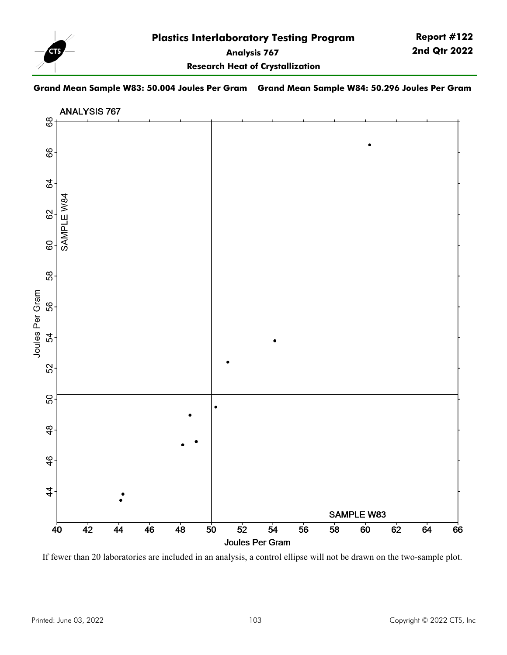

**Research Heat of Crystallization**

### **Grand Mean Sample W83: 50.004 Joules Per Gram Grand Mean Sample W84: 50.296 Joules Per Gram**



If fewer than 20 laboratories are included in an analysis, a control ellipse will not be drawn on the two-sample plot.

**Report #122 2nd Qtr 2022**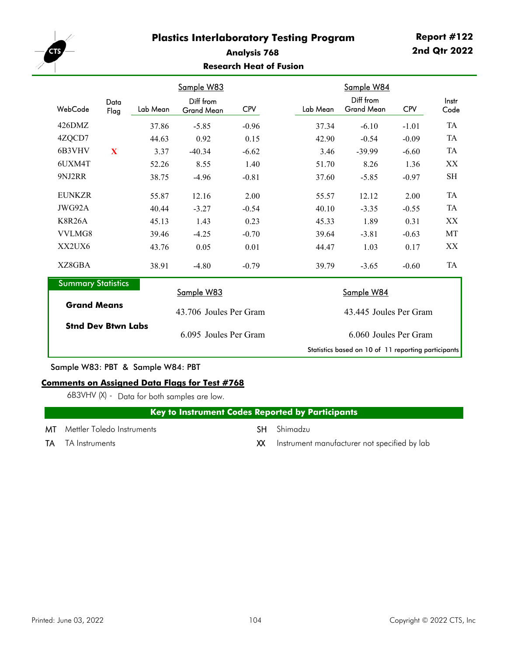

## **Analysis 768 Research Heat of Fusion**

|                           |              |          | <u>Sample W83</u>              |            |          | Sample W84                                          |            |                     |  |
|---------------------------|--------------|----------|--------------------------------|------------|----------|-----------------------------------------------------|------------|---------------------|--|
| WebCode                   | Data<br>Flag | Lab Mean | Diff from<br><b>Grand Mean</b> | <b>CPV</b> | Lab Mean | Diff from<br><b>Grand Mean</b>                      | <b>CPV</b> | Instr<br>Code       |  |
| 426DMZ                    |              | 37.86    | $-5.85$                        | $-0.96$    | 37.34    | $-6.10$                                             | $-1.01$    | <b>TA</b>           |  |
| 4ZQCD7                    |              | 44.63    | 0.92                           | 0.15       | 42.90    | $-0.54$                                             | $-0.09$    | TA                  |  |
| 6B3VHV                    | $\mathbf{X}$ | 3.37     | $-40.34$                       | $-6.62$    | 3.46     | $-39.99$                                            | $-6.60$    | TA                  |  |
| 6UXM4T                    |              | 52.26    | 8.55                           | 1.40       | 51.70    | 8.26                                                | 1.36       | XX                  |  |
| 9NJ2RR                    |              | 38.75    | $-4.96$                        | $-0.81$    | 37.60    | $-5.85$                                             | $-0.97$    | $\operatorname{SH}$ |  |
| <b>EUNKZR</b>             |              | 55.87    | 12.16                          | 2.00       | 55.57    | 12.12                                               | 2.00       | TA                  |  |
| JWG92A                    |              | 40.44    | $-3.27$                        | $-0.54$    | 40.10    | $-3.35$                                             | $-0.55$    | TA                  |  |
| <b>K8R26A</b>             |              | 45.13    | 1.43                           | 0.23       | 45.33    | 1.89                                                | 0.31       | XX                  |  |
| VVLMG8                    |              | 39.46    | $-4.25$                        | $-0.70$    | 39.64    | $-3.81$                                             | $-0.63$    | МT                  |  |
| XX2UX6                    |              | 43.76    | 0.05                           | 0.01       | 44.47    | 1.03                                                | 0.17       | XX                  |  |
| XZ8GBA                    |              | 38.91    | $-4.80$                        | $-0.79$    | 39.79    | $-3.65$                                             | $-0.60$    | <b>TA</b>           |  |
| <b>Summary Statistics</b> |              |          |                                |            |          |                                                     |            |                     |  |
|                           |              |          | Sample W83                     |            |          | Sample W84                                          |            |                     |  |
| <b>Grand Means</b>        |              |          | 43.706 Joules Per Gram         |            |          | 43.445 Joules Per Gram                              |            |                     |  |
| <b>Stnd Dev Btwn Labs</b> |              |          | 6.095 Joules Per Gram          |            |          | 6.060 Joules Per Gram                               |            |                     |  |
|                           |              |          |                                |            |          | Statistics based on 10 of 11 reporting participants |            |                     |  |

Sample W83: PBT & Sample W84: PBT

### **Comments on Assigned Data Flags for Test #768**

6B3VHV (X) - Data for both samples are low.

| Key to Instrument Codes Reported by Participants |  |
|--------------------------------------------------|--|
|                                                  |  |

- MT Mettler Toledo Instruments SH Shimadzu
	-
- TA TA Instruments **TA** TA Instruments **XX** Instrument manufacturer not specified by lab
-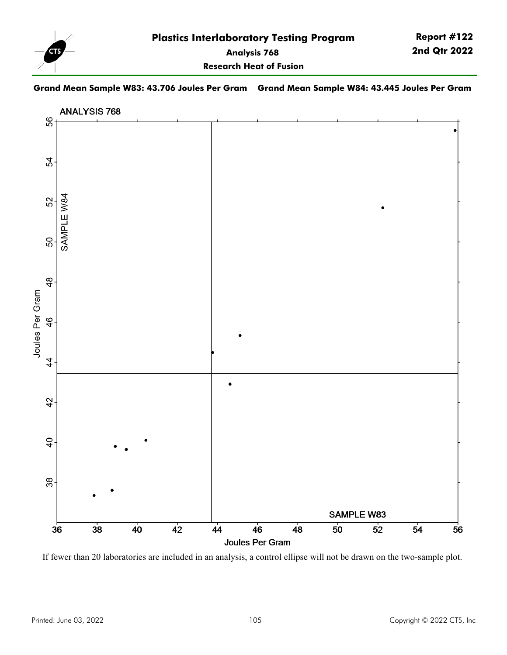

**Grand Mean Sample W83: 43.706 Joules Per Gram Grand Mean Sample W84: 43.445 Joules Per Gram**

**Research Heat of Fusion**



If fewer than 20 laboratories are included in an analysis, a control ellipse will not be drawn on the two-sample plot.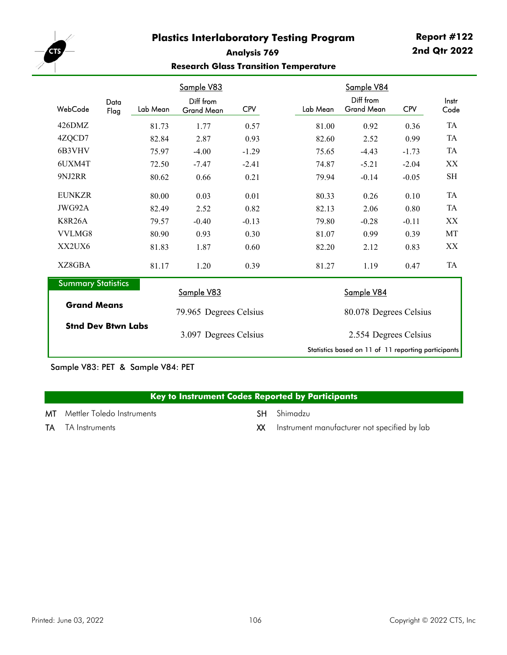

# **Analysis 769 Research Glass Transition Temperature**

|                                                 |              | Sample V83 |                                                     |            |          | Sample V84                     |            |               |  |
|-------------------------------------------------|--------------|------------|-----------------------------------------------------|------------|----------|--------------------------------|------------|---------------|--|
| WebCode                                         | Data<br>Flag | Lab Mean   | Diff from<br><b>Grand Mean</b>                      | <b>CPV</b> | Lab Mean | Diff from<br><b>Grand Mean</b> | <b>CPV</b> | Instr<br>Code |  |
| 426DMZ                                          |              | 81.73      | 1.77                                                | 0.57       | 81.00    | 0.92                           | 0.36       | TA            |  |
| 4ZQCD7                                          |              | 82.84      | 2.87                                                | 0.93       | 82.60    | 2.52                           | 0.99       | TA            |  |
| 6B3VHV                                          |              | 75.97      | $-4.00$                                             | $-1.29$    | 75.65    | $-4.43$                        | $-1.73$    | TA            |  |
| 6UXM4T                                          |              | 72.50      | $-7.47$                                             | $-2.41$    | 74.87    | $-5.21$                        | $-2.04$    | XX            |  |
| 9NJ2RR                                          |              | 80.62      | 0.66                                                | 0.21       | 79.94    | $-0.14$                        | $-0.05$    | SH            |  |
| <b>EUNKZR</b>                                   |              | 80.00      | 0.03                                                | 0.01       | 80.33    | 0.26                           | 0.10       | TA            |  |
| JWG92A                                          |              | 82.49      | 2.52                                                | 0.82       | 82.13    | 2.06                           | 0.80       | TA            |  |
| <b>K8R26A</b>                                   |              | 79.57      | $-0.40$                                             | $-0.13$    | 79.80    | $-0.28$                        | $-0.11$    | XX            |  |
| VVLMG8                                          |              | 80.90      | 0.93                                                | 0.30       | 81.07    | 0.99                           | 0.39       | MT            |  |
| XX2UX6                                          |              | 81.83      | 1.87                                                | 0.60       | 82.20    | 2.12                           | 0.83       | XX            |  |
| XZ8GBA                                          |              | 81.17      | 1.20                                                | 0.39       | 81.27    | 1.19                           | 0.47       | <b>TA</b>     |  |
| <b>Summary Statistics</b>                       |              |            |                                                     |            |          |                                |            |               |  |
| <b>Grand Means</b><br><b>Stnd Dev Btwn Labs</b> |              |            | Sample V83                                          |            |          | Sample V84                     |            |               |  |
|                                                 |              |            | 79.965 Degrees Celsius                              |            |          | 80.078 Degrees Celsius         |            |               |  |
|                                                 |              |            | 3.097 Degrees Celsius                               |            |          | 2.554 Degrees Celsius          |            |               |  |
|                                                 |              |            | Statistics based on 11 of 11 reporting participants |            |          |                                |            |               |  |

Sample V83: PET & Sample V84: PET

## **Key to Instrument Codes Reported by Participants**

MT Mettler Toledo Instruments SH Shimadzu

TA TA Instruments **TA** TA Instruments **XX** Instrument manufacturer not specified by lab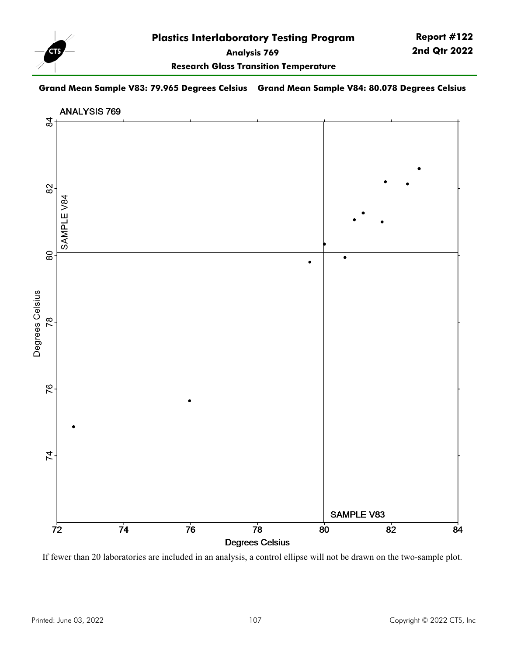

**Report #122 2nd Qtr 2022**

**Research Glass Transition Temperature**

### **Grand Mean Sample V83: 79.965 Degrees Celsius Grand Mean Sample V84: 80.078 Degrees Celsius**



If fewer than 20 laboratories are included in an analysis, a control ellipse will not be drawn on the two-sample plot.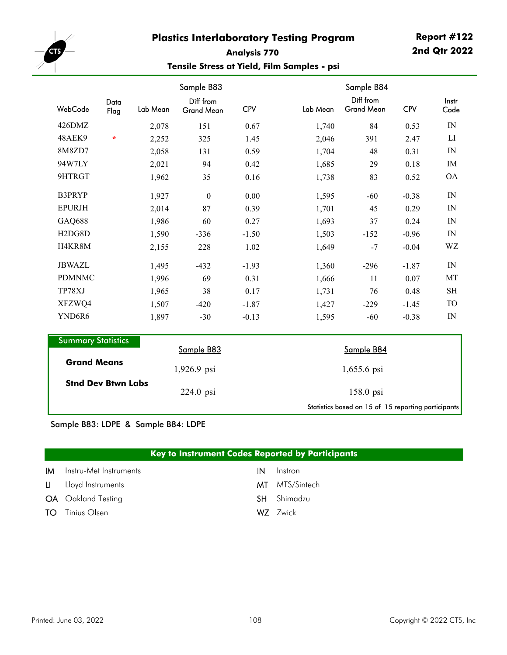

# **Report #122 2nd Qtr 2022**

# **Analysis 770 Tensile Stress at Yield, Film Samples - psi**

|                                  |                                   |          | Sample B83<br>Sample B84       |            |  |          |                                |            |                          |
|----------------------------------|-----------------------------------|----------|--------------------------------|------------|--|----------|--------------------------------|------------|--------------------------|
| WebCode                          | Data<br>Flag                      | Lab Mean | Diff from<br><b>Grand Mean</b> | <b>CPV</b> |  | Lab Mean | Diff from<br><b>Grand Mean</b> | <b>CPV</b> | Instr<br>Code            |
| 426DMZ                           |                                   | 2,078    | 151                            | 0.67       |  | 1,740    | 84                             | 0.53       | IN                       |
| 48AEK9                           | $\star$                           | 2,252    | 325                            | 1.45       |  | 2,046    | 391                            | 2.47       | LI                       |
| 8M8ZD7                           |                                   | 2,058    | 131                            | 0.59       |  | 1,704    | 48                             | 0.31       | IN                       |
| 94W7LY                           |                                   | 2,021    | 94                             | 0.42       |  | 1,685    | 29                             | 0.18       | IM                       |
| 9HTRGT                           |                                   | 1,962    | 35                             | 0.16       |  | 1,738    | 83                             | 0.52       | <b>OA</b>                |
| B3PRYP                           |                                   | 1,927    | $\boldsymbol{0}$               | 0.00       |  | 1,595    | $-60$                          | $-0.38$    | IN                       |
| <b>EPURJH</b>                    |                                   | 2,014    | 87                             | 0.39       |  | 1,701    | 45                             | 0.29       | $\ensuremath{\text{IN}}$ |
| GAQ688                           |                                   | 1,986    | 60                             | 0.27       |  | 1,693    | 37                             | 0.24       | IN                       |
| H <sub>2</sub> D <sub>G8</sub> D |                                   | 1,590    | $-336$                         | $-1.50$    |  | 1,503    | $-152$                         | $-0.96$    | IN                       |
| H4KR8M                           |                                   | 2,155    | 228                            | 1.02       |  | 1,649    | $-7$                           | $-0.04$    | WZ                       |
| <b>JBWAZL</b>                    |                                   | 1,495    | $-432$                         | $-1.93$    |  | 1,360    | $-296$                         | $-1.87$    | IN                       |
| <b>PDMNMC</b>                    |                                   | 1,996    | 69                             | 0.31       |  | 1,666    | 11                             | 0.07       | MT                       |
| TP78XJ                           |                                   | 1,965    | 38                             | 0.17       |  | 1,731    | 76                             | 0.48       | $\operatorname{SH}$      |
| XFZWQ4                           |                                   | 1,507    | $-420$                         | $-1.87$    |  | 1,427    | $-229$                         | $-1.45$    | <b>TO</b>                |
| YND6R6                           |                                   | 1,897    | $-30$                          | $-0.13$    |  | 1,595    | $-60$                          | $-0.38$    | ${\rm IN}$               |
| $\sim$                           | <b>Contract Contract Contract</b> |          |                                |            |  |          |                                |            |                          |

| <b>Summary Statistics</b> |               |                                                     |  |  |
|---------------------------|---------------|-----------------------------------------------------|--|--|
|                           | Sample B83    | Sample B84                                          |  |  |
| <b>Grand Means</b>        | $1,926.9$ psi | $1,655.6$ psi                                       |  |  |
| <b>Stnd Dev Btwn Labs</b> | $224.0$ psi   | $158.0$ psi                                         |  |  |
|                           |               | Statistics based on 15 of 15 reporting participants |  |  |

# Sample B83: LDPE & Sample B84: LDPE

## **Key to Instrument Codes Reported by Participants**

| <b>IM</b> Instru-Met Instruments | IN | Instron            |
|----------------------------------|----|--------------------|
| LI Lloyd Instruments             |    | MT MTS/Sintech     |
| <b>OA</b> Oakland Testing        |    | <b>SH</b> Shimadzu |
| <b>TO</b> Tinius Olsen           |    | WZ Zwick           |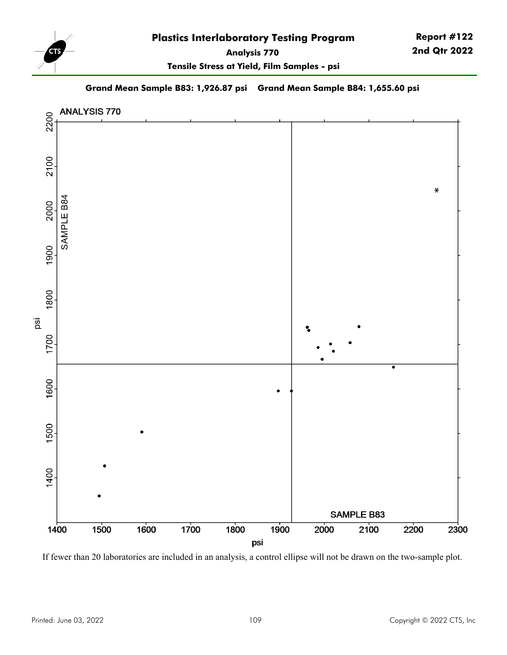

**Tensile Stress at Yield, Film Samples - psi**

**Grand Mean Sample B83: 1,926.87 psi Grand Mean Sample B84: 1,655.60 psi**



If fewer than 20 laboratories are included in an analysis, a control ellipse will not be drawn on the two-sample plot.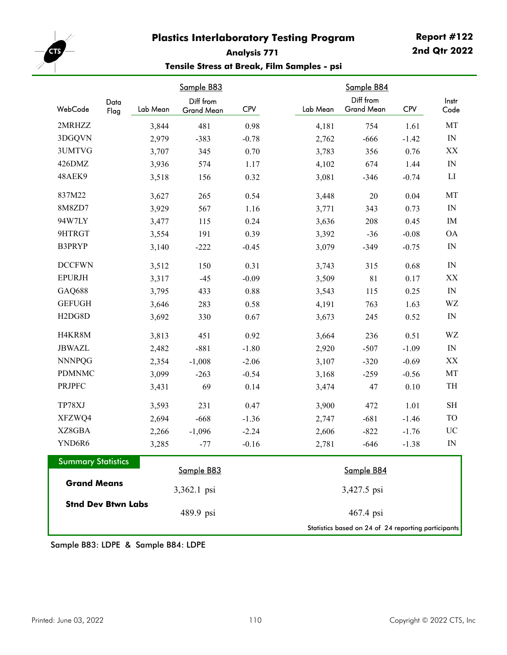

# **Report #122 2nd Qtr 2022**

# **Analysis 771 Tensile Stress at Break, Film Samples - psi**

|                                  |              |          | Sample B83              |            |          | Sample B84                                          |            |                                         |
|----------------------------------|--------------|----------|-------------------------|------------|----------|-----------------------------------------------------|------------|-----------------------------------------|
| WebCode                          | Data<br>Flag | Lab Mean | Diff from<br>Grand Mean | <b>CPV</b> | Lab Mean | Diff from<br><b>Grand Mean</b>                      | <b>CPV</b> | Instr<br>Code                           |
| 2MRHZZ                           |              | 3,844    | 481                     | 0.98       | 4,181    | 754                                                 | 1.61       | MT                                      |
| 3DGQVN                           |              | 2,979    | $-383$                  | $-0.78$    | 2,762    | $-666$                                              | $-1.42$    | $\ensuremath{\text{IN}}$                |
| 3UMTVG                           |              | 3,707    | 345                     | 0.70       | 3,783    | 356                                                 | 0.76       | XX                                      |
| 426DMZ                           |              | 3,936    | 574                     | 1.17       | 4,102    | 674                                                 | 1.44       | $\ensuremath{\text{IN}}$                |
| 48AEK9                           |              | 3,518    | 156                     | 0.32       | 3,081    | $-346$                                              | $-0.74$    | LI                                      |
| 837M22                           |              | 3,627    | 265                     | 0.54       | 3,448    | $20\,$                                              | 0.04       | MT                                      |
| 8M8ZD7                           |              | 3,929    | 567                     | 1.16       | 3,771    | 343                                                 | 0.73       | $\ensuremath{\text{IN}}$                |
| 94W7LY                           |              | 3,477    | 115                     | 0.24       | 3,636    | 208                                                 | 0.45       | IM                                      |
| 9HTRGT                           |              | 3,554    | 191                     | 0.39       | 3,392    | $-36$                                               | $-0.08$    | <b>OA</b>                               |
| B3PRYP                           |              | 3,140    | $-222$                  | $-0.45$    | 3,079    | $-349$                                              | $-0.75$    | IN                                      |
| <b>DCCFWN</b>                    |              | 3,512    | 150                     | 0.31       | 3,743    | 315                                                 | 0.68       | $\ensuremath{\mathop{\rm IN}\nolimits}$ |
| <b>EPURJH</b>                    |              | 3,317    | $-45$                   | $-0.09$    | 3,509    | 81                                                  | 0.17       | $\mathbf{X}\mathbf{X}$                  |
| GAQ688                           |              | 3,795    | 433                     | 0.88       | 3,543    | 115                                                 | 0.25       | $\ensuremath{\text{IN}}$                |
| <b>GEFUGH</b>                    |              | 3,646    | 283                     | 0.58       | 4,191    | 763                                                 | 1.63       | WZ                                      |
| H <sub>2</sub> D <sub>G8</sub> D |              | 3,692    | 330                     | 0.67       | 3,673    | 245                                                 | 0.52       | $\ensuremath{\text{IN}}$                |
| H4KR8M                           |              | 3,813    | 451                     | 0.92       | 3,664    | 236                                                 | 0.51       | WZ                                      |
| <b>JBWAZL</b>                    |              | 2,482    | $-881$                  | $-1.80$    | 2,920    | $-507$                                              | $-1.09$    | $\ensuremath{\text{IN}}$                |
| <b>NNNPQG</b>                    |              | 2,354    | $-1,008$                | $-2.06$    | 3,107    | $-320$                                              | $-0.69$    | XX                                      |
| <b>PDMNMC</b>                    |              | 3,099    | $-263$                  | $-0.54$    | 3,168    | $-259$                                              | $-0.56$    | MT                                      |
| <b>PRJPFC</b>                    |              | 3,431    | 69                      | 0.14       | 3,474    | 47                                                  | 0.10       | TH                                      |
| TP78XJ                           |              | 3,593    | 231                     | 0.47       | 3,900    | 472                                                 | 1.01       | $\operatorname{SH}$                     |
| XFZWQ4                           |              | 2,694    | $-668$                  | $-1.36$    | 2,747    | $-681$                                              | $-1.46$    | TO                                      |
| XZ8GBA                           |              | 2,266    | $-1,096$                | $-2.24$    | 2,606    | $-822$                                              | $-1.76$    | UC                                      |
| YND6R6                           |              | 3,285    | $-77$                   | $-0.16$    | 2,781    | $-646$                                              | $-1.38$    | IN                                      |
| <b>Summary Statistics</b>        |              |          | Sample B83              |            |          | Sample B84                                          |            |                                         |
| <b>Grand Means</b>               |              |          | 3,362.1 psi             |            |          | 3,427.5 psi                                         |            |                                         |
| <b>Stnd Dev Btwn Labs</b>        |              |          | 489.9 psi               |            |          | 467.4 psi                                           |            |                                         |
|                                  |              |          |                         |            |          | Statistics based on 24 of 24 reporting participants |            |                                         |

Sample B83: LDPE & Sample B84: LDPE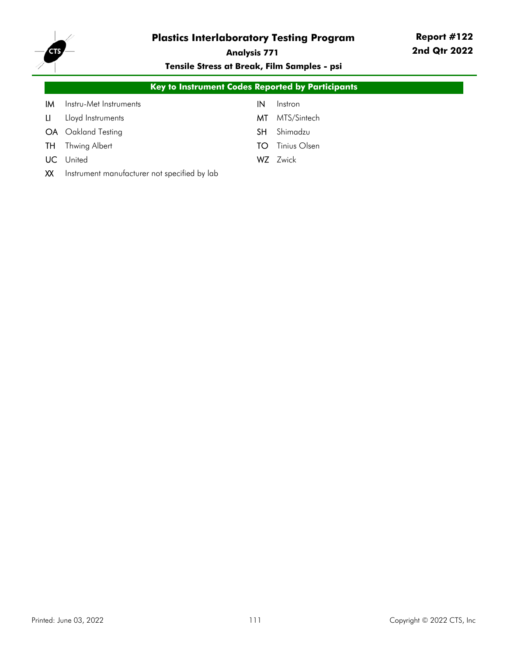

**Analysis 771**

**Tensile Stress at Break, Film Samples - psi**

|     | Key to Instrument Codes Reported by Participants |     |              |  |  |  |
|-----|--------------------------------------------------|-----|--------------|--|--|--|
| IМ  | Instru-Met Instruments                           | IN  | Instron      |  |  |  |
| LI. | Lloyd Instruments                                | МT  | MTS/Sintech  |  |  |  |
| OA  | Oakland Testing                                  | SH. | Shimadzu     |  |  |  |
| TH  | Thwing Albert                                    | TO  | Tinius Olsen |  |  |  |
| UC. | United                                           |     | WZ Zwick     |  |  |  |
| XX  | Instrument manufacturer not specified by lab     |     |              |  |  |  |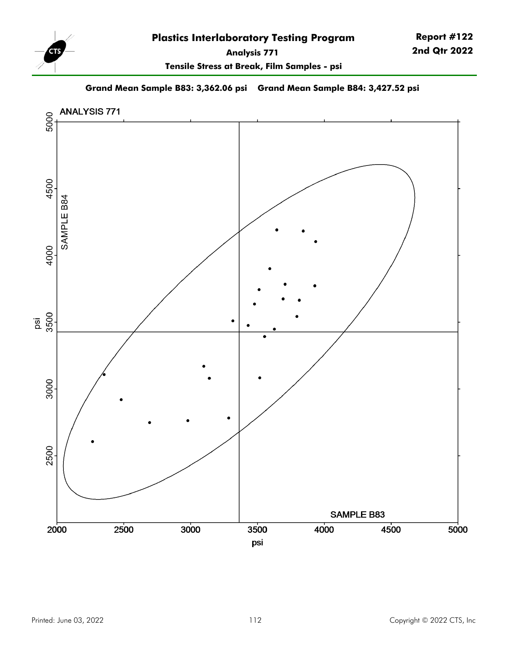

**Report #122 2nd Qtr 2022**

**Tensile Stress at Break, Film Samples - psi**

**Grand Mean Sample B83: 3,362.06 psi Grand Mean Sample B84: 3,427.52 psi**

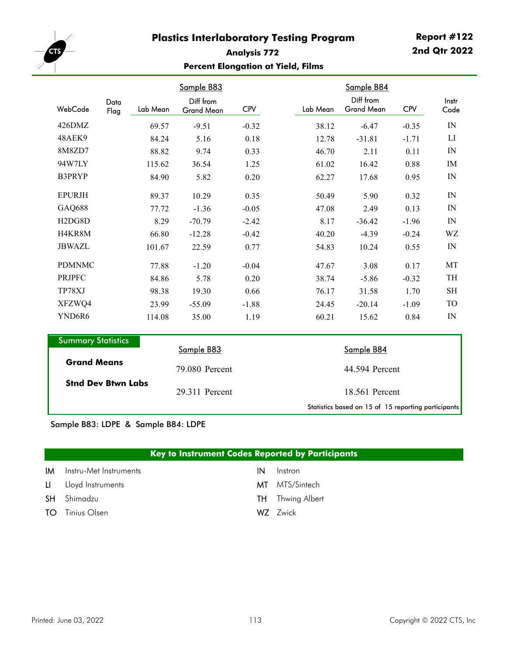

# **Analysis 772 Percent Elongation at Yield, Films**

|                                  |              |          | Sample B83                     |            |          | Sample B84<br>Diff from |            | Instr      |
|----------------------------------|--------------|----------|--------------------------------|------------|----------|-------------------------|------------|------------|
| WebCode                          | Data<br>Flag | Lab Mean | Diff from<br><b>Grand Mean</b> | <b>CPV</b> | Lab Mean | <b>Grand Mean</b>       | <b>CPV</b> | Code       |
| 426DMZ                           |              | 69.57    | $-9.51$                        | $-0.32$    | 38.12    | $-6.47$                 | $-0.35$    | IN         |
| 48AEK9                           |              | 84.24    | 5.16                           | 0.18       | 12.78    | $-31.81$                | $-1.71$    | LI         |
| 8M8ZD7                           |              | 88.82    | 9.74                           | 0.33       | 46.70    | 2.11                    | 0.11       | IN         |
| 94W7LY                           |              | 115.62   | 36.54                          | 1.25       | 61.02    | 16.42                   | 0.88       | IM         |
| B3PRYP                           |              | 84.90    | 5.82                           | 0.20       | 62.27    | 17.68                   | 0.95       | IN         |
| <b>EPURJH</b>                    |              | 89.37    | 10.29                          | 0.35       | 50.49    | 5.90                    | 0.32       | IN         |
| <b>GAQ688</b>                    |              | 77.72    | $-1.36$                        | $-0.05$    | 47.08    | 2.49                    | 0.13       | IN         |
| H <sub>2</sub> D <sub>G8</sub> D |              | 8.29     | $-70.79$                       | $-2.42$    | 8.17     | $-36.42$                | $-1.96$    | IN         |
| H4KR8M                           |              | 66.80    | $-12.28$                       | $-0.42$    | 40.20    | $-4.39$                 | $-0.24$    | WZ         |
| <b>JBWAZL</b>                    |              | 101.67   | 22.59                          | 0.77       | 54.83    | 10.24                   | 0.55       | IN         |
| <b>PDMNMC</b>                    |              | 77.88    | $-1.20$                        | $-0.04$    | 47.67    | 3.08                    | 0.17       | MT         |
| <b>PRJPFC</b>                    |              | 84.86    | 5.78                           | 0.20       | 38.74    | $-5.86$                 | $-0.32$    | TH         |
| TP78XJ                           |              | 98.38    | 19.30                          | 0.66       | 76.17    | 31.58                   | 1.70       | <b>SH</b>  |
| XFZWQ4                           |              | 23.99    | $-55.09$                       | $-1.88$    | 24.45    | $-20.14$                | $-1.09$    | TO         |
| YND6R6                           |              | 114.08   | 35.00                          | 1.19       | 60.21    | 15.62                   | 0.84       | ${\rm IN}$ |
| <b>Summary Statistics</b>        |              |          |                                |            |          |                         |            |            |
|                                  |              |          | Sample B83                     |            |          | Sample B84              |            |            |
| $\sim$ $\sim$ $\sim$ $\sim$      |              |          |                                |            |          |                         |            |            |

|                           | Sample B83     | Sample B84                                          |
|---------------------------|----------------|-----------------------------------------------------|
| <b>Grand Means</b>        | 79.080 Percent | 44.594 Percent                                      |
| <b>Stnd Dev Btwn Labs</b> | 29.311 Percent | 18.561 Percent                                      |
|                           |                | Statistics based on 15 of 15 reporting participants |

#### Sample B83: LDPE & Sample B84: LDPE

#### **Key to Instrument Codes Reported by Participants**

| <b>IM</b> Instru-Met Instruments | IN. | Instron                 |
|----------------------------------|-----|-------------------------|
| LI Lloyd Instruments             |     | <b>MT</b> MTS/Sintech   |
| <b>SH</b> Shimadzu               |     | <b>TH</b> Thwing Albert |
| <b>TO</b> Tinius Olsen           |     | WZ Zwick                |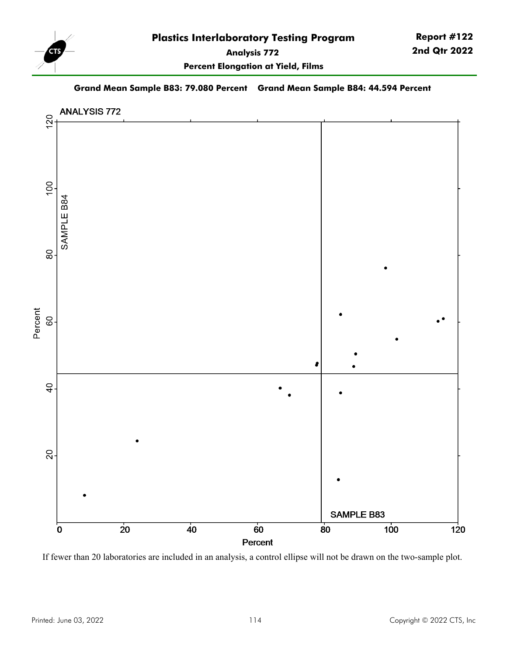

**Report #122 2nd Qtr 2022**

**Percent Elongation at Yield, Films**

**Grand Mean Sample B83: 79.080 Percent Grand Mean Sample B84: 44.594 Percent**



If fewer than 20 laboratories are included in an analysis, a control ellipse will not be drawn on the two-sample plot.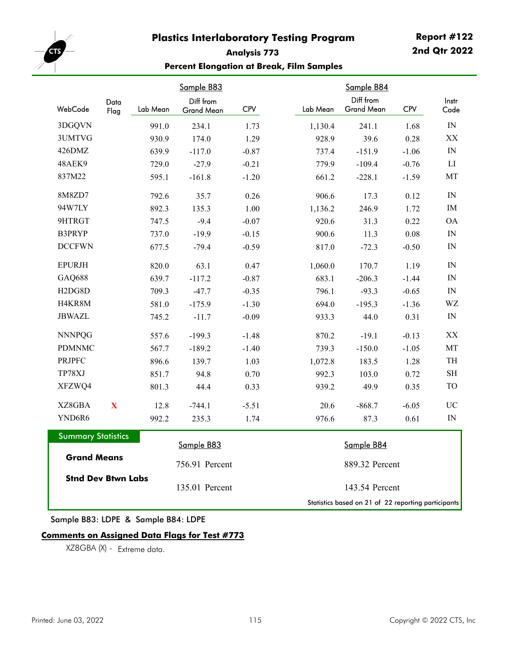

# **Analysis 773 Percent Elongation at Break, Film Samples**

| WebCode                          | Data                    | Lab Mean | Sample B83<br>Diff from | <b>CPV</b> | Lab Mean | Sample B84<br>Diff from<br><b>Grand Mean</b> | <b>CPV</b> | Instr<br>Code            |
|----------------------------------|-------------------------|----------|-------------------------|------------|----------|----------------------------------------------|------------|--------------------------|
|                                  | Flag                    |          | <b>Grand Mean</b>       |            |          |                                              |            |                          |
| 3DGQVN                           |                         | 991.0    | 234.1                   | 1.73       | 1,130.4  | 241.1                                        | 1.68       | ${\rm IN}$               |
| 3UMTVG                           |                         | 930.9    | 174.0                   | 1.29       | 928.9    | 39.6                                         | 0.28       | XX                       |
| 426DMZ                           |                         | 639.9    | $-117.0$                | $-0.87$    | 737.4    | $-151.9$                                     | $-1.06$    | $\ensuremath{\text{IN}}$ |
| 48AEK9                           |                         | 729.0    | $-27.9$                 | $-0.21$    | 779.9    | $-109.4$                                     | $-0.76$    | LI                       |
| 837M22                           |                         | 595.1    | $-161.8$                | $-1.20$    | 661.2    | $-228.1$                                     | $-1.59$    | MT                       |
| 8M8ZD7                           |                         | 792.6    | 35.7                    | 0.26       | 906.6    | 17.3                                         | 0.12       | IN                       |
| 94W7LY                           |                         | 892.3    | 135.3                   | 1.00       | 1,136.2  | 246.9                                        | 1.72       | IM                       |
| 9HTRGT                           |                         | 747.5    | $-9.4$                  | $-0.07$    | 920.6    | 31.3                                         | 0.22       | <b>OA</b>                |
| B3PRYP                           |                         | 737.0    | $-19.9$                 | $-0.15$    | 900.6    | 11.3                                         | $0.08\,$   | IN                       |
| <b>DCCFWN</b>                    |                         | 677.5    | $-79.4$                 | $-0.59$    | 817.0    | $-72.3$                                      | $-0.50$    | IN                       |
| <b>EPURJH</b>                    |                         | 820.0    | 63.1                    | 0.47       | 1,060.0  | 170.7                                        | 1.19       | IN                       |
| <b>GAQ688</b>                    |                         | 639.7    | $-117.2$                | $-0.87$    | 683.1    | $-206.3$                                     | $-1.44$    | IN                       |
| H <sub>2</sub> D <sub>G8</sub> D |                         | 709.3    | $-47.7$                 | $-0.35$    | 796.1    | $-93.3$                                      | $-0.65$    | IN                       |
| H4KR8M                           |                         | 581.0    | $-175.9$                | $-1.30$    | 694.0    | $-195.3$                                     | $-1.36$    | WZ                       |
| <b>JBWAZL</b>                    |                         | 745.2    | $-11.7$                 | $-0.09$    | 933.3    | 44.0                                         | 0.31       | ${\rm IN}$               |
| <b>NNNPQG</b>                    |                         | 557.6    | $-199.3$                | $-1.48$    | 870.2    | $-19.1$                                      | $-0.13$    | $\mathbf{XX}$            |
| <b>PDMNMC</b>                    |                         | 567.7    | $-189.2$                | $-1.40$    | 739.3    | $-150.0$                                     | $-1.05$    | MT                       |
| <b>PRJPFC</b>                    |                         | 896.6    | 139.7                   | 1.03       | 1,072.8  | 183.5                                        | 1.28       | TH                       |
| TP78XJ                           |                         | 851.7    | 94.8                    | 0.70       | 992.3    | 103.0                                        | 0.72       | $\operatorname{SH}$      |
| XFZWQ4                           |                         | 801.3    | 44.4                    | 0.33       | 939.2    | 49.9                                         | 0.35       | <b>TO</b>                |
| XZ8GBA                           | $\overline{\mathbf{X}}$ | 12.8     | $-744.1$                | $-5.51$    | 20.6     | $-868.7$                                     | $-6.05$    | <b>UC</b>                |
| YND6R6                           |                         | 992.2    | 235.3                   | 1.74       | 976.6    | 87.3                                         | 0.61       | IN                       |
| <b>Summary Statistics</b>        |                         |          | Sample B83              |            |          | Sample B84                                   |            |                          |
| <b>Grand Means</b>               |                         |          | 756.91 Percent          |            |          | 889.32 Percent                               |            |                          |
| <b>Stnd Dev Btwn Labs</b>        |                         |          | 135.01 Percent          |            |          | 143.54 Percent                               |            |                          |

Sample B83: LDPE & Sample B84: LDPE

#### **Comments on Assigned Data Flags for Test #773**

XZ8GBA (X) - Extreme data.

Statistics based on 21 of 22 reporting participants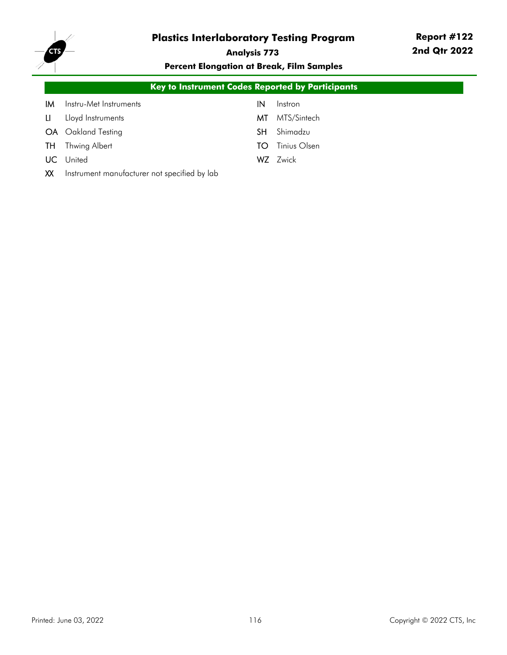

# **Analysis 773**

**Percent Elongation at Break, Film Samples**

|     | <b>Key to Instrument Codes Reported by Participants</b> |    |              |  |  |  |  |
|-----|---------------------------------------------------------|----|--------------|--|--|--|--|
| ΙM  | Instru-Met Instruments                                  | IN | Instron      |  |  |  |  |
| LI. | Lloyd Instruments                                       | МT | MTS/Sintech  |  |  |  |  |
|     | <b>OA</b> Oakland Testing                               | SH | Shimadzu     |  |  |  |  |
| TH. | Thwing Albert                                           | TO | Tinius Olsen |  |  |  |  |
| UC. | United                                                  |    | WZ Zwick     |  |  |  |  |
| XX  | Instrument manufacturer not specified by lab            |    |              |  |  |  |  |
|     |                                                         |    |              |  |  |  |  |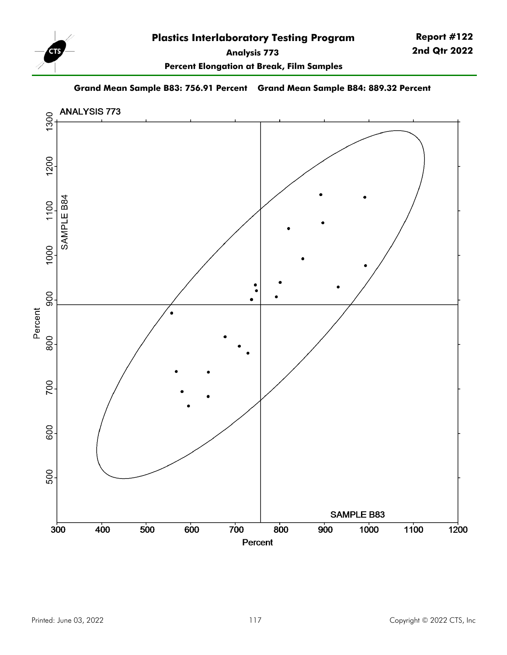

**Report #122 2nd Qtr 2022**

**Percent Elongation at Break, Film Samples**

**Grand Mean Sample B83: 756.91 Percent Grand Mean Sample B84: 889.32 Percent**

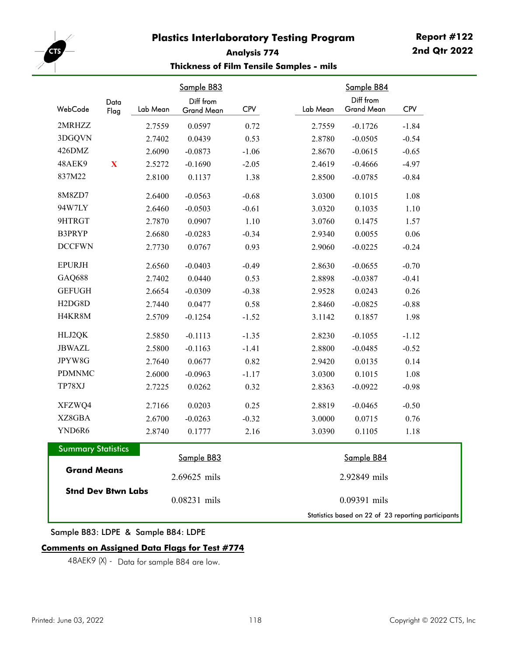

# **Analysis 774 Thickness of Film Tensile Samples - mils**

| WebCode                          | Data        | Lab Mean | Sample B83<br>Diff from | <b>CPV</b> | Lab Mean | Sample B84<br>Diff from<br><b>Grand Mean</b>        | <b>CPV</b> |
|----------------------------------|-------------|----------|-------------------------|------------|----------|-----------------------------------------------------|------------|
|                                  | Flag        |          | <b>Grand Mean</b>       |            |          |                                                     |            |
| 2MRHZZ                           |             | 2.7559   | 0.0597                  | 0.72       | 2.7559   | $-0.1726$                                           | $-1.84$    |
| 3DGQVN                           |             | 2.7402   | 0.0439                  | 0.53       | 2.8780   | $-0.0505$                                           | $-0.54$    |
| 426DMZ                           |             | 2.6090   | $-0.0873$               | $-1.06$    | 2.8670   | $-0.0615$                                           | $-0.65$    |
| 48AEK9                           | $\mathbf X$ | 2.5272   | $-0.1690$               | $-2.05$    | 2.4619   | $-0.4666$                                           | $-4.97$    |
| 837M22                           |             | 2.8100   | 0.1137                  | 1.38       | 2.8500   | $-0.0785$                                           | $-0.84$    |
| 8M8ZD7                           |             | 2.6400   | $-0.0563$               | $-0.68$    | 3.0300   | 0.1015                                              | 1.08       |
| 94W7LY                           |             | 2.6460   | $-0.0503$               | $-0.61$    | 3.0320   | 0.1035                                              | 1.10       |
| 9HTRGT                           |             | 2.7870   | 0.0907                  | 1.10       | 3.0760   | 0.1475                                              | 1.57       |
| B3PRYP                           |             | 2.6680   | $-0.0283$               | $-0.34$    | 2.9340   | 0.0055                                              | 0.06       |
| <b>DCCFWN</b>                    |             | 2.7730   | 0.0767                  | 0.93       | 2.9060   | $-0.0225$                                           | $-0.24$    |
| <b>EPURJH</b>                    |             | 2.6560   | $-0.0403$               | $-0.49$    | 2.8630   | $-0.0655$                                           | $-0.70$    |
| <b>GAQ688</b>                    |             | 2.7402   | 0.0440                  | 0.53       | 2.8898   | $-0.0387$                                           | $-0.41$    |
| <b>GEFUGH</b>                    |             | 2.6654   | $-0.0309$               | $-0.38$    | 2.9528   | 0.0243                                              | 0.26       |
| H <sub>2</sub> D <sub>G8</sub> D |             | 2.7440   | 0.0477                  | 0.58       | 2.8460   | $-0.0825$                                           | $-0.88$    |
| H4KR8M                           |             | 2.5709   | $-0.1254$               | $-1.52$    | 3.1142   | 0.1857                                              | 1.98       |
| HLJ2QK                           |             | 2.5850   | $-0.1113$               | $-1.35$    | 2.8230   | $-0.1055$                                           | $-1.12$    |
| <b>JBWAZL</b>                    |             | 2.5800   | $-0.1163$               | $-1.41$    | 2.8800   | $-0.0485$                                           | $-0.52$    |
| JPYW8G                           |             | 2.7640   | 0.0677                  | 0.82       | 2.9420   | 0.0135                                              | 0.14       |
| <b>PDMNMC</b>                    |             | 2.6000   | $-0.0963$               | $-1.17$    | 3.0300   | 0.1015                                              | 1.08       |
| TP78XJ                           |             | 2.7225   | 0.0262                  | 0.32       | 2.8363   | $-0.0922$                                           | $-0.98$    |
| XFZWQ4                           |             | 2.7166   | 0.0203                  | 0.25       | 2.8819   | $-0.0465$                                           | $-0.50$    |
| XZ8GBA                           |             | 2.6700   | $-0.0263$               | $-0.32$    | 3.0000   | 0.0715                                              | 0.76       |
| YND6R6                           |             | 2.8740   | 0.1777                  | 2.16       | 3.0390   | 0.1105                                              | 1.18       |
| <b>Summary Statistics</b>        |             |          |                         |            |          |                                                     |            |
|                                  |             |          | Sample B83              |            |          | Sample B84                                          |            |
| <b>Grand Means</b>               |             |          | 2.69625 mils            |            |          | 2.92849 mils                                        |            |
| <b>Stnd Dev Btwn Labs</b>        |             |          | 0.08231 mils            |            |          | 0.09391 mils                                        |            |
|                                  |             |          |                         |            |          | Statistics based on 22 of 23 reporting participants |            |

#### Sample B83: LDPE & Sample B84: LDPE

#### **Comments on Assigned Data Flags for Test #774**

48AEK9 (X) - Data for sample B84 are low.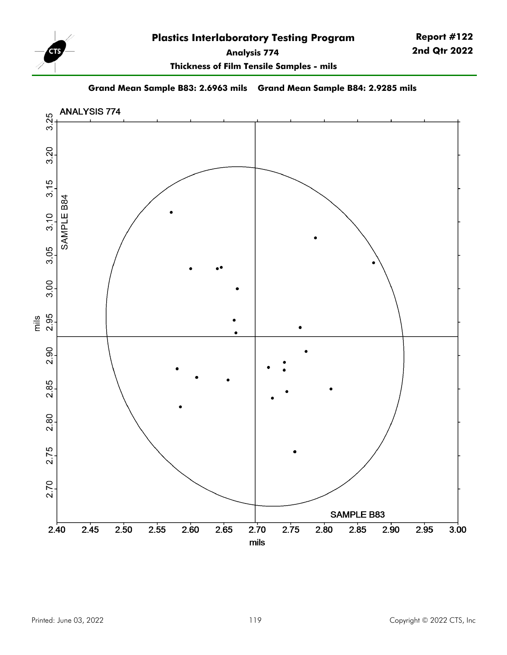

**Thickness of Film Tensile Samples - mils**

**Grand Mean Sample B83: 2.6963 mils Grand Mean Sample B84: 2.9285 mils**

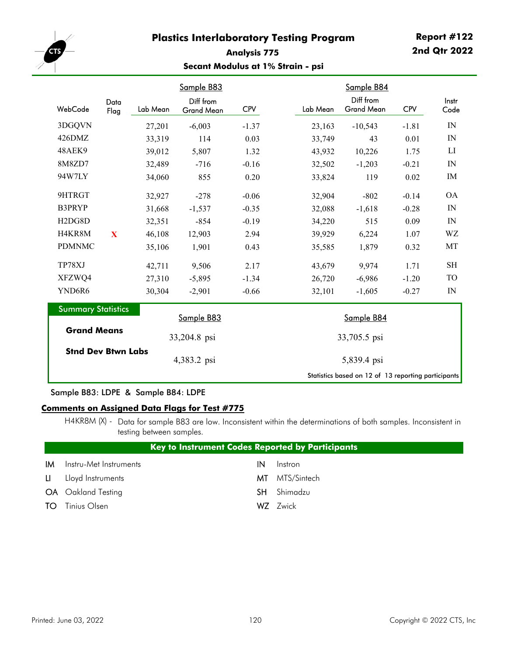

## **Analysis 775 Secant Modulus at 1% Strain - psi**

|                                  |              |          | Sample B83                     |         |          | Sample B84                                          |            |               |
|----------------------------------|--------------|----------|--------------------------------|---------|----------|-----------------------------------------------------|------------|---------------|
| WebCode                          | Data<br>Flag | Lab Mean | Diff from<br><b>Grand Mean</b> | CPV     | Lab Mean | Diff from<br><b>Grand Mean</b>                      | <b>CPV</b> | Instr<br>Code |
| 3DGQVN                           |              | 27,201   | $-6,003$                       | $-1.37$ | 23,163   | $-10,543$                                           | $-1.81$    | IN            |
| 426DMZ                           |              | 33,319   | 114                            | 0.03    | 33,749   | 43                                                  | 0.01       | IN            |
| 48AEK9                           |              | 39,012   | 5,807                          | 1.32    | 43,932   | 10,226                                              | 1.75       | LI            |
| 8M8ZD7                           |              | 32,489   | $-716$                         | $-0.16$ | 32,502   | $-1,203$                                            | $-0.21$    | IN            |
| 94W7LY                           |              | 34,060   | 855                            | 0.20    | 33,824   | 119                                                 | 0.02       | IM            |
| 9HTRGT                           |              | 32,927   | $-278$                         | $-0.06$ | 32,904   | $-802$                                              | $-0.14$    | <b>OA</b>     |
| B3PRYP                           |              | 31,668   | $-1,537$                       | $-0.35$ | 32,088   | $-1,618$                                            | $-0.28$    | IN            |
| H <sub>2</sub> D <sub>G8</sub> D |              | 32,351   | $-854$                         | $-0.19$ | 34,220   | 515                                                 | 0.09       | IN            |
| H4KR8M                           | X            | 46,108   | 12,903                         | 2.94    | 39,929   | 6,224                                               | 1.07       | WZ            |
| <b>PDMNMC</b>                    |              | 35,106   | 1,901                          | 0.43    | 35,585   | 1,879                                               | 0.32       | MT            |
| TP78XJ                           |              | 42,711   | 9,506                          | 2.17    | 43,679   | 9,974                                               | 1.71       | <b>SH</b>     |
| XFZWQ4                           |              | 27,310   | $-5,895$                       | $-1.34$ | 26,720   | $-6,986$                                            | $-1.20$    | <b>TO</b>     |
| YND6R6                           |              | 30,304   | $-2,901$                       | $-0.66$ | 32,101   | $-1,605$                                            | $-0.27$    | IN            |
| <b>Summary Statistics</b>        |              |          | Sample B83                     |         |          | Sample B84                                          |            |               |
| <b>Grand Means</b>               |              |          | 33,204.8 psi                   |         |          | 33,705.5 psi                                        |            |               |
| <b>Stnd Dev Btwn Labs</b>        |              |          | 4,383.2 psi                    |         |          | 5,839.4 psi                                         |            |               |
|                                  |              |          |                                |         |          | Statistics based on 12 of 13 reporting participants |            |               |

Sample B83: LDPE & Sample B84: LDPE

#### **Comments on Assigned Data Flags for Test #775**

H4KR8M (X) - Data for sample B83 are low. Inconsistent within the determinations of both samples. Inconsistent in testing between samples.

|     | <b>Key to Instrument Codes Reported by Participants</b> |     |                |  |  |  |  |  |
|-----|---------------------------------------------------------|-----|----------------|--|--|--|--|--|
| IMI | Instru-Met Instruments                                  | IN  | Instron        |  |  |  |  |  |
|     | LI Lloyd Instruments                                    |     | MT MTS/Sintech |  |  |  |  |  |
|     | <b>OA</b> Oakland Testing                               | SH. | Shimadzu       |  |  |  |  |  |
|     | <b>TO</b> Tinius Olsen                                  |     | WZ Zwick       |  |  |  |  |  |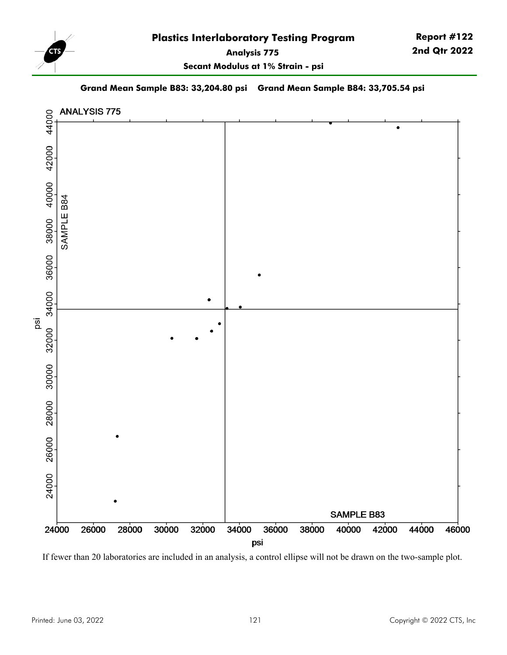

**Secant Modulus at 1% Strain - psi**

**Report #122 2nd Qtr 2022**

**Grand Mean Sample B83: 33,204.80 psi Grand Mean Sample B84: 33,705.54 psi**



If fewer than 20 laboratories are included in an analysis, a control ellipse will not be drawn on the two-sample plot.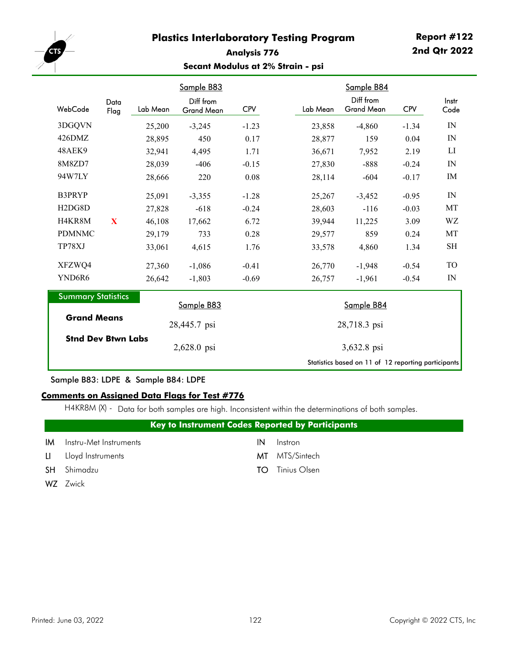

# **Analysis 776 Secant Modulus at 2% Strain - psi**

|                                  |              |          | Sample B83                     |            |          | Sample B84                                          |            |               |
|----------------------------------|--------------|----------|--------------------------------|------------|----------|-----------------------------------------------------|------------|---------------|
| WebCode                          | Data<br>Flag | Lab Mean | Diff from<br><b>Grand Mean</b> | <b>CPV</b> | Lab Mean | Diff from<br><b>Grand Mean</b>                      | <b>CPV</b> | Instr<br>Code |
| 3DGQVN                           |              | 25,200   | $-3,245$                       | $-1.23$    | 23,858   | $-4,860$                                            | $-1.34$    | IN            |
| 426DMZ                           |              | 28,895   | 450                            | 0.17       | 28,877   | 159                                                 | 0.04       | IN            |
| 48AEK9                           |              | 32,941   | 4,495                          | 1.71       | 36,671   | 7,952                                               | 2.19       | LI            |
| 8M8ZD7                           |              | 28,039   | $-406$                         | $-0.15$    | 27,830   | $-888$                                              | $-0.24$    | IN            |
| 94W7LY                           |              | 28,666   | 220                            | 0.08       | 28,114   | $-604$                                              | $-0.17$    | IM            |
| <b>B3PRYP</b>                    |              | 25,091   | $-3,355$                       | $-1.28$    | 25,267   | $-3,452$                                            | $-0.95$    | IN            |
| H <sub>2</sub> D <sub>G8</sub> D |              | 27,828   | $-618$                         | $-0.24$    | 28,603   | $-116$                                              | $-0.03$    | MT            |
| H4KR8M                           | X            | 46,108   | 17,662                         | 6.72       | 39,944   | 11,225                                              | 3.09       | WZ            |
| <b>PDMNMC</b>                    |              | 29,179   | 733                            | 0.28       | 29,577   | 859                                                 | 0.24       | MT            |
| TP78XJ                           |              | 33,061   | 4,615                          | 1.76       | 33,578   | 4,860                                               | 1.34       | SН            |
| XFZWQ4                           |              | 27,360   | $-1,086$                       | $-0.41$    | 26,770   | $-1,948$                                            | $-0.54$    | TO            |
| YND6R6                           |              | 26,642   | $-1,803$                       | $-0.69$    | 26,757   | $-1,961$                                            | $-0.54$    | IN            |
| <b>Summary Statistics</b>        |              |          | Sample B83                     |            |          | Sample B84                                          |            |               |
| <b>Grand Means</b>               |              |          | 28,445.7 psi                   |            |          | 28,718.3 psi                                        |            |               |
| <b>Stnd Dev Btwn Labs</b>        |              |          | 2,628.0 psi                    |            |          | 3,632.8 psi                                         |            |               |
|                                  |              |          |                                |            |          | Statistics based on 11 of 12 reporting participants |            |               |

#### Sample B83: LDPE & Sample B84: LDPE

#### **Comments on Assigned Data Flags for Test #776**

H4KR8M (X) - Data for both samples are high. Inconsistent within the determinations of both samples.

|              | <b>Key to Instrument Codes Reported by Participants</b> |    |                |  |  |  |  |  |
|--------------|---------------------------------------------------------|----|----------------|--|--|--|--|--|
| ΙM           | Instru-Met Instruments                                  | ΙN | Instron        |  |  |  |  |  |
| $\mathbf{u}$ | Lloyd Instruments                                       |    | MT MTS/Sintech |  |  |  |  |  |
| <b>SH</b>    | Shimadzu                                                | TO | Tinius Olsen   |  |  |  |  |  |
| W7           | Zwick                                                   |    |                |  |  |  |  |  |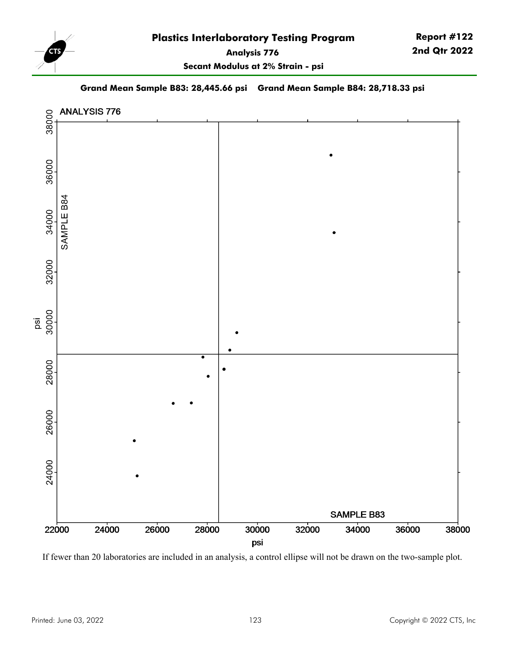

**Secant Modulus at 2% Strain - psi**

**Grand Mean Sample B83: 28,445.66 psi Grand Mean Sample B84: 28,718.33 psi**



If fewer than 20 laboratories are included in an analysis, a control ellipse will not be drawn on the two-sample plot.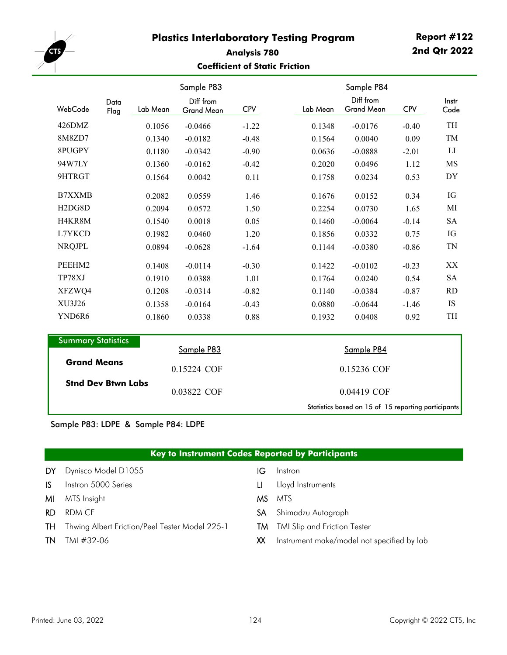

#### **Analysis 780 Coefficient of Static Friction**

|                                  |              |          | Sample P83                     |            |  |          | Sample P84                     |            |               |
|----------------------------------|--------------|----------|--------------------------------|------------|--|----------|--------------------------------|------------|---------------|
| WebCode                          | Data<br>Flag | Lab Mean | Diff from<br><b>Grand Mean</b> | <b>CPV</b> |  | Lab Mean | Diff from<br><b>Grand Mean</b> | <b>CPV</b> | Instr<br>Code |
| 426DMZ                           |              | 0.1056   | $-0.0466$                      | $-1.22$    |  | 0.1348   | $-0.0176$                      | $-0.40$    | TH            |
| 8M8ZD7                           |              | 0.1340   | $-0.0182$                      | $-0.48$    |  | 0.1564   | 0.0040                         | 0.09       | TM            |
| 8PUGPY                           |              | 0.1180   | $-0.0342$                      | $-0.90$    |  | 0.0636   | $-0.0888$                      | $-2.01$    | LI            |
| 94W7LY                           |              | 0.1360   | $-0.0162$                      | $-0.42$    |  | 0.2020   | 0.0496                         | 1.12       | MS            |
| 9HTRGT                           |              | 0.1564   | 0.0042                         | 0.11       |  | 0.1758   | 0.0234                         | 0.53       | DY            |
| <b>B7XXMB</b>                    |              | 0.2082   | 0.0559                         | 1.46       |  | 0.1676   | 0.0152                         | 0.34       | IG            |
| H <sub>2</sub> D <sub>G8</sub> D |              | 0.2094   | 0.0572                         | 1.50       |  | 0.2254   | 0.0730                         | 1.65       | MI            |
| H4KR8M                           |              | 0.1540   | 0.0018                         | 0.05       |  | 0.1460   | $-0.0064$                      | $-0.14$    | <b>SA</b>     |
| L7YKCD                           |              | 0.1982   | 0.0460                         | 1.20       |  | 0.1856   | 0.0332                         | 0.75       | IG            |
| <b>NRQJPL</b>                    |              | 0.0894   | $-0.0628$                      | $-1.64$    |  | 0.1144   | $-0.0380$                      | $-0.86$    | <b>TN</b>     |
| PEEHM2                           |              | 0.1408   | $-0.0114$                      | $-0.30$    |  | 0.1422   | $-0.0102$                      | $-0.23$    | XX            |
| TP78XJ                           |              | 0.1910   | 0.0388                         | 1.01       |  | 0.1764   | 0.0240                         | 0.54       | <b>SA</b>     |
| XFZWQ4                           |              | 0.1208   | $-0.0314$                      | $-0.82$    |  | 0.1140   | $-0.0384$                      | $-0.87$    | <b>RD</b>     |
| XU3J26                           |              | 0.1358   | $-0.0164$                      | $-0.43$    |  | 0.0880   | $-0.0644$                      | $-1.46$    | <b>IS</b>     |
| YND6R6                           |              | 0.1860   | 0.0338                         | 0.88       |  | 0.1932   | 0.0408                         | 0.92       | TH            |
| <b>Summary Statistics</b>        |              |          |                                |            |  |          |                                |            |               |
| <b>Grand Means</b>               |              |          | Sample P83                     |            |  |          | Sample P84                     |            |               |
|                                  |              |          | 0.15224 COF                    |            |  |          | 0.15236 COF                    |            |               |
| <b>Stnd Dev Btwn Labs</b>        |              |          | 0.03822 COF                    |            |  |          | 0.04419 COF                    |            |               |

Statistics based on 15 of 15 reporting participants

Sample P83: LDPE & Sample P84: LDPE

#### **Key to Instrument Codes Reported by Participants**

- DY Dynisco Model D1055 **IG** Instron
- IS Instron 5000 Series LI Lloyd Instruments
- MI MTS Insight MI MTS Insight
- 
- TH Thwing Albert Friction/Peel Tester Model 225-1 TM TMI Slip and Friction Tester
- 

- 
- 
- RD RDM CF SA Shimadzu Autograph
	-
- TN TMI #32-06 XX Instrument make/model not specified by lab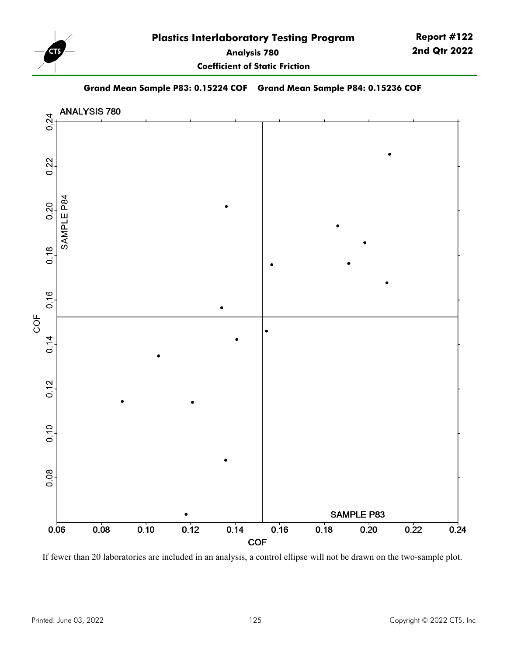

**Coefficient of Static Friction**

**Report #122 2nd Qtr 2022**

#### **Grand Mean Sample P83: 0.15224 COF Grand Mean Sample P84: 0.15236 COF**



If fewer than 20 laboratories are included in an analysis, a control ellipse will not be drawn on the two-sample plot.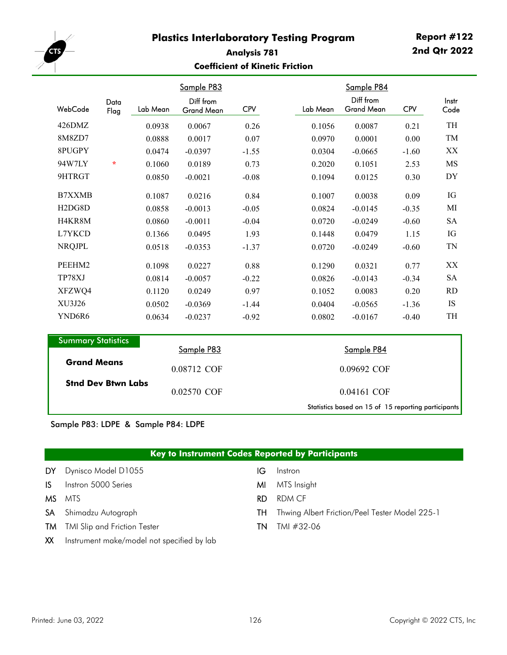

#### **Analysis 781 Coefficient of Kinetic Friction**

|                                  |              |          | Sample P83                     |            |          | Sample P84                                          |            |               |
|----------------------------------|--------------|----------|--------------------------------|------------|----------|-----------------------------------------------------|------------|---------------|
| WebCode                          | Data<br>Flag | Lab Mean | Diff from<br><b>Grand Mean</b> | <b>CPV</b> | Lab Mean | Diff from<br>Grand Mean                             | <b>CPV</b> | Instr<br>Code |
| 426DMZ                           |              | 0.0938   | 0.0067                         | 0.26       | 0.1056   | 0.0087                                              | 0.21       | TH            |
| 8M8ZD7                           |              | 0.0888   | 0.0017                         | 0.07       | 0.0970   | 0.0001                                              | 0.00       | TM            |
| 8PUGPY                           |              | 0.0474   | $-0.0397$                      | $-1.55$    | 0.0304   | $-0.0665$                                           | $-1.60$    | XX            |
| 94W7LY                           | $\star$      | 0.1060   | 0.0189                         | 0.73       | 0.2020   | 0.1051                                              | 2.53       | MS            |
| 9HTRGT                           |              | 0.0850   | $-0.0021$                      | $-0.08$    | 0.1094   | 0.0125                                              | 0.30       | DY            |
| <b>B7XXMB</b>                    |              | 0.1087   | 0.0216                         | 0.84       | 0.1007   | 0.0038                                              | 0.09       | IG            |
| H <sub>2</sub> D <sub>G8</sub> D |              | 0.0858   | $-0.0013$                      | $-0.05$    | 0.0824   | $-0.0145$                                           | $-0.35$    | MI            |
| H4KR8M                           |              | 0.0860   | $-0.0011$                      | $-0.04$    | 0.0720   | $-0.0249$                                           | $-0.60$    | <b>SA</b>     |
| L7YKCD                           |              | 0.1366   | 0.0495                         | 1.93       | 0.1448   | 0.0479                                              | 1.15       | IG            |
| <b>NRQJPL</b>                    |              | 0.0518   | $-0.0353$                      | $-1.37$    | 0.0720   | $-0.0249$                                           | $-0.60$    | <b>TN</b>     |
| PEEHM2                           |              | 0.1098   | 0.0227                         | 0.88       | 0.1290   | 0.0321                                              | 0.77       | XX            |
| TP78XJ                           |              | 0.0814   | $-0.0057$                      | $-0.22$    | 0.0826   | $-0.0143$                                           | $-0.34$    | <b>SA</b>     |
| XFZWQ4                           |              | 0.1120   | 0.0249                         | 0.97       | 0.1052   | 0.0083                                              | 0.20       | <b>RD</b>     |
| XU3J26                           |              | 0.0502   | $-0.0369$                      | $-1.44$    | 0.0404   | $-0.0565$                                           | $-1.36$    | <b>IS</b>     |
| YND6R6                           |              | 0.0634   | $-0.0237$                      | $-0.92$    | 0.0802   | $-0.0167$                                           | $-0.40$    | TH            |
| <b>Summary Statistics</b>        |              |          |                                |            |          |                                                     |            |               |
|                                  |              |          | Sample P83                     |            |          | Sample P84                                          |            |               |
| <b>Grand Means</b>               |              |          | 0.08712 COF                    |            |          | 0.09692 COF                                         |            |               |
| <b>Stnd Dev Btwn Labs</b>        |              |          | 0.02570 COF                    |            |          | 0.04161 COF                                         |            |               |
|                                  |              |          |                                |            |          | Statistics based on 15 of 15 reporting participants |            |               |

Sample P83: LDPE & Sample P84: LDPE

# **Key to Instrument Codes Reported by Participants**

| DY.          | Dynisco Model D1055                                                                                                                                                                                                                                                                                                           | IG  | Instron                                        |
|--------------|-------------------------------------------------------------------------------------------------------------------------------------------------------------------------------------------------------------------------------------------------------------------------------------------------------------------------------|-----|------------------------------------------------|
| IS.          | Instron 5000 Series                                                                                                                                                                                                                                                                                                           | мı  | MTS Insight                                    |
|              | <b>MS</b> MTS                                                                                                                                                                                                                                                                                                                 | RD. | RDM CF                                         |
|              | <b>SA</b> Shimadzu Autograph                                                                                                                                                                                                                                                                                                  | TH. | Thwing Albert Friction/Peel Tester Model 225-1 |
|              | <b>TM</b> TMI Slip and Friction Tester                                                                                                                                                                                                                                                                                        | TN. | TMI #32-06                                     |
| $\mathbf{M}$ | $\cdot$ . $\cdot$ . $\cdot$ . $\cdot$ . $\cdot$ . $\cdot$ . $\cdot$ . $\cdot$ . $\cdot$ . $\cdot$ . $\cdot$ . $\cdot$ . $\cdot$ . $\cdot$ . $\cdot$ . $\cdot$ . $\cdot$ . $\cdot$ . $\cdot$ . $\cdot$ . $\cdot$ . $\cdot$ . $\cdot$ . $\cdot$ . $\cdot$ . $\cdot$ . $\cdot$ . $\cdot$ . $\cdot$ . $\cdot$ . $\cdot$ . $\cdot$ |     |                                                |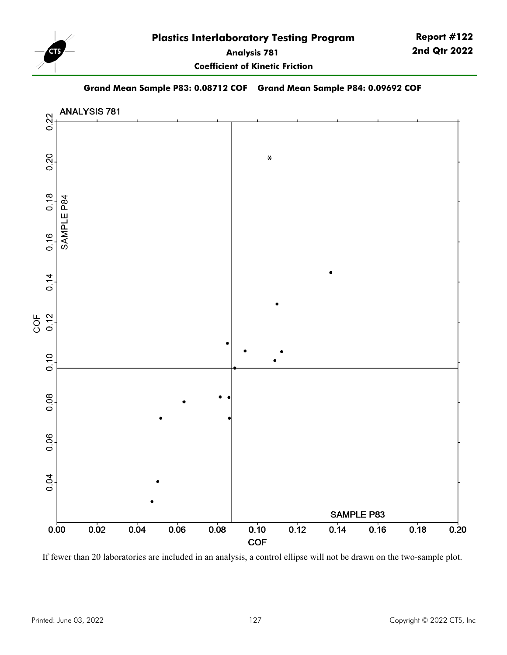

#### **Grand Mean Sample P83: 0.08712 COF Grand Mean Sample P84: 0.09692 COF**



If fewer than 20 laboratories are included in an analysis, a control ellipse will not be drawn on the two-sample plot.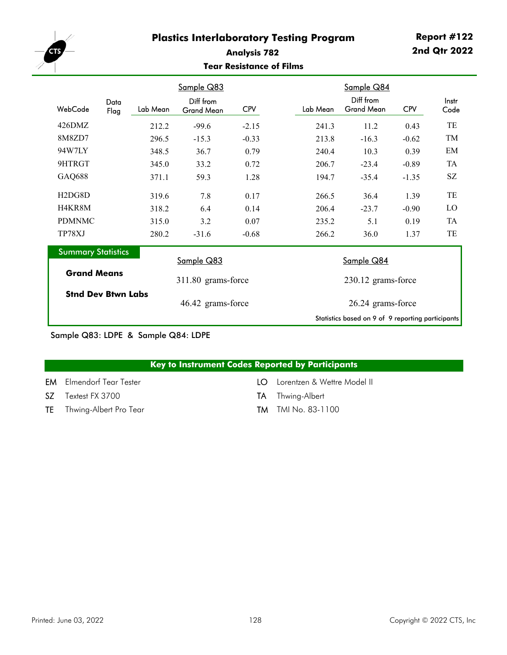

#### **Analysis 782 Tear Resistance of Films**

|                                  |              |          | Sample Q83                     |            |                   |                    | Sample Q84                                        |            |               |
|----------------------------------|--------------|----------|--------------------------------|------------|-------------------|--------------------|---------------------------------------------------|------------|---------------|
| WebCode                          | Data<br>Flag | Lab Mean | Diff from<br><b>Grand Mean</b> | <b>CPV</b> |                   | Lab Mean           | Diff from<br><b>Grand Mean</b>                    | <b>CPV</b> | Instr<br>Code |
| 426DMZ                           |              | 212.2    | $-99.6$                        | $-2.15$    |                   | 241.3              | 11.2                                              | 0.43       | TE            |
| 8M8ZD7                           |              | 296.5    | $-15.3$                        | $-0.33$    |                   | 213.8              | $-16.3$                                           | $-0.62$    | TM            |
| 94W7LY                           |              | 348.5    | 36.7                           | 0.79       |                   | 240.4              | 10.3                                              | 0.39       | EM            |
| 9HTRGT                           |              | 345.0    | 33.2                           | 0.72       |                   | 206.7              | $-23.4$                                           | $-0.89$    | TA            |
| GAQ688                           |              | 371.1    | 59.3                           | 1.28       |                   | 194.7              | $-35.4$                                           | $-1.35$    | SZ            |
| H <sub>2</sub> D <sub>G8</sub> D |              | 319.6    | 7.8                            | 0.17       |                   | 266.5              | 36.4                                              | 1.39       | TE            |
| H4KR8M                           |              | 318.2    | 6.4                            | 0.14       |                   | 206.4              | $-23.7$                                           | $-0.90$    | LO            |
| <b>PDMNMC</b>                    |              | 315.0    | 3.2                            | 0.07       |                   | 235.2              | 5.1                                               | 0.19       | <b>TA</b>     |
| TP78XJ                           |              | 280.2    | $-31.6$                        | $-0.68$    |                   | 266.2              | 36.0                                              | 1.37       | TE            |
| <b>Summary Statistics</b>        |              |          | Sample Q83                     |            | Sample Q84        |                    |                                                   |            |               |
| <b>Grand Means</b>               |              |          | 311.80 grams-force             |            |                   | 230.12 grams-force |                                                   |            |               |
| <b>Stnd Dev Btwn Labs</b>        |              |          | 46.42 grams-force              |            | 26.24 grams-force |                    |                                                   |            |               |
|                                  |              |          |                                |            |                   |                    | Statistics based on 9 of 9 reporting participants |            |               |

Sample Q83: LDPE & Sample Q84: LDPE

| Key to Instrument Codes Reported by Participants |  |  |  |  |  |
|--------------------------------------------------|--|--|--|--|--|
|--------------------------------------------------|--|--|--|--|--|

EM Elmendorf Tear Tester **LO** Lorentzen & Wettre Model II

- SZ Textest FX 3700 TA Thwing-Albert
- TE Thwing-Albert Pro Tear TM TMI No. 83-1100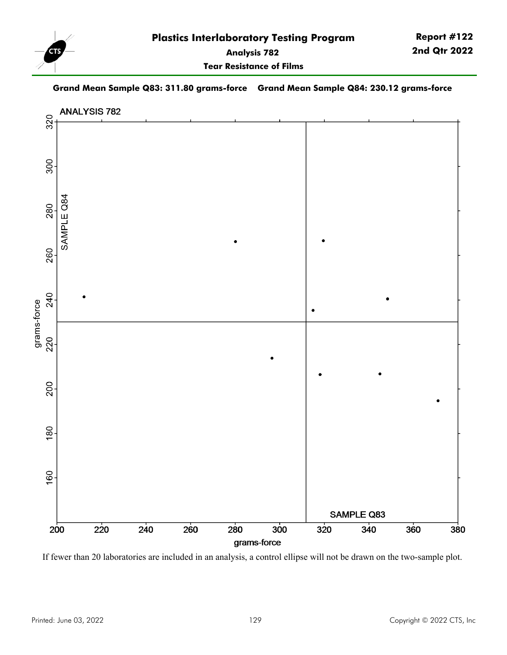

**Tear Resistance of Films**

#### **Grand Mean Sample Q83: 311.80 grams-force Grand Mean Sample Q84: 230.12 grams-force**



If fewer than 20 laboratories are included in an analysis, a control ellipse will not be drawn on the two-sample plot.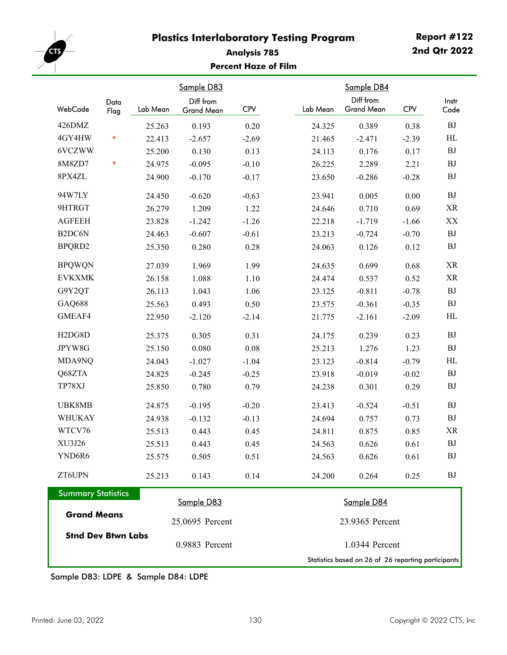

# **Analysis 785 Percent Haze of Film**

| WebCode                          | Data<br>Flag | Lab Mean | Sample D83<br>Diff from<br>Grand Mean | <b>CPV</b> | Lab Mean       | Sample D84<br>Diff from<br><b>Grand Mean</b>        | <b>CPV</b> | Instr<br>Code |
|----------------------------------|--------------|----------|---------------------------------------|------------|----------------|-----------------------------------------------------|------------|---------------|
| 426DMZ                           |              | 25.263   | 0.193                                 | 0.20       | 24.325         | 0.389                                               | 0.38       | <b>BJ</b>     |
| 4GY4HW                           | $\star$      | 22.413   | $-2.657$                              | $-2.69$    | 21.465         | $-2.471$                                            | $-2.39$    | HL            |
| 6VCZWW                           |              | 25.200   | 0.130                                 | 0.13       | 24.113         | 0.176                                               | 0.17       | <b>BJ</b>     |
| 8M8ZD7                           | $\star$      | 24.975   | $-0.095$                              | $-0.10$    | 26.225         | 2.289                                               | 2.21       | <b>BJ</b>     |
| 8PX4ZL                           |              | 24.900   | $-0.170$                              | $-0.17$    | 23.650         | $-0.286$                                            | $-0.28$    | BJ            |
| 94W7LY                           |              | 24.450   | $-0.620$                              | $-0.63$    | 23.941         | 0.005                                               | 0.00       | <b>BJ</b>     |
| 9HTRGT                           |              | 26.279   | 1.209                                 | 1.22       | 24.646         | 0.710                                               | 0.69       | <b>XR</b>     |
| <b>AGFEEH</b>                    |              | 23.828   | $-1.242$                              | $-1.26$    | 22.218         | $-1.719$                                            | $-1.66$    | XX            |
| B <sub>2</sub> DC6N              |              | 24.463   | $-0.607$                              | $-0.61$    | 23.213         | $-0.724$                                            | $-0.70$    | <b>BJ</b>     |
| BPQRD2                           |              | 25.350   | 0.280                                 | 0.28       | 24.063         | 0.126                                               | 0.12       | <b>BJ</b>     |
| <b>BPQWQN</b>                    |              | 27.039   | 1.969                                 | 1.99       | 24.635         | 0.699                                               | 0.68       | <b>XR</b>     |
| <b>EVKXMK</b>                    |              | 26.158   | 1.088                                 | 1.10       | 24.474         | 0.537                                               | 0.52       | XR            |
| G9Y2QT                           |              | 26.113   | 1.043                                 | 1.06       | 23.125         | $-0.811$                                            | $-0.78$    | BJ            |
| GAQ688                           |              | 25.563   | 0.493                                 | 0.50       | 23.575         | $-0.361$                                            | $-0.35$    | <b>BJ</b>     |
| GMEAF4                           |              | 22.950   | $-2.120$                              | $-2.14$    | 21.775         | $-2.161$                                            | $-2.09$    | $\rm HL$      |
| H <sub>2</sub> D <sub>G8</sub> D |              | 25.375   | 0.305                                 | 0.31       | 24.175         | 0.239                                               | 0.23       | <b>BJ</b>     |
| JPYW8G                           |              | 25.150   | 0.080                                 | 0.08       | 25.213         | 1.276                                               | 1.23       | <b>BJ</b>     |
| MDA9NQ                           |              | 24.043   | $-1.027$                              | $-1.04$    | 23.123         | $-0.814$                                            | $-0.79$    | HL            |
| Q68ZTA                           |              | 24.825   | $-0.245$                              | $-0.25$    | 23.918         | $-0.019$                                            | $-0.02$    | <b>BJ</b>     |
| TP78XJ                           |              | 25.850   | 0.780                                 | 0.79       | 24.238         | 0.301                                               | 0.29       | BJ            |
| UBK8MB                           |              | 24.875   | $-0.195$                              | $-0.20$    | 23.413         | $-0.524$                                            | $-0.51$    | <b>BJ</b>     |
| <b>WHUKAY</b>                    |              | 24.938   | $-0.132$                              | $-0.13$    | 24.694         | 0.757                                               | 0.73       | <b>BJ</b>     |
| WTCV76                           |              | 25.513   | 0.443                                 | 0.45       | 24.811         | 0.875                                               | 0.85       | XR            |
| XU3J26                           |              | 25.513   | 0.443                                 | 0.45       | 24.563         | 0.626                                               | 0.61       | <b>BJ</b>     |
| YND6R6                           |              | 25.575   | 0.505                                 | 0.51       | 24.563         | 0.626                                               | 0.61       | BJ            |
| ZT6UPN                           |              | 25.213   | 0.143                                 | 0.14       | 24.200         | 0.264                                               | 0.25       | BJ            |
| <b>Summary Statistics</b>        |              |          | Sample D83                            |            |                | Sample D84                                          |            |               |
| <b>Grand Means</b>               |              |          | 25.0695 Percent                       |            |                | 23.9365 Percent                                     |            |               |
| <b>Stnd Dev Btwn Labs</b>        |              |          | 0.9883 Percent                        |            | 1.0344 Percent |                                                     |            |               |
|                                  |              |          |                                       |            |                | Statistics based on 26 of 26 reporting participants |            |               |

Sample D83: LDPE & Sample D84: LDPE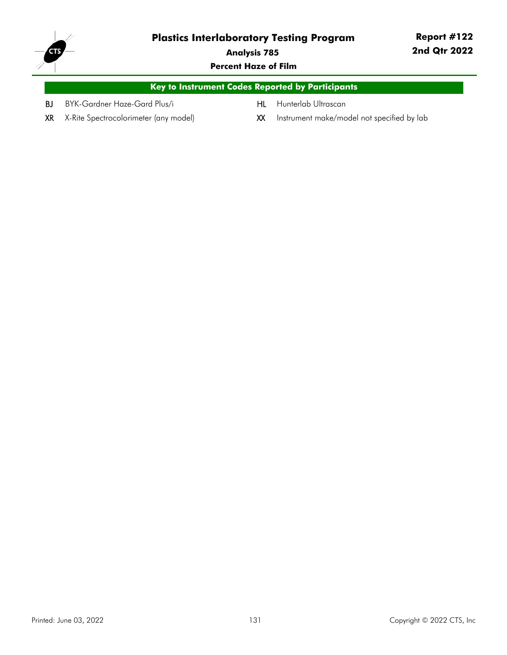

**Analysis 785**

**Percent Haze of Film**

|    |                              | Key to Instrument Codes Reported by Participants , |  |
|----|------------------------------|----------------------------------------------------|--|
| BJ | BYK-Gardner Haze-Gard Plus/i | <b>HL</b> Hunterlab Ultrascan                      |  |

XR X-Rite Spectrocolorimeter (any model) XX Instrument make/model not specified by lab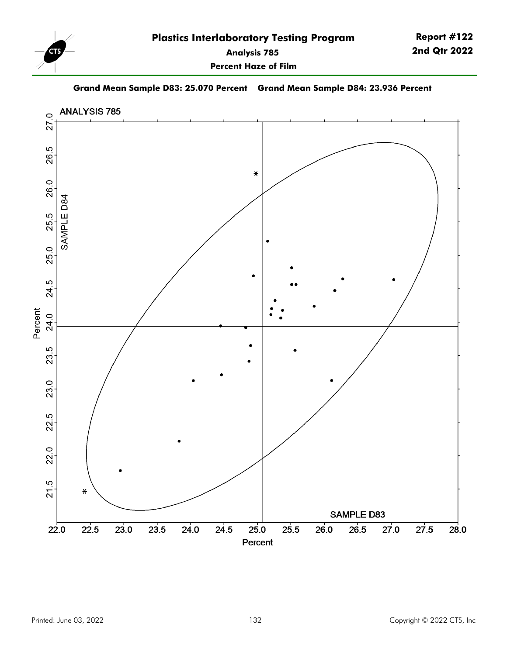

**Percent Haze of Film**



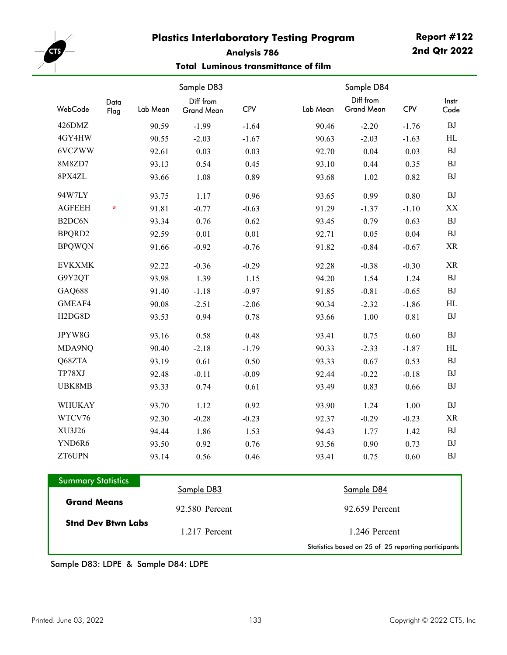

# **Analysis 786**

#### **Total Luminous transmittance of film**

|                                  |              |          | Sample D83              |            |          | Sample D84                     |            |                         |
|----------------------------------|--------------|----------|-------------------------|------------|----------|--------------------------------|------------|-------------------------|
| WebCode                          | Data<br>Flag | Lab Mean | Diff from<br>Grand Mean | <b>CPV</b> | Lab Mean | Diff from<br><b>Grand Mean</b> | <b>CPV</b> | Instr<br>Code           |
| 426DMZ                           |              | 90.59    | $-1.99$                 | $-1.64$    | 90.46    | $-2.20$                        | $-1.76$    | BJ                      |
| 4GY4HW                           |              | 90.55    | $-2.03$                 | $-1.67$    | 90.63    | $-2.03$                        | $-1.63$    | $\rm HL$                |
| 6VCZWW                           |              | 92.61    | 0.03                    | 0.03       | 92.70    | 0.04                           | 0.03       | <b>BJ</b>               |
| 8M8ZD7                           |              | 93.13    | 0.54                    | 0.45       | 93.10    | 0.44                           | 0.35       | <b>BJ</b>               |
| 8PX4ZL                           |              | 93.66    | 1.08                    | 0.89       | 93.68    | 1.02                           | 0.82       | BJ                      |
| 94W7LY                           |              | 93.75    | 1.17                    | 0.96       | 93.65    | 0.99                           | 0.80       | <b>BJ</b>               |
| <b>AGFEEH</b>                    | $\star$      | 91.81    | $-0.77$                 | $-0.63$    | 91.29    | $-1.37$                        | $-1.10$    | $\mathbf{X} \mathbf{X}$ |
| B <sub>2</sub> DC6N              |              | 93.34    | 0.76                    | 0.62       | 93.45    | 0.79                           | 0.63       | BJ                      |
| BPQRD2                           |              | 92.59    | 0.01                    | 0.01       | 92.71    | 0.05                           | 0.04       | <b>BJ</b>               |
| <b>BPQWQN</b>                    |              | 91.66    | $-0.92$                 | $-0.76$    | 91.82    | $-0.84$                        | $-0.67$    | XR                      |
| <b>EVKXMK</b>                    |              | 92.22    | $-0.36$                 | $-0.29$    | 92.28    | $-0.38$                        | $-0.30$    | $\rm XR$                |
| G9Y2QT                           |              | 93.98    | 1.39                    | 1.15       | 94.20    | 1.54                           | 1.24       | BJ                      |
| GAQ688                           |              | 91.40    | $-1.18$                 | $-0.97$    | 91.85    | $-0.81$                        | $-0.65$    | BJ                      |
| GMEAF4                           |              | 90.08    | $-2.51$                 | $-2.06$    | 90.34    | $-2.32$                        | $-1.86$    | HL                      |
| H <sub>2</sub> D <sub>G8</sub> D |              | 93.53    | 0.94                    | 0.78       | 93.66    | 1.00                           | 0.81       | ${\rm BJ}$              |
| JPYW8G                           |              | 93.16    | 0.58                    | 0.48       | 93.41    | 0.75                           | 0.60       | <b>BJ</b>               |
| MDA9NQ                           |              | 90.40    | $-2.18$                 | $-1.79$    | 90.33    | $-2.33$                        | $-1.87$    | HL                      |
| Q68ZTA                           |              | 93.19    | 0.61                    | 0.50       | 93.33    | 0.67                           | 0.53       | <b>BJ</b>               |
| TP78XJ                           |              | 92.48    | $-0.11$                 | $-0.09$    | 92.44    | $-0.22$                        | $-0.18$    | <b>BJ</b>               |
| UBK8MB                           |              | 93.33    | 0.74                    | 0.61       | 93.49    | 0.83                           | 0.66       | <b>BJ</b>               |
| WHUKAY                           |              | 93.70    | 1.12                    | 0.92       | 93.90    | 1.24                           | 1.00       | BJ                      |
| WTCV76                           |              | 92.30    | $-0.28$                 | $-0.23$    | 92.37    | $-0.29$                        | $-0.23$    | XR                      |
| XU3J26                           |              | 94.44    | 1.86                    | 1.53       | 94.43    | 1.77                           | 1.42       | <b>BJ</b>               |
| YND6R6                           |              | 93.50    | 0.92                    | 0.76       | 93.56    | 0.90                           | 0.73       | BJ                      |
| ZT6UPN                           |              | 93.14    | 0.56                    | 0.46       | 93.41    | 0.75                           | 0.60       | BJ                      |

| <b>Summary Statistics</b> |                |                                                     |
|---------------------------|----------------|-----------------------------------------------------|
|                           | Sample D83     | Sample D84                                          |
| <b>Grand Means</b>        | 92.580 Percent | 92.659 Percent                                      |
| <b>Stnd Dev Btwn Labs</b> | 1.217 Percent  | 1.246 Percent                                       |
|                           |                | Statistics based on 25 of 25 reporting participants |

Sample D83: LDPE & Sample D84: LDPE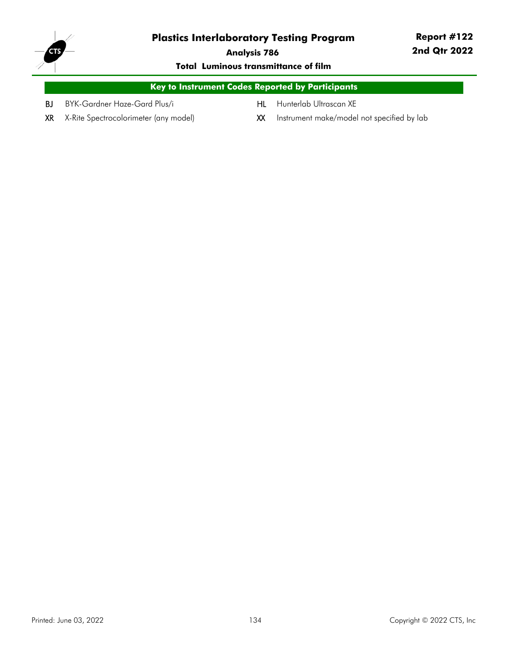

**Analysis 786**

#### **Total Luminous transmittance of film**

|    |                              | <b>Key to Instrument Codes Reported by Participants</b> |  |
|----|------------------------------|---------------------------------------------------------|--|
| BJ | BYK-Gardner Haze-Gard Plus/i | <b>HL</b> Hunterlab Ultrascan XE                        |  |

- 
- 
- XR X-Rite Spectrocolorimeter (any model) XX Instrument make/model not specified by lab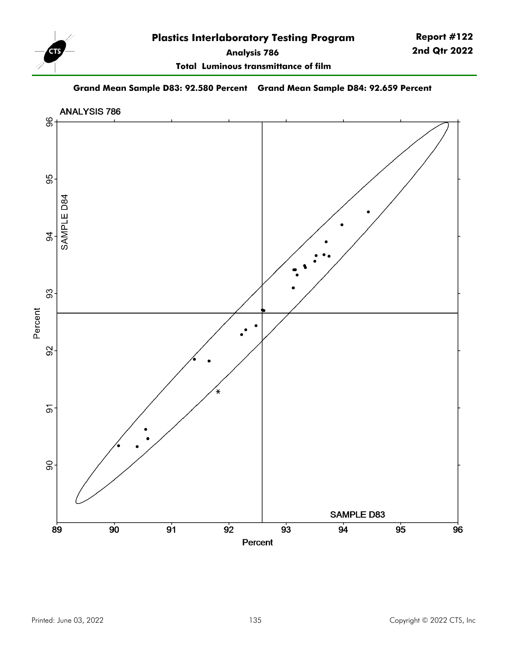

**Total Luminous transmittance of film**

**Grand Mean Sample D83: 92.580 Percent Grand Mean Sample D84: 92.659 Percent**

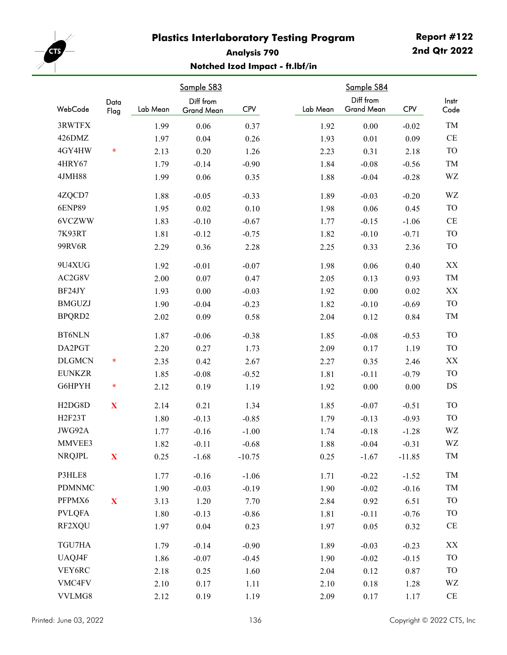

# **Analysis 790 Notched Izod Impact - ft.lbf/in**

|                                  | Data         |          | Sample S83<br>Diff from |            |          | Sample S84<br>Diff from |            | Instr         |
|----------------------------------|--------------|----------|-------------------------|------------|----------|-------------------------|------------|---------------|
| WebCode                          | Flag         | Lab Mean | Grand Mean              | <b>CPV</b> | Lab Mean | <b>Grand Mean</b>       | <b>CPV</b> | Code          |
| 3RWTFX                           |              | 1.99     | 0.06                    | 0.37       | 1.92     | 0.00                    | $-0.02$    | TM            |
| 426DMZ                           |              | 1.97     | 0.04                    | 0.26       | 1.93     | 0.01                    | 0.09       | CE            |
| 4GY4HW                           | $\star$      | 2.13     | 0.20                    | 1.26       | 2.23     | 0.31                    | 2.18       | <b>TO</b>     |
| 4HRY67                           |              | 1.79     | $-0.14$                 | $-0.90$    | 1.84     | $-0.08$                 | $-0.56$    | TM            |
| 4JMH88                           |              | 1.99     | 0.06                    | 0.35       | 1.88     | $-0.04$                 | $-0.28$    | WZ            |
| 4ZQCD7                           |              | 1.88     | $-0.05$                 | $-0.33$    | 1.89     | $-0.03$                 | $-0.20$    | WZ            |
| <b>6ENP89</b>                    |              | 1.95     | 0.02                    | 0.10       | 1.98     | 0.06                    | 0.45       | <b>TO</b>     |
| 6VCZWW                           |              | 1.83     | $-0.10$                 | $-0.67$    | 1.77     | $-0.15$                 | $-1.06$    | $\!$ $\!$     |
| 7K93RT                           |              | 1.81     | $-0.12$                 | $-0.75$    | 1.82     | $-0.10$                 | $-0.71$    | <b>TO</b>     |
| 99RV6R                           |              | 2.29     | 0.36                    | 2.28       | 2.25     | 0.33                    | 2.36       | <b>TO</b>     |
| 9U4XUG                           |              | 1.92     | $-0.01$                 | $-0.07$    | 1.98     | 0.06                    | 0.40       | $\mathbf{XX}$ |
| AC2G8V                           |              | 2.00     | 0.07                    | 0.47       | 2.05     | 0.13                    | 0.93       | TM            |
| BF24JY                           |              | 1.93     | 0.00                    | $-0.03$    | 1.92     | 0.00                    | 0.02       | XX            |
| <b>BMGUZJ</b>                    |              | 1.90     | $-0.04$                 | $-0.23$    | 1.82     | $-0.10$                 | $-0.69$    | <b>TO</b>     |
| BPQRD2                           |              | 2.02     | 0.09                    | 0.58       | 2.04     | 0.12                    | 0.84       | TM            |
| <b>BT6NLN</b>                    |              | 1.87     | $-0.06$                 | $-0.38$    | 1.85     | $-0.08$                 | $-0.53$    | <b>TO</b>     |
| DA2PGT                           |              | 2.20     | 0.27                    | 1.73       | 2.09     | 0.17                    | 1.19       | <b>TO</b>     |
| <b>DLGMCN</b>                    | $\star$      | 2.35     | 0.42                    | 2.67       | 2.27     | 0.35                    | 2.46       | XX            |
| <b>EUNKZR</b>                    |              | 1.85     | $-0.08$                 | $-0.52$    | 1.81     | $-0.11$                 | $-0.79$    | <b>TO</b>     |
| G6HPYH                           | $\star$      | 2.12     | 0.19                    | 1.19       | 1.92     | 0.00                    | $0.00\,$   | DS            |
| H <sub>2</sub> D <sub>G8</sub> D | X            | 2.14     | 0.21                    | 1.34       | 1.85     | $-0.07$                 | $-0.51$    | <b>TO</b>     |
| H2F23T                           |              | 1.80     | $-0.13$                 | $-0.85$    | 1.79     | $-0.13$                 | $-0.93$    | <b>TO</b>     |
| JWG92A                           |              | 1.77     | $-0.16$                 | $-1.00$    | 1.74     | $-0.18$                 | $-1.28$    | WZ            |
| MMVEE3                           |              | 1.82     | $-0.11$                 | $-0.68$    | 1.88     | $-0.04$                 | $-0.31$    | WZ            |
| <b>NRQJPL</b>                    | $\mathbf X$  | 0.25     | $-1.68$                 | $-10.75$   | 0.25     | $-1.67$                 | $-11.85$   | TM            |
| P3HLE8                           |              | 1.77     | $-0.16$                 | $-1.06$    | 1.71     | $-0.22$                 | $-1.52$    | TM            |
| <b>PDMNMC</b>                    |              | 1.90     | $-0.03$                 | $-0.19$    | 1.90     | $-0.02$                 | $-0.16$    | $\rm TM$      |
| PFPMX6                           | $\mathbf{X}$ | 3.13     | 1.20                    | 7.70       | 2.84     | 0.92                    | 6.51       | <b>TO</b>     |
| <b>PVLQFA</b>                    |              | 1.80     | $-0.13$                 | $-0.86$    | 1.81     | $-0.11$                 | $-0.76$    | <b>TO</b>     |
| RF2XQU                           |              | 1.97     | 0.04                    | 0.23       | 1.97     | 0.05                    | 0.32       | $\!$ $\!$     |
| TGU7HA                           |              | 1.79     | $-0.14$                 | $-0.90$    | 1.89     | $-0.03$                 | $-0.23$    | XX            |
| UAQJ4F                           |              | 1.86     | $-0.07$                 | $-0.45$    | 1.90     | $-0.02$                 | $-0.15$    | <b>TO</b>     |
| VEY6RC                           |              | 2.18     | 0.25                    | 1.60       | 2.04     | 0.12                    | 0.87       | TO            |
| VMC4FV                           |              | 2.10     | 0.17                    | 1.11       | 2.10     | 0.18                    | 1.28       | WZ            |
| VVLMG8                           |              | 2.12     | 0.19                    | 1.19       | 2.09     | 0.17                    | 1.17       | $\rm CE$      |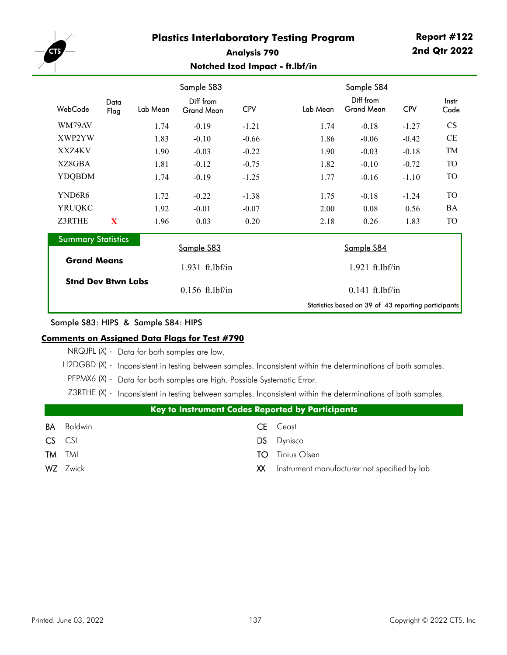

#### **Analysis 790 Notched Izod Impact - ft.lbf/in**

|                           |              |                   | Sample S83              |            |          | Sample S84                                          |            |               |  |
|---------------------------|--------------|-------------------|-------------------------|------------|----------|-----------------------------------------------------|------------|---------------|--|
| WebCode                   | Data<br>Flag | Lab Mean          | Diff from<br>Grand Mean | <b>CPV</b> | Lab Mean | Diff from<br><b>Grand Mean</b>                      | <b>CPV</b> | Instr<br>Code |  |
| WM79AV                    |              | 1.74              | $-0.19$                 | $-1.21$    | 1.74     | $-0.18$                                             | $-1.27$    | <b>CS</b>     |  |
| XWP2YW                    |              | 1.83              | $-0.10$                 | $-0.66$    | 1.86     | $-0.06$                                             | $-0.42$    | CE            |  |
| XXZ4KV                    |              | 1.90              | $-0.03$                 | $-0.22$    | 1.90     | $-0.03$                                             | $-0.18$    | TM            |  |
| XZ8GBA                    |              | 1.81              | $-0.12$                 | $-0.75$    | 1.82     | $-0.10$                                             | $-0.72$    | TO            |  |
| <b>YDQBDM</b>             |              | 1.74              | $-0.19$                 | $-1.25$    | 1.77     | $-0.16$                                             | $-1.10$    | TO            |  |
| YND6R6                    |              | 1.72              | $-0.22$                 | $-1.38$    | 1.75     | $-0.18$                                             | $-1.24$    | TO            |  |
| <b>YRUQKC</b>             |              | 1.92              | $-0.01$                 | $-0.07$    | 2.00     | 0.08                                                | 0.56       | BA            |  |
| Z3RTHE                    | X            | 1.96              | 0.03                    | 0.20       | 2.18     | 0.26                                                | 1.83       | TO            |  |
| <b>Summary Statistics</b> |              |                   | Sample S83              |            |          |                                                     |            |               |  |
| <b>Grand Means</b>        |              |                   |                         |            |          | Sample S84                                          |            |               |  |
|                           |              |                   | 1.931 ft.lbf/in         |            |          | $1.921$ ft.lbf/in                                   |            |               |  |
| <b>Stnd Dev Btwn Labs</b> |              | $0.156$ ft.lbf/in | $0.141$ ft.lbf/in       |            |          |                                                     |            |               |  |
|                           |              |                   |                         |            |          | Statistics based on 39 of 43 reporting participants |            |               |  |

#### Sample S83: HIPS & Sample S84: HIPS

#### **Comments on Assigned Data Flags for Test #790**

NRQJPL (X) - Data for both samples are low.

H2DG8D (X) - Inconsistent in testing between samples. Inconsistent within the determinations of both samples.

PFPMX6 (X) - Data for both samples are high. Possible Systematic Error.

Z3RTHE (X) - Inconsistent in testing between samples. Inconsistent within the determinations of both samples.

|               | <b>Key to Instrument Codes Reported by Participants</b> |      |                                              |  |  |  |  |  |
|---------------|---------------------------------------------------------|------|----------------------------------------------|--|--|--|--|--|
| BA            | Baldwin                                                 |      | <b>CE</b> Ceast                              |  |  |  |  |  |
| CS CSI        |                                                         |      | DS Dynisco                                   |  |  |  |  |  |
| <b>TM</b> TMI |                                                         | TO.  | Tinius Olsen                                 |  |  |  |  |  |
|               | <b>WZ</b> Zwick                                         | XX l | Instrument manufacturer not specified by lab |  |  |  |  |  |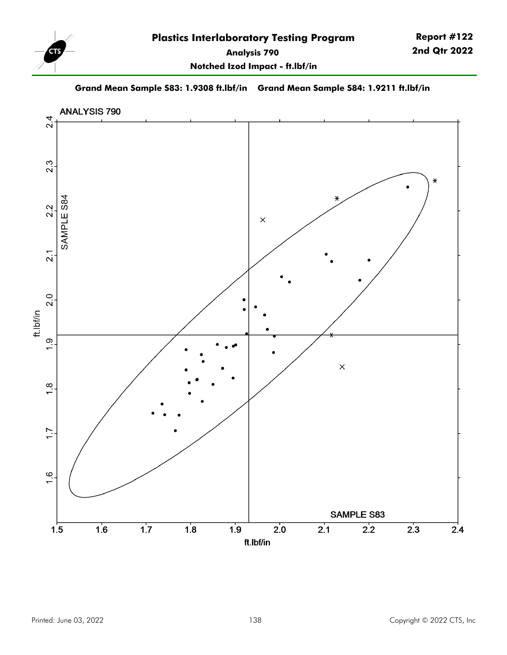

**Grand Mean Sample S83: 1.9308 ft.lbf/in Grand Mean Sample S84: 1.9211 ft.lbf/in**

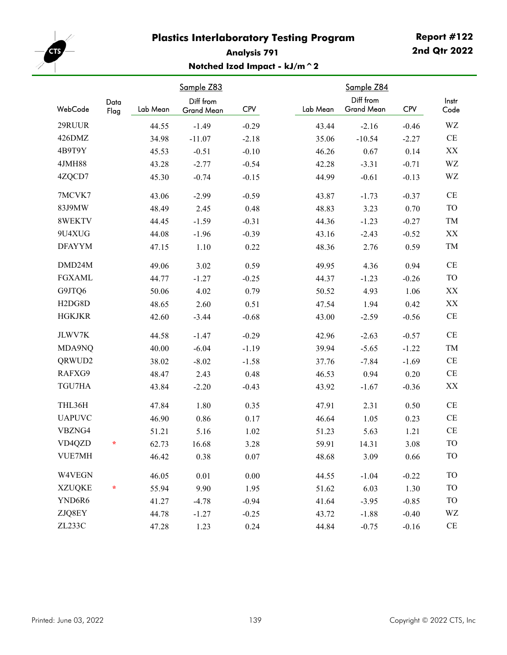

# **Report #122 2nd Qtr 2022**

# **Analysis 791 Notched Izod Impact - kJ/m^2**

|                                  |              |          | Sample Z83                     |            |          | Sample Z84                     |            |               |
|----------------------------------|--------------|----------|--------------------------------|------------|----------|--------------------------------|------------|---------------|
| WebCode                          | Data<br>Flag | Lab Mean | Diff from<br><b>Grand Mean</b> | <b>CPV</b> | Lab Mean | Diff from<br><b>Grand Mean</b> | <b>CPV</b> | Instr<br>Code |
| 29RUUR                           |              | 44.55    | $-1.49$                        | $-0.29$    | 43.44    | $-2.16$                        | $-0.46$    | WZ            |
| 426DMZ                           |              | 34.98    | $-11.07$                       | $-2.18$    | 35.06    | $-10.54$                       | $-2.27$    | $\rm CE$      |
| 4B9T9Y                           |              | 45.53    | $-0.51$                        | $-0.10$    | 46.26    | 0.67                           | 0.14       | XX            |
| 4JMH88                           |              | 43.28    | $-2.77$                        | $-0.54$    | 42.28    | $-3.31$                        | $-0.71$    | WZ            |
| 4ZQCD7                           |              | 45.30    | $-0.74$                        | $-0.15$    | 44.99    | $-0.61$                        | $-0.13$    | WZ            |
| 7MCVK7                           |              | 43.06    | $-2.99$                        | $-0.59$    | 43.87    | $-1.73$                        | $-0.37$    | $\!$ $\!$     |
| 83J9MW                           |              | 48.49    | 2.45                           | 0.48       | 48.83    | 3.23                           | 0.70       | TO            |
| 8WEKTV                           |              | 44.45    | $-1.59$                        | $-0.31$    | 44.36    | $-1.23$                        | $-0.27$    | TM            |
| 9U4XUG                           |              | 44.08    | $-1.96$                        | $-0.39$    | 43.16    | $-2.43$                        | $-0.52$    | XX            |
| <b>DFAYYM</b>                    |              | 47.15    | 1.10                           | 0.22       | 48.36    | 2.76                           | 0.59       | TM            |
| DMD24M                           |              | 49.06    | 3.02                           | 0.59       | 49.95    | 4.36                           | 0.94       | $\!$ $\!$     |
| <b>FGXAML</b>                    |              | 44.77    | $-1.27$                        | $-0.25$    | 44.37    | $-1.23$                        | $-0.26$    | TO            |
| G9JTQ6                           |              | 50.06    | 4.02                           | 0.79       | 50.52    | 4.93                           | 1.06       | XX            |
| H <sub>2</sub> D <sub>G8</sub> D |              | 48.65    | 2.60                           | 0.51       | 47.54    | 1.94                           | 0.42       | XX            |
| <b>HGKJKR</b>                    |              | 42.60    | $-3.44$                        | $-0.68$    | 43.00    | $-2.59$                        | $-0.56$    | $\!$ $\!$     |
| JLWV7K                           |              | 44.58    | $-1.47$                        | $-0.29$    | 42.96    | $-2.63$                        | $-0.57$    | $\!$ $\!$     |
| MDA9NQ                           |              | 40.00    | $-6.04$                        | $-1.19$    | 39.94    | $-5.65$                        | $-1.22$    | TM            |
| QRWUD2                           |              | 38.02    | $-8.02$                        | $-1.58$    | 37.76    | $-7.84$                        | $-1.69$    | $\!$ $\!$     |
| RAFXG9                           |              | 48.47    | 2.43                           | 0.48       | 46.53    | 0.94                           | 0.20       | $\!$ $\!$     |
| TGU7HA                           |              | 43.84    | $-2.20$                        | $-0.43$    | 43.92    | $-1.67$                        | $-0.36$    | XX            |
| THL36H                           |              | 47.84    | 1.80                           | 0.35       | 47.91    | 2.31                           | 0.50       | $\!$ $\!$     |
| <b>UAPUVC</b>                    |              | 46.90    | 0.86                           | 0.17       | 46.64    | 1.05                           | 0.23       | $\!$ $\!$     |
| VBZNG4                           |              | 51.21    | 5.16                           | 1.02       | 51.23    | 5.63                           | 1.21       | $\!$ $\!$     |
| VD4QZD                           | $\star$      | 62.73    | 16.68                          | 3.28       | 59.91    | 14.31                          | 3.08       | <b>TO</b>     |
| VUE7MH                           |              | 46.42    | 0.38                           | 0.07       | 48.68    | 3.09                           | 0.66       | <b>TO</b>     |
| W4VEGN                           |              | 46.05    | 0.01                           | $0.00\,$   | 44.55    | $-1.04$                        | $-0.22$    | <b>TO</b>     |
| <b>XZUQKE</b>                    | *            | 55.94    | 9.90                           | 1.95       | 51.62    | 6.03                           | 1.30       | <b>TO</b>     |
| YND6R6                           |              | 41.27    | $-4.78$                        | $-0.94$    | 41.64    | $-3.95$                        | $-0.85$    | <b>TO</b>     |
| ZJQ8EY                           |              | 44.78    | $-1.27$                        | $-0.25$    | 43.72    | $-1.88$                        | $-0.40$    | WZ            |
| ZL233C                           |              | 47.28    | 1.23                           | 0.24       | 44.84    | $-0.75$                        | $-0.16$    | $\!$ $\!$     |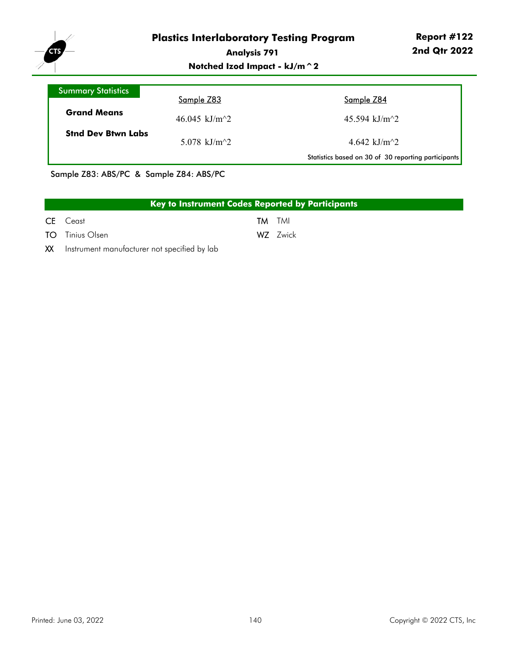

# **Notched Izod Impact - kJ/m^2**

| Summary Statistics        |                                              |                                                     |
|---------------------------|----------------------------------------------|-----------------------------------------------------|
|                           | Sample Z83                                   | Sample Z84                                          |
| <b>Grand Means</b>        | 46.045 kJ/m <sup><math>\gamma</math></sup> 2 | 45.594 kJ/m <sup><math>\gamma</math></sup> 2        |
| <b>Stnd Dev Btwn Labs</b> | 5.078 kJ/m <sup><math>\sim</math>2</sup>     | 4.642 kJ/m <sup><math>\gamma</math></sup> 2         |
|                           |                                              | Statistics based on 30 of 30 reporting participants |

Sample Z83: ABS/PC & Sample Z84: ABS/PC

| Key to Instrument Codes Reported by Participants |  |               |  |  |  |  |  |
|--------------------------------------------------|--|---------------|--|--|--|--|--|
| <b>CE</b> Ceast                                  |  | <b>TM</b> TMI |  |  |  |  |  |
| <b>TO</b> Tinius Olsen                           |  | WZ Zwick      |  |  |  |  |  |
| XX Instrument manufacturer not specified by lab  |  |               |  |  |  |  |  |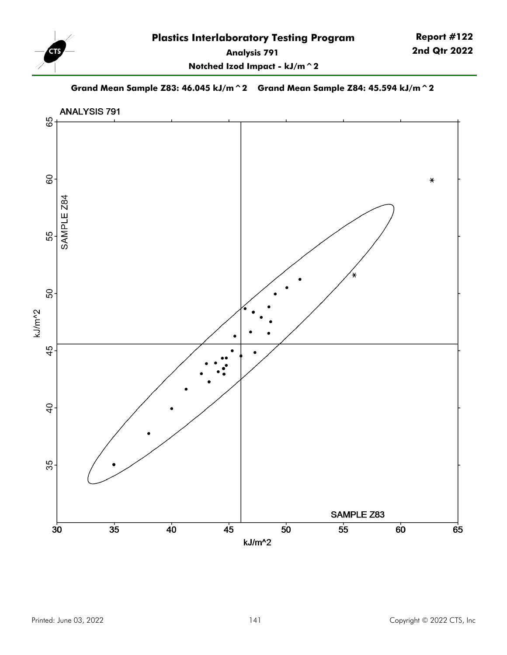

**Report #122 2nd Qtr 2022**

**Notched Izod Impact - kJ/m^2**

**Grand Mean Sample Z83: 46.045 kJ/m^2 Grand Mean Sample Z84: 45.594 kJ/m^2**

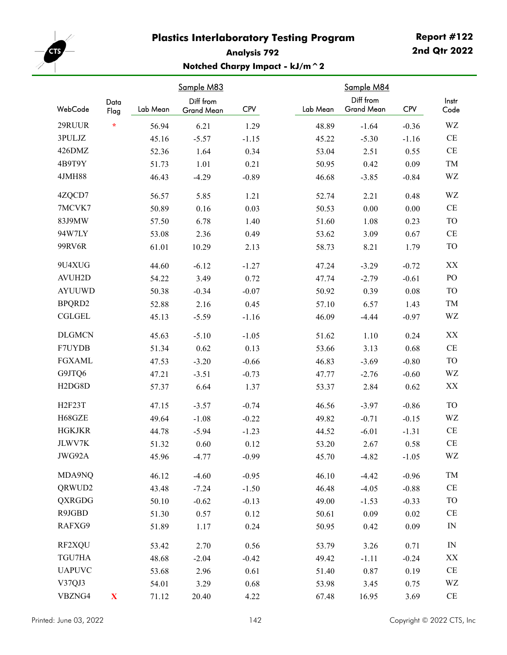

# **Report #122 2nd Qtr 2022**

# **Analysis 792 Notched Charpy Impact - kJ/m^2**

| Sample M83                       |              |          | Sample M84 |            |          |                   |            |                |
|----------------------------------|--------------|----------|------------|------------|----------|-------------------|------------|----------------|
|                                  | Data         |          | Diff from  |            |          | Diff from         |            | Instr          |
| WebCode                          | Flag         | Lab Mean | Grand Mean | <b>CPV</b> | Lab Mean | <b>Grand Mean</b> | <b>CPV</b> | Code           |
| 29RUUR                           | $\star$      | 56.94    | 6.21       | 1.29       | 48.89    | $-1.64$           | $-0.36$    | WZ             |
| 3PULJZ                           |              | 45.16    | $-5.57$    | $-1.15$    | 45.22    | $-5.30$           | $-1.16$    | $\!$ $\!$      |
| 426DMZ                           |              | 52.36    | 1.64       | 0.34       | 53.04    | 2.51              | 0.55       | $\rm CE$       |
| 4B9T9Y                           |              | 51.73    | 1.01       | 0.21       | 50.95    | 0.42              | 0.09       | TM             |
| 4JMH88                           |              | 46.43    | $-4.29$    | $-0.89$    | 46.68    | $-3.85$           | $-0.84$    | WZ             |
| 4ZQCD7                           |              | 56.57    | 5.85       | 1.21       | 52.74    | 2.21              | 0.48       | WZ             |
| 7MCVK7                           |              | 50.89    | 0.16       | 0.03       | 50.53    | 0.00              | $0.00\,$   | $\!$ $\!$      |
| 83J9MW                           |              | 57.50    | 6.78       | 1.40       | 51.60    | 1.08              | 0.23       | <b>TO</b>      |
| 94W7LY                           |              | 53.08    | 2.36       | 0.49       | 53.62    | 3.09              | 0.67       | $\!$ $\!$      |
| 99RV6R                           |              | 61.01    | 10.29      | 2.13       | 58.73    | 8.21              | 1.79       | TO             |
| 9U4XUG                           |              | 44.60    | $-6.12$    | $-1.27$    | 47.24    | $-3.29$           | $-0.72$    | XX             |
| <b>AVUH2D</b>                    |              | 54.22    | 3.49       | 0.72       | 47.74    | $-2.79$           | $-0.61$    | PO             |
| <b>AYUUWD</b>                    |              | 50.38    | $-0.34$    | $-0.07$    | 50.92    | 0.39              | $0.08\,$   | <b>TO</b>      |
| BPQRD2                           |              | 52.88    | 2.16       | 0.45       | 57.10    | 6.57              | 1.43       | TM             |
| <b>CGLGEL</b>                    |              | 45.13    | $-5.59$    | $-1.16$    | 46.09    | $-4.44$           | $-0.97$    | WZ             |
| <b>DLGMCN</b>                    |              | 45.63    | $-5.10$    | $-1.05$    | 51.62    | 1.10              | 0.24       | XX             |
| F7UYDB                           |              | 51.34    | 0.62       | 0.13       | 53.66    | 3.13              | 0.68       | $\rm CE$       |
| <b>FGXAML</b>                    |              | 47.53    | $-3.20$    | $-0.66$    | 46.83    | $-3.69$           | $-0.80$    | <b>TO</b>      |
| G9JTQ6                           |              | 47.21    | $-3.51$    | $-0.73$    | 47.77    | $-2.76$           | $-0.60$    | WZ             |
| H <sub>2</sub> D <sub>G8</sub> D |              | 57.37    | 6.64       | 1.37       | 53.37    | 2.84              | 0.62       | XX             |
| H2F23T                           |              | 47.15    | $-3.57$    | $-0.74$    | 46.56    | $-3.97$           | $-0.86$    | <b>TO</b>      |
| H68GZE                           |              | 49.64    | $-1.08$    | $-0.22$    | 49.82    | $-0.71$           | $-0.15$    | WZ             |
| <b>HGKJKR</b>                    |              | 44.78    | $-5.94$    | $-1.23$    | 44.52    | $-6.01$           | $-1.31$    | $\!$ $\!$      |
| JLWV7K                           |              | 51.32    | 0.60       | 0.12       | 53.20    | 2.67              | 0.58       | $\!$ $\!$ $\!$ |
| JWG92A                           |              | 45.96    | $-4.77$    | $-0.99$    | 45.70    | $-4.82$           | $-1.05$    | WZ             |
| MDA9NQ                           |              | 46.12    | $-4.60$    | $-0.95$    | 46.10    | $-4.42$           | $-0.96$    | TM             |
| QRWUD2                           |              | 43.48    | $-7.24$    | $-1.50$    | 46.48    | $-4.05$           | $-0.88$    | $\rm CE$       |
| <b>QXRGDG</b>                    |              | 50.10    | $-0.62$    | $-0.13$    | 49.00    | $-1.53$           | $-0.33$    | TO             |
| R9JGBD                           |              | 51.30    | 0.57       | 0.12       | 50.61    | 0.09              | $0.02\,$   | $\!$ $\!$      |
| RAFXG9                           |              | 51.89    | 1.17       | 0.24       | 50.95    | 0.42              | 0.09       | $\mathbb{N}$   |
| RF2XQU                           |              | 53.42    | 2.70       | 0.56       | 53.79    | 3.26              | 0.71       | IN             |
| TGU7HA                           |              | 48.68    | $-2.04$    | $-0.42$    | 49.42    | $-1.11$           | $-0.24$    | XX             |
| <b>UAPUVC</b>                    |              | 53.68    | 2.96       | 0.61       | 51.40    | 0.87              | 0.19       | $\rm CE$       |
| V37QJ3                           |              | 54.01    | 3.29       | 0.68       | 53.98    | 3.45              | 0.75       | WZ             |
| VBZNG4                           | $\mathbf{X}$ | 71.12    | 20.40      | 4.22       | 67.48    | 16.95             | 3.69       | $\!$ $\!$      |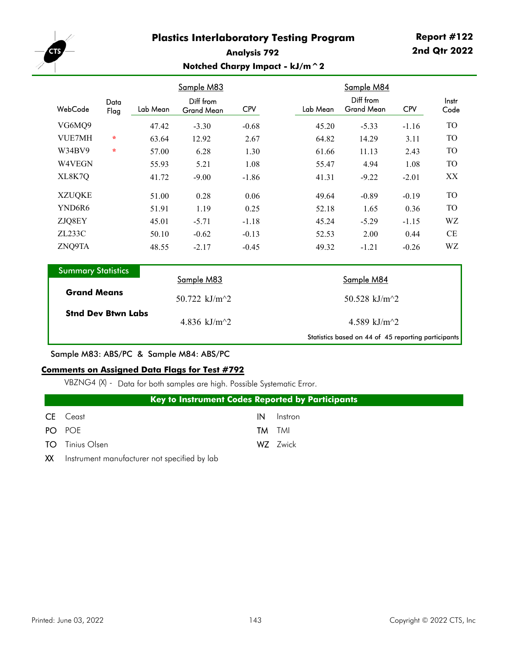

#### **Analysis 792 Notched Charpy Impact - kJ/m^2**

|                           |              |          | Sample M83                     |            |                 | Sample M84                     |            |               |  |  |
|---------------------------|--------------|----------|--------------------------------|------------|-----------------|--------------------------------|------------|---------------|--|--|
| WebCode                   | Data<br>Flag | Lab Mean | Diff from<br><b>Grand Mean</b> | <b>CPV</b> | Lab Mean        | Diff from<br><b>Grand Mean</b> | <b>CPV</b> | Instr<br>Code |  |  |
| VG6MQ9                    |              | 47.42    | $-3.30$                        | $-0.68$    | 45.20           | $-5.33$                        | $-1.16$    | TO            |  |  |
| VUE7MH                    | $\star$      | 63.64    | 12.92                          | 2.67       | 64.82           | 14.29                          | 3.11       | <b>TO</b>     |  |  |
| W34BV9                    | $\star$      | 57.00    | 6.28                           | 1.30       | 61.66           | 11.13                          | 2.43       | TO            |  |  |
| W4VEGN                    |              | 55.93    | 5.21                           | 1.08       | 55.47           | 4.94                           | 1.08       | TO            |  |  |
| XL8K7Q                    |              | 41.72    | $-9.00$                        | $-1.86$    | 41.31           | $-9.22$                        | $-2.01$    | XX            |  |  |
| <b>XZUQKE</b>             |              | 51.00    | 0.28                           | 0.06       | 49.64           | $-0.89$                        | $-0.19$    | TO            |  |  |
| YND6R6                    |              | 51.91    | 1.19                           | 0.25       | 52.18           | 1.65                           | 0.36       | TO            |  |  |
| ZJQ8EY                    |              | 45.01    | $-5.71$                        | $-1.18$    | 45.24           | $-5.29$                        | $-1.15$    | WZ            |  |  |
| ZL233C                    |              | 50.10    | $-0.62$                        | $-0.13$    | 52.53           | 2.00                           | 0.44       | CE            |  |  |
| ZNQ9TA                    |              | 48.55    | $-2.17$                        | $-0.45$    | 49.32           | $-1.21$                        | $-0.26$    | WZ            |  |  |
| <b>Summary Statistics</b> |              |          | Sample M83                     |            |                 | Sample M84                     |            |               |  |  |
| <b>Grand Means</b>        |              |          | 50.722 $kJ/m^2$                |            |                 | 50.528 kJ/m^2                  |            |               |  |  |
| <b>Stnd Dev Btwn Labs</b> |              |          | 4.836 kJ/m $^2$                |            | 4.589 kJ/m $^2$ |                                |            |               |  |  |

Sample M83: ABS/PC & Sample M84: ABS/PC

#### **Comments on Assigned Data Flags for Test #792**

VBZNG4 (X) - Data for both samples are high. Possible Systematic Error.

|                        |  |  | <b>Key to Instrument Codes Reported by Participants</b> |  |
|------------------------|--|--|---------------------------------------------------------|--|
| <b>CE</b> Ceast        |  |  | <b>IN</b> Instron                                       |  |
| PO POE                 |  |  | <b>TM</b> TMI                                           |  |
| <b>TO</b> Tinius Olsen |  |  | WZ Zwick                                                |  |
|                        |  |  |                                                         |  |

XX Instrument manufacturer not specified by lab

Statistics based on 44 of 45 reporting participants